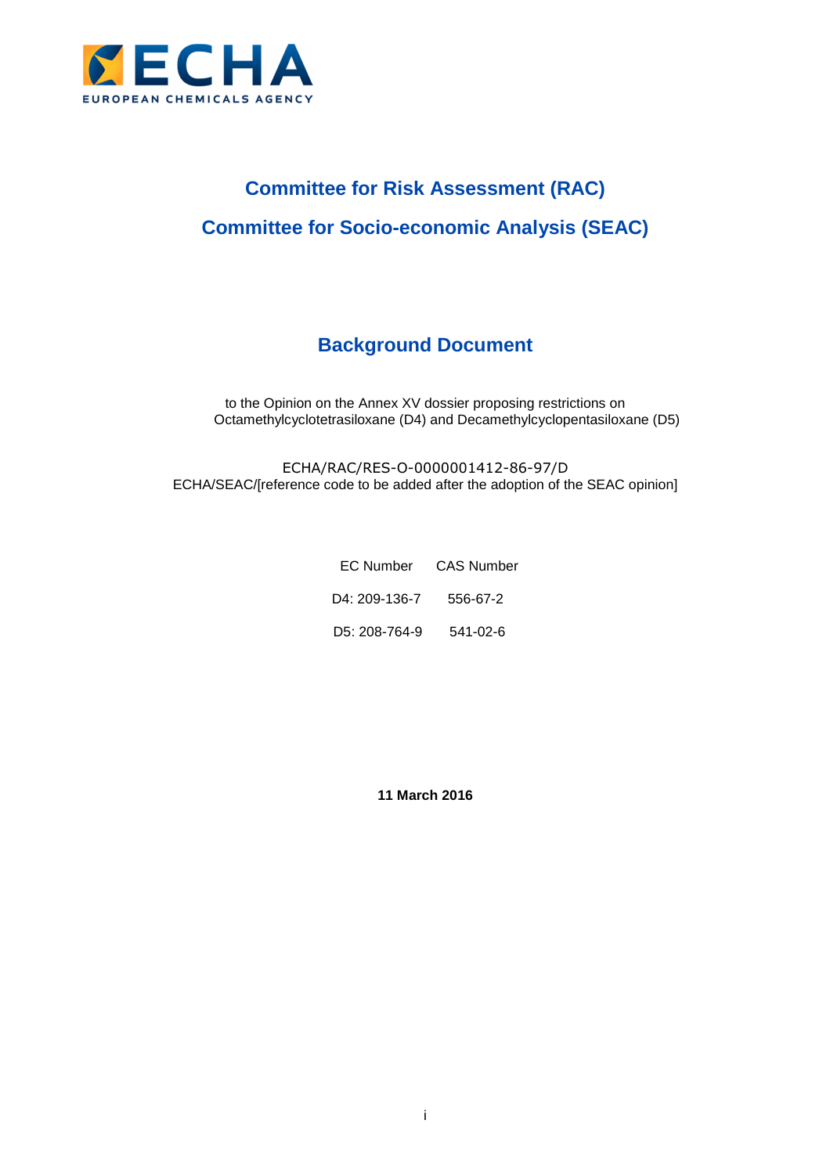

# **Committee for Risk Assessment (RAC) Committee for Socio-economic Analysis (SEAC)**

# **Background Document**

to the Opinion on the Annex XV dossier proposing restrictions on Octamethylcyclotetrasiloxane (D4) and Decamethylcyclopentasiloxane (D5)

ECHA/RAC/RES-O-0000001412-86-97/D ECHA/SEAC/[reference code to be added after the adoption of the SEAC opinion]

|                        | EC Number CAS Number |
|------------------------|----------------------|
| D4: 209-136-7 556-67-2 |                      |
| D5: 208-764-9 541-02-6 |                      |

**11 March 2016**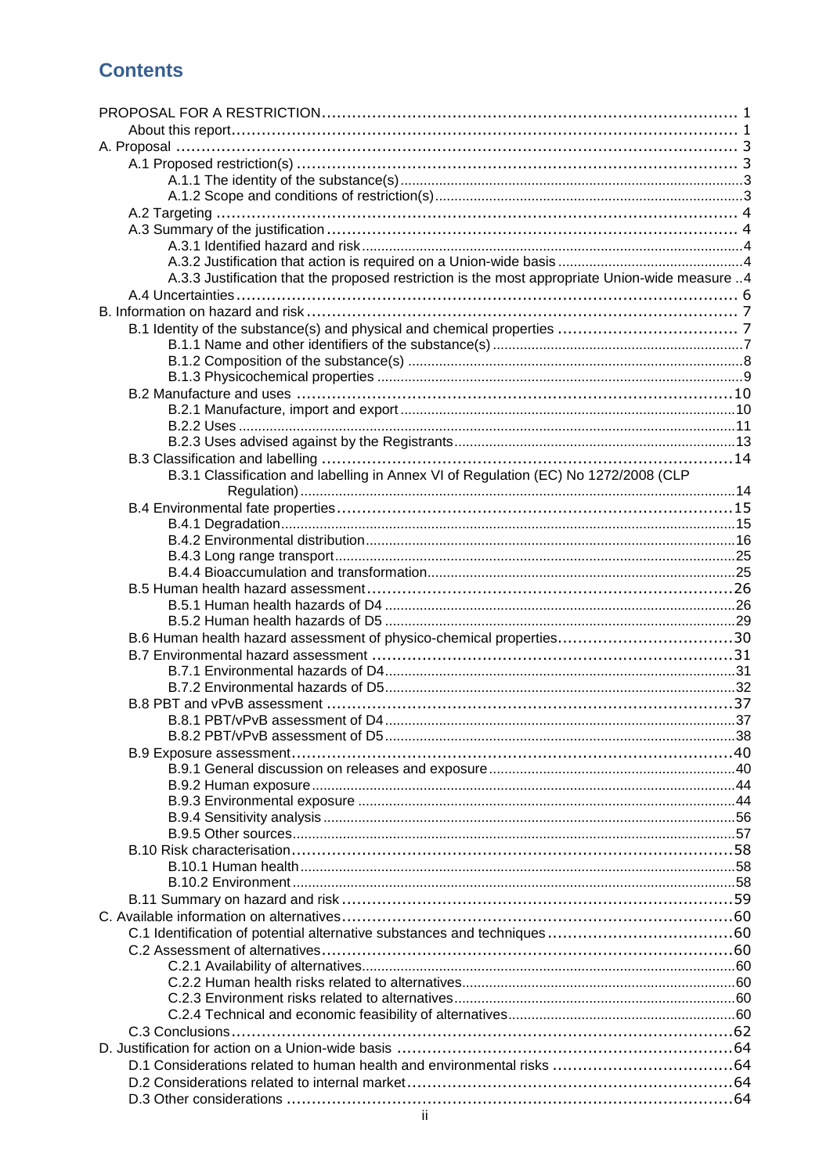# **Contents**

| A.3.3 Justification that the proposed restriction is the most appropriate Union-wide measure 4 |  |
|------------------------------------------------------------------------------------------------|--|
|                                                                                                |  |
|                                                                                                |  |
|                                                                                                |  |
|                                                                                                |  |
|                                                                                                |  |
|                                                                                                |  |
|                                                                                                |  |
|                                                                                                |  |
|                                                                                                |  |
|                                                                                                |  |
|                                                                                                |  |
| B.3.1 Classification and labelling in Annex VI of Regulation (EC) No 1272/2008 (CLP            |  |
|                                                                                                |  |
|                                                                                                |  |
|                                                                                                |  |
|                                                                                                |  |
|                                                                                                |  |
|                                                                                                |  |
|                                                                                                |  |
|                                                                                                |  |
|                                                                                                |  |
| B.6 Human health hazard assessment of physico-chemical properties30                            |  |
|                                                                                                |  |
|                                                                                                |  |
|                                                                                                |  |
|                                                                                                |  |
|                                                                                                |  |
|                                                                                                |  |
|                                                                                                |  |
|                                                                                                |  |
|                                                                                                |  |
|                                                                                                |  |
|                                                                                                |  |
|                                                                                                |  |
|                                                                                                |  |
|                                                                                                |  |
|                                                                                                |  |
|                                                                                                |  |
|                                                                                                |  |
|                                                                                                |  |
|                                                                                                |  |
|                                                                                                |  |
|                                                                                                |  |
|                                                                                                |  |
|                                                                                                |  |
|                                                                                                |  |
|                                                                                                |  |
|                                                                                                |  |
|                                                                                                |  |
|                                                                                                |  |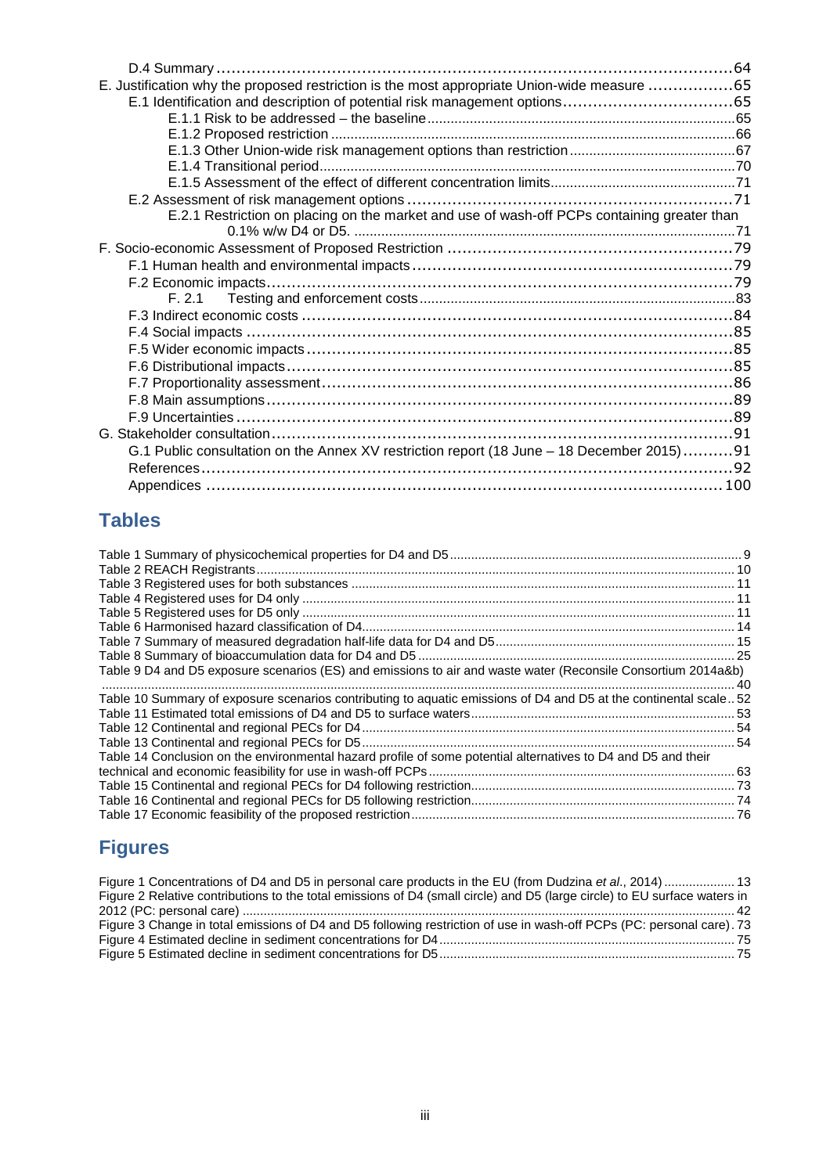| E. Justification why the proposed restriction is the most appropriate Union-wide measure 65 |  |
|---------------------------------------------------------------------------------------------|--|
|                                                                                             |  |
|                                                                                             |  |
|                                                                                             |  |
|                                                                                             |  |
|                                                                                             |  |
|                                                                                             |  |
|                                                                                             |  |
| E.2.1 Restriction on placing on the market and use of wash-off PCPs containing greater than |  |
|                                                                                             |  |
|                                                                                             |  |
|                                                                                             |  |
|                                                                                             |  |
|                                                                                             |  |
|                                                                                             |  |
|                                                                                             |  |
|                                                                                             |  |
|                                                                                             |  |
|                                                                                             |  |
|                                                                                             |  |
|                                                                                             |  |
|                                                                                             |  |
| G.1 Public consultation on the Annex XV restriction report (18 June – 18 December 2015)91   |  |
|                                                                                             |  |
|                                                                                             |  |
|                                                                                             |  |

# **Tables**

| Table 9 D4 and D5 exposure scenarios (ES) and emissions to air and waste water (Reconsile Consortium 2014a&b)    |  |
|------------------------------------------------------------------------------------------------------------------|--|
|                                                                                                                  |  |
| Table 10 Summary of exposure scenarios contributing to aquatic emissions of D4 and D5 at the continental scale52 |  |
|                                                                                                                  |  |
|                                                                                                                  |  |
|                                                                                                                  |  |
| Table 14 Conclusion on the environmental hazard profile of some potential alternatives to D4 and D5 and their    |  |
|                                                                                                                  |  |
|                                                                                                                  |  |
|                                                                                                                  |  |
|                                                                                                                  |  |

# **Figures**

| Figure 1 Concentrations of D4 and D5 in personal care products in the EU (from Dudzina et al., 2014)  13                  |  |
|---------------------------------------------------------------------------------------------------------------------------|--|
| Figure 2 Relative contributions to the total emissions of D4 (small circle) and D5 (large circle) to EU surface waters in |  |
|                                                                                                                           |  |
| Figure 3 Change in total emissions of D4 and D5 following restriction of use in wash-off PCPs (PC: personal care). 73     |  |
|                                                                                                                           |  |
|                                                                                                                           |  |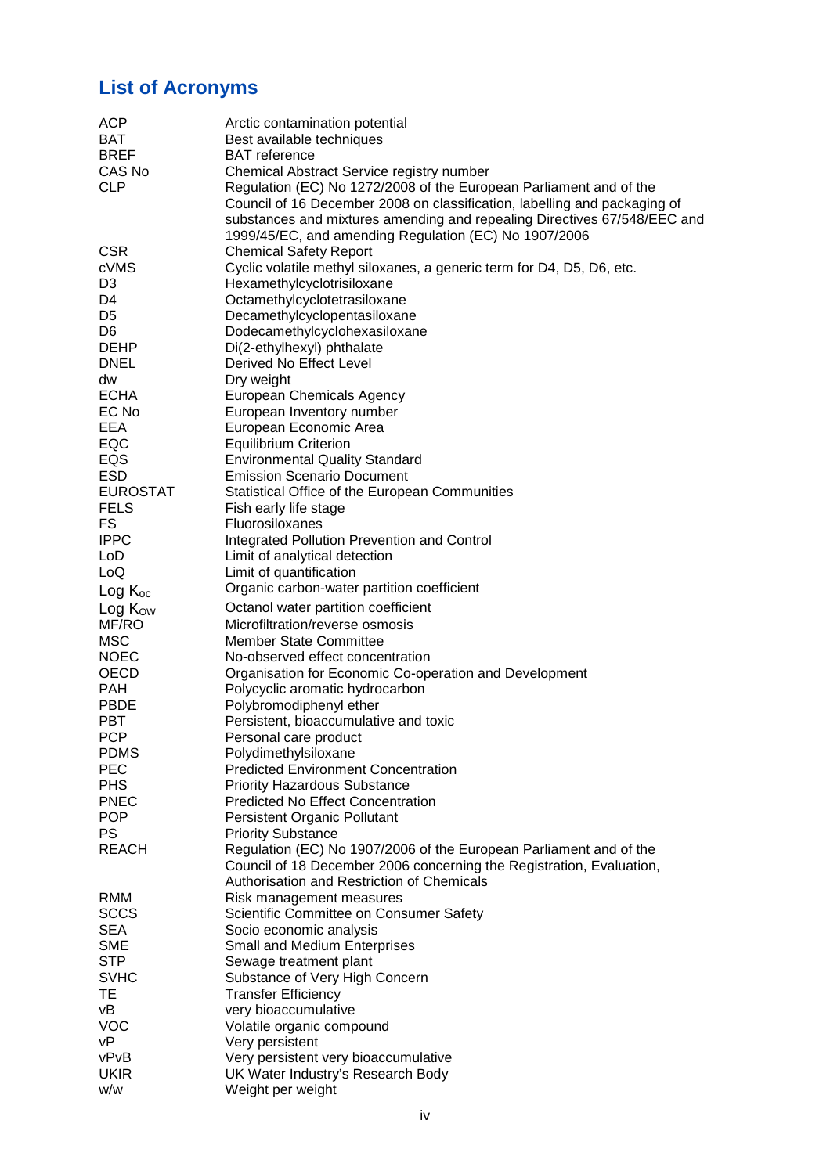# **List of Acronyms**

| <b>ACP</b>          | Arctic contamination potential                                            |
|---------------------|---------------------------------------------------------------------------|
| <b>BAT</b>          | Best available techniques                                                 |
| <b>BREF</b>         | <b>BAT</b> reference                                                      |
| CAS No              | Chemical Abstract Service registry number                                 |
| <b>CLP</b>          | Regulation (EC) No 1272/2008 of the European Parliament and of the        |
|                     | Council of 16 December 2008 on classification, labelling and packaging of |
|                     | substances and mixtures amending and repealing Directives 67/548/EEC and  |
|                     | 1999/45/EC, and amending Regulation (EC) No 1907/2006                     |
| <b>CSR</b>          | <b>Chemical Safety Report</b>                                             |
| cVMS                | Cyclic volatile methyl siloxanes, a generic term for D4, D5, D6, etc.     |
| D <sub>3</sub>      | Hexamethylcyclotrisiloxane                                                |
| D4                  | Octamethylcyclotetrasiloxane                                              |
| D5                  | Decamethylcyclopentasiloxane                                              |
| D <sub>6</sub>      | Dodecamethylcyclohexasiloxane                                             |
| <b>DEHP</b>         | Di(2-ethylhexyl) phthalate                                                |
| <b>DNEL</b>         | Derived No Effect Level                                                   |
| dw                  | Dry weight                                                                |
| <b>ECHA</b>         | <b>European Chemicals Agency</b>                                          |
| EC No               | European Inventory number                                                 |
| EEA                 |                                                                           |
| EQC                 | European Economic Area                                                    |
|                     | <b>Equilibrium Criterion</b>                                              |
| EQS                 | <b>Environmental Quality Standard</b>                                     |
| <b>ESD</b>          | <b>Emission Scenario Document</b>                                         |
| <b>EUROSTAT</b>     | Statistical Office of the European Communities                            |
| <b>FELS</b>         | Fish early life stage                                                     |
| FS                  | Fluorosiloxanes                                                           |
| <b>IPPC</b>         | Integrated Pollution Prevention and Control                               |
| LoD                 | Limit of analytical detection                                             |
| LoQ                 | Limit of quantification                                                   |
| $Log K_{oc}$        | Organic carbon-water partition coefficient                                |
| Log K <sub>ow</sub> | Octanol water partition coefficient                                       |
| MF/RO               | Microfiltration/reverse osmosis                                           |
| <b>MSC</b>          | <b>Member State Committee</b>                                             |
| <b>NOEC</b>         | No-observed effect concentration                                          |
| OECD                | Organisation for Economic Co-operation and Development                    |
| <b>PAH</b>          | Polycyclic aromatic hydrocarbon                                           |
| <b>PBDE</b>         | Polybromodiphenyl ether                                                   |
| <b>PBT</b>          | Persistent, bioaccumulative and toxic                                     |
| <b>PCP</b>          | Personal care product                                                     |
| <b>PDMS</b>         | Polydimethylsiloxane                                                      |
| <b>PEC</b>          | <b>Predicted Environment Concentration</b>                                |
| <b>PHS</b>          | <b>Priority Hazardous Substance</b>                                       |
| <b>PNEC</b>         | <b>Predicted No Effect Concentration</b>                                  |
| <b>POP</b>          | <b>Persistent Organic Pollutant</b>                                       |
| PS.                 | <b>Priority Substance</b>                                                 |
| <b>REACH</b>        | Regulation (EC) No 1907/2006 of the European Parliament and of the        |
|                     | Council of 18 December 2006 concerning the Registration, Evaluation,      |
|                     | Authorisation and Restriction of Chemicals                                |
| RMM                 | Risk management measures                                                  |
| <b>SCCS</b>         | Scientific Committee on Consumer Safety                                   |
| <b>SEA</b>          | Socio economic analysis                                                   |
| <b>SME</b>          | Small and Medium Enterprises                                              |
| <b>STP</b>          | Sewage treatment plant                                                    |
| <b>SVHC</b>         | Substance of Very High Concern                                            |
| TE                  | <b>Transfer Efficiency</b>                                                |
| νB                  | very bioaccumulative                                                      |
| <b>VOC</b>          | Volatile organic compound                                                 |
| νP                  | Very persistent                                                           |
| vPvB                | Very persistent very bioaccumulative                                      |
| <b>UKIR</b>         | UK Water Industry's Research Body                                         |
| w/w                 | Weight per weight                                                         |
|                     |                                                                           |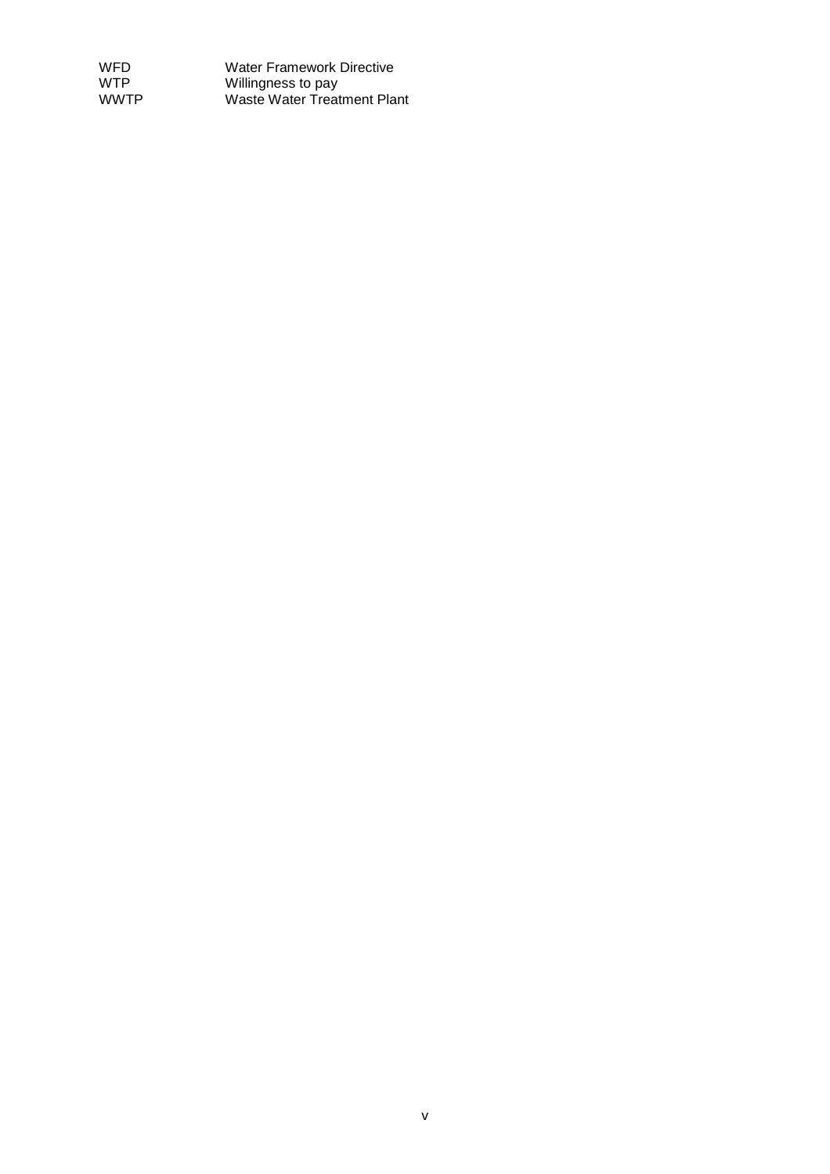| <b>WFD</b>  | <b>Water Framework Directive</b> |
|-------------|----------------------------------|
| <b>WTP</b>  | Willingness to pay               |
| <b>WWTP</b> | Waste Water Treatment Plant      |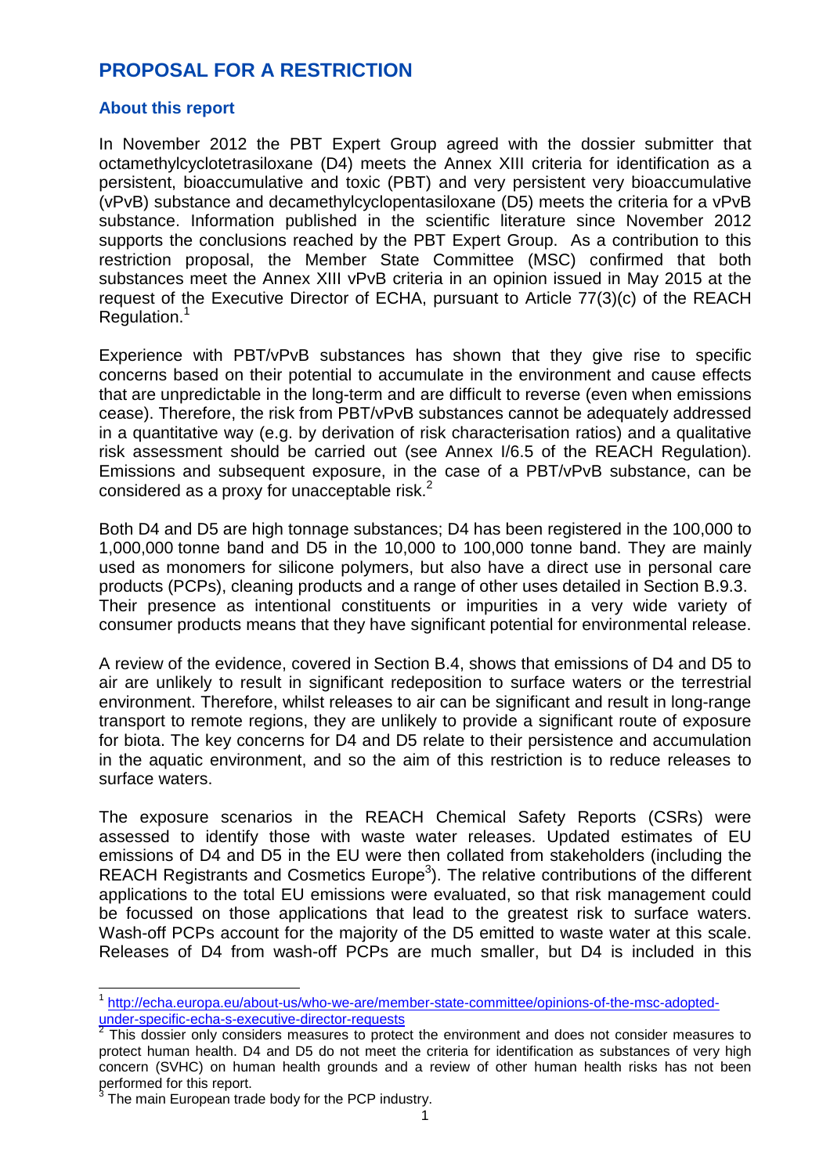# **PROPOSAL FOR A RESTRICTION**

#### **About this report**

In November 2012 the PBT Expert Group agreed with the dossier submitter that octamethylcyclotetrasiloxane (D4) meets the Annex XIII criteria for identification as a persistent, bioaccumulative and toxic (PBT) and very persistent very bioaccumulative (vPvB) substance and decamethylcyclopentasiloxane (D5) meets the criteria for a vPvB substance. Information published in the scientific literature since November 2012 supports the conclusions reached by the PBT Expert Group. As a contribution to this restriction proposal, the Member State Committee (MSC) confirmed that both substances meet the Annex XIII vPvB criteria in an opinion issued in May 2015 at the request of the Executive Director of ECHA, pursuant to Article 77(3)(c) of the REACH Regulation.<sup>1</sup>

Experience with PBT/vPvB substances has shown that they give rise to specific concerns based on their potential to accumulate in the environment and cause effects that are unpredictable in the long-term and are difficult to reverse (even when emissions cease). Therefore, the risk from PBT/vPvB substances cannot be adequately addressed in a quantitative way (e.g. by derivation of risk characterisation ratios) and a qualitative risk assessment should be carried out (see Annex I/6.5 of the REACH Regulation). Emissions and subsequent exposure, in the case of a PBT/vPvB substance, can be considered as a proxy for unacceptable risk. $2$ 

Both D4 and D5 are high tonnage substances; D4 has been registered in the 100,000 to 1,000,000 tonne band and D5 in the 10,000 to 100,000 tonne band. They are mainly used as monomers for silicone polymers, but also have a direct use in personal care products (PCPs), cleaning products and a range of other uses detailed in Section B.9.3. Their presence as intentional constituents or impurities in a very wide variety of consumer products means that they have significant potential for environmental release.

A review of the evidence, covered in Section B.4, shows that emissions of D4 and D5 to air are unlikely to result in significant redeposition to surface waters or the terrestrial environment. Therefore, whilst releases to air can be significant and result in long-range transport to remote regions, they are unlikely to provide a significant route of exposure for biota. The key concerns for D4 and D5 relate to their persistence and accumulation in the aquatic environment, and so the aim of this restriction is to reduce releases to surface waters.

The exposure scenarios in the REACH Chemical Safety Reports (CSRs) were assessed to identify those with waste water releases. Updated estimates of EU emissions of D4 and D5 in the EU were then collated from stakeholders (including the REACH Registrants and Cosmetics Europe<sup>3</sup>). The relative contributions of the different applications to the total EU emissions were evaluated, so that risk management could be focussed on those applications that lead to the greatest risk to surface waters. Wash-off PCPs account for the majority of the D5 emitted to waste water at this scale. Releases of D4 from wash-off PCPs are much smaller, but D4 is included in this

 1 http://echa.europa.eu/about-us/who-we-are/member-state-committee/opinions-of-the-msc-adoptedunder-specific-echa-s-executive-director-requests<br><sup>2</sup> This deseier anly espeidare massures to prote

This dossier only considers measures to protect the environment and does not consider measures to protect human health. D4 and D5 do not meet the criteria for identification as substances of very high concern (SVHC) on human health grounds and a review of other human health risks has not been performed for this report.

<sup>3</sup> The main European trade body for the PCP industry.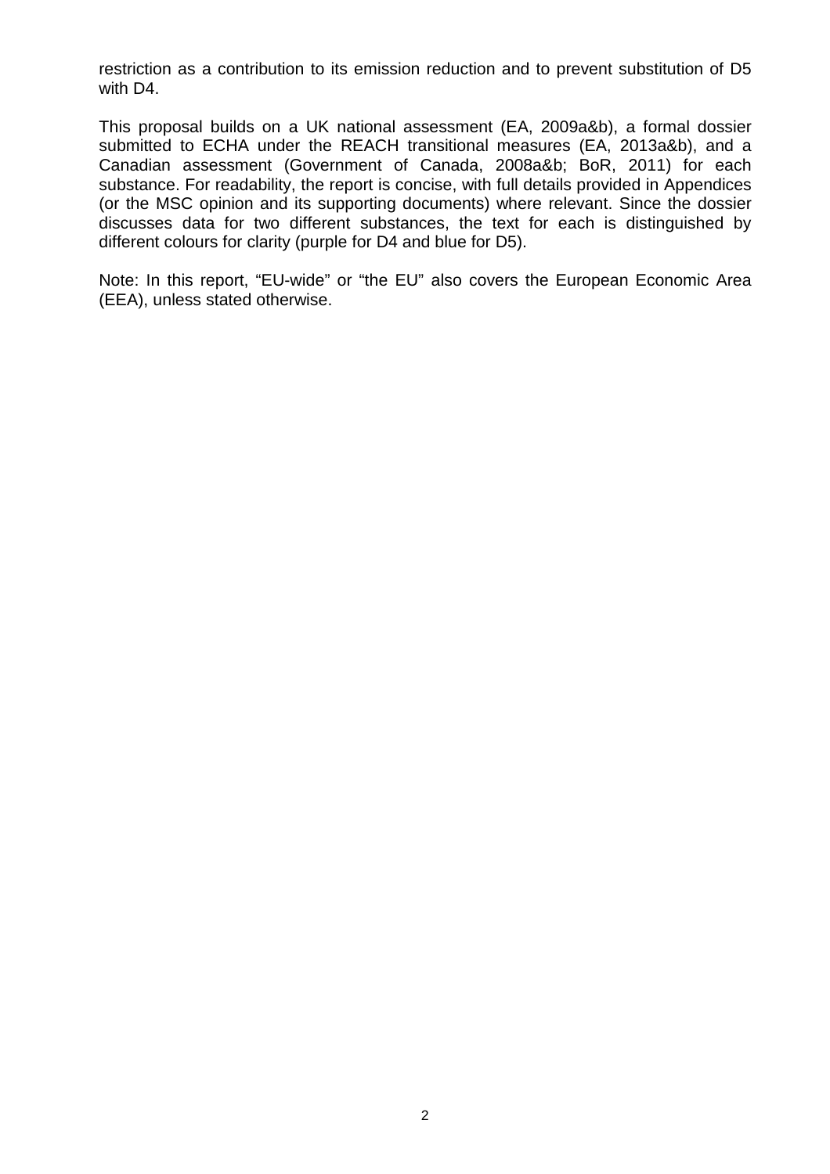restriction as a contribution to its emission reduction and to prevent substitution of D5 with D4.

This proposal builds on a UK national assessment (EA, 2009a&b), a formal dossier submitted to ECHA under the REACH transitional measures (EA, 2013a&b), and a Canadian assessment (Government of Canada, 2008a&b; BoR, 2011) for each substance. For readability, the report is concise, with full details provided in Appendices (or the MSC opinion and its supporting documents) where relevant. Since the dossier discusses data for two different substances, the text for each is distinguished by different colours for clarity (purple for D4 and blue for D5).

Note: In this report, "EU-wide" or "the EU" also covers the European Economic Area (EEA), unless stated otherwise.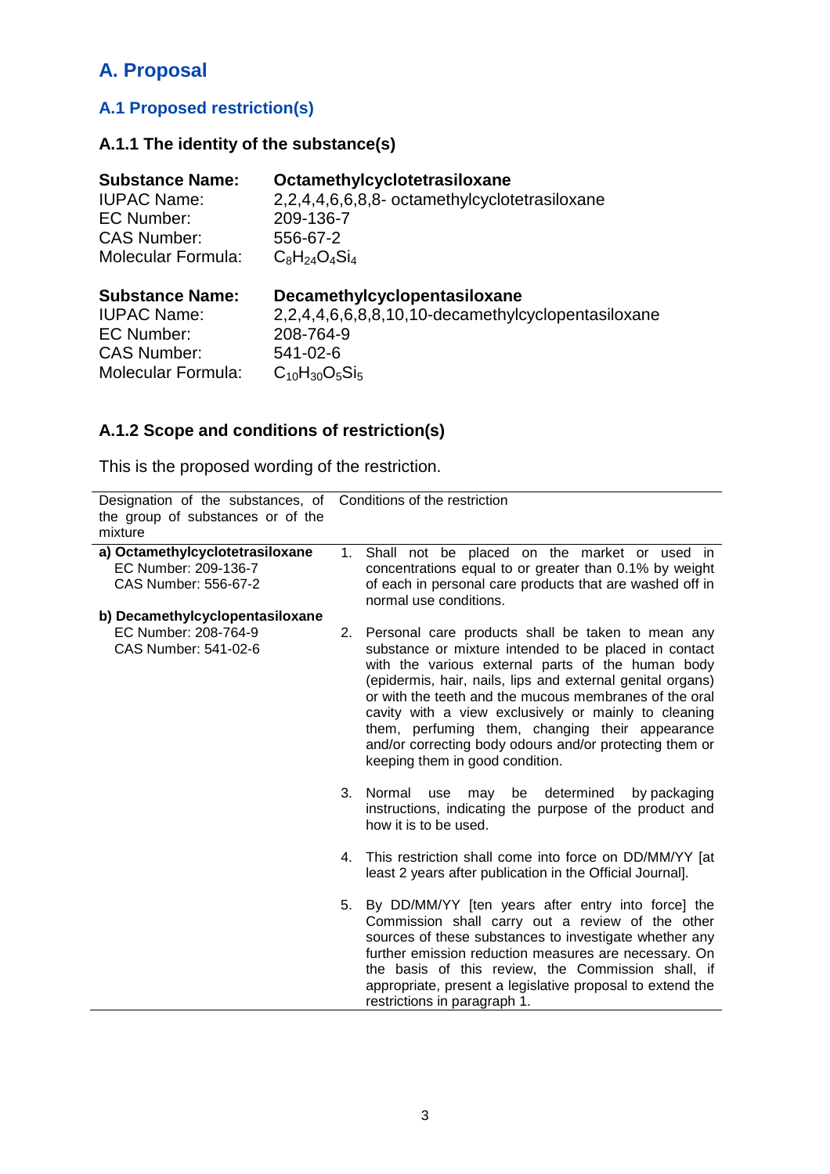# **A. Proposal**

# **A.1 Proposed restriction(s)**

# **A.1.1 The identity of the substance(s)**

| <b>Substance Name:</b>    | Octamethylcyclotetrasiloxane                       |
|---------------------------|----------------------------------------------------|
| <b>IUPAC Name:</b>        | 2,2,4,4,6,6,8,8- octamethylcyclotetrasiloxane      |
| EC Number:                | 209-136-7                                          |
| <b>CAS Number:</b>        | 556-67-2                                           |
| Molecular Formula:        | $C_8H_{24}O_4Si_4$                                 |
| <b>Substance Name:</b>    | Decamethylcyclopentasiloxane                       |
| <b>IUPAC Name:</b>        | 2,2,4,4,6,6,8,8,10,10-decamethylcyclopentasiloxane |
| EC Number:                | 208-764-9                                          |
| <b>CAS Number:</b>        | 541-02-6                                           |
| <b>Molecular Formula:</b> | $C_{10}H_{30}O_5Si_5$                              |

# **A.1.2 Scope and conditions of restriction(s)**

This is the proposed wording of the restriction.

| Designation of the substances, of<br>the group of substances or of the<br>mixture |    | Conditions of the restriction                                                                                                                                                                                                                                                                                                                                                                                                                                                                    |  |
|-----------------------------------------------------------------------------------|----|--------------------------------------------------------------------------------------------------------------------------------------------------------------------------------------------------------------------------------------------------------------------------------------------------------------------------------------------------------------------------------------------------------------------------------------------------------------------------------------------------|--|
| a) Octamethylcyclotetrasiloxane<br>EC Number: 209-136-7<br>CAS Number: 556-67-2   |    | 1. Shall not be placed on the market or used in<br>concentrations equal to or greater than 0.1% by weight<br>of each in personal care products that are washed off in<br>normal use conditions.                                                                                                                                                                                                                                                                                                  |  |
| b) Decamethylcyclopentasiloxane<br>EC Number: 208-764-9<br>CAS Number: 541-02-6   | 2. | Personal care products shall be taken to mean any<br>substance or mixture intended to be placed in contact<br>with the various external parts of the human body<br>(epidermis, hair, nails, lips and external genital organs)<br>or with the teeth and the mucous membranes of the oral<br>cavity with a view exclusively or mainly to cleaning<br>them, perfuming them, changing their appearance<br>and/or correcting body odours and/or protecting them or<br>keeping them in good condition. |  |
|                                                                                   | 3. | Normal<br>determined<br>be<br>by packaging<br>use<br>may<br>instructions, indicating the purpose of the product and<br>how it is to be used.                                                                                                                                                                                                                                                                                                                                                     |  |
|                                                                                   | 4. | This restriction shall come into force on DD/MM/YY [at<br>least 2 years after publication in the Official Journal].                                                                                                                                                                                                                                                                                                                                                                              |  |
|                                                                                   | 5. | By DD/MM/YY [ten years after entry into force] the<br>Commission shall carry out a review of the other<br>sources of these substances to investigate whether any<br>further emission reduction measures are necessary. On<br>the basis of this review, the Commission shall, if<br>appropriate, present a legislative proposal to extend the<br>restrictions in paragraph 1.                                                                                                                     |  |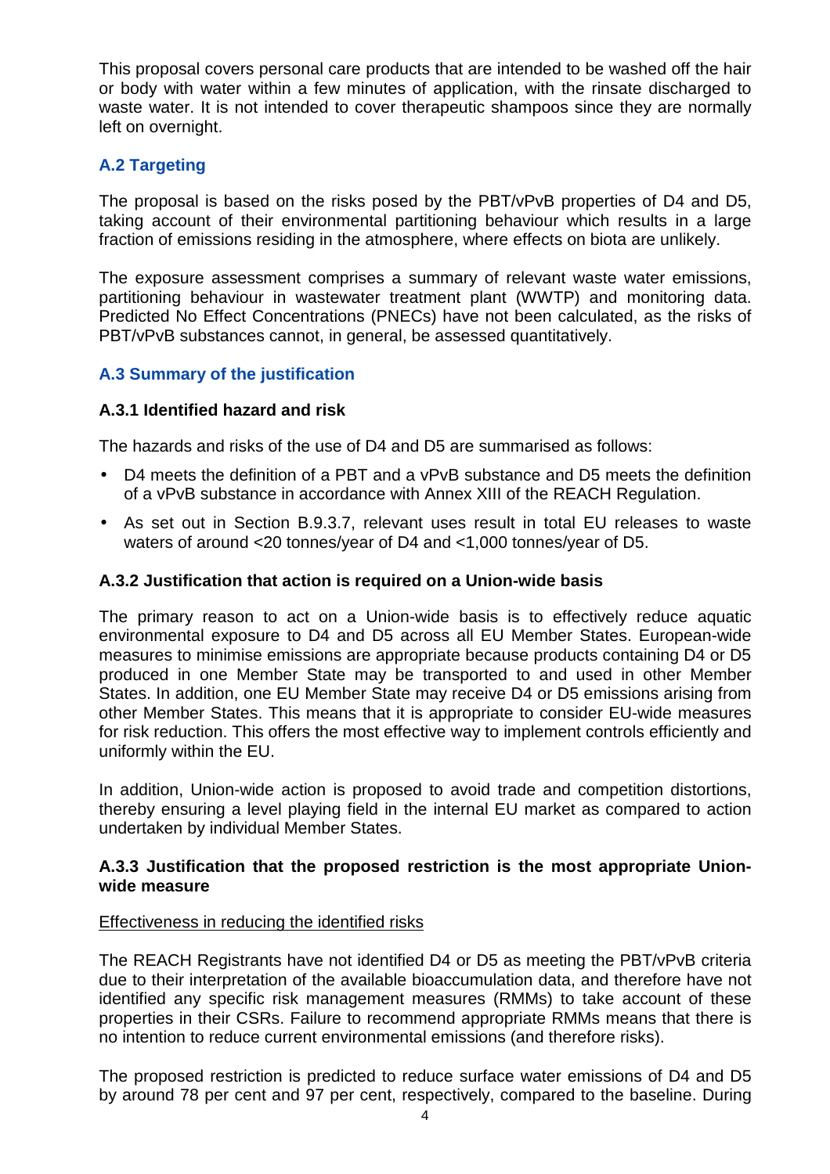This proposal covers personal care products that are intended to be washed off the hair or body with water within a few minutes of application, with the rinsate discharged to waste water. It is not intended to cover therapeutic shampoos since they are normally left on overnight.

## **A.2 Targeting**

The proposal is based on the risks posed by the PBT/vPvB properties of D4 and D5, taking account of their environmental partitioning behaviour which results in a large fraction of emissions residing in the atmosphere, where effects on biota are unlikely.

The exposure assessment comprises a summary of relevant waste water emissions, partitioning behaviour in wastewater treatment plant (WWTP) and monitoring data. Predicted No Effect Concentrations (PNECs) have not been calculated, as the risks of PBT/vPvB substances cannot, in general, be assessed quantitatively.

## **A.3 Summary of the justification**

#### **A.3.1 Identified hazard and risk**

The hazards and risks of the use of D4 and D5 are summarised as follows:

- D4 meets the definition of a PBT and a vPvB substance and D5 meets the definition of a vPvB substance in accordance with Annex XIII of the REACH Regulation.
- As set out in Section B.9.3.7, relevant uses result in total EU releases to waste waters of around <20 tonnes/year of D4 and <1,000 tonnes/year of D5.

#### **A.3.2 Justification that action is required on a Union-wide basis**

The primary reason to act on a Union-wide basis is to effectively reduce aquatic environmental exposure to D4 and D5 across all EU Member States. European-wide measures to minimise emissions are appropriate because products containing D4 or D5 produced in one Member State may be transported to and used in other Member States. In addition, one EU Member State may receive D4 or D5 emissions arising from other Member States. This means that it is appropriate to consider EU-wide measures for risk reduction. This offers the most effective way to implement controls efficiently and uniformly within the EU.

In addition, Union-wide action is proposed to avoid trade and competition distortions, thereby ensuring a level playing field in the internal EU market as compared to action undertaken by individual Member States.

#### **A.3.3 Justification that the proposed restriction is the most appropriate Unionwide measure**

#### Effectiveness in reducing the identified risks

The REACH Registrants have not identified D4 or D5 as meeting the PBT/vPvB criteria due to their interpretation of the available bioaccumulation data, and therefore have not identified any specific risk management measures (RMMs) to take account of these properties in their CSRs. Failure to recommend appropriate RMMs means that there is no intention to reduce current environmental emissions (and therefore risks).

The proposed restriction is predicted to reduce surface water emissions of D4 and D5 by around 78 per cent and 97 per cent, respectively, compared to the baseline. During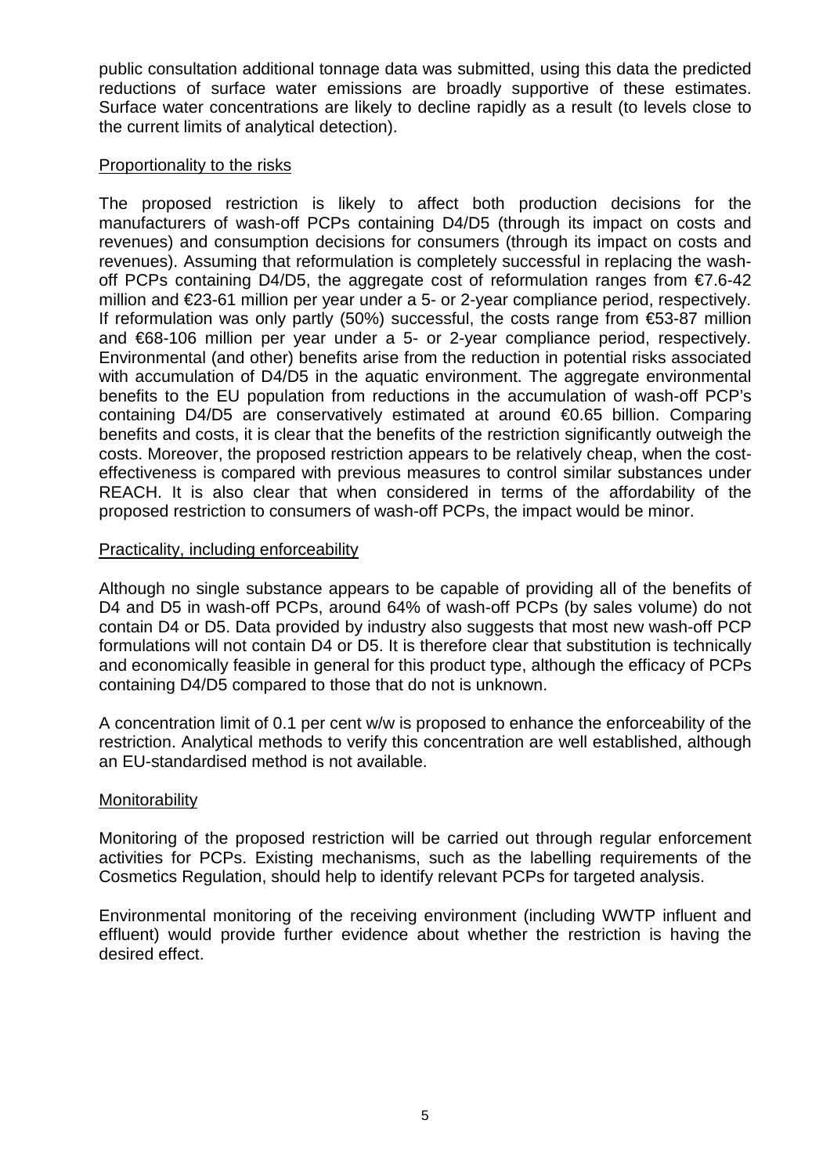public consultation additional tonnage data was submitted, using this data the predicted reductions of surface water emissions are broadly supportive of these estimates. Surface water concentrations are likely to decline rapidly as a result (to levels close to the current limits of analytical detection).

#### Proportionality to the risks

The proposed restriction is likely to affect both production decisions for the manufacturers of wash-off PCPs containing D4/D5 (through its impact on costs and revenues) and consumption decisions for consumers (through its impact on costs and revenues). Assuming that reformulation is completely successful in replacing the washoff PCPs containing D4/D5, the aggregate cost of reformulation ranges from €7.6-42 million and €23-61 million per year under a 5- or 2-year compliance period, respectively. If reformulation was only partly (50%) successful, the costs range from  $€53-87$  million and €68-106 million per year under a 5- or 2-year compliance period, respectively. Environmental (and other) benefits arise from the reduction in potential risks associated with accumulation of D4/D5 in the aquatic environment. The aggregate environmental benefits to the EU population from reductions in the accumulation of wash-off PCP's containing D4/D5 are conservatively estimated at around €0.65 billion. Comparing benefits and costs, it is clear that the benefits of the restriction significantly outweigh the costs. Moreover, the proposed restriction appears to be relatively cheap, when the costeffectiveness is compared with previous measures to control similar substances under REACH. It is also clear that when considered in terms of the affordability of the proposed restriction to consumers of wash-off PCPs, the impact would be minor.

#### Practicality, including enforceability

Although no single substance appears to be capable of providing all of the benefits of D4 and D5 in wash-off PCPs, around 64% of wash-off PCPs (by sales volume) do not contain D4 or D5. Data provided by industry also suggests that most new wash-off PCP formulations will not contain D4 or D5. It is therefore clear that substitution is technically and economically feasible in general for this product type, although the efficacy of PCPs containing D4/D5 compared to those that do not is unknown.

A concentration limit of 0.1 per cent w/w is proposed to enhance the enforceability of the restriction. Analytical methods to verify this concentration are well established, although an EU-standardised method is not available.

#### Monitorability

Monitoring of the proposed restriction will be carried out through regular enforcement activities for PCPs. Existing mechanisms, such as the labelling requirements of the Cosmetics Regulation, should help to identify relevant PCPs for targeted analysis.

Environmental monitoring of the receiving environment (including WWTP influent and effluent) would provide further evidence about whether the restriction is having the desired effect.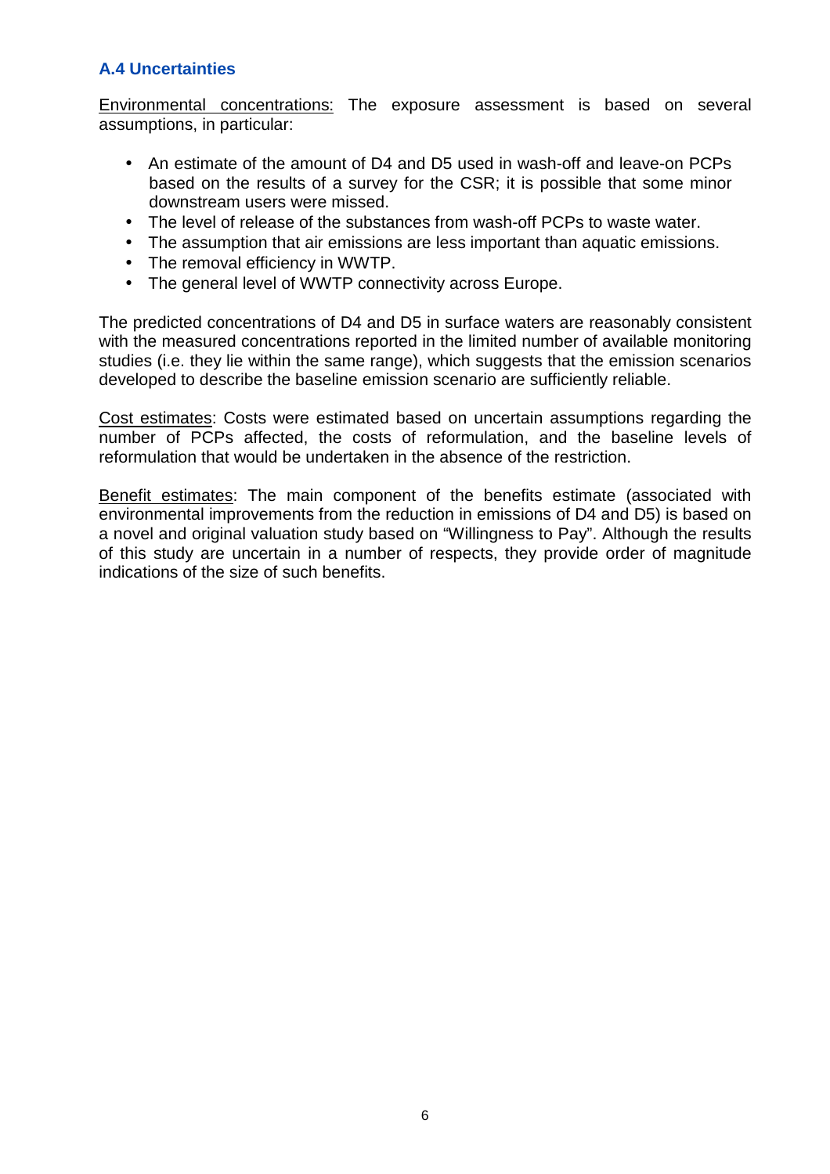# **A.4 Uncertainties**

Environmental concentrations: The exposure assessment is based on several assumptions, in particular:

- An estimate of the amount of D4 and D5 used in wash-off and leave-on PCPs based on the results of a survey for the CSR; it is possible that some minor downstream users were missed.
- The level of release of the substances from wash-off PCPs to waste water.
- The assumption that air emissions are less important than aquatic emissions.
- The removal efficiency in WWTP.
- The general level of WWTP connectivity across Europe.

The predicted concentrations of D4 and D5 in surface waters are reasonably consistent with the measured concentrations reported in the limited number of available monitoring studies (i.e. they lie within the same range), which suggests that the emission scenarios developed to describe the baseline emission scenario are sufficiently reliable.

Cost estimates: Costs were estimated based on uncertain assumptions regarding the number of PCPs affected, the costs of reformulation, and the baseline levels of reformulation that would be undertaken in the absence of the restriction.

Benefit estimates: The main component of the benefits estimate (associated with environmental improvements from the reduction in emissions of D4 and D5) is based on a novel and original valuation study based on "Willingness to Pay". Although the results of this study are uncertain in a number of respects, they provide order of magnitude indications of the size of such benefits.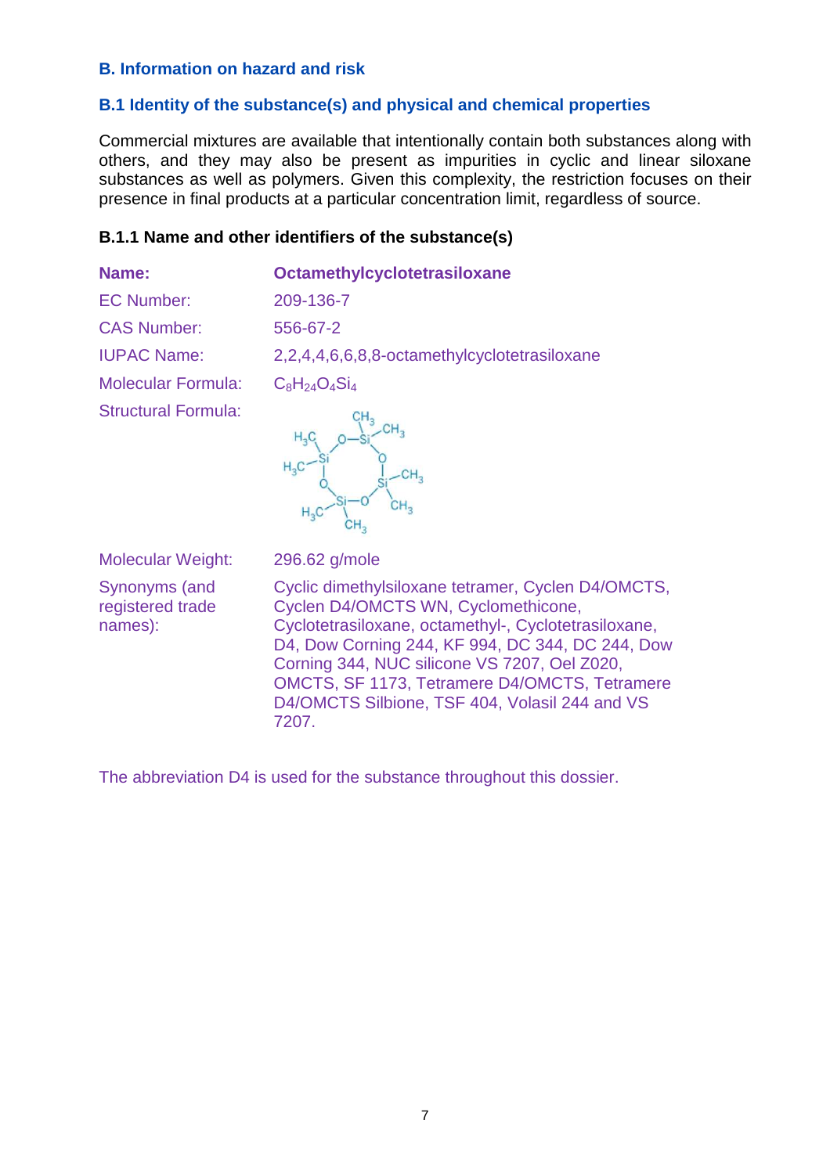#### **B. Information on hazard and risk**

#### **B.1 Identity of the substance(s) and physical and chemical properties**

Commercial mixtures are available that intentionally contain both substances along with others, and they may also be present as impurities in cyclic and linear siloxane substances as well as polymers. Given this complexity, the restriction focuses on their presence in final products at a particular concentration limit, regardless of source.

#### **B.1.1 Name and other identifiers of the substance(s)**

| Name:                      | Octamethylcyclotetrasiloxane                 |
|----------------------------|----------------------------------------------|
| <b>EC Number:</b>          | 209-136-7                                    |
| <b>CAS Number:</b>         | 556-67-2                                     |
| <b>IUPAC Name:</b>         | 2,2,4,4,6,6,8,8-octamethylcyclotetrasiloxane |
| <b>Molecular Formula:</b>  | $C_8H_{24}O_4Si_4$                           |
| <b>Structural Formula:</b> |                                              |



Molecular Weight: 296.62 g/mole Synonyms (and registered trade names):

Cyclic dimethylsiloxane tetramer, Cyclen D4/OMCTS, Cyclen D4/OMCTS WN, Cyclomethicone, Cyclotetrasiloxane, octamethyl-, Cyclotetrasiloxane, D4, Dow Corning 244, KF 994, DC 344, DC 244, Dow Corning 344, NUC silicone VS 7207, Oel Z020, OMCTS, SF 1173, Tetramere D4/OMCTS, Tetramere D4/OMCTS Silbione, TSF 404, Volasil 244 and VS 7207.

The abbreviation D4 is used for the substance throughout this dossier.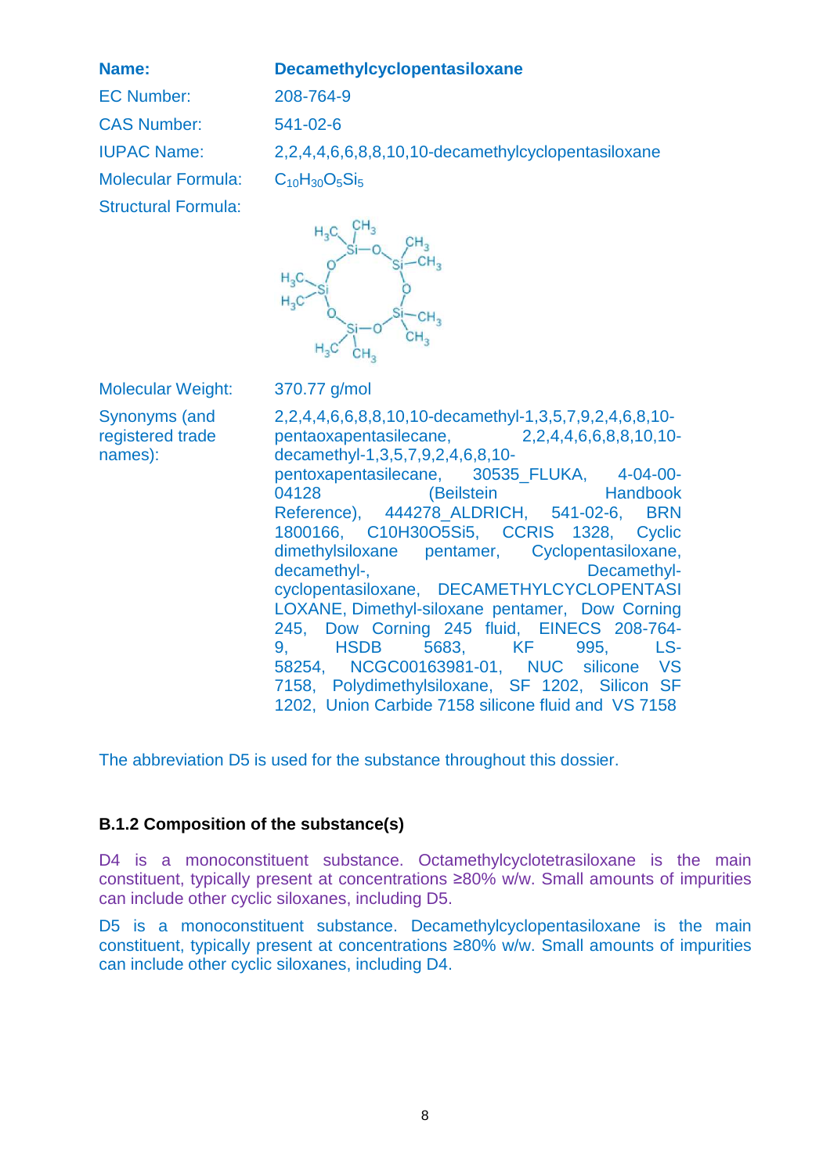#### **Name: Decamethylcyclopentasiloxane**

EC Number: 208-764-9 CAS Number: 541-02-6 Molecular Formula: C<sub>10</sub>H<sub>30</sub>O<sub>5</sub>Si<sub>5</sub> Structural Formula:

IUPAC Name: 2,2,4,4,6,6,8,8,10,10-decamethylcyclopentasiloxane



Molecular Weight: 370.77 g/mol

Synonyms (and registered trade names):

2,2,4,4,6,6,8,8,10,10-decamethyl-1,3,5,7,9,2,4,6,8,10 pentaoxapentasilecane, 2,2,4,4,6,6,8,8,10,10 decamethyl-1,3,5,7,9,2,4,6,8,10 pentoxapentasilecane, 30535\_FLUKA, 4-04-00- 04128 (Beilstein Handbook Reference), 444278\_ALDRICH, 541-02-6, BRN 1800166, C10H30O5Si5, CCRIS 1328, Cyclic dimethylsiloxane pentamer, Cyclopentasiloxane, decamethyl-, and the control of the Decamethylcyclopentasiloxane, DECAMETHYLCYCLOPENTASI LOXANE, Dimethyl-siloxane pentamer, Dow Corning 245, Dow Corning 245 fluid, EINECS 208-764- 9, HSDB 5683, KF 995, LS-58254, NCGC00163981-01, NUC silicone VS 7158, Polydimethylsiloxane, SF 1202, Silicon SF 1202, Union Carbide 7158 silicone fluid and VS 7158

The abbreviation D5 is used for the substance throughout this dossier.

#### **B.1.2 Composition of the substance(s)**

D4 is a monoconstituent substance. Octamethylcyclotetrasiloxane is the main constituent, typically present at concentrations ≥80% w/w. Small amounts of impurities can include other cyclic siloxanes, including D5.

D5 is a monoconstituent substance. Decamethylcyclopentasiloxane is the main constituent, typically present at concentrations ≥80% w/w. Small amounts of impurities can include other cyclic siloxanes, including D4.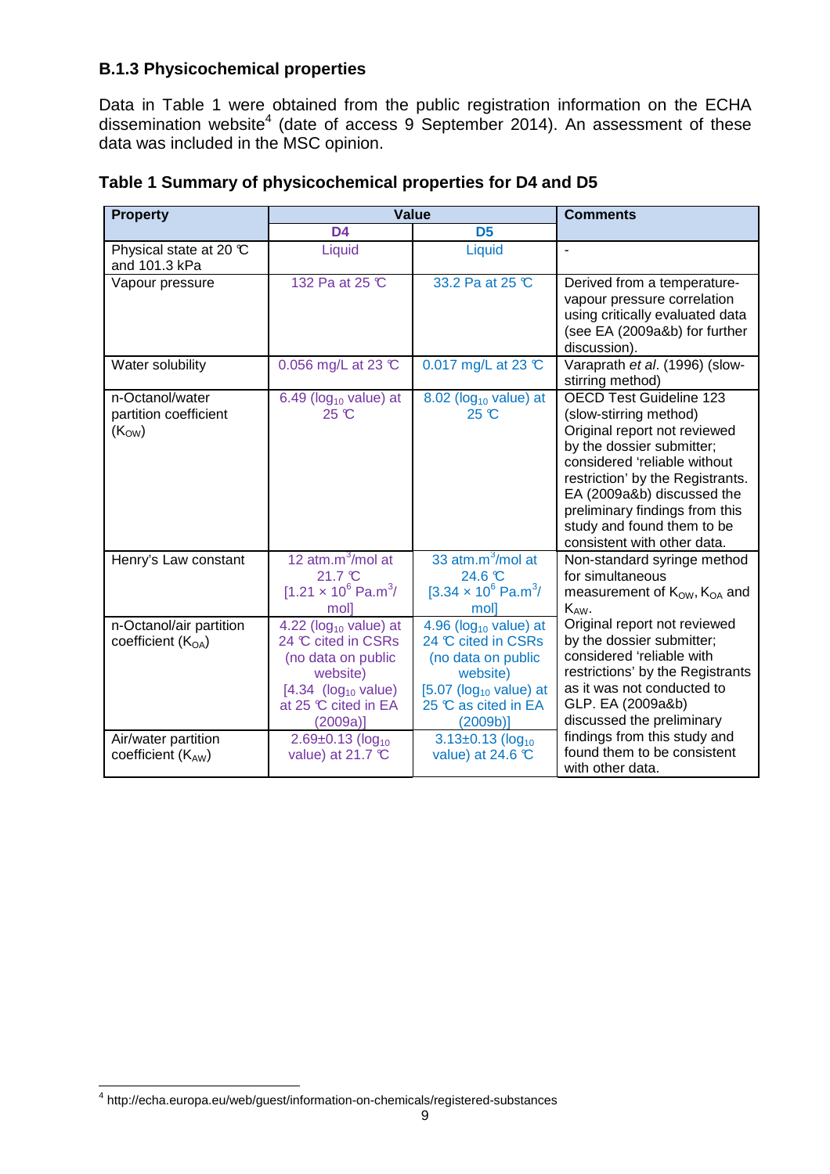## **B.1.3 Physicochemical properties**

Data in Table 1 were obtained from the public registration information on the ECHA dissemination website<sup>4</sup> (date of access 9 September 2014). An assessment of these data was included in the MSC opinion.

| <b>Property</b>                                                       |                                                                                                                                                                                                         | <b>Value</b>                                                                                                                                                                                               | <b>Comments</b>                                                                                                                                                                                                                                                                                                        |  |
|-----------------------------------------------------------------------|---------------------------------------------------------------------------------------------------------------------------------------------------------------------------------------------------------|------------------------------------------------------------------------------------------------------------------------------------------------------------------------------------------------------------|------------------------------------------------------------------------------------------------------------------------------------------------------------------------------------------------------------------------------------------------------------------------------------------------------------------------|--|
|                                                                       | D <sub>4</sub>                                                                                                                                                                                          | D <sub>5</sub>                                                                                                                                                                                             |                                                                                                                                                                                                                                                                                                                        |  |
| Physical state at 20 ℃<br>and 101.3 kPa                               | Liquid                                                                                                                                                                                                  | Liquid                                                                                                                                                                                                     |                                                                                                                                                                                                                                                                                                                        |  |
| Vapour pressure                                                       | 132 Pa at 25 °C                                                                                                                                                                                         | 33.2 Pa at 25 °C                                                                                                                                                                                           | Derived from a temperature-<br>vapour pressure correlation<br>using critically evaluated data<br>(see EA (2009a&b) for further<br>discussion).                                                                                                                                                                         |  |
| Water solubility                                                      | 0.056 mg/L at 23 $\mathbb{C}$                                                                                                                                                                           | 0.017 mg/L at 23 ℃                                                                                                                                                                                         | Varaprath et al. (1996) (slow-<br>stirring method)                                                                                                                                                                                                                                                                     |  |
| n-Octanol/water<br>partition coefficient<br>$(K_{OW})$                | 6.49 ( $log_{10}$ value) at<br>$25 \text{ }^{\circ}\text{C}$                                                                                                                                            | $8.02$ (log <sub>10</sub> value) at<br>$25 \text{ }^{\circ}\text{C}$                                                                                                                                       | <b>OECD Test Guideline 123</b><br>(slow-stirring method)<br>Original report not reviewed<br>by the dossier submitter;<br>considered 'reliable without<br>restriction' by the Registrants.<br>EA (2009a&b) discussed the<br>preliminary findings from this<br>study and found them to be<br>consistent with other data. |  |
| Henry's Law constant                                                  | 12 $atm.m3/mol$ at<br>21.7 °C<br>$[1.21 \times 10^6 \text{ Pa.m}^3]$<br>moll                                                                                                                            | 33 atm.m <sup>3</sup> /mol at<br>$24.6 \text{ }^{\circ}\text{C}$<br>$[3.34 \times 10^6 \text{ Pa.m}^3]$<br>moll                                                                                            | Non-standard syringe method<br>for simultaneous<br>measurement of $K_{OW}$ , $K_{OA}$ and<br>$K_{AW}$ .                                                                                                                                                                                                                |  |
| n-Octanol/air partition<br>coefficient $(KOA)$<br>Air/water partition | 4.22 ( $log_{10}$ value) at<br>24 °C cited in CSRs<br>(no data on public<br>website)<br>[4.34 (log <sub>10</sub> value)]<br>at 25 °C cited in EA<br>$(2009a)$ ]<br>$2.69 \pm 0.13$ (log <sub>10</sub> ) | 4.96 ( $log_{10}$ value) at<br>24 °C cited in CSRs<br>(no data on public<br>website)<br>$[5.07$ (log <sub>10</sub> value) at<br>25 ℃ as cited in EA<br>$(2009b)$ ]<br>$3.13 \pm 0.13$ (log <sub>10</sub> ) | Original report not reviewed<br>by the dossier submitter;<br>considered 'reliable with<br>restrictions' by the Registrants<br>as it was not conducted to<br>GLP. EA (2009a&b)<br>discussed the preliminary<br>findings from this study and                                                                             |  |
| coefficient $(K_{AW})$                                                | value) at 21.7 ℃                                                                                                                                                                                        | value) at 24.6 $\degree$                                                                                                                                                                                   | found them to be consistent<br>with other data.                                                                                                                                                                                                                                                                        |  |

# **Table 1 Summary of physicochemical properties for D4 and D5**

 4 http://echa.europa.eu/web/guest/information-on-chemicals/registered-substances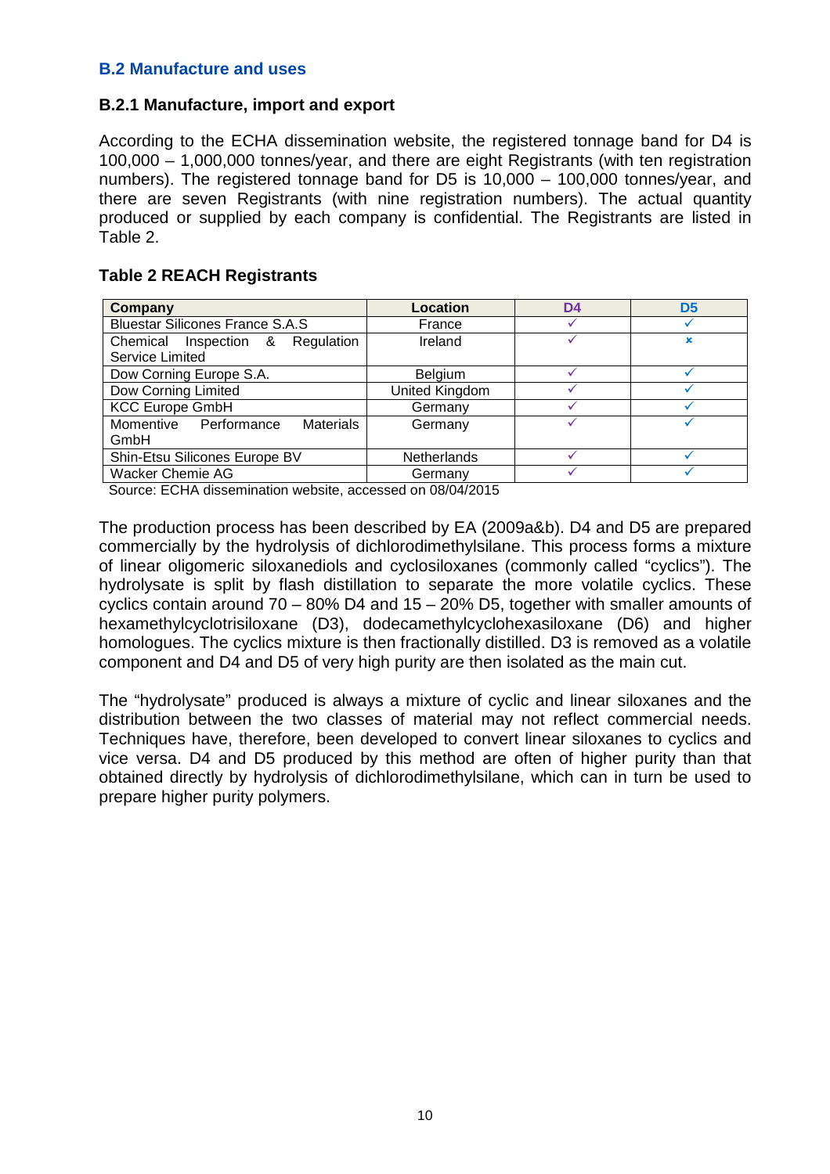#### **B.2 Manufacture and uses**

#### **B.2.1 Manufacture, import and export**

According to the ECHA dissemination website, the registered tonnage band for D4 is 100,000 – 1,000,000 tonnes/year, and there are eight Registrants (with ten registration numbers). The registered tonnage band for D5 is 10,000 – 100,000 tonnes/year, and there are seven Registrants (with nine registration numbers). The actual quantity produced or supplied by each company is confidential. The Registrants are listed in Table 2.

#### **Table 2 REACH Registrants**

| Company                                   | Location           | D4 | D5 |
|-------------------------------------------|--------------------|----|----|
| <b>Bluestar Silicones France S.A.S</b>    | France             |    |    |
| Chemical Inspection & Regulation          | Ireland            |    | ×  |
| <b>Service Limited</b>                    |                    |    |    |
| Dow Corning Europe S.A.                   | <b>Belgium</b>     |    |    |
| Dow Corning Limited                       | United Kingdom     |    |    |
| <b>KCC Europe GmbH</b>                    | Germany            |    |    |
| Momentive Performance<br><b>Materials</b> | Germany            |    |    |
| GmbH                                      |                    |    |    |
| Shin-Etsu Silicones Europe BV             | <b>Netherlands</b> |    |    |
| <b>Wacker Chemie AG</b>                   | Germany            |    |    |
| _______                                   |                    |    |    |

Source: ECHA dissemination website, accessed on 08/04/2015

The production process has been described by EA (2009a&b). D4 and D5 are prepared commercially by the hydrolysis of dichlorodimethylsilane. This process forms a mixture of linear oligomeric siloxanediols and cyclosiloxanes (commonly called "cyclics"). The hydrolysate is split by flash distillation to separate the more volatile cyclics. These cyclics contain around 70 – 80% D4 and 15 – 20% D5, together with smaller amounts of hexamethylcyclotrisiloxane (D3), dodecamethylcyclohexasiloxane (D6) and higher homologues. The cyclics mixture is then fractionally distilled. D3 is removed as a volatile component and D4 and D5 of very high purity are then isolated as the main cut.

The "hydrolysate" produced is always a mixture of cyclic and linear siloxanes and the distribution between the two classes of material may not reflect commercial needs. Techniques have, therefore, been developed to convert linear siloxanes to cyclics and vice versa. D4 and D5 produced by this method are often of higher purity than that obtained directly by hydrolysis of dichlorodimethylsilane, which can in turn be used to prepare higher purity polymers.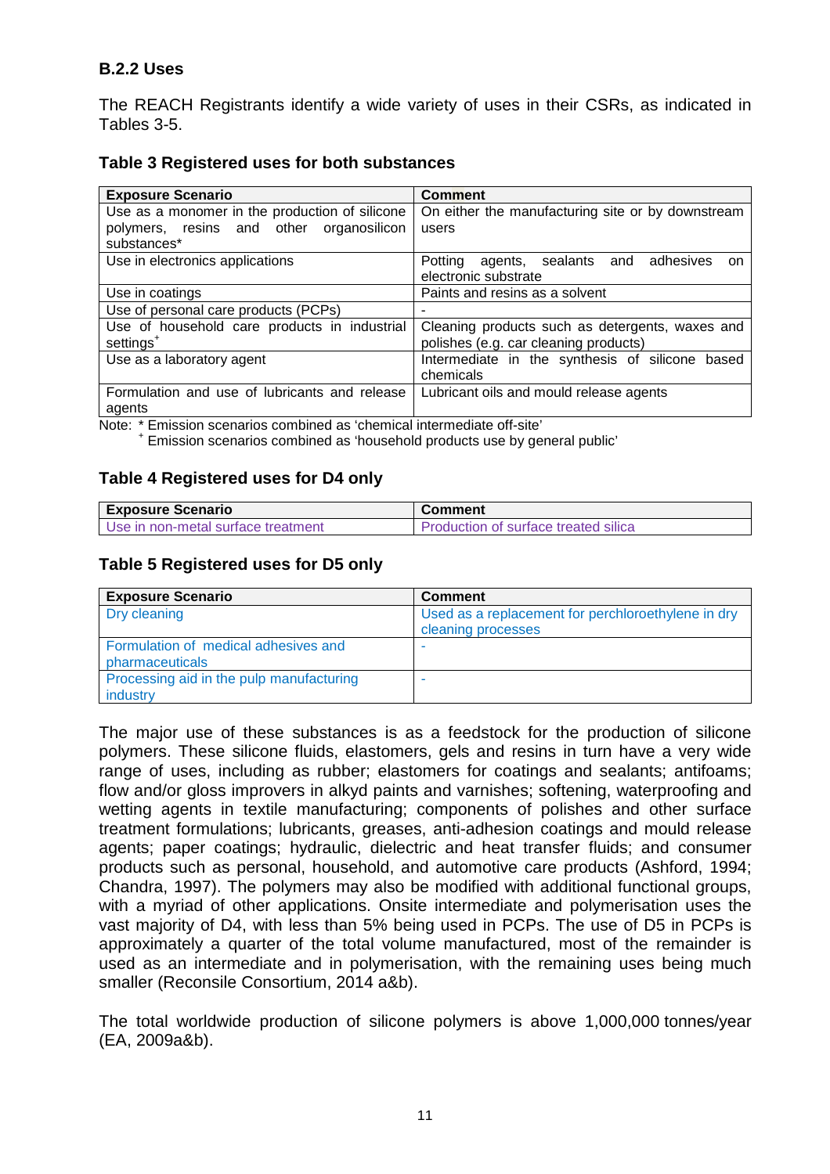#### **B.2.2 Uses**

The REACH Registrants identify a wide variety of uses in their CSRs, as indicated in Tables 3-5.

#### **Table 3 Registered uses for both substances**

| <b>Exposure Scenario</b>                                              | <b>Comment</b>                                                                           |  |  |
|-----------------------------------------------------------------------|------------------------------------------------------------------------------------------|--|--|
| Use as a monomer in the production of silicone                        | On either the manufacturing site or by downstream                                        |  |  |
| polymers, resins and other organosilicon<br>substances*               | users                                                                                    |  |  |
| Use in electronics applications                                       | Potting agents, sealants and adhesives<br>on.<br>electronic substrate                    |  |  |
| Use in coatings                                                       | Paints and resins as a solvent                                                           |  |  |
| Use of personal care products (PCPs)                                  |                                                                                          |  |  |
| Use of household care products in industrial<br>settings <sup>+</sup> | Cleaning products such as detergents, waxes and<br>polishes (e.g. car cleaning products) |  |  |
| Use as a laboratory agent                                             | Intermediate in the synthesis of silicone based<br>chemicals                             |  |  |
| Formulation and use of lubricants and release<br>agents               | Lubricant oils and mould release agents                                                  |  |  |

Note: \* Emission scenarios combined as 'chemical intermediate off-site'

+ Emission scenarios combined as 'household products use by general public'

#### **Table 4 Registered uses for D4 only**

| <b>Exposure Scenario</b>             | Comment                              |  |
|--------------------------------------|--------------------------------------|--|
| I Use in non-metal surface treatment | Production of surface treated silica |  |

#### **Table 5 Registered uses for D5 only**

| <b>Exposure Scenario</b>                                | <b>Comment</b>                                                           |
|---------------------------------------------------------|--------------------------------------------------------------------------|
| Dry cleaning                                            | Used as a replacement for perchloroethylene in dry<br>cleaning processes |
| Formulation of medical adhesives and<br>pharmaceuticals |                                                                          |
| Processing aid in the pulp manufacturing<br>industry    |                                                                          |

The major use of these substances is as a feedstock for the production of silicone polymers. These silicone fluids, elastomers, gels and resins in turn have a very wide range of uses, including as rubber; elastomers for coatings and sealants; antifoams; flow and/or gloss improvers in alkyd paints and varnishes; softening, waterproofing and wetting agents in textile manufacturing; components of polishes and other surface treatment formulations; lubricants, greases, anti-adhesion coatings and mould release agents; paper coatings; hydraulic, dielectric and heat transfer fluids; and consumer products such as personal, household, and automotive care products (Ashford, 1994; Chandra, 1997). The polymers may also be modified with additional functional groups, with a myriad of other applications. Onsite intermediate and polymerisation uses the vast majority of D4, with less than 5% being used in PCPs. The use of D5 in PCPs is approximately a quarter of the total volume manufactured, most of the remainder is used as an intermediate and in polymerisation, with the remaining uses being much smaller (Reconsile Consortium, 2014 a&b).

The total worldwide production of silicone polymers is above 1,000,000 tonnes/year (EA, 2009a&b).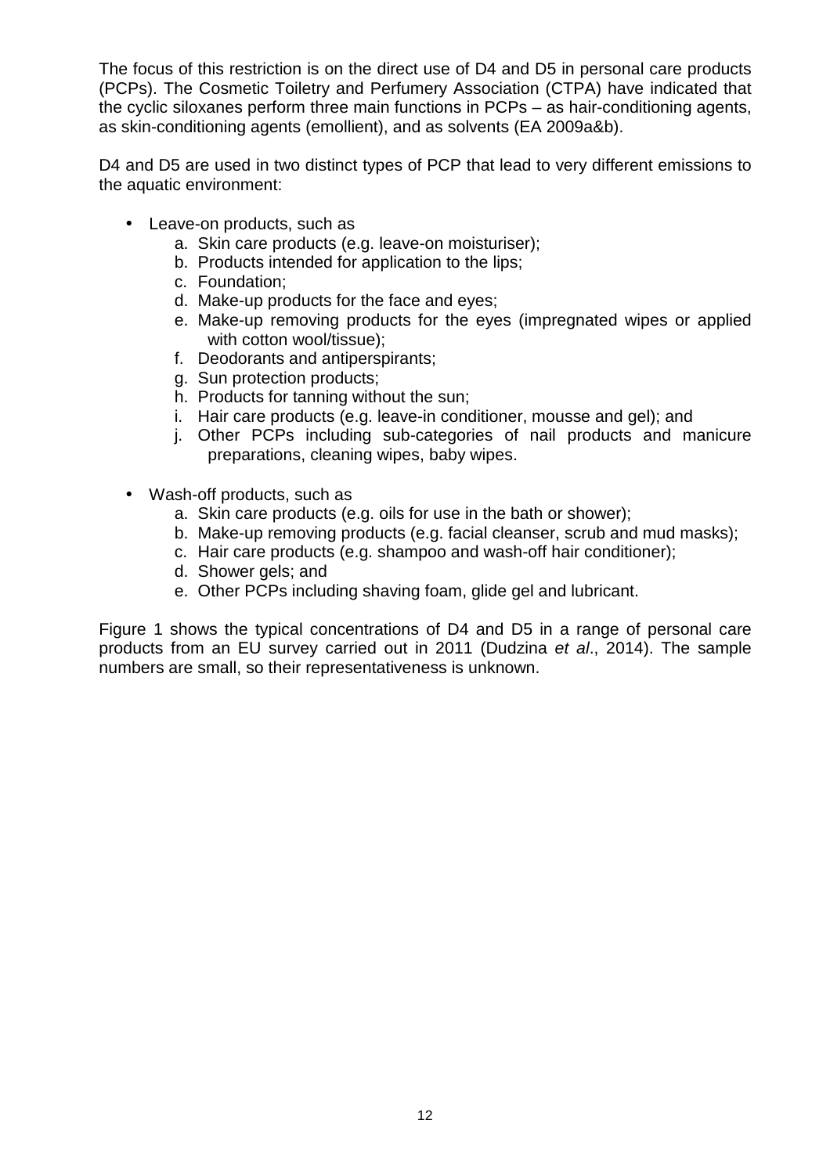The focus of this restriction is on the direct use of D4 and D5 in personal care products (PCPs). The Cosmetic Toiletry and Perfumery Association (CTPA) have indicated that the cyclic siloxanes perform three main functions in PCPs – as hair-conditioning agents, as skin-conditioning agents (emollient), and as solvents (EA 2009a&b).

D4 and D5 are used in two distinct types of PCP that lead to very different emissions to the aquatic environment:

- Leave-on products, such as
	- a. Skin care products (e.g. leave-on moisturiser);
	- b. Products intended for application to the lips;
	- c. Foundation;
	- d. Make-up products for the face and eyes;
	- e. Make-up removing products for the eyes (impregnated wipes or applied with cotton wool/tissue);
	- f. Deodorants and antiperspirants;
	- g. Sun protection products;
	- h. Products for tanning without the sun;
	- i. Hair care products (e.g. leave-in conditioner, mousse and gel); and
	- j. Other PCPs including sub-categories of nail products and manicure preparations, cleaning wipes, baby wipes.
- Wash-off products, such as
	- a. Skin care products (e.g. oils for use in the bath or shower);
	- b. Make-up removing products (e.g. facial cleanser, scrub and mud masks);
	- c. Hair care products (e.g. shampoo and wash-off hair conditioner);
	- d. Shower gels; and
	- e. Other PCPs including shaving foam, glide gel and lubricant.

Figure 1 shows the typical concentrations of D4 and D5 in a range of personal care products from an EU survey carried out in 2011 (Dudzina et al., 2014). The sample numbers are small, so their representativeness is unknown.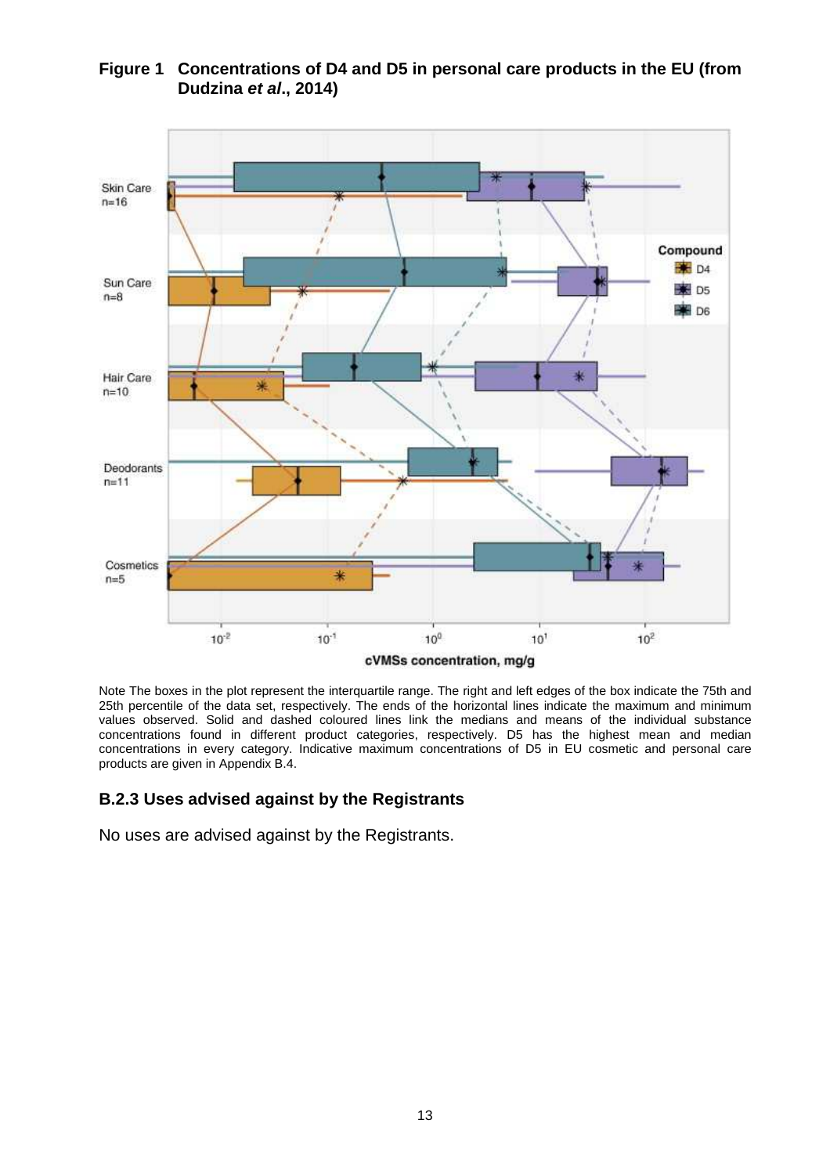

#### **Figure 1 Concentrations of D4 and D5 in personal care products in the EU (from Dudzina et al., 2014)**

Note The boxes in the plot represent the interquartile range. The right and left edges of the box indicate the 75th and 25th percentile of the data set, respectively. The ends of the horizontal lines indicate the maximum and minimum values observed. Solid and dashed coloured lines link the medians and means of the individual substance concentrations found in different product categories, respectively. D5 has the highest mean and median concentrations in every category. Indicative maximum concentrations of D5 in EU cosmetic and personal care products are given in Appendix B.4.

## **B.2.3 Uses advised against by the Registrants**

No uses are advised against by the Registrants.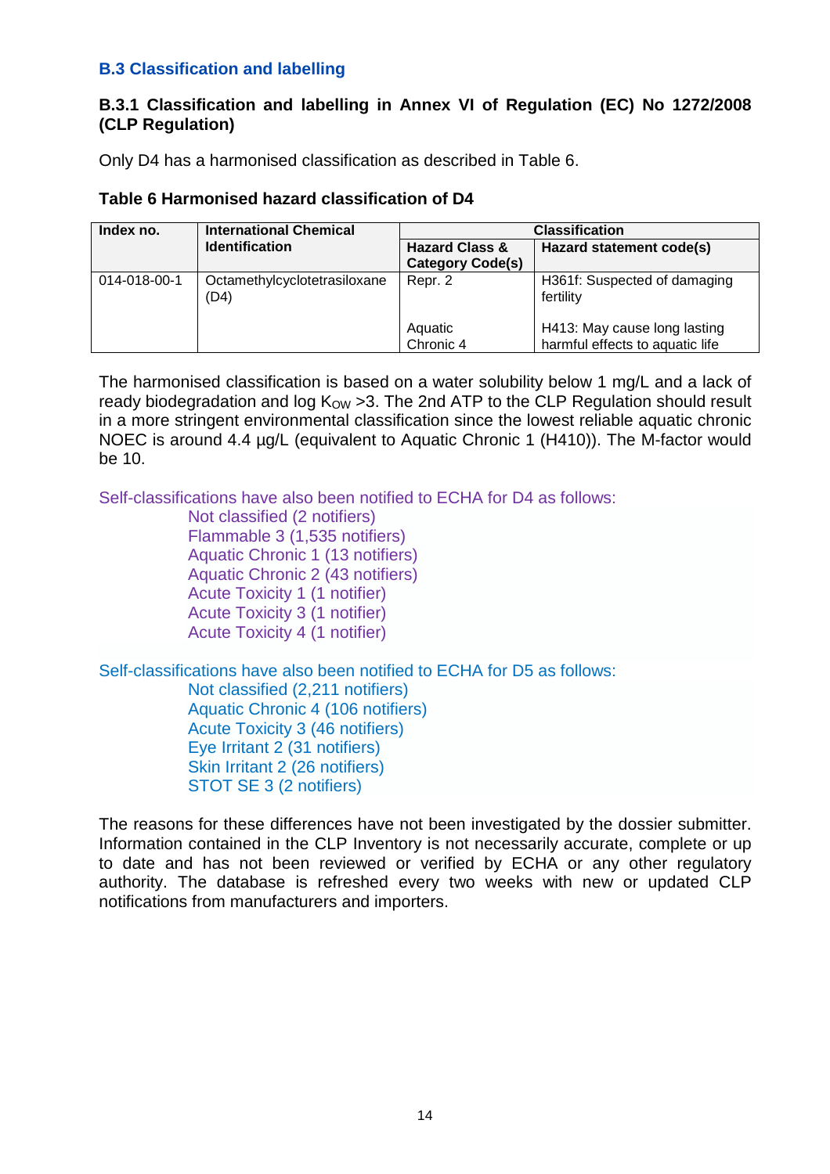## **B.3 Classification and labelling**

#### **B.3.1 Classification and labelling in Annex VI of Regulation (EC) No 1272/2008 (CLP Regulation)**

Only D4 has a harmonised classification as described in Table 6.

#### **Table 6 Harmonised hazard classification of D4**

| Index no.    | <b>International Chemical</b>        | <b>Classification</b>                                |                                                                 |  |
|--------------|--------------------------------------|------------------------------------------------------|-----------------------------------------------------------------|--|
|              | <b>Identification</b>                | <b>Hazard Class &amp;</b><br><b>Category Code(s)</b> | Hazard statement code(s)                                        |  |
| 014-018-00-1 | Octamethylcyclotetrasiloxane<br>(D4) | Repr. 2                                              | H361f: Suspected of damaging<br>fertility                       |  |
|              |                                      | Aquatic<br>Chronic 4                                 | H413: May cause long lasting<br>harmful effects to aquatic life |  |

The harmonised classification is based on a water solubility below 1 mg/L and a lack of ready biodegradation and log  $K_{OW} > 3$ . The 2nd ATP to the CLP Regulation should result in a more stringent environmental classification since the lowest reliable aquatic chronic NOEC is around 4.4 µg/L (equivalent to Aquatic Chronic 1 (H410)). The M-factor would be 10.

Self-classifications have also been notified to ECHA for D4 as follows:

| Not classified (2 notifiers)         |  |  |
|--------------------------------------|--|--|
| Flammable 3 (1,535 notifiers)        |  |  |
| Aquatic Chronic 1 (13 notifiers)     |  |  |
| Aquatic Chronic 2 (43 notifiers)     |  |  |
| Acute Toxicity 1 (1 notifier)        |  |  |
| <b>Acute Toxicity 3 (1 notifier)</b> |  |  |
| <b>Acute Toxicity 4 (1 notifier)</b> |  |  |

Self-classifications have also been notified to ECHA for D5 as follows:

Not classified (2,211 notifiers) Aquatic Chronic 4 (106 notifiers) Acute Toxicity 3 (46 notifiers) Eye Irritant 2 (31 notifiers) Skin Irritant 2 (26 notifiers) STOT SE 3 (2 notifiers)

The reasons for these differences have not been investigated by the dossier submitter. Information contained in the CLP Inventory is not necessarily accurate, complete or up to date and has not been reviewed or verified by ECHA or any other regulatory authority. The database is refreshed every two weeks with new or updated CLP notifications from manufacturers and importers.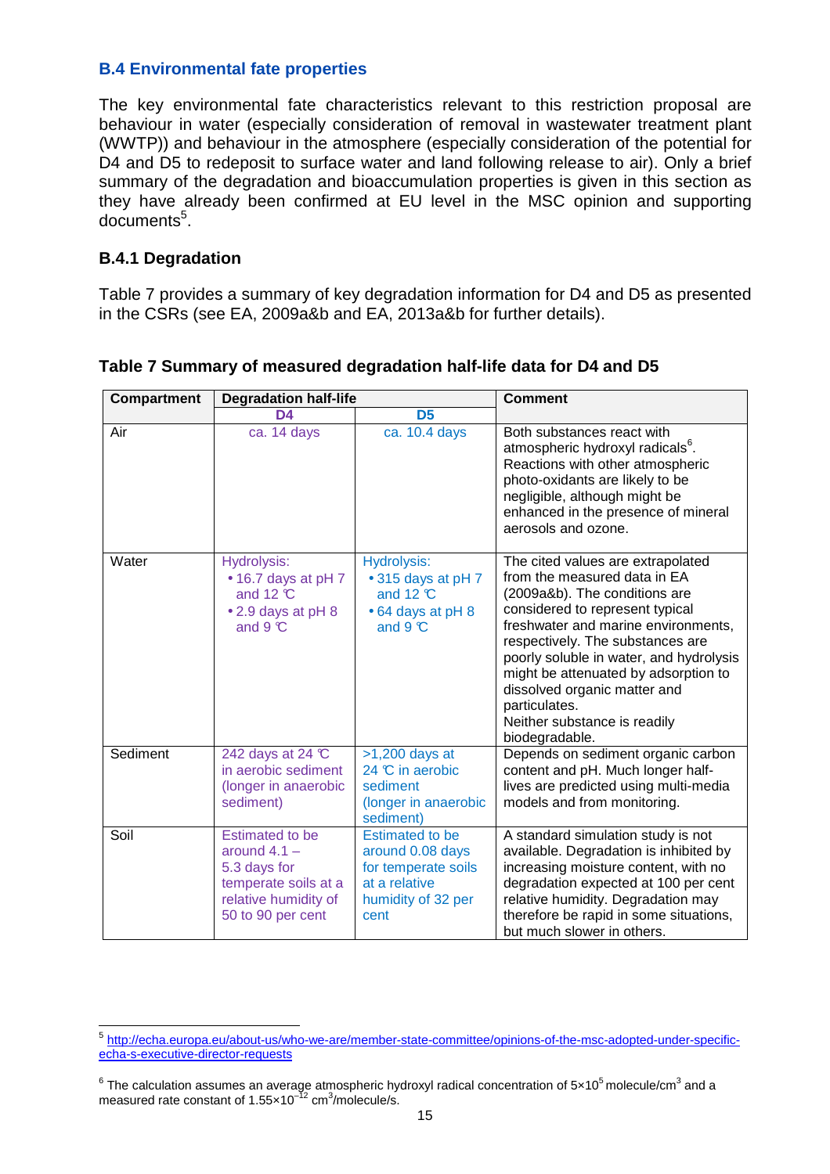#### **B.4 Environmental fate properties**

The key environmental fate characteristics relevant to this restriction proposal are behaviour in water (especially consideration of removal in wastewater treatment plant (WWTP)) and behaviour in the atmosphere (especially consideration of the potential for D4 and D5 to redeposit to surface water and land following release to air). Only a brief summary of the degradation and bioaccumulation properties is given in this section as they have already been confirmed at EU level in the MSC opinion and supporting documents<sup>5</sup>.

### **B.4.1 Degradation**

Table 7 provides a summary of key degradation information for D4 and D5 as presented in the CSRs (see EA, 2009a&b and EA, 2013a&b for further details).

| Compartment | <b>Degradation half-life</b>                                                                                                  |                                                                                                                  | <b>Comment</b>                                                                                                                                                                                                                                                                                                                                                                                         |  |
|-------------|-------------------------------------------------------------------------------------------------------------------------------|------------------------------------------------------------------------------------------------------------------|--------------------------------------------------------------------------------------------------------------------------------------------------------------------------------------------------------------------------------------------------------------------------------------------------------------------------------------------------------------------------------------------------------|--|
|             | D4                                                                                                                            | D <sub>5</sub>                                                                                                   |                                                                                                                                                                                                                                                                                                                                                                                                        |  |
| Air         | ca. 14 days                                                                                                                   | ca. 10.4 days                                                                                                    | Both substances react with<br>atmospheric hydroxyl radicals <sup>6</sup> .<br>Reactions with other atmospheric<br>photo-oxidants are likely to be<br>negligible, although might be<br>enhanced in the presence of mineral<br>aerosols and ozone.                                                                                                                                                       |  |
| Water       | Hydrolysis:<br>• 16.7 days at pH 7<br>and 12 $\mathcal{C}$<br>• 2.9 days at pH 8<br>and $9 \, \text{C}$                       | <b>Hydrolysis:</b><br>• 315 days at pH 7<br>and 12 $\mathcal{C}$<br>• 64 days at pH 8<br>and $9^\circ$           | The cited values are extrapolated<br>from the measured data in EA<br>(2009a&b). The conditions are<br>considered to represent typical<br>freshwater and marine environments,<br>respectively. The substances are<br>poorly soluble in water, and hydrolysis<br>might be attenuated by adsorption to<br>dissolved organic matter and<br>particulates.<br>Neither substance is readily<br>biodegradable. |  |
| Sediment    | 242 days at 24 °C<br>in aerobic sediment<br>(longer in anaerobic<br>sediment)                                                 | $>1,200$ days at<br>24 °C in aerobic<br>sediment<br>(longer in anaerobic<br>sediment)                            | Depends on sediment organic carbon<br>content and pH. Much longer half-<br>lives are predicted using multi-media<br>models and from monitoring.                                                                                                                                                                                                                                                        |  |
| Soil        | <b>Estimated to be</b><br>around $4.1 -$<br>5.3 days for<br>temperate soils at a<br>relative humidity of<br>50 to 90 per cent | <b>Estimated to be</b><br>around 0.08 days<br>for temperate soils<br>at a relative<br>humidity of 32 per<br>cent | A standard simulation study is not<br>available. Degradation is inhibited by<br>increasing moisture content, with no<br>degradation expected at 100 per cent<br>relative humidity. Degradation may<br>therefore be rapid in some situations,<br>but much slower in others.                                                                                                                             |  |

**Table 7 Summary of measured degradation half-life data for D4 and D5** 

 5 http://echa.europa.eu/about-us/who-we-are/member-state-committee/opinions-of-the-msc-adopted-under-specificecha-s-executive-director-requests

 $^6$  The calculation assumes an average atmospheric hydroxyl radical concentration of 5×10<sup>5</sup> molecule/cm $^3$  and a measured rate constant of 1.55 $\times$ 10<sup>-12</sup> cm<sup>3</sup>/molecule/s.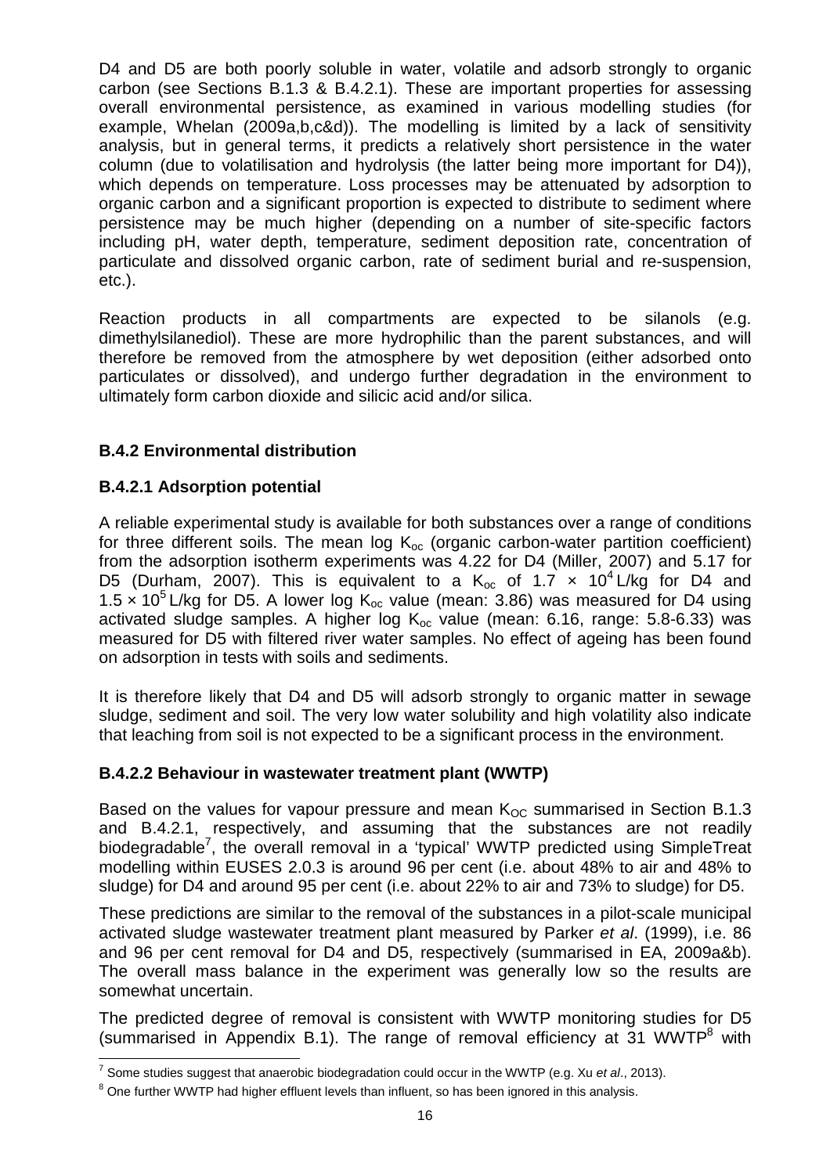D4 and D5 are both poorly soluble in water, volatile and adsorb strongly to organic carbon (see Sections B.1.3 & B.4.2.1). These are important properties for assessing overall environmental persistence, as examined in various modelling studies (for example, Whelan (2009a,b,c&d)). The modelling is limited by a lack of sensitivity analysis, but in general terms, it predicts a relatively short persistence in the water column (due to volatilisation and hydrolysis (the latter being more important for D4)), which depends on temperature. Loss processes may be attenuated by adsorption to organic carbon and a significant proportion is expected to distribute to sediment where persistence may be much higher (depending on a number of site-specific factors including pH, water depth, temperature, sediment deposition rate, concentration of particulate and dissolved organic carbon, rate of sediment burial and re-suspension, etc.).

Reaction products in all compartments are expected to be silanols (e.g. dimethylsilanediol). These are more hydrophilic than the parent substances, and will therefore be removed from the atmosphere by wet deposition (either adsorbed onto particulates or dissolved), and undergo further degradation in the environment to ultimately form carbon dioxide and silicic acid and/or silica.

# **B.4.2 Environmental distribution**

## **B.4.2.1 Adsorption potential**

A reliable experimental study is available for both substances over a range of conditions for three different soils. The mean log  $K_{\text{oc}}$  (organic carbon-water partition coefficient) from the adsorption isotherm experiments was 4.22 for D4 (Miller, 2007) and 5.17 for D5 (Durham, 2007). This is equivalent to a  $K_{oc}$  of 1.7 x 10<sup>4</sup> L/kg for D4 and 1.5 x 10<sup>5</sup> L/kg for D5. A lower log K<sub>oc</sub> value (mean: 3.86) was measured for D4 using activated sludge samples. A higher log  $K_{oc}$  value (mean: 6.16, range: 5.8-6.33) was measured for D5 with filtered river water samples. No effect of ageing has been found on adsorption in tests with soils and sediments.

It is therefore likely that D4 and D5 will adsorb strongly to organic matter in sewage sludge, sediment and soil. The very low water solubility and high volatility also indicate that leaching from soil is not expected to be a significant process in the environment.

## **B.4.2.2 Behaviour in wastewater treatment plant (WWTP)**

Based on the values for vapour pressure and mean  $K_{OC}$  summarised in Section B.1.3 and B.4.2.1, respectively, and assuming that the substances are not readily biodegradable<sup>7</sup>, the overall removal in a 'typical' WWTP predicted using SimpleTreat modelling within EUSES 2.0.3 is around 96 per cent (i.e. about 48% to air and 48% to sludge) for D4 and around 95 per cent (i.e. about 22% to air and 73% to sludge) for D5.

These predictions are similar to the removal of the substances in a pilot-scale municipal activated sludge wastewater treatment plant measured by Parker et al. (1999), i.e. 86 and 96 per cent removal for D4 and D5, respectively (summarised in EA, 2009a&b). The overall mass balance in the experiment was generally low so the results are somewhat uncertain.

The predicted degree of removal is consistent with WWTP monitoring studies for D5 (summarised in Appendix B.1). The range of removal efficiency at 31 WWTP $^8$  with

 7 Some studies suggest that anaerobic biodegradation could occur in the WWTP (e.g. Xu et al., 2013).

 $^8$  One further WWTP had higher effluent levels than influent, so has been ignored in this analysis.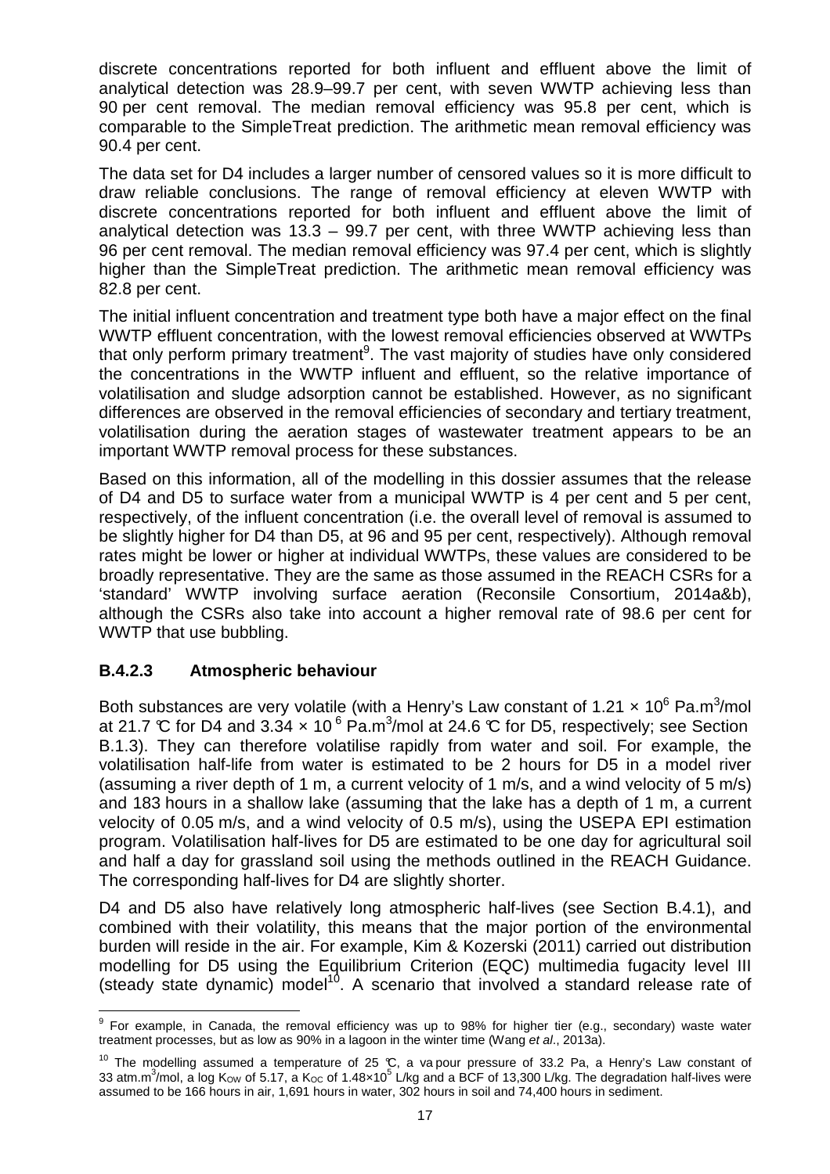discrete concentrations reported for both influent and effluent above the limit of analytical detection was 28.9–99.7 per cent, with seven WWTP achieving less than 90 per cent removal. The median removal efficiency was 95.8 per cent, which is comparable to the SimpleTreat prediction. The arithmetic mean removal efficiency was 90.4 per cent.

The data set for D4 includes a larger number of censored values so it is more difficult to draw reliable conclusions. The range of removal efficiency at eleven WWTP with discrete concentrations reported for both influent and effluent above the limit of analytical detection was 13.3 – 99.7 per cent, with three WWTP achieving less than 96 per cent removal. The median removal efficiency was 97.4 per cent, which is slightly higher than the SimpleTreat prediction. The arithmetic mean removal efficiency was 82.8 per cent.

The initial influent concentration and treatment type both have a major effect on the final WWTP effluent concentration, with the lowest removal efficiencies observed at WWTPs that only perform primary treatment<sup>9</sup>. The vast majority of studies have only considered the concentrations in the WWTP influent and effluent, so the relative importance of volatilisation and sludge adsorption cannot be established. However, as no significant differences are observed in the removal efficiencies of secondary and tertiary treatment, volatilisation during the aeration stages of wastewater treatment appears to be an important WWTP removal process for these substances.

Based on this information, all of the modelling in this dossier assumes that the release of D4 and D5 to surface water from a municipal WWTP is 4 per cent and 5 per cent, respectively, of the influent concentration (i.e. the overall level of removal is assumed to be slightly higher for D4 than D5, at 96 and 95 per cent, respectively). Although removal rates might be lower or higher at individual WWTPs, these values are considered to be broadly representative. They are the same as those assumed in the REACH CSRs for a 'standard' WWTP involving surface aeration (Reconsile Consortium, 2014a&b), although the CSRs also take into account a higher removal rate of 98.6 per cent for WWTP that use bubbling.

## **B.4.2.3 Atmospheric behaviour**

Both substances are very volatile (with a Henry's Law constant of 1.21  $\times$  10<sup>6</sup> Pa.m<sup>3</sup>/mol at 21.7  $\mathbb C$  for D4 and 3.34  $\times$  10  $^6$  Pa.m<sup>3</sup>/mol at 24.6  $\mathbb C$  for D5, respectively; see Section B.1.3). They can therefore volatilise rapidly from water and soil. For example, the volatilisation half-life from water is estimated to be 2 hours for D5 in a model river (assuming a river depth of 1 m, a current velocity of 1 m/s, and a wind velocity of 5 m/s) and 183 hours in a shallow lake (assuming that the lake has a depth of 1 m, a current velocity of 0.05 m/s, and a wind velocity of 0.5 m/s), using the USEPA EPI estimation program. Volatilisation half-lives for D5 are estimated to be one day for agricultural soil and half a day for grassland soil using the methods outlined in the REACH Guidance. The corresponding half-lives for D4 are slightly shorter.

D4 and D5 also have relatively long atmospheric half-lives (see Section B.4.1), and combined with their volatility, this means that the major portion of the environmental burden will reside in the air. For example, Kim & Kozerski (2011) carried out distribution modelling for D5 using the Equilibrium Criterion (EQC) multimedia fugacity level III (steady state dynamic) model<sup>10</sup>. A scenario that involved a standard release rate of

 9 For example, in Canada, the removal efficiency was up to 98% for higher tier (e.g., secondary) waste water treatment processes, but as low as 90% in a lagoon in the winter time (Wang et al., 2013a).

<sup>&</sup>lt;sup>10</sup> The modelling assumed a temperature of 25 °C, a va pour pressure of 33.2 Pa, a Henry's Law constant of 33 atm.m $^3$ /mol, a log K<sub>OW</sub> of 5.17, a K<sub>OC</sub> of 1.48×10<sup>5</sup> L/kg and a BCF of 13,300 L/kg. The degradation half-lives were assumed to be 166 hours in air, 1,691 hours in water, 302 hours in soil and 74,400 hours in sediment.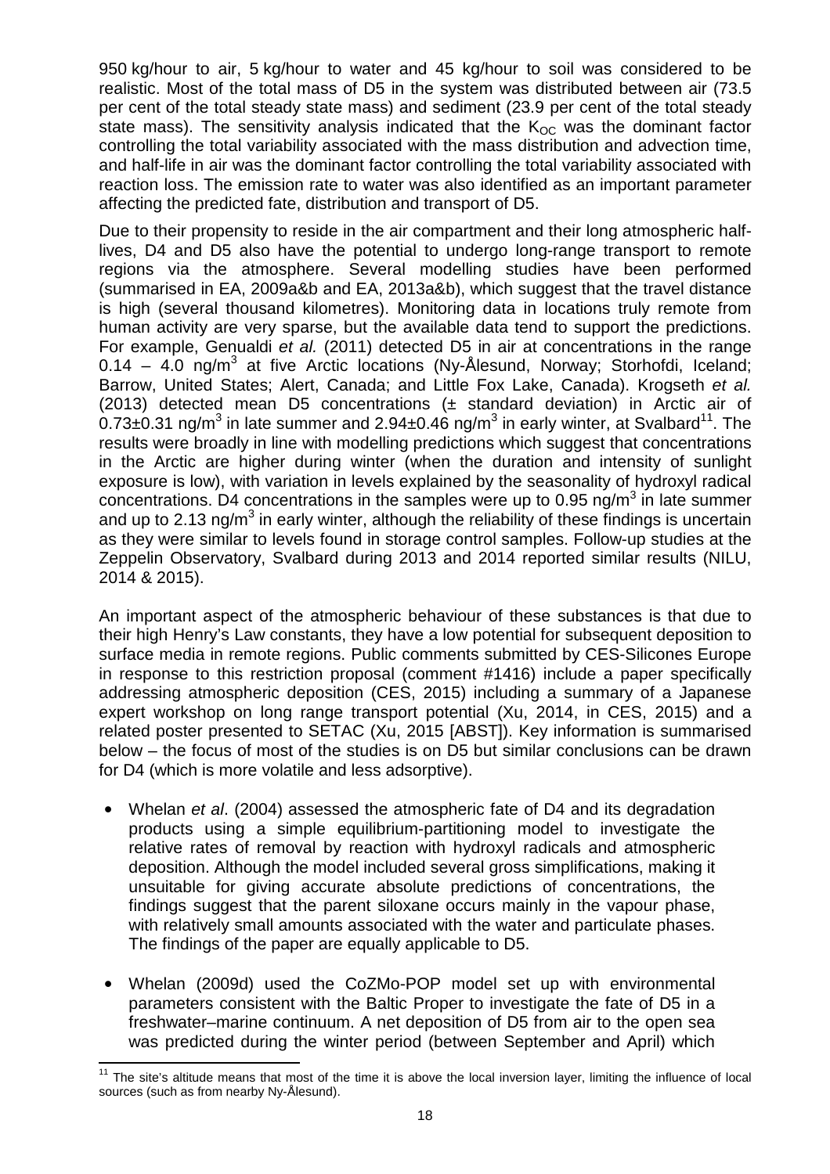950 kg/hour to air, 5 kg/hour to water and 45 kg/hour to soil was considered to be realistic. Most of the total mass of D5 in the system was distributed between air (73.5 per cent of the total steady state mass) and sediment (23.9 per cent of the total steady state mass). The sensitivity analysis indicated that the  $K_{OC}$  was the dominant factor controlling the total variability associated with the mass distribution and advection time, and half-life in air was the dominant factor controlling the total variability associated with reaction loss. The emission rate to water was also identified as an important parameter affecting the predicted fate, distribution and transport of D5.

Due to their propensity to reside in the air compartment and their long atmospheric halflives, D4 and D5 also have the potential to undergo long-range transport to remote regions via the atmosphere. Several modelling studies have been performed (summarised in EA, 2009a&b and EA, 2013a&b), which suggest that the travel distance is high (several thousand kilometres). Monitoring data in locations truly remote from human activity are very sparse, but the available data tend to support the predictions. For example, Genualdi et al. (2011) detected D5 in air at concentrations in the range  $0.14 - 4.0$  ng/m<sup>3</sup> at five Arctic locations (Ny-Ålesund, Norway; Storhofdi, Iceland; Barrow, United States; Alert, Canada; and Little Fox Lake, Canada). Krogseth et al. (2013) detected mean D5 concentrations (± standard deviation) in Arctic air of 0.73±0.31 ng/m<sup>3</sup> in late summer and 2.94±0.46 ng/m<sup>3</sup> in early winter, at Svalbard<sup>11</sup>. The results were broadly in line with modelling predictions which suggest that concentrations in the Arctic are higher during winter (when the duration and intensity of sunlight exposure is low), with variation in levels explained by the seasonality of hydroxyl radical concentrations. D4 concentrations in the samples were up to 0.95 ng/m<sup>3</sup> in late summer and up to 2.13 ng/m<sup>3</sup> in early winter, although the reliability of these findings is uncertain as they were similar to levels found in storage control samples. Follow-up studies at the Zeppelin Observatory, Svalbard during 2013 and 2014 reported similar results (NILU, 2014 & 2015).

An important aspect of the atmospheric behaviour of these substances is that due to their high Henry's Law constants, they have a low potential for subsequent deposition to surface media in remote regions. Public comments submitted by CES-Silicones Europe in response to this restriction proposal (comment #1416) include a paper specifically addressing atmospheric deposition (CES, 2015) including a summary of a Japanese expert workshop on long range transport potential (Xu, 2014, in CES, 2015) and a related poster presented to SETAC (Xu, 2015 [ABST]). Key information is summarised below – the focus of most of the studies is on D5 but similar conclusions can be drawn for D4 (which is more volatile and less adsorptive).

- Whelan et al. (2004) assessed the atmospheric fate of D4 and its degradation products using a simple equilibrium-partitioning model to investigate the relative rates of removal by reaction with hydroxyl radicals and atmospheric deposition. Although the model included several gross simplifications, making it unsuitable for giving accurate absolute predictions of concentrations, the findings suggest that the parent siloxane occurs mainly in the vapour phase, with relatively small amounts associated with the water and particulate phases. The findings of the paper are equally applicable to D5.
- Whelan (2009d) used the CoZMo-POP model set up with environmental parameters consistent with the Baltic Proper to investigate the fate of D5 in a freshwater–marine continuum. A net deposition of D5 from air to the open sea was predicted during the winter period (between September and April) which

 $\overline{\phantom{a}}$ <sup>11</sup> The site's altitude means that most of the time it is above the local inversion layer, limiting the influence of local sources (such as from nearby Ny-Ålesund).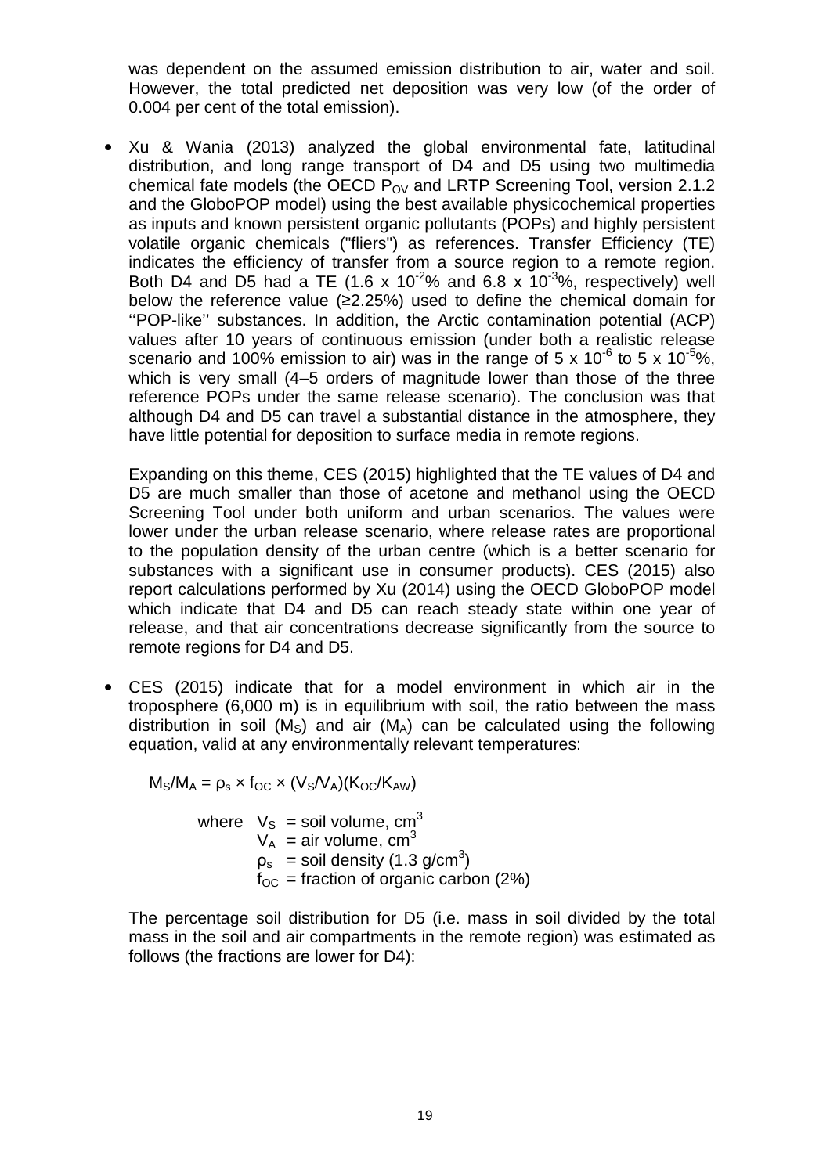was dependent on the assumed emission distribution to air, water and soil. However, the total predicted net deposition was very low (of the order of 0.004 per cent of the total emission).

• Xu & Wania (2013) analyzed the global environmental fate, latitudinal distribution, and long range transport of D4 and D5 using two multimedia chemical fate models (the OECD  $P_{OV}$  and LRTP Screening Tool, version 2.1.2 and the GloboPOP model) using the best available physicochemical properties as inputs and known persistent organic pollutants (POPs) and highly persistent volatile organic chemicals ("fliers") as references. Transfer Efficiency (TE) indicates the efficiency of transfer from a source region to a remote region. Both D4 and D5 had a TE (1.6 x 10<sup>-2</sup>% and 6.8 x 10<sup>-3</sup>%, respectively) well below the reference value (≥2.25%) used to define the chemical domain for ''POP-like'' substances. In addition, the Arctic contamination potential (ACP) values after 10 years of continuous emission (under both a realistic release scenario and 100% emission to air) was in the range of  $5 \times 10^{-6}$  to  $5 \times 10^{-5}$ %, which is very small (4–5 orders of magnitude lower than those of the three reference POPs under the same release scenario). The conclusion was that although D4 and D5 can travel a substantial distance in the atmosphere, they have little potential for deposition to surface media in remote regions.

Expanding on this theme, CES (2015) highlighted that the TE values of D4 and D5 are much smaller than those of acetone and methanol using the OECD Screening Tool under both uniform and urban scenarios. The values were lower under the urban release scenario, where release rates are proportional to the population density of the urban centre (which is a better scenario for substances with a significant use in consumer products). CES (2015) also report calculations performed by Xu (2014) using the OECD GloboPOP model which indicate that D4 and D5 can reach steady state within one year of release, and that air concentrations decrease significantly from the source to remote regions for D4 and D5.

• CES (2015) indicate that for a model environment in which air in the troposphere (6,000 m) is in equilibrium with soil, the ratio between the mass distribution in soil ( $M<sub>S</sub>$ ) and air ( $M<sub>A</sub>$ ) can be calculated using the following equation, valid at any environmentally relevant temperatures:

 $M_S/M_A = \rho_s \times f_{OC} \times (V_S/V_A)(K_{OC}/K_{AW})$ where  $V_S$  = soil volume, cm<sup>3</sup>  $V_A$  = air volume, cm<sup>3</sup>  $\rho_{\rm s}$  = soil density (1.3 g/cm<sup>3</sup>)  $f_{\rm OC}$  = fraction of organic carbon (2%)

The percentage soil distribution for D5 (i.e. mass in soil divided by the total mass in the soil and air compartments in the remote region) was estimated as follows (the fractions are lower for D4):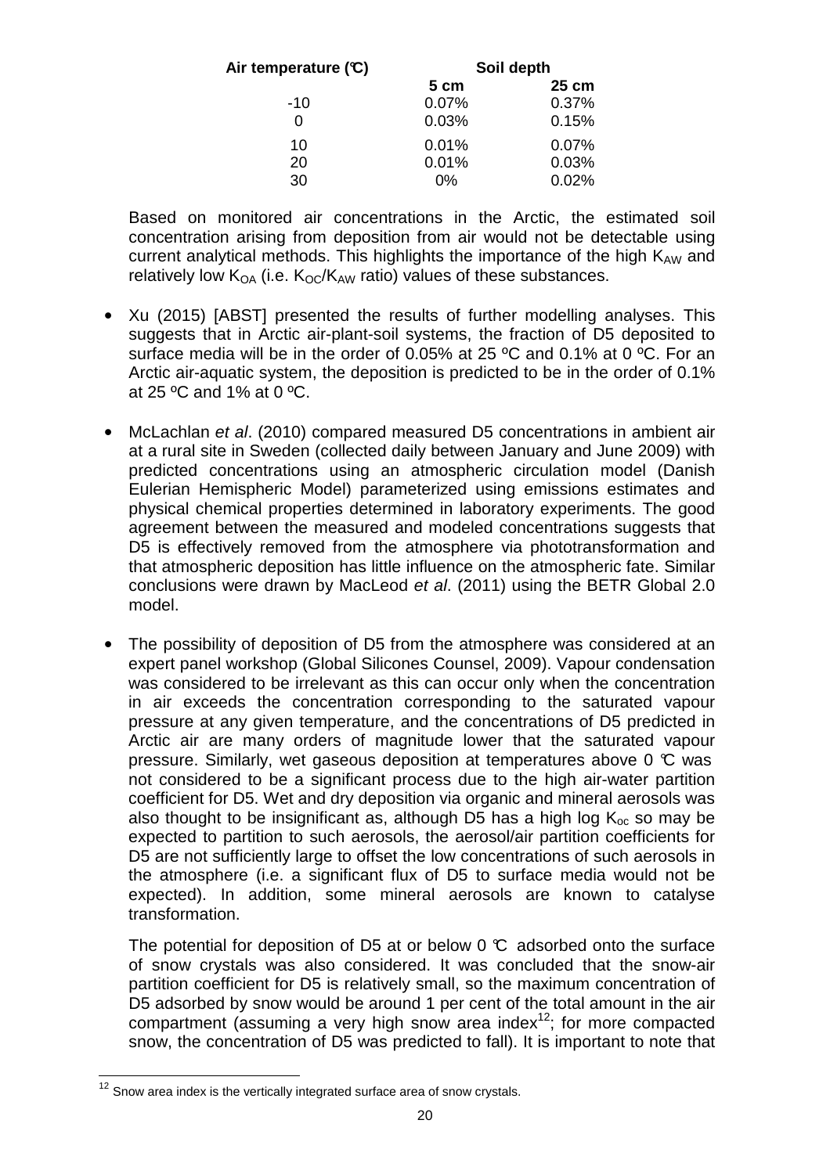| Air temperature (C) | Soil depth |       |
|---------------------|------------|-------|
|                     | 5 cm       | 25 cm |
| $-10$               | 0.07%      | 0.37% |
| 0                   | 0.03%      | 0.15% |
| 10                  | 0.01%      | 0.07% |
| 20                  | 0.01%      | 0.03% |
| 30                  | 0%         | 0.02% |

Based on monitored air concentrations in the Arctic, the estimated soil concentration arising from deposition from air would not be detectable using current analytical methods. This highlights the importance of the high  $K_{AW}$  and relatively low  $K_{OA}$  (i.e.  $K_{OC}/K_{AW}$  ratio) values of these substances.

- Xu (2015) [ABST] presented the results of further modelling analyses. This suggests that in Arctic air-plant-soil systems, the fraction of D5 deposited to surface media will be in the order of 0.05% at 25 °C and 0.1% at 0 °C. For an Arctic air-aquatic system, the deposition is predicted to be in the order of 0.1% at 25 ºC and 1% at 0 ºC.
- McLachlan et al. (2010) compared measured D5 concentrations in ambient air at a rural site in Sweden (collected daily between January and June 2009) with predicted concentrations using an atmospheric circulation model (Danish Eulerian Hemispheric Model) parameterized using emissions estimates and physical chemical properties determined in laboratory experiments. The good agreement between the measured and modeled concentrations suggests that D5 is effectively removed from the atmosphere via phototransformation and that atmospheric deposition has little influence on the atmospheric fate. Similar conclusions were drawn by MacLeod et al. (2011) using the BETR Global 2.0 model.
- The possibility of deposition of D5 from the atmosphere was considered at an expert panel workshop (Global Silicones Counsel, 2009). Vapour condensation was considered to be irrelevant as this can occur only when the concentration in air exceeds the concentration corresponding to the saturated vapour pressure at any given temperature, and the concentrations of D5 predicted in Arctic air are many orders of magnitude lower that the saturated vapour pressure. Similarly, wet gaseous deposition at temperatures above 0  $\mathbb C$  was not considered to be a significant process due to the high air-water partition coefficient for D5. Wet and dry deposition via organic and mineral aerosols was also thought to be insignificant as, although D5 has a high log  $K_{\text{oc}}$  so may be expected to partition to such aerosols, the aerosol/air partition coefficients for D5 are not sufficiently large to offset the low concentrations of such aerosols in the atmosphere (i.e. a significant flux of D5 to surface media would not be expected). In addition, some mineral aerosols are known to catalyse transformation.

The potential for deposition of D5 at or below 0  $\mathbb C$  adsorbed onto the surface of snow crystals was also considered. It was concluded that the snow-air partition coefficient for D5 is relatively small, so the maximum concentration of D5 adsorbed by snow would be around 1 per cent of the total amount in the air compartment (assuming a very high snow area index $12$ ; for more compacted snow, the concentration of D5 was predicted to fall). It is important to note that

j  $12$  Snow area index is the vertically integrated surface area of snow crystals.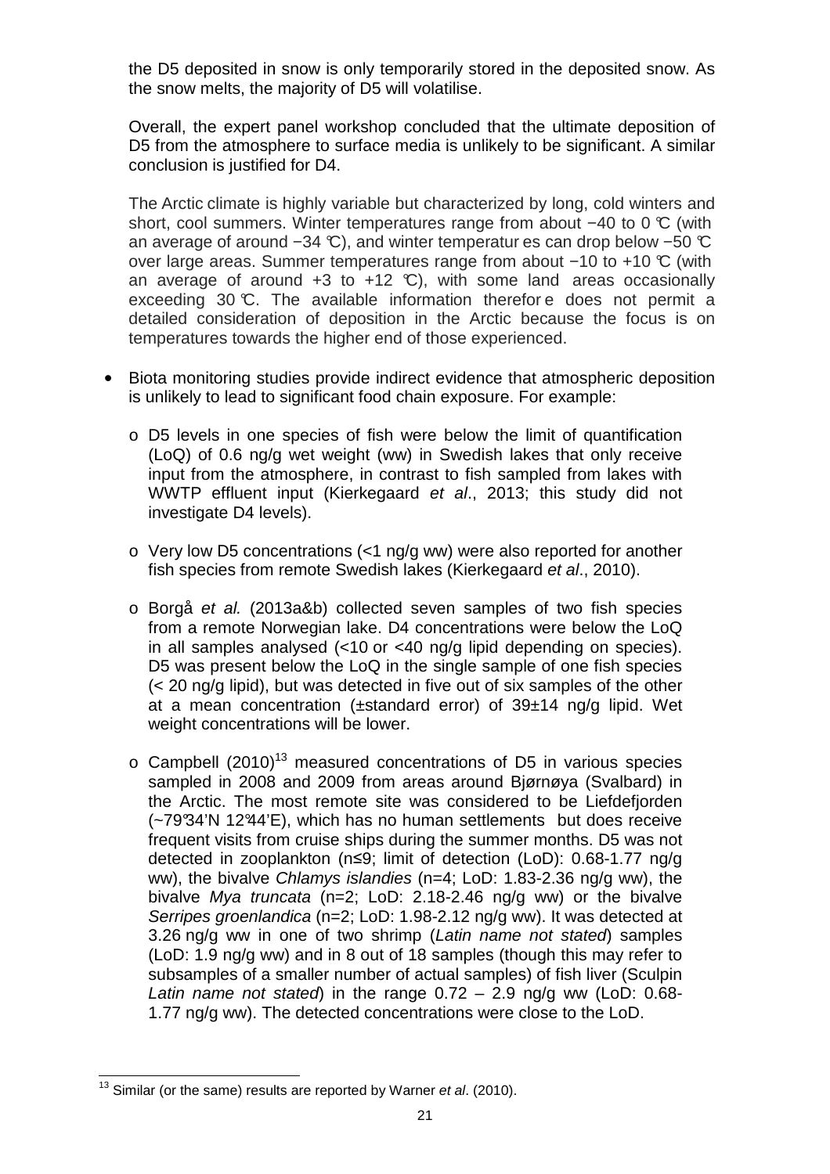the D5 deposited in snow is only temporarily stored in the deposited snow. As the snow melts, the majority of D5 will volatilise.

Overall, the expert panel workshop concluded that the ultimate deposition of D5 from the atmosphere to surface media is unlikely to be significant. A similar conclusion is justified for D4.

The Arctic climate is highly variable but characterized by long, cold winters and short, cool summers. Winter temperatures range from about −40 to 0 °C (with an average of around −34 °C), and winter temperatur es can drop below −50 °C over large areas. Summer temperatures range from about −10 to +10 °C (with an average of around  $+3$  to  $+12$  °C), with some land areas occasionally exceeding 30 °C. The available information therefore does not permit a detailed consideration of deposition in the Arctic because the focus is on temperatures towards the higher end of those experienced.

- Biota monitoring studies provide indirect evidence that atmospheric deposition is unlikely to lead to significant food chain exposure. For example:
	- o D5 levels in one species of fish were below the limit of quantification (LoQ) of 0.6 ng/g wet weight (ww) in Swedish lakes that only receive input from the atmosphere, in contrast to fish sampled from lakes with WWTP effluent input (Kierkegaard et al., 2013; this study did not investigate D4 levels).
	- $\circ$  Very low D5 concentrations (<1 ng/g ww) were also reported for another fish species from remote Swedish lakes (Kierkegaard et al., 2010).
	- o Borgå et al. (2013a&b) collected seven samples of two fish species from a remote Norwegian lake. D4 concentrations were below the LoQ in all samples analysed (<10 or <40 ng/g lipid depending on species). D5 was present below the LoQ in the single sample of one fish species (< 20 ng/g lipid), but was detected in five out of six samples of the other at a mean concentration (±standard error) of 39±14 ng/g lipid. Wet weight concentrations will be lower.
	- $\circ$  Campbell (2010)<sup>13</sup> measured concentrations of D5 in various species sampled in 2008 and 2009 from areas around Bjørnøya (Svalbard) in the Arctic. The most remote site was considered to be Liefdefjorden (~79°34'N 12°44'E), which has no human settlements but does receive frequent visits from cruise ships during the summer months. D5 was not detected in zooplankton (n≤9; limit of detection (LoD): 0.68-1.77 ng/g ww), the bivalve Chlamys islandies (n=4; LoD: 1.83-2.36 ng/g ww), the bivalve Mya truncata (n=2; LoD: 2.18-2.46 ng/g ww) or the bivalve Serripes groenlandica (n=2; LoD: 1.98-2.12 ng/g ww). It was detected at 3.26 ng/g ww in one of two shrimp (Latin name not stated) samples (LoD: 1.9 ng/g ww) and in 8 out of 18 samples (though this may refer to subsamples of a smaller number of actual samples) of fish liver (Sculpin Latin name not stated) in the range  $0.72 - 2.9$  ng/g ww (LoD: 0.68-1.77 ng/g ww). The detected concentrations were close to the LoD.

j  $13$  Similar (or the same) results are reported by Warner et al. (2010).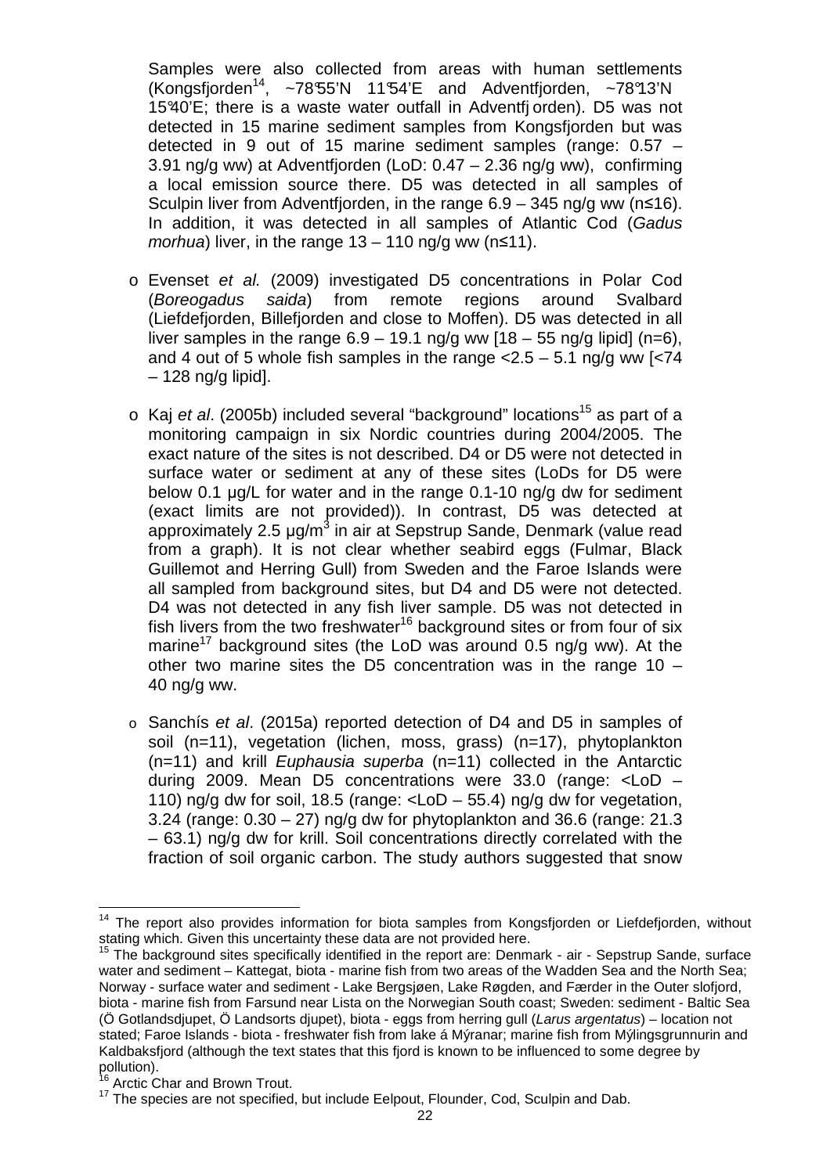Samples were also collected from areas with human settlements (Kongsfjorden<sup>14</sup>, ~78°55'N 11°54'E and Adventfjorden, ~78°13'N 15°40'E; there is a waste water outfall in Adventfj orden). D5 was not detected in 15 marine sediment samples from Kongsfjorden but was detected in 9 out of 15 marine sediment samples (range: 0.57 – 3.91 ng/g ww) at Adventfjorden (LoD: 0.47 – 2.36 ng/g ww), confirming a local emission source there. D5 was detected in all samples of Sculpin liver from Adventfjorden, in the range  $6.9 - 345$  ng/g ww (n≤16). In addition, it was detected in all samples of Atlantic Cod (Gadus morhua) liver, in the range  $13 - 110$  ng/g ww (n≤11).

- o Evenset et al. (2009) investigated D5 concentrations in Polar Cod (Boreogadus saida) from remote regions around Svalbard (Liefdefjorden, Billefjorden and close to Moffen). D5 was detected in all liver samples in the range  $6.9 - 19.1$  ng/g ww  $[18 - 55$  ng/g lipid] (n=6), and 4 out of 5 whole fish samples in the range  $<$ 2.5 – 5.1 ng/g ww [ $<$ 74 – 128 ng/g lipid].
- $\circ$  Kaj et al. (2005b) included several "background" locations<sup>15</sup> as part of a monitoring campaign in six Nordic countries during 2004/2005. The exact nature of the sites is not described. D4 or D5 were not detected in surface water or sediment at any of these sites (LoDs for D5 were below 0.1 µg/L for water and in the range 0.1-10 ng/g dw for sediment (exact limits are not provided)). In contrast, D5 was detected at approximately 2.5 µg/m<sup>3</sup> in air at Sepstrup Sande, Denmark (value read from a graph). It is not clear whether seabird eggs (Fulmar, Black Guillemot and Herring Gull) from Sweden and the Faroe Islands were all sampled from background sites, but D4 and D5 were not detected. D4 was not detected in any fish liver sample. D5 was not detected in fish livers from the two freshwater<sup>16</sup> background sites or from four of six marine<sup>17</sup> background sites (the LoD was around 0.5 ng/g ww). At the other two marine sites the D5 concentration was in the range 10 – 40 ng/g ww.
- o Sanchís et al. (2015a) reported detection of D4 and D5 in samples of soil (n=11), vegetation (lichen, moss, grass) (n=17), phytoplankton  $(n=11)$  and krill *Euphausia superba*  $(n=11)$  collected in the Antarctic during 2009. Mean D5 concentrations were 33.0 (range: <LoD – 110) ng/g dw for soil, 18.5 (range:  $\langle$ LoD – 55.4) ng/g dw for vegetation, 3.24 (range: 0.30 – 27) ng/g dw for phytoplankton and 36.6 (range: 21.3 – 63.1) ng/g dw for krill. Soil concentrations directly correlated with the fraction of soil organic carbon. The study authors suggested that snow

 $\overline{\phantom{a}}$ <sup>14</sup> The report also provides information for biota samples from Kongsfjorden or Liefdefjorden, without stating which. Given this uncertainty these data are not provided here.

<sup>15</sup> The background sites specifically identified in the report are: Denmark - air - Sepstrup Sande, surface water and sediment – Kattegat, biota - marine fish from two areas of the Wadden Sea and the North Sea: Norway - surface water and sediment - Lake Bergsjøen, Lake Røgden, and Færder in the Outer slofjord, biota - marine fish from Farsund near Lista on the Norwegian South coast; Sweden: sediment - Baltic Sea (Ö Gotlandsdjupet, Ö Landsorts djupet), biota - eggs from herring gull (Larus argentatus) – location not stated; Faroe Islands - biota - freshwater fish from lake á Mýranar; marine fish from Mýlingsgrunnurin and Kaldbaksfjord (although the text states that this fjord is known to be influenced to some degree by pollution).

Arctic Char and Brown Trout.

<sup>&</sup>lt;sup>17</sup> The species are not specified, but include Eelpout, Flounder, Cod, Sculpin and Dab.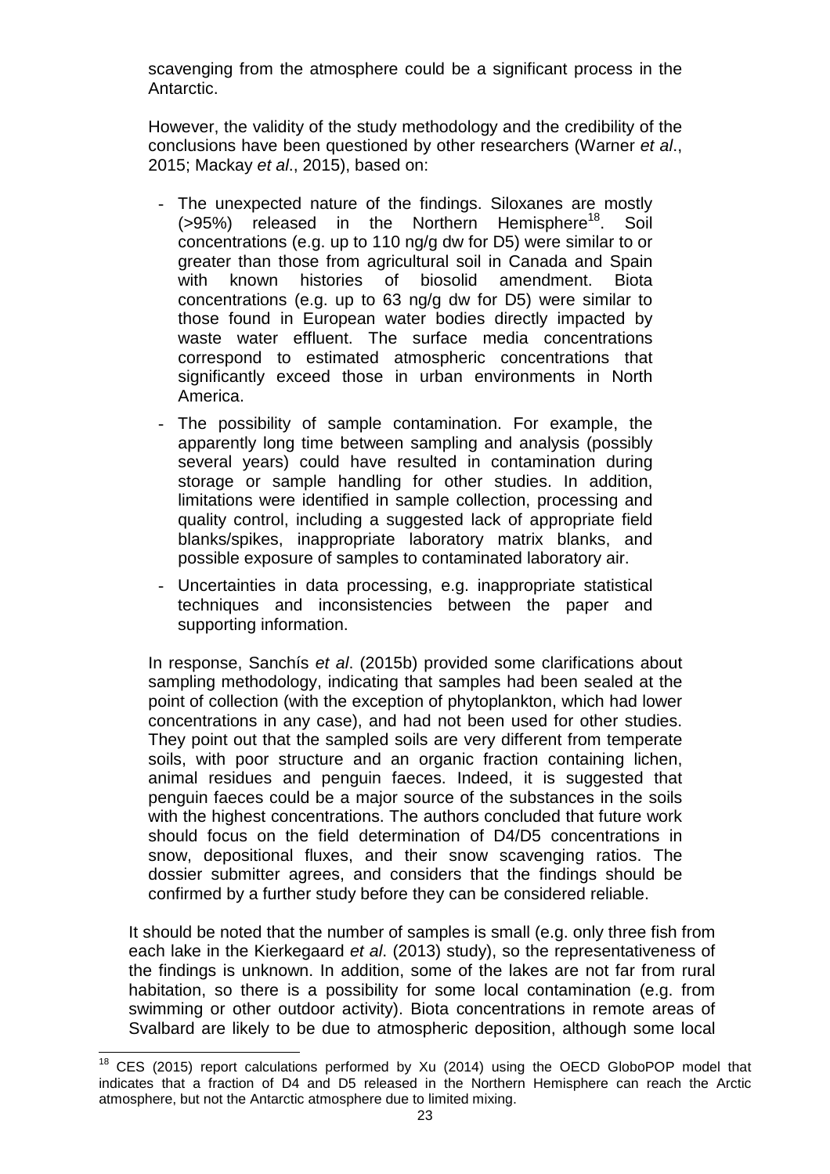scavenging from the atmosphere could be a significant process in the Antarctic.

However, the validity of the study methodology and the credibility of the conclusions have been questioned by other researchers (Warner et al., 2015; Mackay et al., 2015), based on:

- The unexpected nature of the findings. Siloxanes are mostly  $(>95%)$  released in the Northern Hemisphere<sup>18</sup>. Soil concentrations (e.g. up to 110 ng/g dw for D5) were similar to or greater than those from agricultural soil in Canada and Spain with known histories of biosolid amendment. Biota concentrations (e.g. up to 63 ng/g dw for D5) were similar to those found in European water bodies directly impacted by waste water effluent. The surface media concentrations correspond to estimated atmospheric concentrations that significantly exceed those in urban environments in North America.
- The possibility of sample contamination. For example, the apparently long time between sampling and analysis (possibly several years) could have resulted in contamination during storage or sample handling for other studies. In addition, limitations were identified in sample collection, processing and quality control, including a suggested lack of appropriate field blanks/spikes, inappropriate laboratory matrix blanks, and possible exposure of samples to contaminated laboratory air.
- Uncertainties in data processing, e.g. inappropriate statistical techniques and inconsistencies between the paper and supporting information.

In response, Sanchís et al. (2015b) provided some clarifications about sampling methodology, indicating that samples had been sealed at the point of collection (with the exception of phytoplankton, which had lower concentrations in any case), and had not been used for other studies. They point out that the sampled soils are very different from temperate soils, with poor structure and an organic fraction containing lichen, animal residues and penguin faeces. Indeed, it is suggested that penguin faeces could be a major source of the substances in the soils with the highest concentrations. The authors concluded that future work should focus on the field determination of D4/D5 concentrations in snow, depositional fluxes, and their snow scavenging ratios. The dossier submitter agrees, and considers that the findings should be confirmed by a further study before they can be considered reliable.

It should be noted that the number of samples is small (e.g. only three fish from each lake in the Kierkegaard et al. (2013) study), so the representativeness of the findings is unknown. In addition, some of the lakes are not far from rural habitation, so there is a possibility for some local contamination (e.g. from swimming or other outdoor activity). Biota concentrations in remote areas of Svalbard are likely to be due to atmospheric deposition, although some local

 $\overline{\phantom{a}}$  $18$  CES (2015) report calculations performed by Xu (2014) using the OECD GloboPOP model that indicates that a fraction of D4 and D5 released in the Northern Hemisphere can reach the Arctic atmosphere, but not the Antarctic atmosphere due to limited mixing.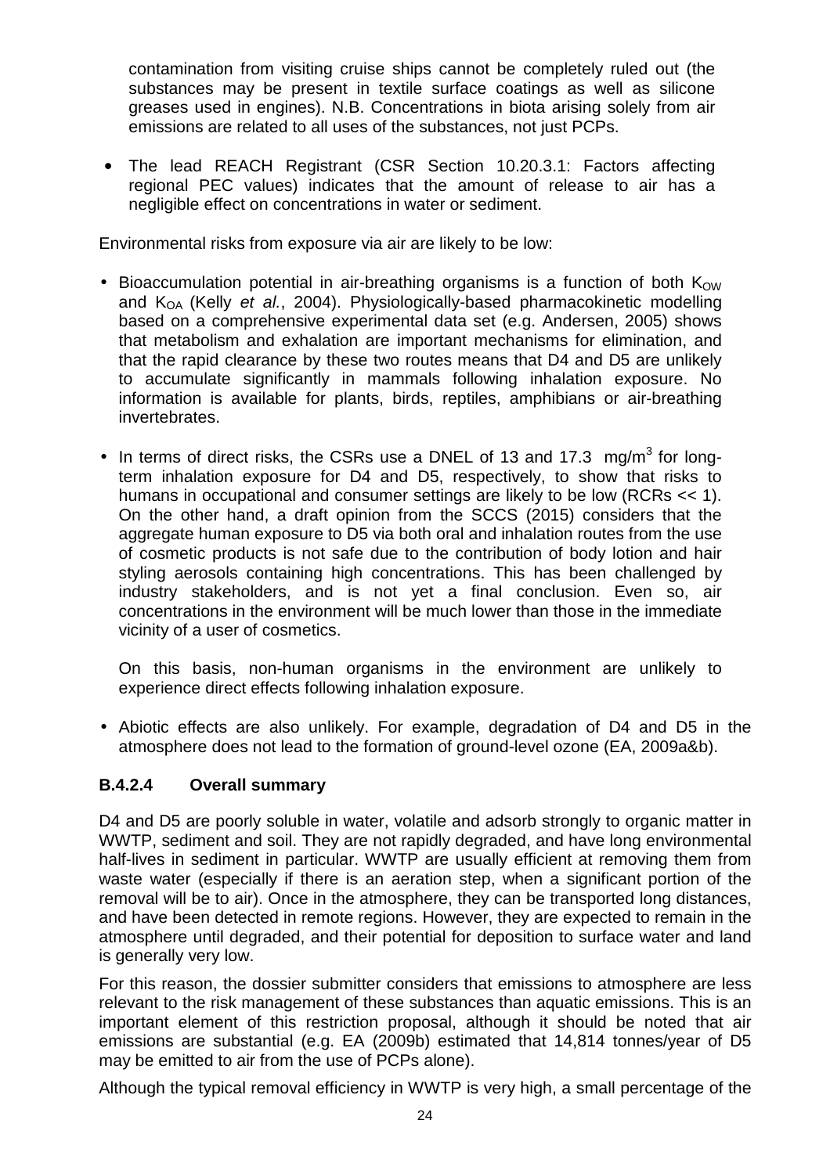contamination from visiting cruise ships cannot be completely ruled out (the substances may be present in textile surface coatings as well as silicone greases used in engines). N.B. Concentrations in biota arising solely from air emissions are related to all uses of the substances, not just PCPs.

• The lead REACH Registrant (CSR Section 10.20.3.1: Factors affecting regional PEC values) indicates that the amount of release to air has a negligible effect on concentrations in water or sediment.

Environmental risks from exposure via air are likely to be low:

- Bioaccumulation potential in air-breathing organisms is a function of both  $K_{\text{OW}}$ and  $K_{OA}$  (Kelly et al., 2004). Physiologically-based pharmacokinetic modelling based on a comprehensive experimental data set (e.g. Andersen, 2005) shows that metabolism and exhalation are important mechanisms for elimination, and that the rapid clearance by these two routes means that D4 and D5 are unlikely to accumulate significantly in mammals following inhalation exposure. No information is available for plants, birds, reptiles, amphibians or air-breathing invertebrates.
- In terms of direct risks, the CSRs use a DNEL of 13 and 17.3  $mg/m<sup>3</sup>$  for longterm inhalation exposure for D4 and D5, respectively, to show that risks to humans in occupational and consumer settings are likely to be low (RCRs << 1). On the other hand, a draft opinion from the SCCS (2015) considers that the aggregate human exposure to D5 via both oral and inhalation routes from the use of cosmetic products is not safe due to the contribution of body lotion and hair styling aerosols containing high concentrations. This has been challenged by industry stakeholders, and is not yet a final conclusion. Even so, air concentrations in the environment will be much lower than those in the immediate vicinity of a user of cosmetics.

On this basis, non-human organisms in the environment are unlikely to experience direct effects following inhalation exposure.

• Abiotic effects are also unlikely. For example, degradation of D4 and D5 in the atmosphere does not lead to the formation of ground-level ozone (EA, 2009a&b).

## **B.4.2.4 Overall summary**

D4 and D5 are poorly soluble in water, volatile and adsorb strongly to organic matter in WWTP, sediment and soil. They are not rapidly degraded, and have long environmental half-lives in sediment in particular. WWTP are usually efficient at removing them from waste water (especially if there is an aeration step, when a significant portion of the removal will be to air). Once in the atmosphere, they can be transported long distances, and have been detected in remote regions. However, they are expected to remain in the atmosphere until degraded, and their potential for deposition to surface water and land is generally very low.

For this reason, the dossier submitter considers that emissions to atmosphere are less relevant to the risk management of these substances than aquatic emissions. This is an important element of this restriction proposal, although it should be noted that air emissions are substantial (e.g. EA (2009b) estimated that 14,814 tonnes/year of D5 may be emitted to air from the use of PCPs alone).

Although the typical removal efficiency in WWTP is very high, a small percentage of the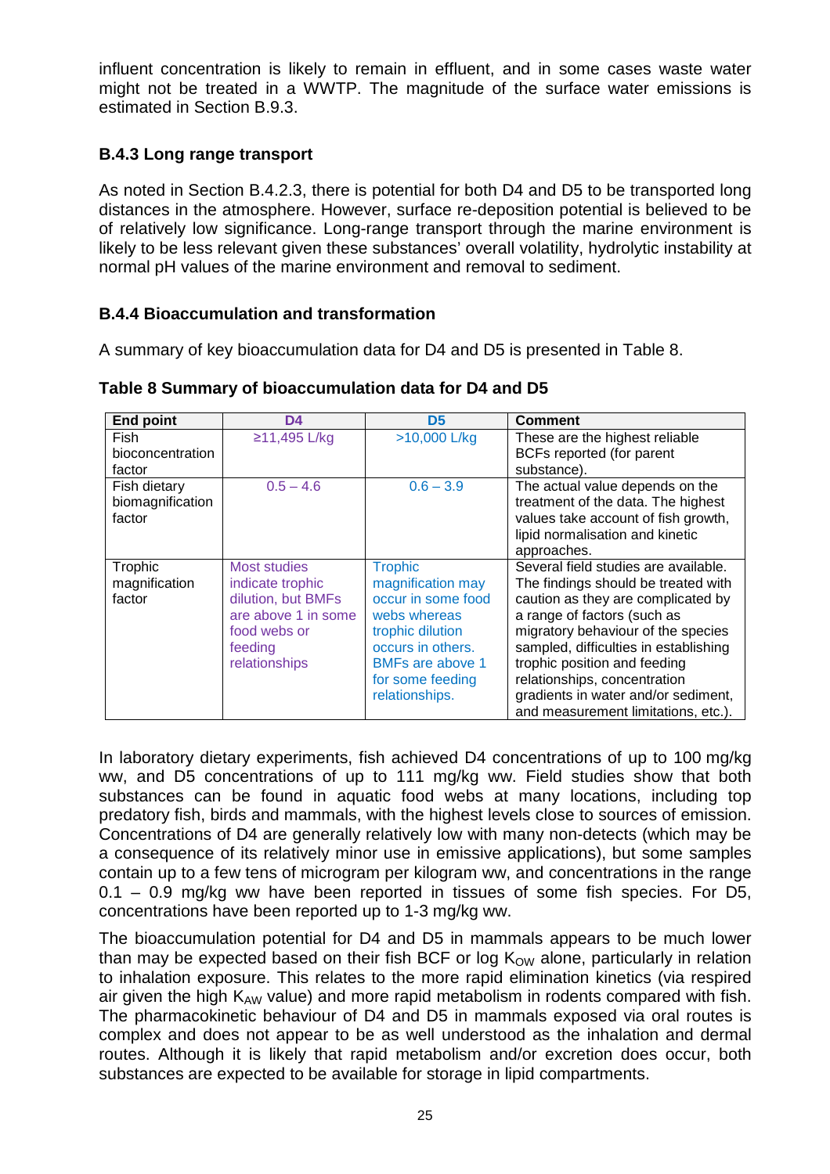influent concentration is likely to remain in effluent, and in some cases waste water might not be treated in a WWTP. The magnitude of the surface water emissions is estimated in Section B.9.3.

# **B.4.3 Long range transport**

As noted in Section B.4.2.3, there is potential for both D4 and D5 to be transported long distances in the atmosphere. However, surface re-deposition potential is believed to be of relatively low significance. Long-range transport through the marine environment is likely to be less relevant given these substances' overall volatility, hydrolytic instability at normal pH values of the marine environment and removal to sediment.

## **B.4.4 Bioaccumulation and transformation**

A summary of key bioaccumulation data for D4 and D5 is presented in Table 8.

| <b>End point</b> | D <sub>4</sub>      | D <sub>5</sub>          | <b>Comment</b>                        |
|------------------|---------------------|-------------------------|---------------------------------------|
| Fish             | ≥11,495 L/kg        | $>10,000$ L/kg          | These are the highest reliable        |
| bioconcentration |                     |                         | BCFs reported (for parent             |
| factor           |                     |                         | substance).                           |
| Fish dietary     | $0.5 - 4.6$         | $0.6 - 3.9$             | The actual value depends on the       |
| biomagnification |                     |                         | treatment of the data. The highest    |
| factor           |                     |                         | values take account of fish growth,   |
|                  |                     |                         | lipid normalisation and kinetic       |
|                  |                     |                         | approaches.                           |
| Trophic          | Most studies        | <b>Trophic</b>          | Several field studies are available.  |
| magnification    | indicate trophic    | magnification may       | The findings should be treated with   |
| factor           | dilution, but BMFs  | occur in some food      | caution as they are complicated by    |
|                  | are above 1 in some | webs whereas            | a range of factors (such as           |
|                  | food webs or        | trophic dilution        | migratory behaviour of the species    |
|                  | feeding             | occurs in others.       | sampled, difficulties in establishing |
|                  | relationships       | <b>BMFs are above 1</b> | trophic position and feeding          |
|                  |                     | for some feeding        | relationships, concentration          |
|                  |                     | relationships.          | gradients in water and/or sediment,   |
|                  |                     |                         | and measurement limitations, etc.).   |

**Table 8 Summary of bioaccumulation data for D4 and D5**

In laboratory dietary experiments, fish achieved D4 concentrations of up to 100 mg/kg ww, and D5 concentrations of up to 111 mg/kg ww. Field studies show that both substances can be found in aquatic food webs at many locations, including top predatory fish, birds and mammals, with the highest levels close to sources of emission. Concentrations of D4 are generally relatively low with many non-detects (which may be a consequence of its relatively minor use in emissive applications), but some samples contain up to a few tens of microgram per kilogram ww, and concentrations in the range 0.1 – 0.9 mg/kg ww have been reported in tissues of some fish species. For D5, concentrations have been reported up to 1-3 mg/kg ww.

The bioaccumulation potential for D4 and D5 in mammals appears to be much lower than may be expected based on their fish BCF or log  $K_{OW}$  alone, particularly in relation to inhalation exposure. This relates to the more rapid elimination kinetics (via respired air given the high  $K_{AW}$  value) and more rapid metabolism in rodents compared with fish. The pharmacokinetic behaviour of D4 and D5 in mammals exposed via oral routes is complex and does not appear to be as well understood as the inhalation and dermal routes. Although it is likely that rapid metabolism and/or excretion does occur, both substances are expected to be available for storage in lipid compartments.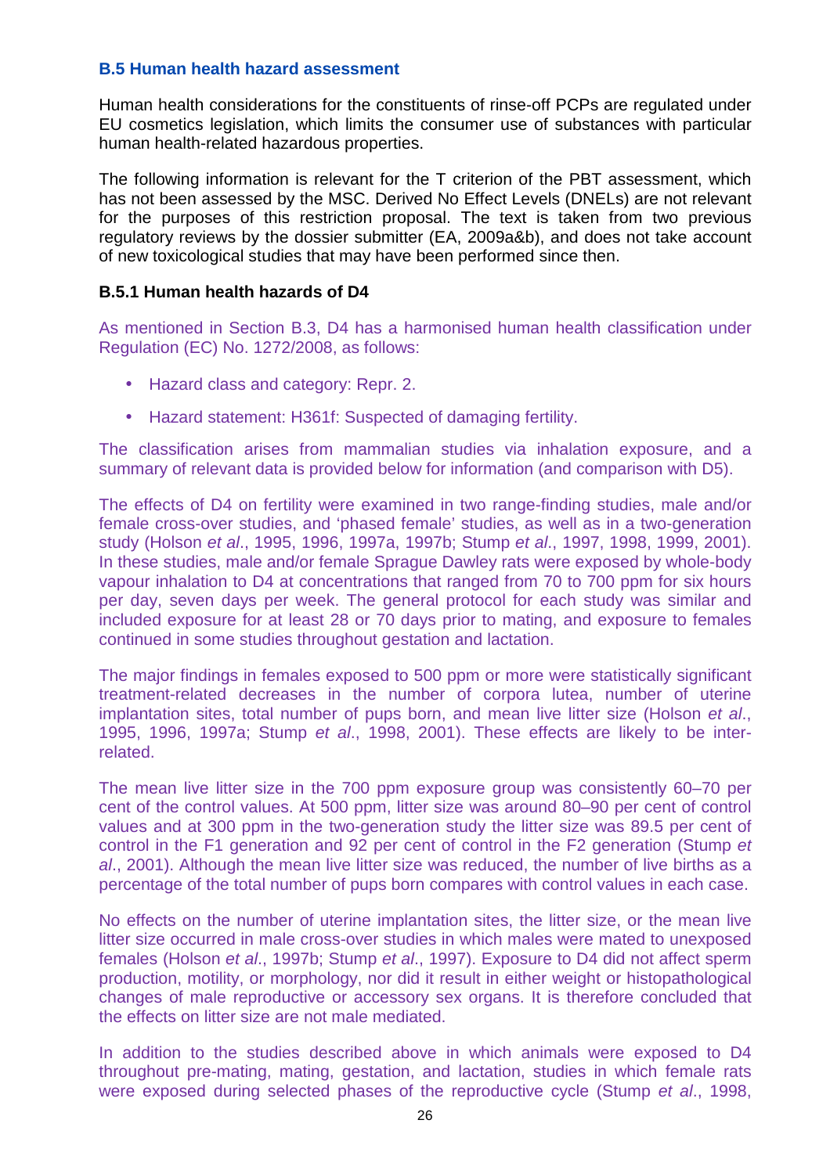#### **B.5 Human health hazard assessment**

Human health considerations for the constituents of rinse-off PCPs are regulated under EU cosmetics legislation, which limits the consumer use of substances with particular human health-related hazardous properties.

The following information is relevant for the T criterion of the PBT assessment, which has not been assessed by the MSC. Derived No Effect Levels (DNELs) are not relevant for the purposes of this restriction proposal. The text is taken from two previous regulatory reviews by the dossier submitter (EA, 2009a&b), and does not take account of new toxicological studies that may have been performed since then.

#### **B.5.1 Human health hazards of D4**

As mentioned in Section B.3, D4 has a harmonised human health classification under Regulation (EC) No. 1272/2008, as follows:

- Hazard class and category: Repr. 2.
- Hazard statement: H361f: Suspected of damaging fertility.

The classification arises from mammalian studies via inhalation exposure, and a summary of relevant data is provided below for information (and comparison with D5).

The effects of D4 on fertility were examined in two range-finding studies, male and/or female cross-over studies, and 'phased female' studies, as well as in a two-generation study (Holson et al., 1995, 1996, 1997a, 1997b; Stump et al., 1997, 1998, 1999, 2001). In these studies, male and/or female Sprague Dawley rats were exposed by whole-body vapour inhalation to D4 at concentrations that ranged from 70 to 700 ppm for six hours per day, seven days per week. The general protocol for each study was similar and included exposure for at least 28 or 70 days prior to mating, and exposure to females continued in some studies throughout gestation and lactation.

The major findings in females exposed to 500 ppm or more were statistically significant treatment-related decreases in the number of corpora lutea, number of uterine implantation sites, total number of pups born, and mean live litter size (Holson et al., 1995, 1996, 1997a; Stump et al., 1998, 2001). These effects are likely to be interrelated.

The mean live litter size in the 700 ppm exposure group was consistently 60–70 per cent of the control values. At 500 ppm, litter size was around 80–90 per cent of control values and at 300 ppm in the two-generation study the litter size was 89.5 per cent of control in the F1 generation and 92 per cent of control in the F2 generation (Stump et al., 2001). Although the mean live litter size was reduced, the number of live births as a percentage of the total number of pups born compares with control values in each case.

No effects on the number of uterine implantation sites, the litter size, or the mean live litter size occurred in male cross-over studies in which males were mated to unexposed females (Holson et al., 1997b; Stump et al., 1997). Exposure to D4 did not affect sperm production, motility, or morphology, nor did it result in either weight or histopathological changes of male reproductive or accessory sex organs. It is therefore concluded that the effects on litter size are not male mediated.

In addition to the studies described above in which animals were exposed to D4 throughout pre-mating, mating, gestation, and lactation, studies in which female rats were exposed during selected phases of the reproductive cycle (Stump et al., 1998,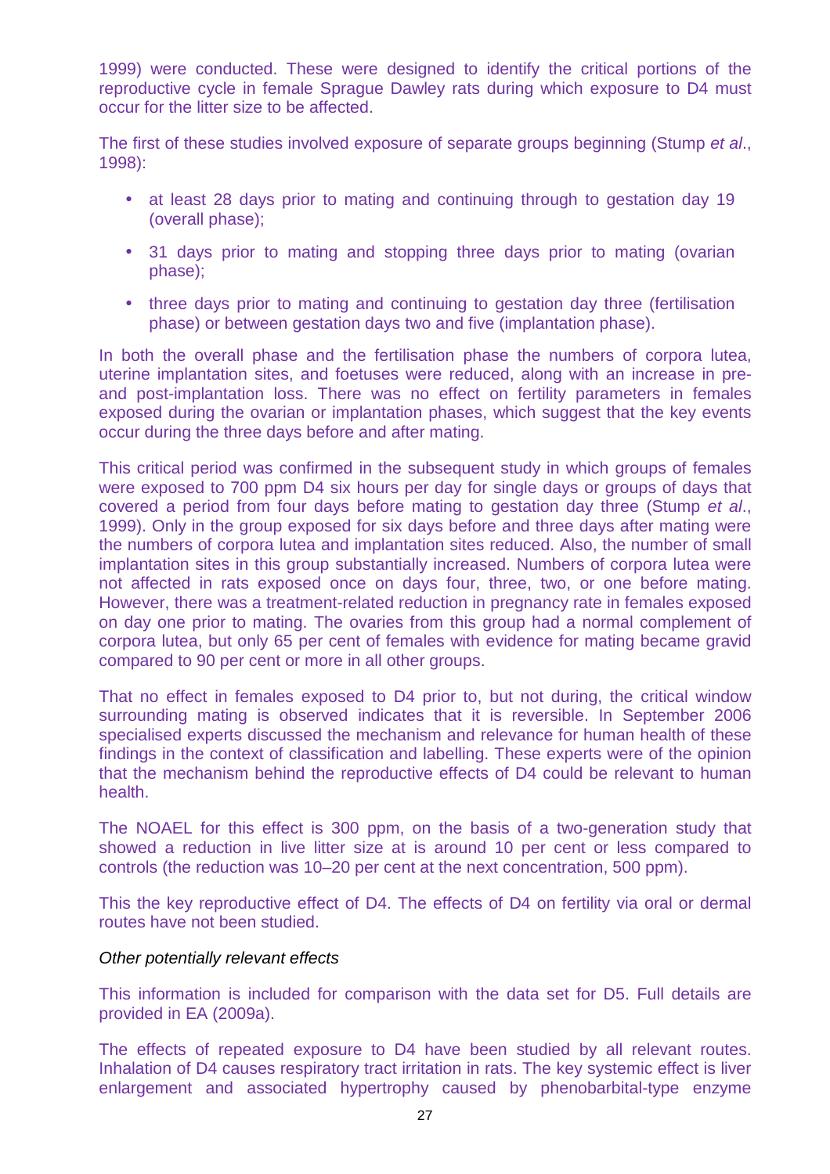1999) were conducted. These were designed to identify the critical portions of the reproductive cycle in female Sprague Dawley rats during which exposure to D4 must occur for the litter size to be affected.

The first of these studies involved exposure of separate groups beginning (Stump et al., 1998):

- at least 28 days prior to mating and continuing through to gestation day 19 (overall phase);
- 31 days prior to mating and stopping three days prior to mating (ovarian phase);
- three days prior to mating and continuing to gestation day three (fertilisation phase) or between gestation days two and five (implantation phase).

In both the overall phase and the fertilisation phase the numbers of corpora lutea, uterine implantation sites, and foetuses were reduced, along with an increase in preand post-implantation loss. There was no effect on fertility parameters in females exposed during the ovarian or implantation phases, which suggest that the key events occur during the three days before and after mating.

This critical period was confirmed in the subsequent study in which groups of females were exposed to 700 ppm D4 six hours per day for single days or groups of days that covered a period from four days before mating to gestation day three (Stump et al., 1999). Only in the group exposed for six days before and three days after mating were the numbers of corpora lutea and implantation sites reduced. Also, the number of small implantation sites in this group substantially increased. Numbers of corpora lutea were not affected in rats exposed once on days four, three, two, or one before mating. However, there was a treatment-related reduction in pregnancy rate in females exposed on day one prior to mating. The ovaries from this group had a normal complement of corpora lutea, but only 65 per cent of females with evidence for mating became gravid compared to 90 per cent or more in all other groups.

That no effect in females exposed to D4 prior to, but not during, the critical window surrounding mating is observed indicates that it is reversible. In September 2006 specialised experts discussed the mechanism and relevance for human health of these findings in the context of classification and labelling. These experts were of the opinion that the mechanism behind the reproductive effects of D4 could be relevant to human health.

The NOAEL for this effect is 300 ppm, on the basis of a two-generation study that showed a reduction in live litter size at is around 10 per cent or less compared to controls (the reduction was 10–20 per cent at the next concentration, 500 ppm).

This the key reproductive effect of D4. The effects of D4 on fertility via oral or dermal routes have not been studied.

#### Other potentially relevant effects

This information is included for comparison with the data set for D5. Full details are provided in EA (2009a).

The effects of repeated exposure to D4 have been studied by all relevant routes. Inhalation of D4 causes respiratory tract irritation in rats. The key systemic effect is liver enlargement and associated hypertrophy caused by phenobarbital-type enzyme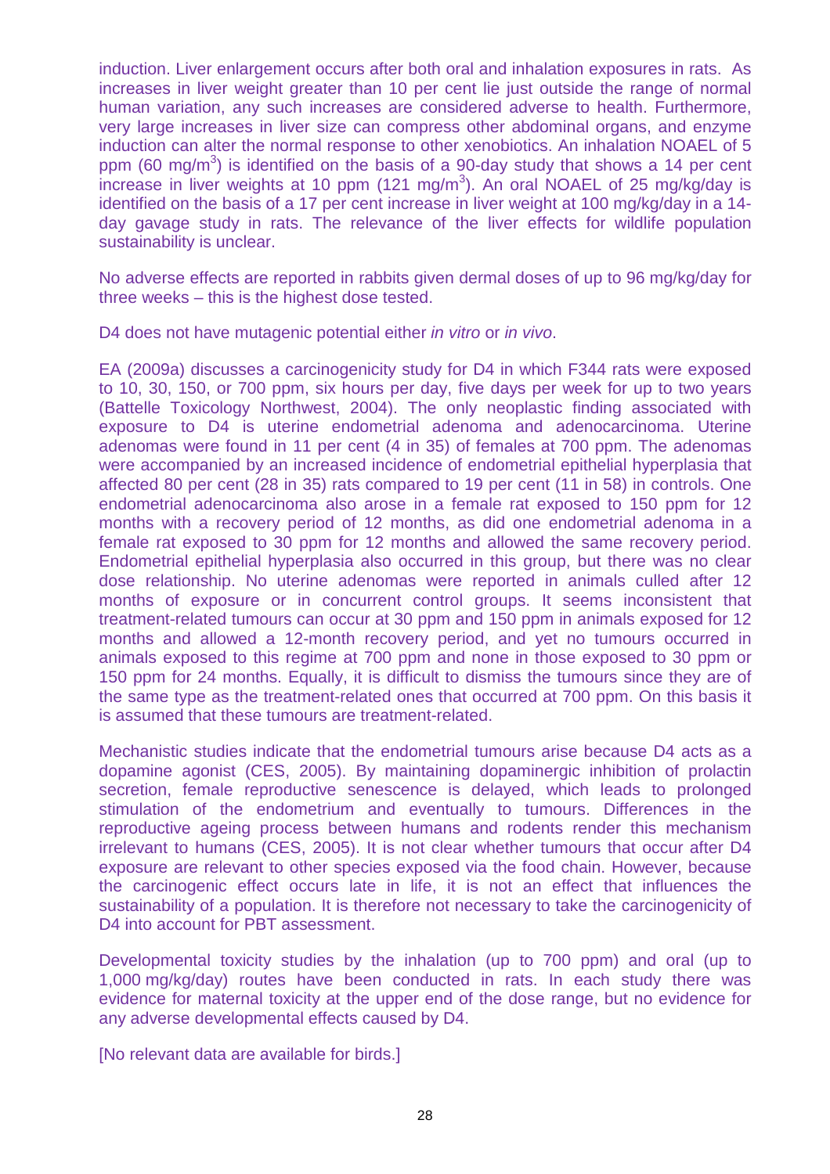induction. Liver enlargement occurs after both oral and inhalation exposures in rats. As increases in liver weight greater than 10 per cent lie just outside the range of normal human variation, any such increases are considered adverse to health. Furthermore, very large increases in liver size can compress other abdominal organs, and enzyme induction can alter the normal response to other xenobiotics. An inhalation NOAEL of 5 ppm (60 mg/m<sup>3</sup>) is identified on the basis of a 90-day study that shows a 14 per cent increase in liver weights at 10 ppm (121 mg/m<sup>3</sup>). An oral NOAEL of 25 mg/kg/day is identified on the basis of a 17 per cent increase in liver weight at 100 mg/kg/day in a 14 day gavage study in rats. The relevance of the liver effects for wildlife population sustainability is unclear.

No adverse effects are reported in rabbits given dermal doses of up to 96 mg/kg/day for three weeks – this is the highest dose tested.

D4 does not have mutagenic potential either *in vitro* or *in vivo*.

EA (2009a) discusses a carcinogenicity study for D4 in which F344 rats were exposed to 10, 30, 150, or 700 ppm, six hours per day, five days per week for up to two years (Battelle Toxicology Northwest, 2004). The only neoplastic finding associated with exposure to D4 is uterine endometrial adenoma and adenocarcinoma. Uterine adenomas were found in 11 per cent (4 in 35) of females at 700 ppm. The adenomas were accompanied by an increased incidence of endometrial epithelial hyperplasia that affected 80 per cent (28 in 35) rats compared to 19 per cent (11 in 58) in controls. One endometrial adenocarcinoma also arose in a female rat exposed to 150 ppm for 12 months with a recovery period of 12 months, as did one endometrial adenoma in a female rat exposed to 30 ppm for 12 months and allowed the same recovery period. Endometrial epithelial hyperplasia also occurred in this group, but there was no clear dose relationship. No uterine adenomas were reported in animals culled after 12 months of exposure or in concurrent control groups. It seems inconsistent that treatment-related tumours can occur at 30 ppm and 150 ppm in animals exposed for 12 months and allowed a 12-month recovery period, and yet no tumours occurred in animals exposed to this regime at 700 ppm and none in those exposed to 30 ppm or 150 ppm for 24 months. Equally, it is difficult to dismiss the tumours since they are of the same type as the treatment-related ones that occurred at 700 ppm. On this basis it is assumed that these tumours are treatment-related.

Mechanistic studies indicate that the endometrial tumours arise because D4 acts as a dopamine agonist (CES, 2005). By maintaining dopaminergic inhibition of prolactin secretion, female reproductive senescence is delayed, which leads to prolonged stimulation of the endometrium and eventually to tumours. Differences in the reproductive ageing process between humans and rodents render this mechanism irrelevant to humans (CES, 2005). It is not clear whether tumours that occur after D4 exposure are relevant to other species exposed via the food chain. However, because the carcinogenic effect occurs late in life, it is not an effect that influences the sustainability of a population. It is therefore not necessary to take the carcinogenicity of D4 into account for PBT assessment.

Developmental toxicity studies by the inhalation (up to 700 ppm) and oral (up to 1,000 mg/kg/day) routes have been conducted in rats. In each study there was evidence for maternal toxicity at the upper end of the dose range, but no evidence for any adverse developmental effects caused by D4.

[No relevant data are available for birds.]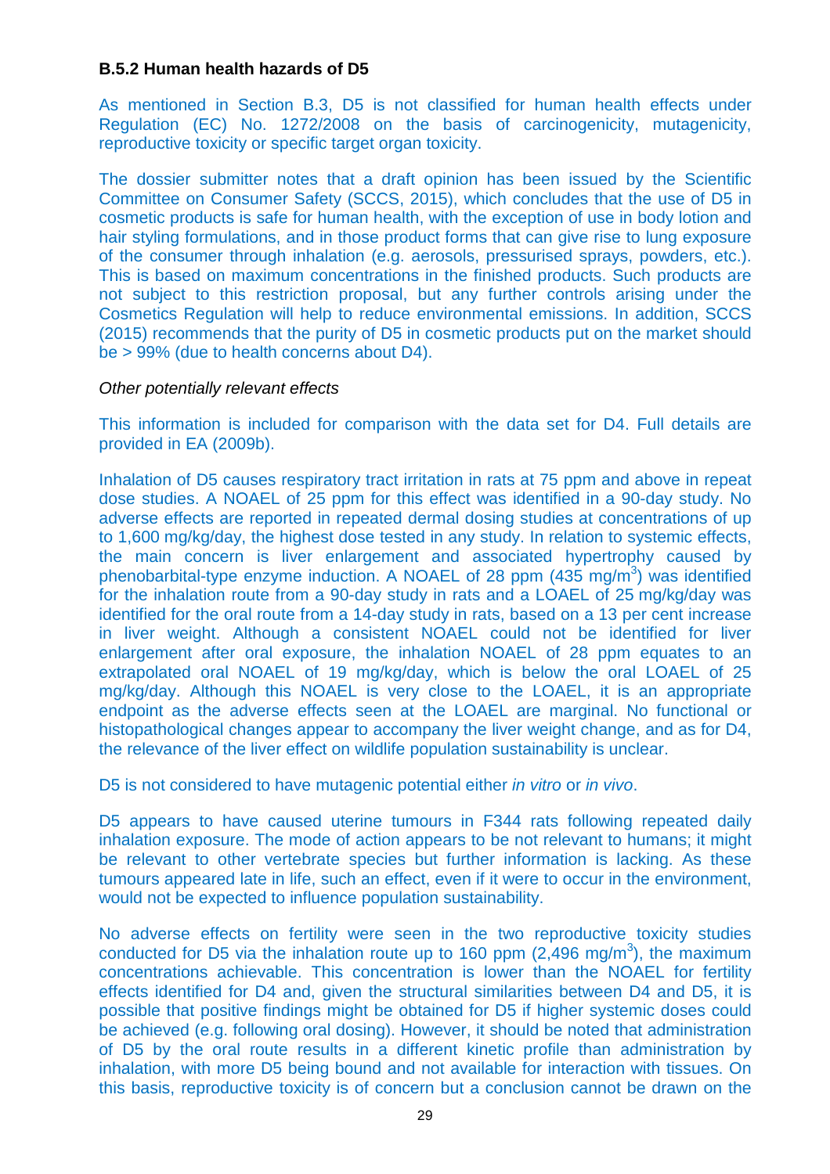#### **B.5.2 Human health hazards of D5**

As mentioned in Section B.3, D5 is not classified for human health effects under Regulation (EC) No. 1272/2008 on the basis of carcinogenicity, mutagenicity, reproductive toxicity or specific target organ toxicity.

The dossier submitter notes that a draft opinion has been issued by the Scientific Committee on Consumer Safety (SCCS, 2015), which concludes that the use of D5 in cosmetic products is safe for human health, with the exception of use in body lotion and hair styling formulations, and in those product forms that can give rise to lung exposure of the consumer through inhalation (e.g. aerosols, pressurised sprays, powders, etc.). This is based on maximum concentrations in the finished products. Such products are not subject to this restriction proposal, but any further controls arising under the Cosmetics Regulation will help to reduce environmental emissions. In addition, SCCS (2015) recommends that the purity of D5 in cosmetic products put on the market should be > 99% (due to health concerns about D4).

#### Other potentially relevant effects

This information is included for comparison with the data set for D4. Full details are provided in EA (2009b).

Inhalation of D5 causes respiratory tract irritation in rats at 75 ppm and above in repeat dose studies. A NOAEL of 25 ppm for this effect was identified in a 90-day study. No adverse effects are reported in repeated dermal dosing studies at concentrations of up to 1,600 mg/kg/day, the highest dose tested in any study. In relation to systemic effects, the main concern is liver enlargement and associated hypertrophy caused by phenobarbital-type enzyme induction. A NOAEL of 28 ppm  $(435 \text{ mg/m}^3)$  was identified for the inhalation route from a 90-day study in rats and a LOAEL of 25 mg/kg/day was identified for the oral route from a 14-day study in rats, based on a 13 per cent increase in liver weight. Although a consistent NOAEL could not be identified for liver enlargement after oral exposure, the inhalation NOAEL of 28 ppm equates to an extrapolated oral NOAEL of 19 mg/kg/day, which is below the oral LOAEL of 25 mg/kg/day. Although this NOAEL is very close to the LOAEL, it is an appropriate endpoint as the adverse effects seen at the LOAEL are marginal. No functional or histopathological changes appear to accompany the liver weight change, and as for D4, the relevance of the liver effect on wildlife population sustainability is unclear.

D5 is not considered to have mutagenic potential either in vitro or in vivo.

D5 appears to have caused uterine tumours in F344 rats following repeated daily inhalation exposure. The mode of action appears to be not relevant to humans; it might be relevant to other vertebrate species but further information is lacking. As these tumours appeared late in life, such an effect, even if it were to occur in the environment, would not be expected to influence population sustainability.

No adverse effects on fertility were seen in the two reproductive toxicity studies conducted for D5 via the inhalation route up to 160 ppm  $(2,496 \text{ mg/m}^3)$ , the maximum concentrations achievable. This concentration is lower than the NOAEL for fertility effects identified for D4 and, given the structural similarities between D4 and D5, it is possible that positive findings might be obtained for D5 if higher systemic doses could be achieved (e.g. following oral dosing). However, it should be noted that administration of D5 by the oral route results in a different kinetic profile than administration by inhalation, with more D5 being bound and not available for interaction with tissues. On this basis, reproductive toxicity is of concern but a conclusion cannot be drawn on the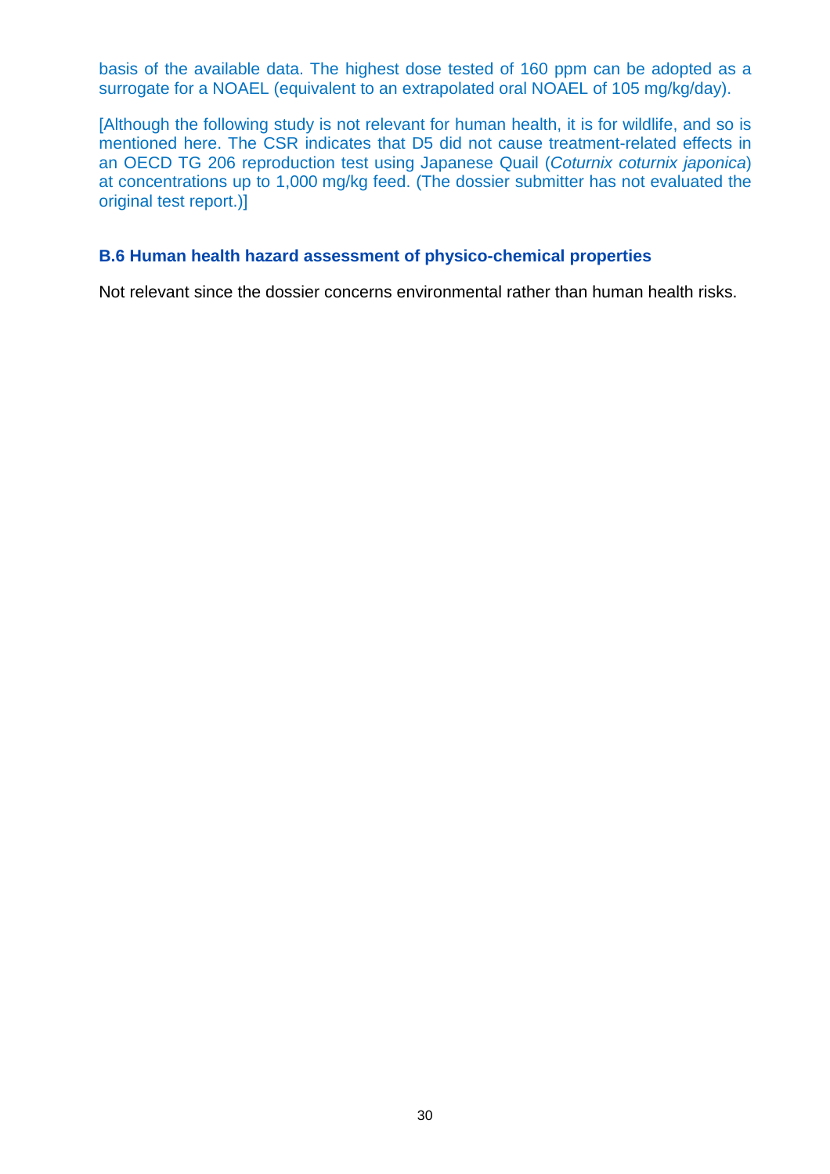basis of the available data. The highest dose tested of 160 ppm can be adopted as a surrogate for a NOAEL (equivalent to an extrapolated oral NOAEL of 105 mg/kg/day).

[Although the following study is not relevant for human health, it is for wildlife, and so is mentioned here. The CSR indicates that D5 did not cause treatment-related effects in an OECD TG 206 reproduction test using Japanese Quail (Coturnix coturnix japonica) at concentrations up to 1,000 mg/kg feed. (The dossier submitter has not evaluated the original test report.)]

#### **B.6 Human health hazard assessment of physico-chemical properties**

Not relevant since the dossier concerns environmental rather than human health risks.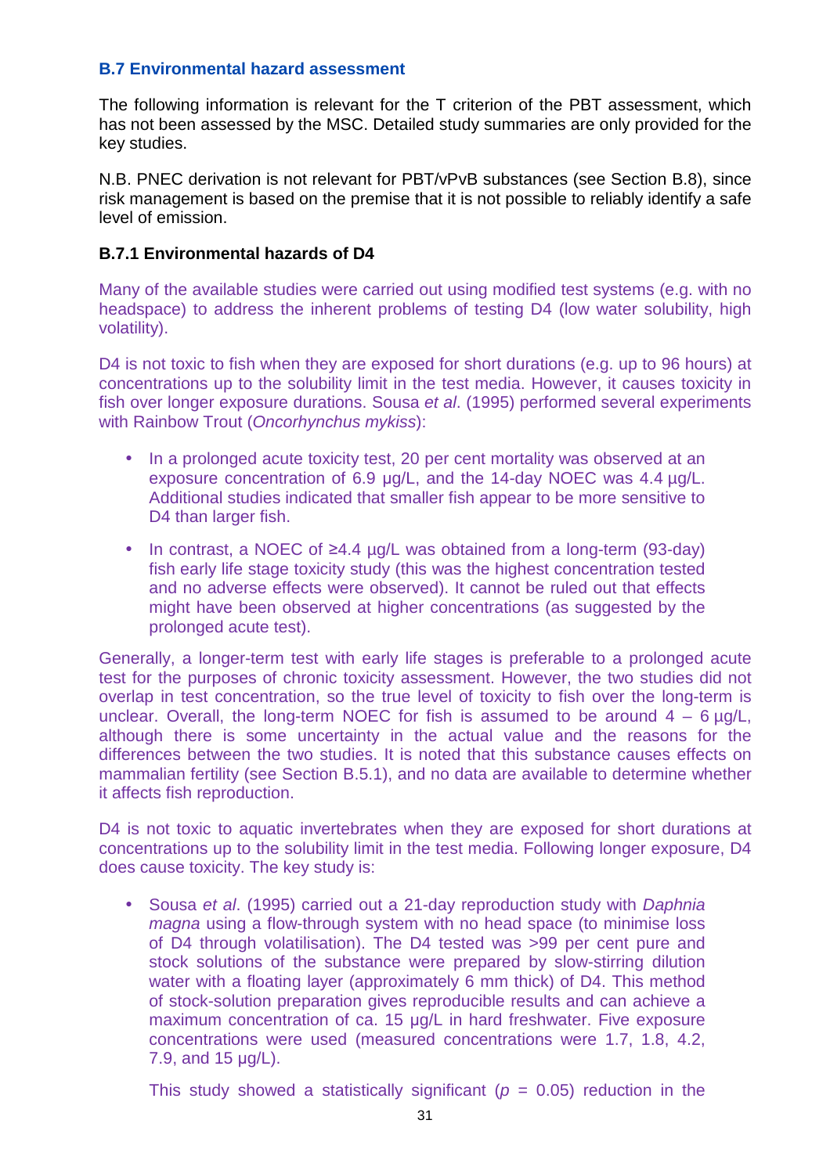#### **B.7 Environmental hazard assessment**

The following information is relevant for the T criterion of the PBT assessment, which has not been assessed by the MSC. Detailed study summaries are only provided for the key studies.

N.B. PNEC derivation is not relevant for PBT/vPvB substances (see Section B.8), since risk management is based on the premise that it is not possible to reliably identify a safe level of emission.

#### **B.7.1 Environmental hazards of D4**

Many of the available studies were carried out using modified test systems (e.g. with no headspace) to address the inherent problems of testing D4 (low water solubility, high volatility).

D4 is not toxic to fish when they are exposed for short durations (e.g. up to 96 hours) at concentrations up to the solubility limit in the test media. However, it causes toxicity in fish over longer exposure durations. Sousa et al. (1995) performed several experiments with Rainbow Trout (Oncorhynchus mykiss):

- In a prolonged acute toxicity test, 20 per cent mortality was observed at an exposure concentration of 6.9 µg/L, and the 14-day NOEC was 4.4 µg/L. Additional studies indicated that smaller fish appear to be more sensitive to D<sub>4</sub> than larger fish.
- In contrast, a NOEC of ≥4.4 µg/L was obtained from a long-term (93-day) fish early life stage toxicity study (this was the highest concentration tested and no adverse effects were observed). It cannot be ruled out that effects might have been observed at higher concentrations (as suggested by the prolonged acute test).

Generally, a longer-term test with early life stages is preferable to a prolonged acute test for the purposes of chronic toxicity assessment. However, the two studies did not overlap in test concentration, so the true level of toxicity to fish over the long-term is unclear. Overall, the long-term NOEC for fish is assumed to be around  $4 - 6 \mu g/L$ , although there is some uncertainty in the actual value and the reasons for the differences between the two studies. It is noted that this substance causes effects on mammalian fertility (see Section B.5.1), and no data are available to determine whether it affects fish reproduction.

D<sub>4</sub> is not toxic to aquatic invertebrates when they are exposed for short durations at concentrations up to the solubility limit in the test media. Following longer exposure, D4 does cause toxicity. The key study is:

• Sousa et al. (1995) carried out a 21-day reproduction study with Daphnia magna using a flow-through system with no head space (to minimise loss of D4 through volatilisation). The D4 tested was >99 per cent pure and stock solutions of the substance were prepared by slow-stirring dilution water with a floating layer (approximately 6 mm thick) of D4. This method of stock-solution preparation gives reproducible results and can achieve a maximum concentration of ca. 15 µg/L in hard freshwater. Five exposure concentrations were used (measured concentrations were 1.7, 1.8, 4.2, 7.9, and 15 µg/L).

This study showed a statistically significant ( $p = 0.05$ ) reduction in the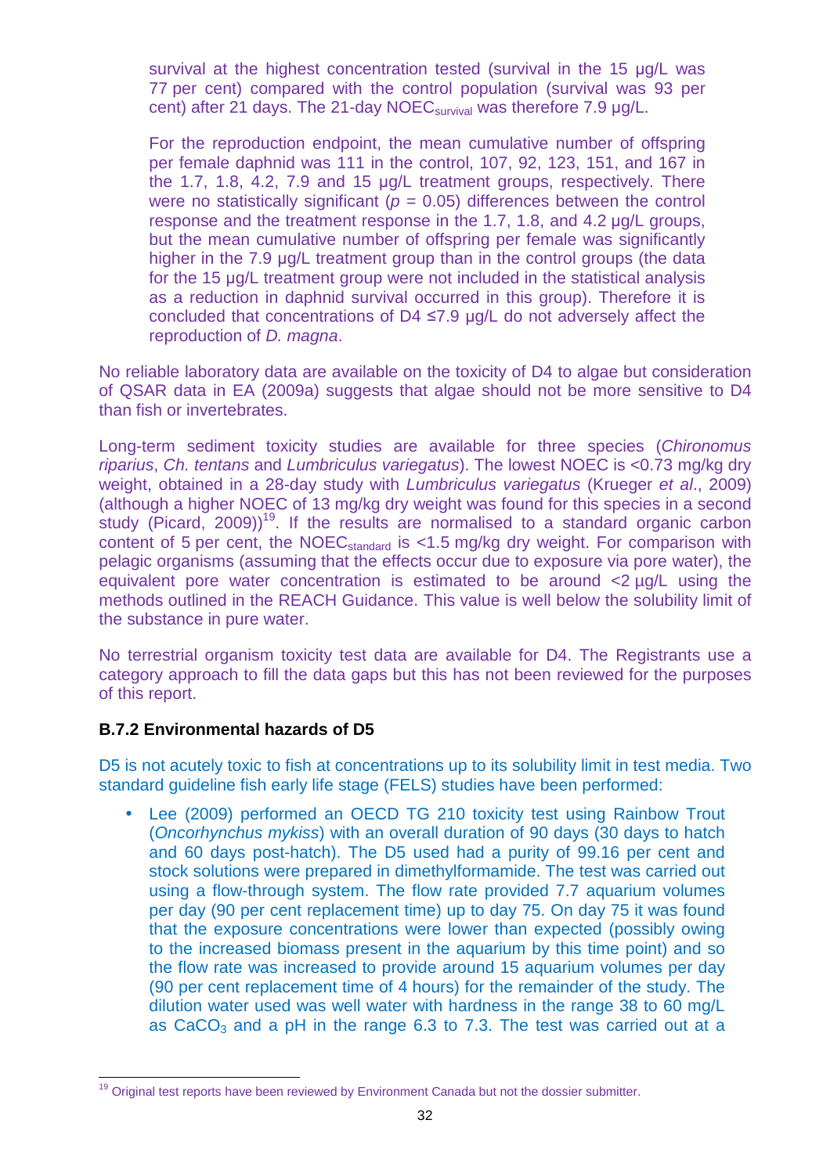survival at the highest concentration tested (survival in the 15 µg/L was 77 per cent) compared with the control population (survival was 93 per cent) after 21 days. The 21-day NOEC<sub>survival</sub> was therefore 7.9 µg/L.

For the reproduction endpoint, the mean cumulative number of offspring per female daphnid was 111 in the control, 107, 92, 123, 151, and 167 in the 1.7, 1.8, 4.2, 7.9 and 15 µg/L treatment groups, respectively. There were no statistically significant ( $p = 0.05$ ) differences between the control response and the treatment response in the 1.7, 1.8, and 4.2 µg/L groups, but the mean cumulative number of offspring per female was significantly higher in the 7.9 µg/L treatment group than in the control groups (the data for the 15 µg/L treatment group were not included in the statistical analysis as a reduction in daphnid survival occurred in this group). Therefore it is concluded that concentrations of D4 ≤7.9 µg/L do not adversely affect the reproduction of *D. magna*.

No reliable laboratory data are available on the toxicity of D4 to algae but consideration of QSAR data in EA (2009a) suggests that algae should not be more sensitive to D4 than fish or invertebrates.

Long-term sediment toxicity studies are available for three species (Chironomus riparius, Ch. tentans and Lumbriculus variegatus). The lowest NOEC is <0.73 mg/kg dry weight, obtained in a 28-day study with *Lumbriculus variegatus* (Krueger et al., 2009) (although a higher NOEC of 13 mg/kg dry weight was found for this species in a second study (Picard,  $2009$ )<sup>19</sup>. If the results are normalised to a standard organic carbon content of 5 per cent, the NOEC<sub>standard</sub> is <1.5 mg/kg dry weight. For comparison with pelagic organisms (assuming that the effects occur due to exposure via pore water), the equivalent pore water concentration is estimated to be around <2 µg/L using the methods outlined in the REACH Guidance. This value is well below the solubility limit of the substance in pure water.

No terrestrial organism toxicity test data are available for D4. The Registrants use a category approach to fill the data gaps but this has not been reviewed for the purposes of this report.

### **B.7.2 Environmental hazards of D5**

D5 is not acutely toxic to fish at concentrations up to its solubility limit in test media. Two standard guideline fish early life stage (FELS) studies have been performed:

• Lee (2009) performed an OECD TG 210 toxicity test using Rainbow Trout (Oncorhynchus mykiss) with an overall duration of 90 days (30 days to hatch and 60 days post-hatch). The D5 used had a purity of 99.16 per cent and stock solutions were prepared in dimethylformamide. The test was carried out using a flow-through system. The flow rate provided 7.7 aquarium volumes per day (90 per cent replacement time) up to day 75. On day 75 it was found that the exposure concentrations were lower than expected (possibly owing to the increased biomass present in the aquarium by this time point) and so the flow rate was increased to provide around 15 aquarium volumes per day (90 per cent replacement time of 4 hours) for the remainder of the study. The dilution water used was well water with hardness in the range 38 to 60 mg/L as CaCO<sub>3</sub> and a pH in the range  $6.3$  to 7.3. The test was carried out at a

j <sup>19</sup> Original test reports have been reviewed by Environment Canada but not the dossier submitter.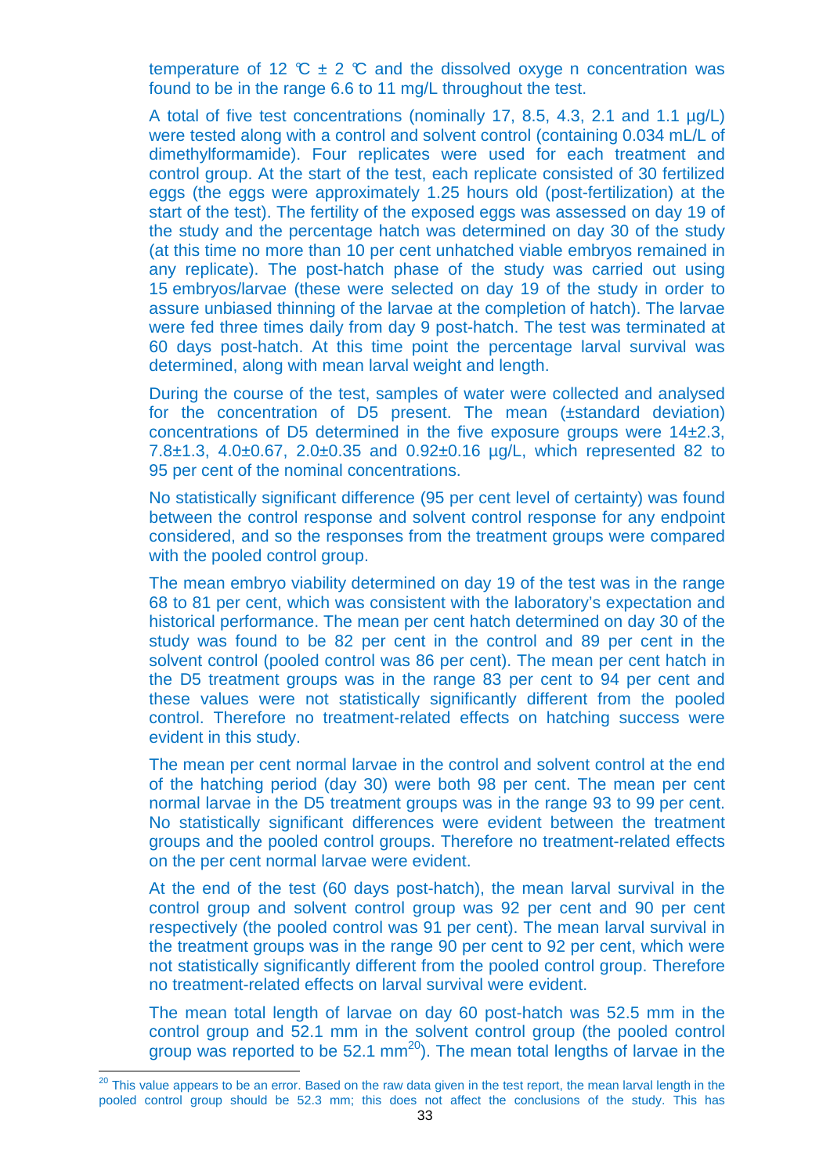temperature of 12  $\mathbb{C} \pm 2 \mathbb{C}$  and the dissolved oxyge n concentration was found to be in the range 6.6 to 11 mg/L throughout the test.

A total of five test concentrations (nominally 17, 8.5, 4.3, 2.1 and 1.1 µg/L) were tested along with a control and solvent control (containing 0.034 mL/L of dimethylformamide). Four replicates were used for each treatment and control group. At the start of the test, each replicate consisted of 30 fertilized eggs (the eggs were approximately 1.25 hours old (post-fertilization) at the start of the test). The fertility of the exposed eggs was assessed on day 19 of the study and the percentage hatch was determined on day 30 of the study (at this time no more than 10 per cent unhatched viable embryos remained in any replicate). The post-hatch phase of the study was carried out using 15 embryos/larvae (these were selected on day 19 of the study in order to assure unbiased thinning of the larvae at the completion of hatch). The larvae were fed three times daily from day 9 post-hatch. The test was terminated at 60 days post-hatch. At this time point the percentage larval survival was determined, along with mean larval weight and length.

During the course of the test, samples of water were collected and analysed for the concentration of D5 present. The mean (±standard deviation) concentrations of D5 determined in the five exposure groups were 14±2.3, 7.8±1.3, 4.0±0.67, 2.0±0.35 and 0.92±0.16 µg/L, which represented 82 to 95 per cent of the nominal concentrations.

No statistically significant difference (95 per cent level of certainty) was found between the control response and solvent control response for any endpoint considered, and so the responses from the treatment groups were compared with the pooled control group.

The mean embryo viability determined on day 19 of the test was in the range 68 to 81 per cent, which was consistent with the laboratory's expectation and historical performance. The mean per cent hatch determined on day 30 of the study was found to be 82 per cent in the control and 89 per cent in the solvent control (pooled control was 86 per cent). The mean per cent hatch in the D5 treatment groups was in the range 83 per cent to 94 per cent and these values were not statistically significantly different from the pooled control. Therefore no treatment-related effects on hatching success were evident in this study.

The mean per cent normal larvae in the control and solvent control at the end of the hatching period (day 30) were both 98 per cent. The mean per cent normal larvae in the D5 treatment groups was in the range 93 to 99 per cent. No statistically significant differences were evident between the treatment groups and the pooled control groups. Therefore no treatment-related effects on the per cent normal larvae were evident.

At the end of the test (60 days post-hatch), the mean larval survival in the control group and solvent control group was 92 per cent and 90 per cent respectively (the pooled control was 91 per cent). The mean larval survival in the treatment groups was in the range 90 per cent to 92 per cent, which were not statistically significantly different from the pooled control group. Therefore no treatment-related effects on larval survival were evident.

The mean total length of larvae on day 60 post-hatch was 52.5 mm in the control group and 52.1 mm in the solvent control group (the pooled control group was reported to be  $52.1 \text{ mm}^{20}$ . The mean total lengths of larvae in the

t

 $^{20}$  This value appears to be an error. Based on the raw data given in the test report, the mean larval length in the pooled control group should be 52.3 mm; this does not affect the conclusions of the study. This has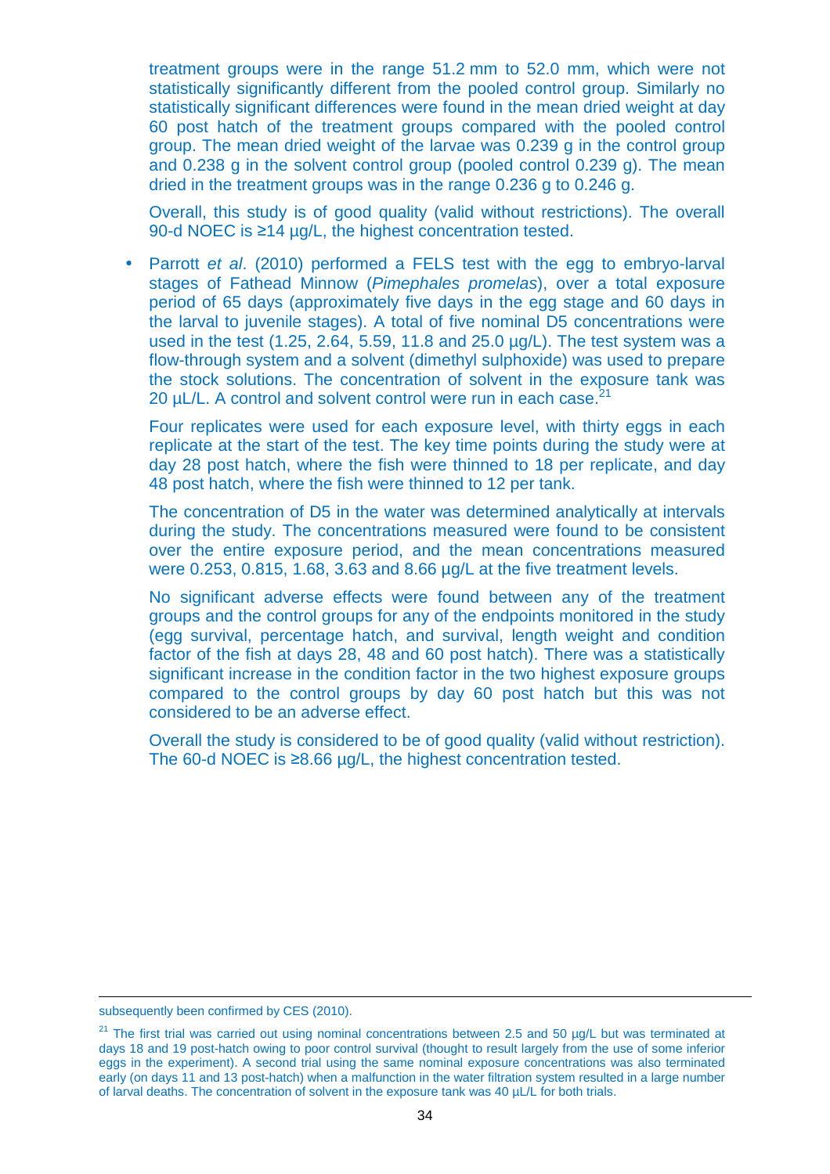treatment groups were in the range 51.2 mm to 52.0 mm, which were not statistically significantly different from the pooled control group. Similarly no statistically significant differences were found in the mean dried weight at day 60 post hatch of the treatment groups compared with the pooled control group. The mean dried weight of the larvae was 0.239 g in the control group and 0.238 g in the solvent control group (pooled control 0.239 g). The mean dried in the treatment groups was in the range 0.236 g to 0.246 g.

Overall, this study is of good quality (valid without restrictions). The overall 90-d NOEC is ≥14 µg/L, the highest concentration tested.

• Parrott et al. (2010) performed a FELS test with the egg to embryo-larval stages of Fathead Minnow (Pimephales promelas), over a total exposure period of 65 days (approximately five days in the egg stage and 60 days in the larval to juvenile stages). A total of five nominal D5 concentrations were used in the test (1.25, 2.64, 5.59, 11.8 and 25.0 µg/L). The test system was a flow-through system and a solvent (dimethyl sulphoxide) was used to prepare the stock solutions. The concentration of solvent in the exposure tank was 20  $\mu$ L/L. A control and solvent control were run in each case.<sup>21</sup>

Four replicates were used for each exposure level, with thirty eggs in each replicate at the start of the test. The key time points during the study were at day 28 post hatch, where the fish were thinned to 18 per replicate, and day 48 post hatch, where the fish were thinned to 12 per tank.

The concentration of D5 in the water was determined analytically at intervals during the study. The concentrations measured were found to be consistent over the entire exposure period, and the mean concentrations measured were 0.253, 0.815, 1.68, 3.63 and 8.66 µg/L at the five treatment levels.

No significant adverse effects were found between any of the treatment groups and the control groups for any of the endpoints monitored in the study (egg survival, percentage hatch, and survival, length weight and condition factor of the fish at days 28, 48 and 60 post hatch). There was a statistically significant increase in the condition factor in the two highest exposure groups compared to the control groups by day 60 post hatch but this was not considered to be an adverse effect.

Overall the study is considered to be of good quality (valid without restriction). The 60-d NOEC is ≥8.66 µg/L, the highest concentration tested.

l

subsequently been confirmed by CES (2010).

<sup>&</sup>lt;sup>21</sup> The first trial was carried out using nominal concentrations between 2.5 and 50 µg/L but was terminated at days 18 and 19 post-hatch owing to poor control survival (thought to result largely from the use of some inferior eggs in the experiment). A second trial using the same nominal exposure concentrations was also terminated early (on days 11 and 13 post-hatch) when a malfunction in the water filtration system resulted in a large number of larval deaths. The concentration of solvent in the exposure tank was 40 µL/L for both trials.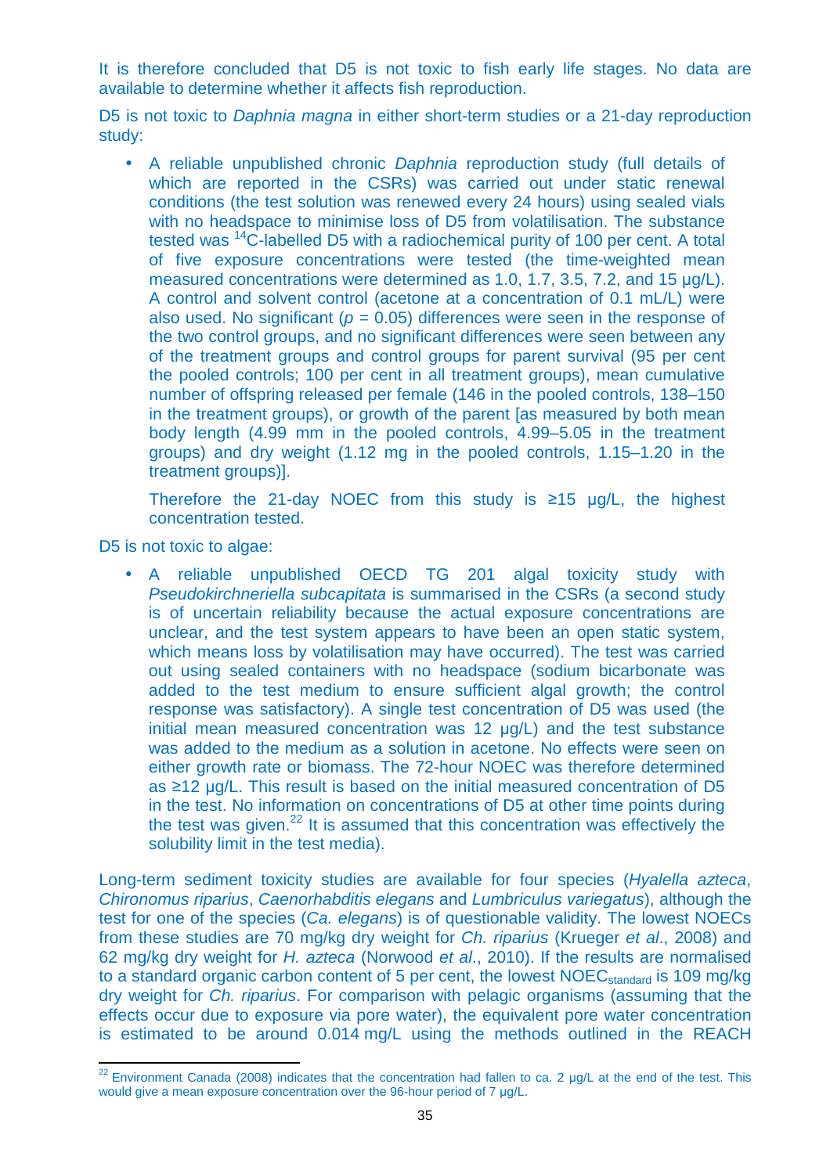It is therefore concluded that D5 is not toxic to fish early life stages. No data are available to determine whether it affects fish reproduction.

D5 is not toxic to *Daphnia magna* in either short-term studies or a 21-day reproduction study:

• A reliable unpublished chronic Daphnia reproduction study (full details of which are reported in the CSRs) was carried out under static renewal conditions (the test solution was renewed every 24 hours) using sealed vials with no headspace to minimise loss of D5 from volatilisation. The substance tested was <sup>14</sup>C-labelled D5 with a radiochemical purity of 100 per cent. A total of five exposure concentrations were tested (the time-weighted mean measured concentrations were determined as 1.0, 1.7, 3.5, 7.2, and 15 µg/L). A control and solvent control (acetone at a concentration of 0.1 mL/L) were also used. No significant ( $p = 0.05$ ) differences were seen in the response of the two control groups, and no significant differences were seen between any of the treatment groups and control groups for parent survival (95 per cent the pooled controls; 100 per cent in all treatment groups), mean cumulative number of offspring released per female (146 in the pooled controls, 138–150 in the treatment groups), or growth of the parent [as measured by both mean body length (4.99 mm in the pooled controls, 4.99–5.05 in the treatment groups) and dry weight (1.12 mg in the pooled controls, 1.15–1.20 in the treatment groups)].

Therefore the 21-day NOEC from this study is ≥15 µg/L, the highest concentration tested.

D5 is not toxic to algae:

• A reliable unpublished OECD TG 201 algal toxicity study with Pseudokirchneriella subcapitata is summarised in the CSRs (a second study is of uncertain reliability because the actual exposure concentrations are unclear, and the test system appears to have been an open static system, which means loss by volatilisation may have occurred). The test was carried out using sealed containers with no headspace (sodium bicarbonate was added to the test medium to ensure sufficient algal growth; the control response was satisfactory). A single test concentration of D5 was used (the initial mean measured concentration was 12 µg/L) and the test substance was added to the medium as a solution in acetone. No effects were seen on either growth rate or biomass. The 72-hour NOEC was therefore determined as ≥12 µg/L. This result is based on the initial measured concentration of D5 in the test. No information on concentrations of D5 at other time points during the test was given. $^{22}$  It is assumed that this concentration was effectively the solubility limit in the test media).

Long-term sediment toxicity studies are available for four species (Hyalella azteca, Chironomus riparius, Caenorhabditis elegans and Lumbriculus variegatus), although the test for one of the species (Ca. elegans) is of questionable validity. The lowest NOECs from these studies are 70 mg/kg dry weight for Ch. riparius (Krueger et al., 2008) and 62 mg/kg dry weight for H. azteca (Norwood et al., 2010). If the results are normalised to a standard organic carbon content of 5 per cent, the lowest NOEC<sub>standard</sub> is 109 mg/kg dry weight for Ch. riparius. For comparison with pelagic organisms (assuming that the effects occur due to exposure via pore water), the equivalent pore water concentration is estimated to be around 0.014 mg/L using the methods outlined in the REACH

t <sup>22</sup> Environment Canada (2008) indicates that the concentration had fallen to ca. 2  $\mu$ g/L at the end of the test. This would give a mean exposure concentration over the 96-hour period of 7 µg/L.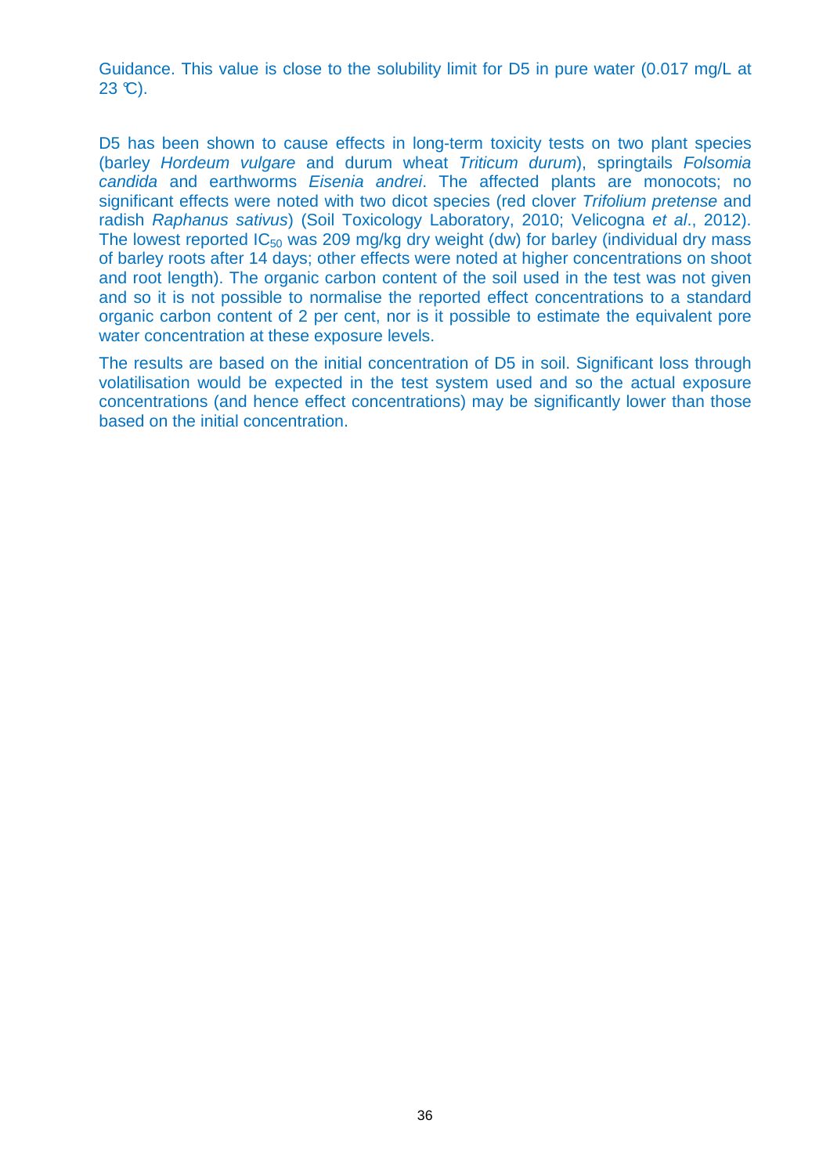Guidance. This value is close to the solubility limit for D5 in pure water (0.017 mg/L at  $23 \text{ }^{\circ}C$ ).

D5 has been shown to cause effects in long-term toxicity tests on two plant species (barley Hordeum vulgare and durum wheat Triticum durum), springtails Folsomia candida and earthworms Eisenia andrei. The affected plants are monocots; no significant effects were noted with two dicot species (red clover Trifolium pretense and radish Raphanus sativus) (Soil Toxicology Laboratory, 2010; Velicogna et al., 2012). The lowest reported  $IC_{50}$  was 209 mg/kg dry weight (dw) for barley (individual dry mass of barley roots after 14 days; other effects were noted at higher concentrations on shoot and root length). The organic carbon content of the soil used in the test was not given and so it is not possible to normalise the reported effect concentrations to a standard organic carbon content of 2 per cent, nor is it possible to estimate the equivalent pore water concentration at these exposure levels.

The results are based on the initial concentration of D5 in soil. Significant loss through volatilisation would be expected in the test system used and so the actual exposure concentrations (and hence effect concentrations) may be significantly lower than those based on the initial concentration.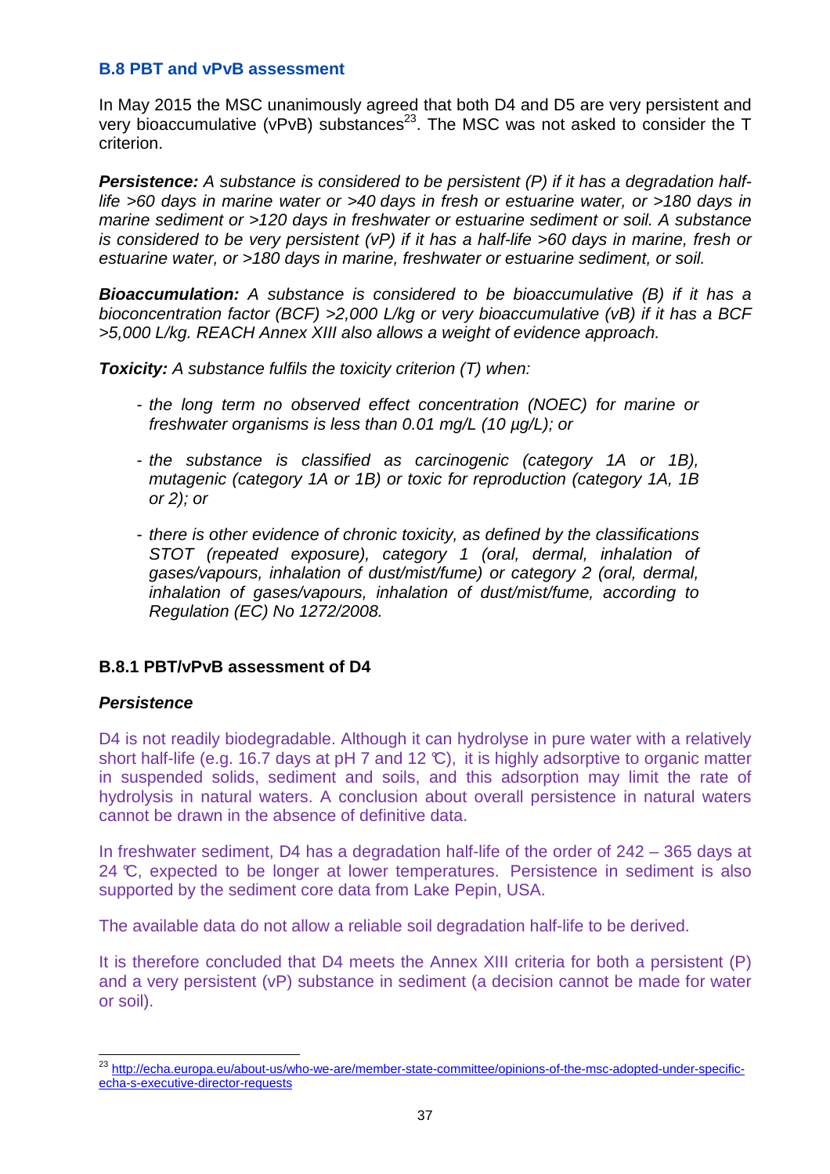### **B.8 PBT and vPvB assessment**

In May 2015 the MSC unanimously agreed that both D4 and D5 are very persistent and very bioaccumulative (vPvB) substances<sup>23</sup>. The MSC was not asked to consider the T criterion.

**Persistence:** A substance is considered to be persistent (P) if it has a degradation halflife >60 days in marine water or >40 days in fresh or estuarine water, or >180 days in marine sediment or >120 days in freshwater or estuarine sediment or soil. A substance is considered to be very persistent (vP) if it has a half-life >60 days in marine, fresh or estuarine water, or >180 days in marine, freshwater or estuarine sediment, or soil.

**Bioaccumulation:** A substance is considered to be bioaccumulative (B) if it has a bioconcentration factor (BCF) >2,000 L/kg or very bioaccumulative (vB) if it has a BCF >5,000 L/kg. REACH Annex XIII also allows a weight of evidence approach.

**Toxicity:** A substance fulfils the toxicity criterion (T) when:

- the long term no observed effect concentration (NOEC) for marine or freshwater organisms is less than 0.01 mg/L (10 µg/L); or
- the substance is classified as carcinogenic (category 1A or 1B), mutagenic (category 1A or 1B) or toxic for reproduction (category 1A, 1B or 2); or
- there is other evidence of chronic toxicity, as defined by the classifications STOT (repeated exposure), category 1 (oral, dermal, inhalation of gases/vapours, inhalation of dust/mist/fume) or category 2 (oral, dermal, inhalation of gases/vapours, inhalation of dust/mist/fume, according to Regulation (EC) No 1272/2008.

## **B.8.1 PBT/vPvB assessment of D4**

### **Persistence**

D4 is not readily biodegradable. Although it can hydrolyse in pure water with a relatively short half-life (e.g. 16.7 days at pH 7 and 12 °C), it is highly adsorptive to organic matter in suspended solids, sediment and soils, and this adsorption may limit the rate of hydrolysis in natural waters. A conclusion about overall persistence in natural waters cannot be drawn in the absence of definitive data.

In freshwater sediment, D4 has a degradation half-life of the order of 242 – 365 days at 24 °C, expected to be longer at lower temperatures. Persistence in sediment is also supported by the sediment core data from Lake Pepin, USA.

The available data do not allow a reliable soil degradation half-life to be derived.

It is therefore concluded that D4 meets the Annex XIII criteria for both a persistent (P) and a very persistent (vP) substance in sediment (a decision cannot be made for water or soil).

j <sup>23</sup> http://echa.europa.eu/about-us/who-we-are/member-state-committee/opinions-of-the-msc-adopted-under-specificecha-s-executive-director-requests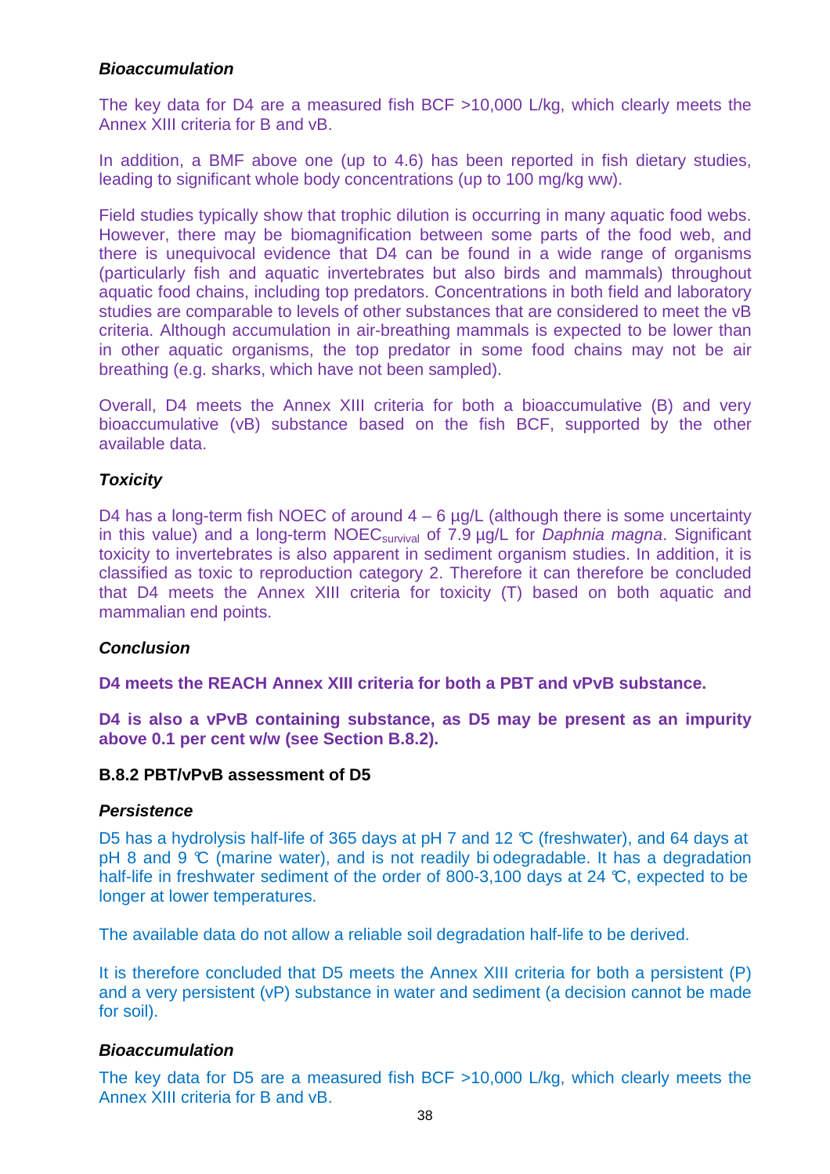### **Bioaccumulation**

The key data for D4 are a measured fish BCF >10,000 L/kg, which clearly meets the Annex XIII criteria for B and vB.

In addition, a BMF above one (up to 4.6) has been reported in fish dietary studies, leading to significant whole body concentrations (up to 100 mg/kg ww).

Field studies typically show that trophic dilution is occurring in many aquatic food webs. However, there may be biomagnification between some parts of the food web, and there is unequivocal evidence that D4 can be found in a wide range of organisms (particularly fish and aquatic invertebrates but also birds and mammals) throughout aquatic food chains, including top predators. Concentrations in both field and laboratory studies are comparable to levels of other substances that are considered to meet the vB criteria. Although accumulation in air-breathing mammals is expected to be lower than in other aquatic organisms, the top predator in some food chains may not be air breathing (e.g. sharks, which have not been sampled).

Overall, D4 meets the Annex XIII criteria for both a bioaccumulative (B) and very bioaccumulative (vB) substance based on the fish BCF, supported by the other available data.

### **Toxicity**

D4 has a long-term fish NOEC of around  $4 - 6$  µg/L (although there is some uncertainty in this value) and a long-term  $NOEC_{survival}$  of 7.9  $\mu$ g/L for *Daphnia magna*. Significant toxicity to invertebrates is also apparent in sediment organism studies. In addition, it is classified as toxic to reproduction category 2. Therefore it can therefore be concluded that D4 meets the Annex XIII criteria for toxicity (T) based on both aquatic and mammalian end points.

### **Conclusion**

**D4 meets the REACH Annex XIII criteria for both a PBT and vPvB substance.** 

**D4 is also a vPvB containing substance, as D5 may be present as an impurity above 0.1 per cent w/w (see Section B.8.2).** 

#### **B.8.2 PBT/vPvB assessment of D5**

#### **Persistence**

D5 has a hydrolysis half-life of 365 days at pH 7 and 12 ℃ (freshwater), and 64 days at  $pH$  8 and 9  $\mathbb C$  (marine water), and is not readily bi odegradable. It has a degradation half-life in freshwater sediment of the order of 800-3,100 days at 24 °C, expected to be longer at lower temperatures.

The available data do not allow a reliable soil degradation half-life to be derived.

It is therefore concluded that D5 meets the Annex XIII criteria for both a persistent (P) and a very persistent (vP) substance in water and sediment (a decision cannot be made for soil).

#### **Bioaccumulation**

The key data for D5 are a measured fish BCF >10,000 L/kg, which clearly meets the Annex XIII criteria for B and vB.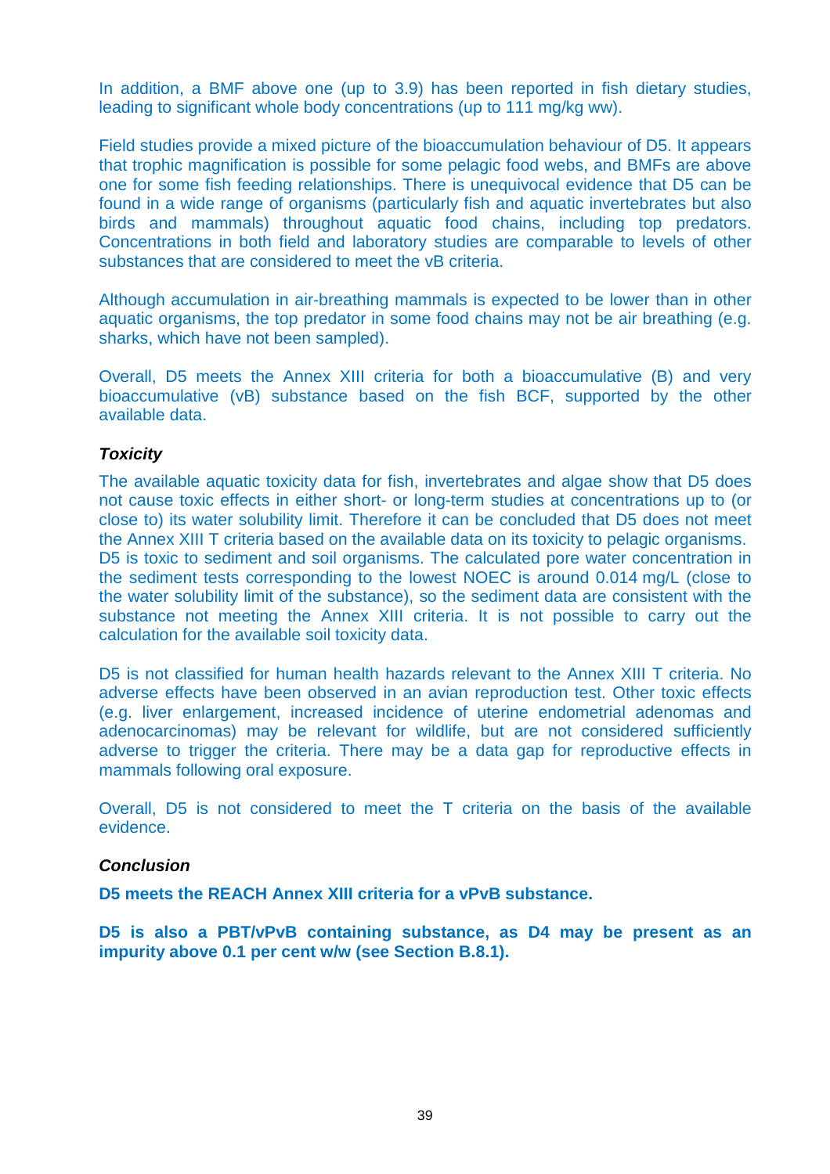In addition, a BMF above one (up to 3.9) has been reported in fish dietary studies, leading to significant whole body concentrations (up to 111 mg/kg ww).

Field studies provide a mixed picture of the bioaccumulation behaviour of D5. It appears that trophic magnification is possible for some pelagic food webs, and BMFs are above one for some fish feeding relationships. There is unequivocal evidence that D5 can be found in a wide range of organisms (particularly fish and aquatic invertebrates but also birds and mammals) throughout aquatic food chains, including top predators. Concentrations in both field and laboratory studies are comparable to levels of other substances that are considered to meet the vB criteria.

Although accumulation in air-breathing mammals is expected to be lower than in other aquatic organisms, the top predator in some food chains may not be air breathing (e.g. sharks, which have not been sampled).

Overall, D5 meets the Annex XIII criteria for both a bioaccumulative (B) and very bioaccumulative (vB) substance based on the fish BCF, supported by the other available data.

### **Toxicity**

The available aquatic toxicity data for fish, invertebrates and algae show that D5 does not cause toxic effects in either short- or long-term studies at concentrations up to (or close to) its water solubility limit. Therefore it can be concluded that D5 does not meet the Annex XIII T criteria based on the available data on its toxicity to pelagic organisms. D5 is toxic to sediment and soil organisms. The calculated pore water concentration in the sediment tests corresponding to the lowest NOEC is around 0.014 mg/L (close to the water solubility limit of the substance), so the sediment data are consistent with the substance not meeting the Annex XIII criteria. It is not possible to carry out the calculation for the available soil toxicity data.

D5 is not classified for human health hazards relevant to the Annex XIII T criteria. No adverse effects have been observed in an avian reproduction test. Other toxic effects (e.g. liver enlargement, increased incidence of uterine endometrial adenomas and adenocarcinomas) may be relevant for wildlife, but are not considered sufficiently adverse to trigger the criteria. There may be a data gap for reproductive effects in mammals following oral exposure.

Overall, D5 is not considered to meet the T criteria on the basis of the available evidence.

### **Conclusion**

**D5 meets the REACH Annex XIII criteria for a vPvB substance.** 

**D5 is also a PBT/vPvB containing substance, as D4 may be present as an impurity above 0.1 per cent w/w (see Section B.8.1).**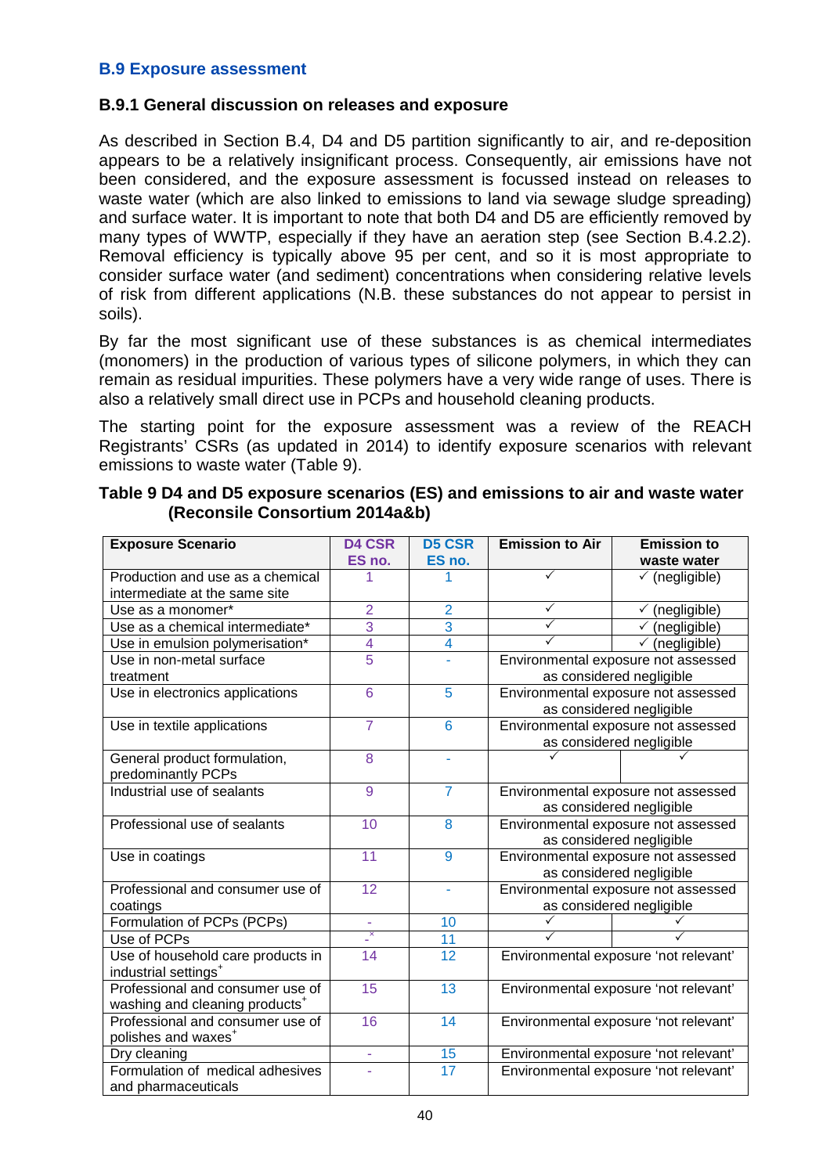#### **B.9 Exposure assessment**

#### **B.9.1 General discussion on releases and exposure**

As described in Section B.4, D4 and D5 partition significantly to air, and re-deposition appears to be a relatively insignificant process. Consequently, air emissions have not been considered, and the exposure assessment is focussed instead on releases to waste water (which are also linked to emissions to land via sewage sludge spreading) and surface water. It is important to note that both D4 and D5 are efficiently removed by many types of WWTP, especially if they have an aeration step (see Section B.4.2.2). Removal efficiency is typically above 95 per cent, and so it is most appropriate to consider surface water (and sediment) concentrations when considering relative levels of risk from different applications (N.B. these substances do not appear to persist in soils).

By far the most significant use of these substances is as chemical intermediates (monomers) in the production of various types of silicone polymers, in which they can remain as residual impurities. These polymers have a very wide range of uses. There is also a relatively small direct use in PCPs and household cleaning products.

The starting point for the exposure assessment was a review of the REACH Registrants' CSRs (as updated in 2014) to identify exposure scenarios with relevant emissions to waste water (Table 9).

| <b>Exposure Scenario</b>                   | <b>D4 CSR</b>            | <b>D5 CSR</b>   | <b>Emission to Air</b><br><b>Emission to</b> |                                       |  |  |
|--------------------------------------------|--------------------------|-----------------|----------------------------------------------|---------------------------------------|--|--|
|                                            | ES no.                   | ES no.          |                                              | waste water                           |  |  |
| Production and use as a chemical           |                          |                 | ✓<br>$\checkmark$ (negligible)               |                                       |  |  |
| intermediate at the same site              |                          |                 |                                              |                                       |  |  |
| Use as a monomer*                          | $\overline{2}$           | $\overline{2}$  | $\checkmark$                                 | $\checkmark$ (negligible)             |  |  |
| Use as a chemical intermediate*            | $\overline{3}$           | 3               |                                              | $\checkmark$ (negligible)             |  |  |
| Use in emulsion polymerisation*            | $\overline{\mathcal{A}}$ | 4               | ✓                                            | (negligible)<br>$\checkmark$          |  |  |
| Use in non-metal surface                   | $\overline{5}$           |                 |                                              | Environmental exposure not assessed   |  |  |
| treatment                                  |                          |                 |                                              | as considered negligible              |  |  |
| Use in electronics applications            | 6                        | $\overline{5}$  |                                              | Environmental exposure not assessed   |  |  |
|                                            |                          |                 |                                              | as considered negligible              |  |  |
| Use in textile applications                | $\overline{7}$           | 6               |                                              | Environmental exposure not assessed   |  |  |
|                                            |                          |                 |                                              | as considered negligible              |  |  |
| General product formulation,               | 8                        | L,              |                                              |                                       |  |  |
| predominantly PCPs                         |                          |                 |                                              |                                       |  |  |
| Industrial use of sealants                 | 9                        | $\overline{7}$  | Environmental exposure not assessed          |                                       |  |  |
|                                            |                          |                 | as considered negligible                     |                                       |  |  |
| Professional use of sealants               | 10                       | 8               | Environmental exposure not assessed          |                                       |  |  |
|                                            |                          |                 | as considered negligible                     |                                       |  |  |
| Use in coatings                            | 11                       | 9               | Environmental exposure not assessed          |                                       |  |  |
|                                            |                          |                 | as considered negligible                     |                                       |  |  |
| Professional and consumer use of           | 12                       | Ĺ,              | Environmental exposure not assessed          |                                       |  |  |
| coatings                                   |                          |                 |                                              | as considered negligible              |  |  |
| Formulation of PCPs (PCPs)                 |                          | 10              |                                              |                                       |  |  |
| Use of PCPs                                | $\mathbf{x}$             | $\overline{11}$ | ✓                                            |                                       |  |  |
| Use of household care products in          | 14                       | 12              |                                              | Environmental exposure 'not relevant' |  |  |
| industrial settings <sup>+</sup>           |                          |                 |                                              |                                       |  |  |
| Professional and consumer use of           | 15                       | 13              | Environmental exposure 'not relevant'        |                                       |  |  |
| washing and cleaning products <sup>+</sup> |                          |                 |                                              |                                       |  |  |
| Professional and consumer use of           | 16                       | 14              | Environmental exposure 'not relevant'        |                                       |  |  |
| polishes and waxes <sup>+</sup>            |                          |                 |                                              |                                       |  |  |
| Dry cleaning                               | ÷.                       | 15              |                                              | Environmental exposure 'not relevant' |  |  |
| Formulation of medical adhesives           |                          | $\overline{17}$ | Environmental exposure 'not relevant'        |                                       |  |  |
| and pharmaceuticals                        |                          |                 |                                              |                                       |  |  |

#### **Table 9 D4 and D5 exposure scenarios (ES) and emissions to air and waste water (Reconsile Consortium 2014a&b)**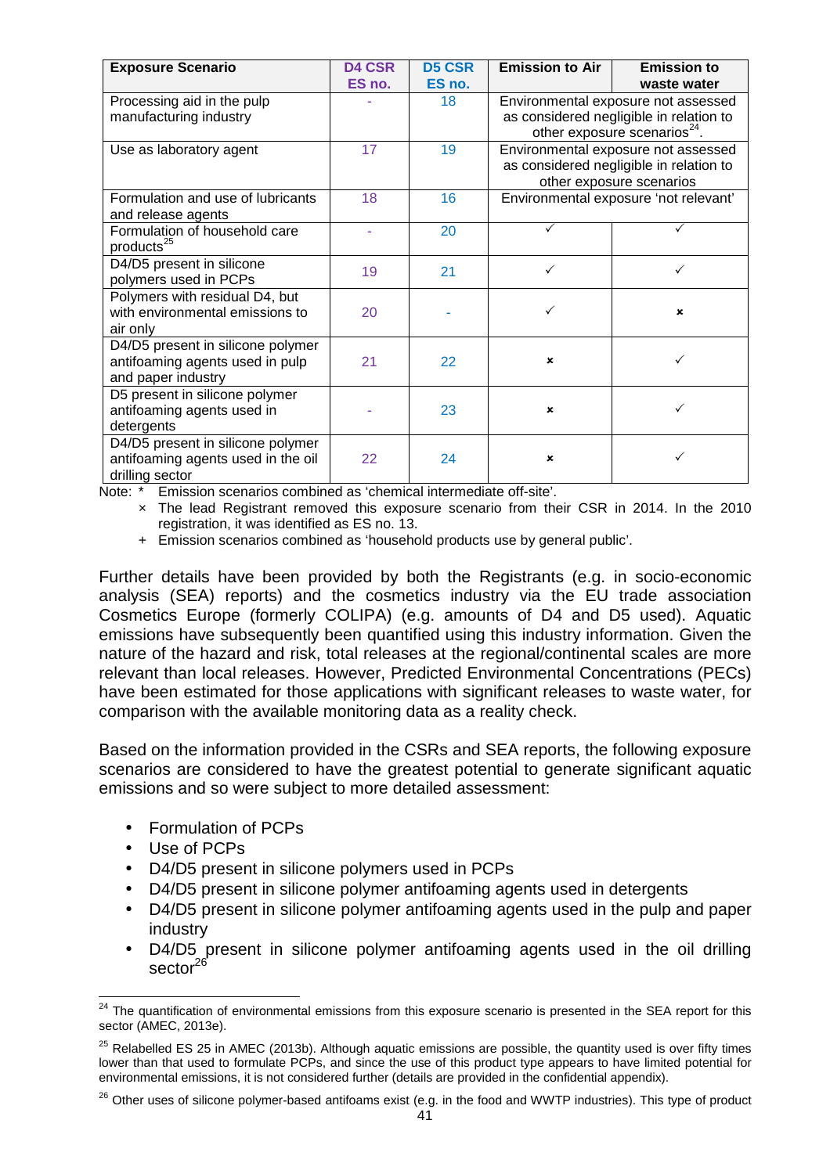| <b>Exposure Scenario</b>           | <b>D4 CSR</b> | <b>D5 CSR</b> | <b>Emission to Air</b>              | <b>Emission to</b>                       |  |  |
|------------------------------------|---------------|---------------|-------------------------------------|------------------------------------------|--|--|
|                                    | ES no.        | ES no.        | waste water                         |                                          |  |  |
| Processing aid in the pulp         |               | 18            | Environmental exposure not assessed |                                          |  |  |
| manufacturing industry             |               |               |                                     | as considered negligible in relation to  |  |  |
|                                    |               |               |                                     | other exposure scenarios <sup>24</sup> . |  |  |
| Use as laboratory agent            | 17            | 19            |                                     | Environmental exposure not assessed      |  |  |
|                                    |               |               |                                     | as considered negligible in relation to  |  |  |
|                                    |               |               |                                     | other exposure scenarios                 |  |  |
| Formulation and use of lubricants  | 18            | 16            |                                     | Environmental exposure 'not relevant'    |  |  |
| and release agents                 |               |               |                                     |                                          |  |  |
| Formulation of household care      |               | 20            |                                     |                                          |  |  |
| products <sup>25</sup>             |               |               |                                     |                                          |  |  |
| D4/D5 present in silicone          | 19            | 21            |                                     |                                          |  |  |
| polymers used in PCPs              |               |               |                                     |                                          |  |  |
| Polymers with residual D4, but     |               |               |                                     |                                          |  |  |
| with environmental emissions to    | 20            |               | ✓                                   | $\boldsymbol{\mathsf{x}}$                |  |  |
| air only                           |               |               |                                     |                                          |  |  |
| D4/D5 present in silicone polymer  |               |               |                                     |                                          |  |  |
| antifoaming agents used in pulp    | 21            | 22            | $\boldsymbol{\mathsf{x}}$           |                                          |  |  |
| and paper industry                 |               |               |                                     |                                          |  |  |
| D5 present in silicone polymer     |               |               |                                     |                                          |  |  |
| antifoaming agents used in         |               | 23            | ×                                   |                                          |  |  |
| detergents                         |               |               |                                     |                                          |  |  |
| D4/D5 present in silicone polymer  |               |               |                                     |                                          |  |  |
| antifoaming agents used in the oil | 22            | 24            | ×                                   |                                          |  |  |
| drilling sector                    |               |               |                                     |                                          |  |  |

Note: \* Emission scenarios combined as 'chemical intermediate off-site'.

 × The lead Registrant removed this exposure scenario from their CSR in 2014. In the 2010 registration, it was identified as ES no. 13.

+ Emission scenarios combined as 'household products use by general public'.

Further details have been provided by both the Registrants (e.g. in socio-economic analysis (SEA) reports) and the cosmetics industry via the EU trade association Cosmetics Europe (formerly COLIPA) (e.g. amounts of D4 and D5 used). Aquatic emissions have subsequently been quantified using this industry information. Given the nature of the hazard and risk, total releases at the regional/continental scales are more relevant than local releases. However, Predicted Environmental Concentrations (PECs) have been estimated for those applications with significant releases to waste water, for comparison with the available monitoring data as a reality check.

Based on the information provided in the CSRs and SEA reports, the following exposure scenarios are considered to have the greatest potential to generate significant aquatic emissions and so were subject to more detailed assessment:

- Formulation of PCPs
- Use of PCPs
- D4/D5 present in silicone polymers used in PCPs
- D4/D5 present in silicone polymer antifoaming agents used in detergents
- D4/D5 present in silicone polymer antifoaming agents used in the pulp and paper industry
- D4/D5 present in silicone polymer antifoaming agents used in the oil drilling  $\sec 10^{-26}$

j <sup>24</sup> The quantification of environmental emissions from this exposure scenario is presented in the SEA report for this sector (AMEC, 2013e).

 $25$  Relabelled ES 25 in AMEC (2013b). Although aquatic emissions are possible, the quantity used is over fifty times lower than that used to formulate PCPs, and since the use of this product type appears to have limited potential for environmental emissions, it is not considered further (details are provided in the confidential appendix).

<sup>&</sup>lt;sup>26</sup> Other uses of silicone polymer-based antifoams exist (e.g. in the food and WWTP industries). This type of product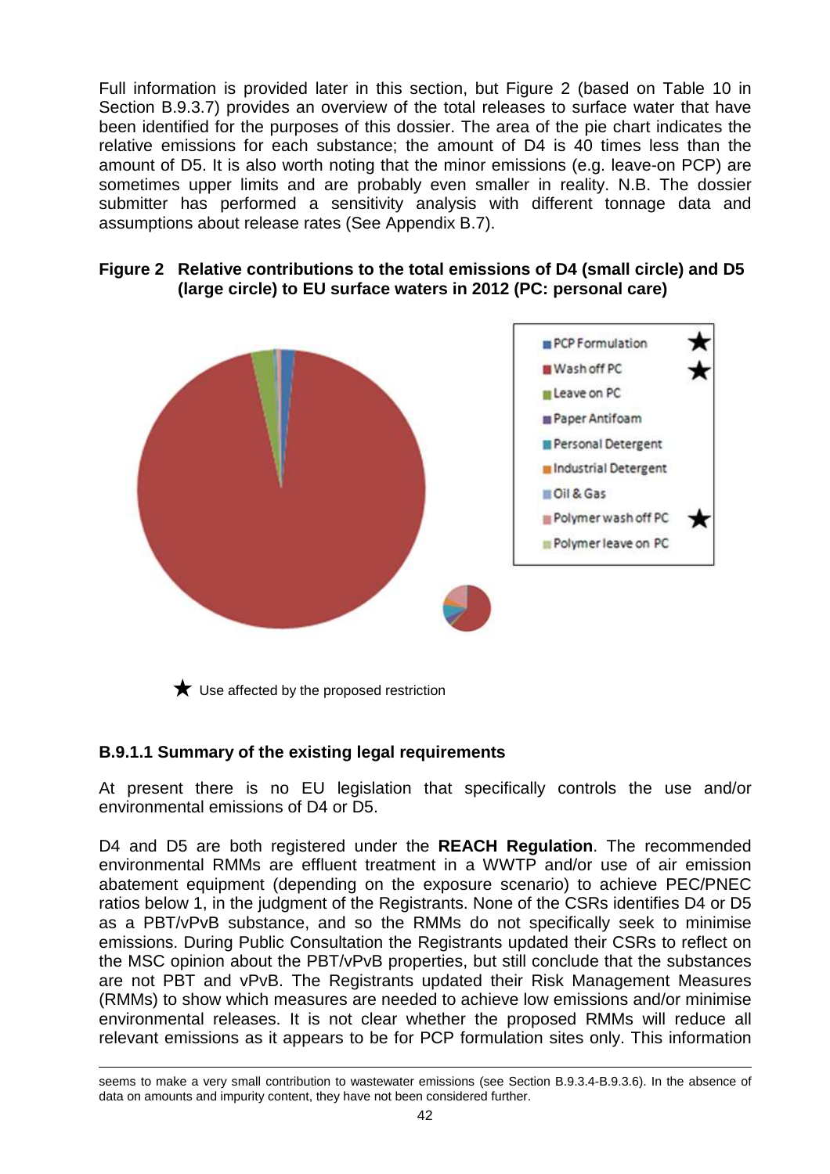Full information is provided later in this section, but Figure 2 (based on Table 10 in Section B.9.3.7) provides an overview of the total releases to surface water that have been identified for the purposes of this dossier. The area of the pie chart indicates the relative emissions for each substance; the amount of D4 is 40 times less than the amount of D5. It is also worth noting that the minor emissions (e.g. leave-on PCP) are sometimes upper limits and are probably even smaller in reality. N.B. The dossier submitter has performed a sensitivity analysis with different tonnage data and assumptions about release rates (See Appendix B.7).

### **Figure 2 Relative contributions to the total emissions of D4 (small circle) and D5 (large circle) to EU surface waters in 2012 (PC: personal care)**



 $\bigstar$  Use affected by the proposed restriction

## **B.9.1.1 Summary of the existing legal requirements**

At present there is no EU legislation that specifically controls the use and/or environmental emissions of D4 or D5.

D4 and D5 are both registered under the **REACH Regulation**. The recommended environmental RMMs are effluent treatment in a WWTP and/or use of air emission abatement equipment (depending on the exposure scenario) to achieve PEC/PNEC ratios below 1, in the judgment of the Registrants. None of the CSRs identifies D4 or D5 as a PBT/vPvB substance, and so the RMMs do not specifically seek to minimise emissions. During Public Consultation the Registrants updated their CSRs to reflect on the MSC opinion about the PBT/vPvB properties, but still conclude that the substances are not PBT and vPvB. The Registrants updated their Risk Management Measures (RMMs) to show which measures are needed to achieve low emissions and/or minimise environmental releases. It is not clear whether the proposed RMMs will reduce all relevant emissions as it appears to be for PCP formulation sites only. This information

i, seems to make a very small contribution to wastewater emissions (see Section B.9.3.4-B.9.3.6). In the absence of data on amounts and impurity content, they have not been considered further.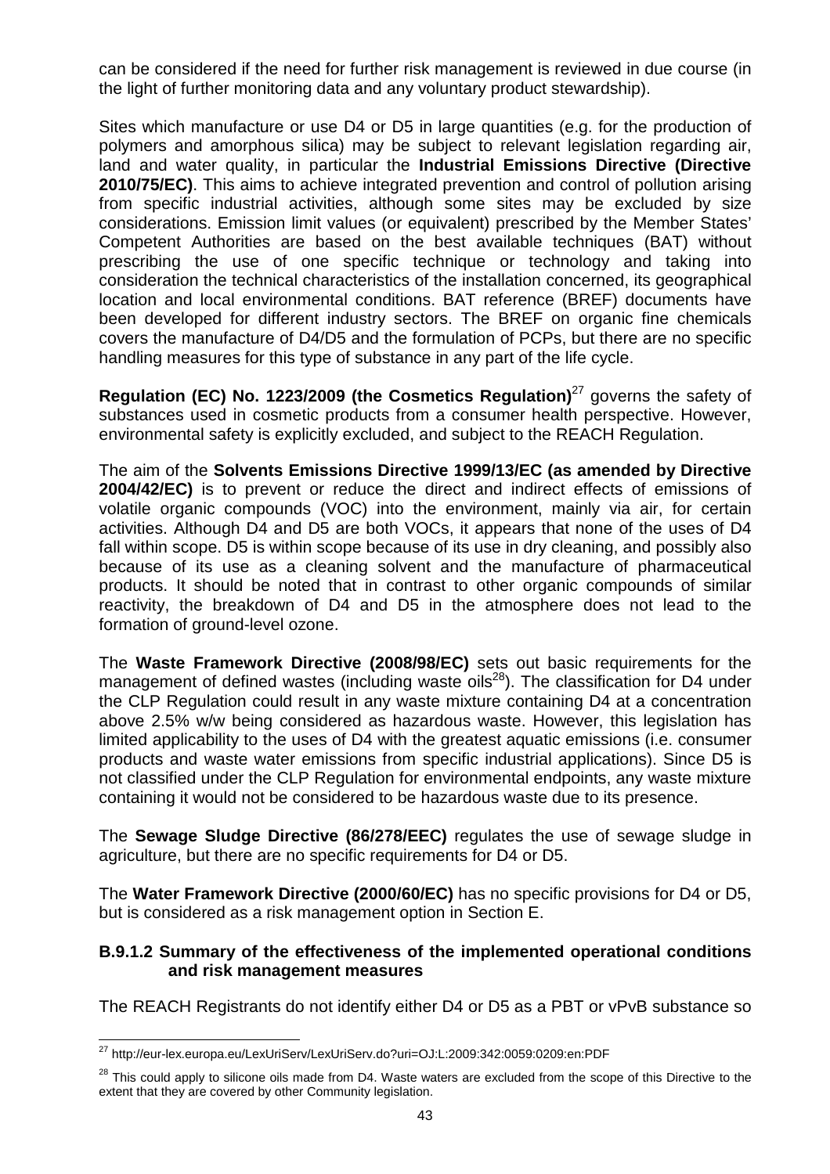can be considered if the need for further risk management is reviewed in due course (in the light of further monitoring data and any voluntary product stewardship).

Sites which manufacture or use D4 or D5 in large quantities (e.g. for the production of polymers and amorphous silica) may be subject to relevant legislation regarding air, land and water quality, in particular the **Industrial Emissions Directive (Directive 2010/75/EC)**. This aims to achieve integrated prevention and control of pollution arising from specific industrial activities, although some sites may be excluded by size considerations. Emission limit values (or equivalent) prescribed by the Member States' Competent Authorities are based on the best available techniques (BAT) without prescribing the use of one specific technique or technology and taking into consideration the technical characteristics of the installation concerned, its geographical location and local environmental conditions. BAT reference (BREF) documents have been developed for different industry sectors. The BREF on organic fine chemicals covers the manufacture of D4/D5 and the formulation of PCPs, but there are no specific handling measures for this type of substance in any part of the life cycle.

**Regulation (EC) No. 1223/2009 (the Cosmetics Regulation)<sup>27</sup> governs the safety of** substances used in cosmetic products from a consumer health perspective. However, environmental safety is explicitly excluded, and subject to the REACH Regulation.

The aim of the **Solvents Emissions Directive 1999/13/EC (as amended by Directive 2004/42/EC)** is to prevent or reduce the direct and indirect effects of emissions of volatile organic compounds (VOC) into the environment, mainly via air, for certain activities. Although D4 and D5 are both VOCs, it appears that none of the uses of D4 fall within scope. D5 is within scope because of its use in dry cleaning, and possibly also because of its use as a cleaning solvent and the manufacture of pharmaceutical products. It should be noted that in contrast to other organic compounds of similar reactivity, the breakdown of D4 and D5 in the atmosphere does not lead to the formation of ground-level ozone.

The **Waste Framework Directive (2008/98/EC)** sets out basic requirements for the management of defined wastes (including waste oils<sup>28</sup>). The classification for D4 under the CLP Regulation could result in any waste mixture containing D4 at a concentration above 2.5% w/w being considered as hazardous waste. However, this legislation has limited applicability to the uses of D4 with the greatest aquatic emissions (i.e. consumer products and waste water emissions from specific industrial applications). Since D5 is not classified under the CLP Regulation for environmental endpoints, any waste mixture containing it would not be considered to be hazardous waste due to its presence.

The **Sewage Sludge Directive (86/278/EEC)** regulates the use of sewage sludge in agriculture, but there are no specific requirements for D4 or D5.

The **Water Framework Directive (2000/60/EC)** has no specific provisions for D4 or D5, but is considered as a risk management option in Section E.

### **B.9.1.2 Summary of the effectiveness of the implemented operational conditions and risk management measures**

The REACH Registrants do not identify either D4 or D5 as a PBT or vPvB substance so

j <sup>27</sup> http://eur-lex.europa.eu/LexUriServ/LexUriServ.do?uri=OJ:L:2009:342:0059:0209:en:PDF

 $28$  This could apply to silicone oils made from D4. Waste waters are excluded from the scope of this Directive to the extent that they are covered by other Community legislation.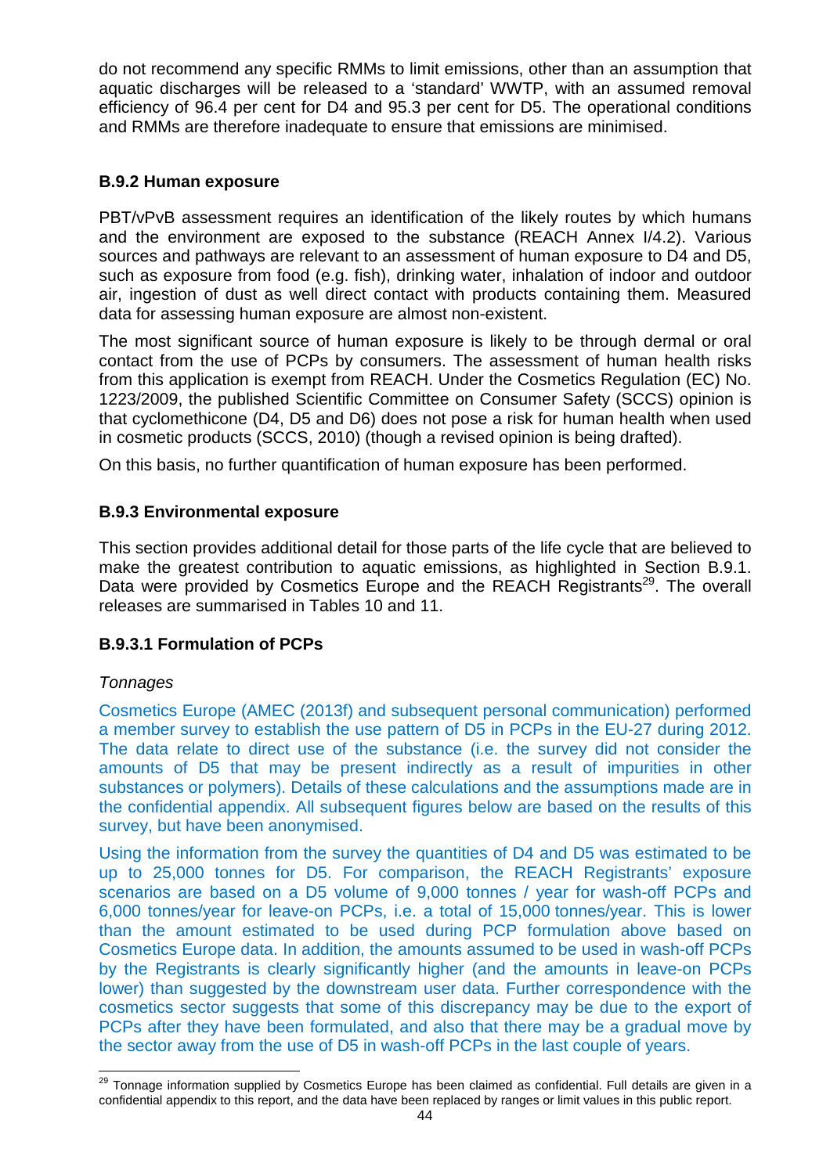do not recommend any specific RMMs to limit emissions, other than an assumption that aquatic discharges will be released to a 'standard' WWTP, with an assumed removal efficiency of 96.4 per cent for D4 and 95.3 per cent for D5. The operational conditions and RMMs are therefore inadequate to ensure that emissions are minimised.

### **B.9.2 Human exposure**

PBT/vPvB assessment requires an identification of the likely routes by which humans and the environment are exposed to the substance (REACH Annex I/4.2). Various sources and pathways are relevant to an assessment of human exposure to D4 and D5, such as exposure from food (e.g. fish), drinking water, inhalation of indoor and outdoor air, ingestion of dust as well direct contact with products containing them. Measured data for assessing human exposure are almost non-existent.

The most significant source of human exposure is likely to be through dermal or oral contact from the use of PCPs by consumers. The assessment of human health risks from this application is exempt from REACH. Under the Cosmetics Regulation (EC) No. 1223/2009, the published Scientific Committee on Consumer Safety (SCCS) opinion is that cyclomethicone (D4, D5 and D6) does not pose a risk for human health when used in cosmetic products (SCCS, 2010) (though a revised opinion is being drafted).

On this basis, no further quantification of human exposure has been performed.

## **B.9.3 Environmental exposure**

This section provides additional detail for those parts of the life cycle that are believed to make the greatest contribution to aquatic emissions, as highlighted in Section B.9.1. Data were provided by Cosmetics Europe and the REACH Registrants<sup>29</sup>. The overall releases are summarised in Tables 10 and 11.

## **B.9.3.1 Formulation of PCPs**

### **Tonnages**

Cosmetics Europe (AMEC (2013f) and subsequent personal communication) performed a member survey to establish the use pattern of D5 in PCPs in the EU-27 during 2012. The data relate to direct use of the substance (i.e. the survey did not consider the amounts of D5 that may be present indirectly as a result of impurities in other substances or polymers). Details of these calculations and the assumptions made are in the confidential appendix. All subsequent figures below are based on the results of this survey, but have been anonymised.

Using the information from the survey the quantities of D4 and D5 was estimated to be up to 25,000 tonnes for D5. For comparison, the REACH Registrants' exposure scenarios are based on a D5 volume of 9,000 tonnes / year for wash-off PCPs and 6,000 tonnes/year for leave-on PCPs, i.e. a total of 15,000 tonnes/year. This is lower than the amount estimated to be used during PCP formulation above based on Cosmetics Europe data. In addition, the amounts assumed to be used in wash-off PCPs by the Registrants is clearly significantly higher (and the amounts in leave-on PCPs lower) than suggested by the downstream user data. Further correspondence with the cosmetics sector suggests that some of this discrepancy may be due to the export of PCPs after they have been formulated, and also that there may be a gradual move by the sector away from the use of D5 in wash-off PCPs in the last couple of years.

 $\overline{a}$ <sup>29</sup> Tonnage information supplied by Cosmetics Europe has been claimed as confidential. Full details are given in a confidential appendix to this report, and the data have been replaced by ranges or limit values in this public report.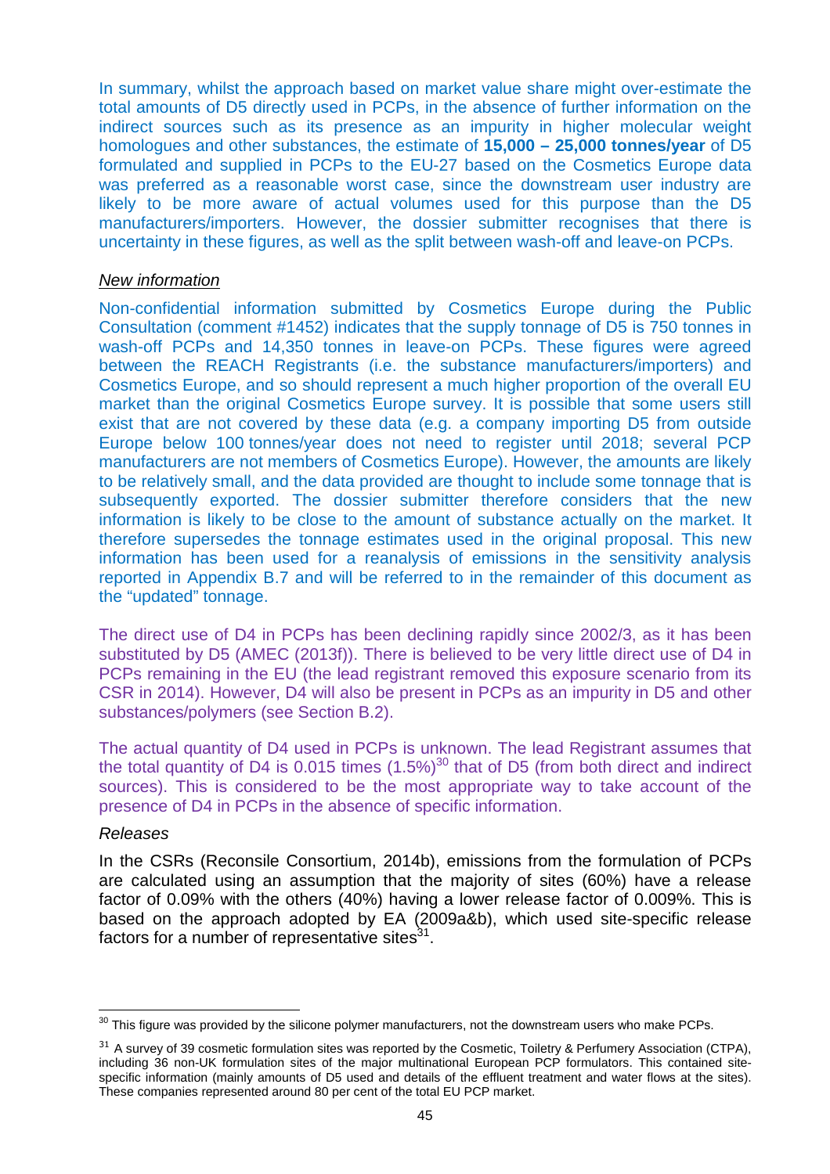In summary, whilst the approach based on market value share might over-estimate the total amounts of D5 directly used in PCPs, in the absence of further information on the indirect sources such as its presence as an impurity in higher molecular weight homologues and other substances, the estimate of **15,000 – 25,000 tonnes/year** of D5 formulated and supplied in PCPs to the EU-27 based on the Cosmetics Europe data was preferred as a reasonable worst case, since the downstream user industry are likely to be more aware of actual volumes used for this purpose than the D5 manufacturers/importers. However, the dossier submitter recognises that there is uncertainty in these figures, as well as the split between wash-off and leave-on PCPs.

#### New information

Non-confidential information submitted by Cosmetics Europe during the Public Consultation (comment #1452) indicates that the supply tonnage of D5 is 750 tonnes in wash-off PCPs and 14,350 tonnes in leave-on PCPs. These figures were agreed between the REACH Registrants (i.e. the substance manufacturers/importers) and Cosmetics Europe, and so should represent a much higher proportion of the overall EU market than the original Cosmetics Europe survey. It is possible that some users still exist that are not covered by these data (e.g. a company importing D5 from outside Europe below 100 tonnes/year does not need to register until 2018; several PCP manufacturers are not members of Cosmetics Europe). However, the amounts are likely to be relatively small, and the data provided are thought to include some tonnage that is subsequently exported. The dossier submitter therefore considers that the new information is likely to be close to the amount of substance actually on the market. It therefore supersedes the tonnage estimates used in the original proposal. This new information has been used for a reanalysis of emissions in the sensitivity analysis reported in Appendix B.7 and will be referred to in the remainder of this document as the "updated" tonnage.

The direct use of D4 in PCPs has been declining rapidly since 2002/3, as it has been substituted by D5 (AMEC (2013f)). There is believed to be very little direct use of D4 in PCPs remaining in the EU (the lead registrant removed this exposure scenario from its CSR in 2014). However, D4 will also be present in PCPs as an impurity in D5 and other substances/polymers (see Section B.2).

The actual quantity of D4 used in PCPs is unknown. The lead Registrant assumes that the total quantity of D4 is 0.015 times  $(1.5\%)^{30}$  that of D5 (from both direct and indirect sources). This is considered to be the most appropriate way to take account of the presence of D4 in PCPs in the absence of specific information.

#### Releases

In the CSRs (Reconsile Consortium, 2014b), emissions from the formulation of PCPs are calculated using an assumption that the majority of sites (60%) have a release factor of 0.09% with the others (40%) having a lower release factor of 0.009%. This is based on the approach adopted by EA (2009a&b), which used site-specific release factors for a number of representative sites $31$ .

j  $30$  This figure was provided by the silicone polymer manufacturers, not the downstream users who make PCPs.

<sup>&</sup>lt;sup>31</sup> A survey of 39 cosmetic formulation sites was reported by the Cosmetic, Toiletry & Perfumery Association (CTPA), including 36 non-UK formulation sites of the major multinational European PCP formulators. This contained sitespecific information (mainly amounts of D5 used and details of the effluent treatment and water flows at the sites). These companies represented around 80 per cent of the total EU PCP market.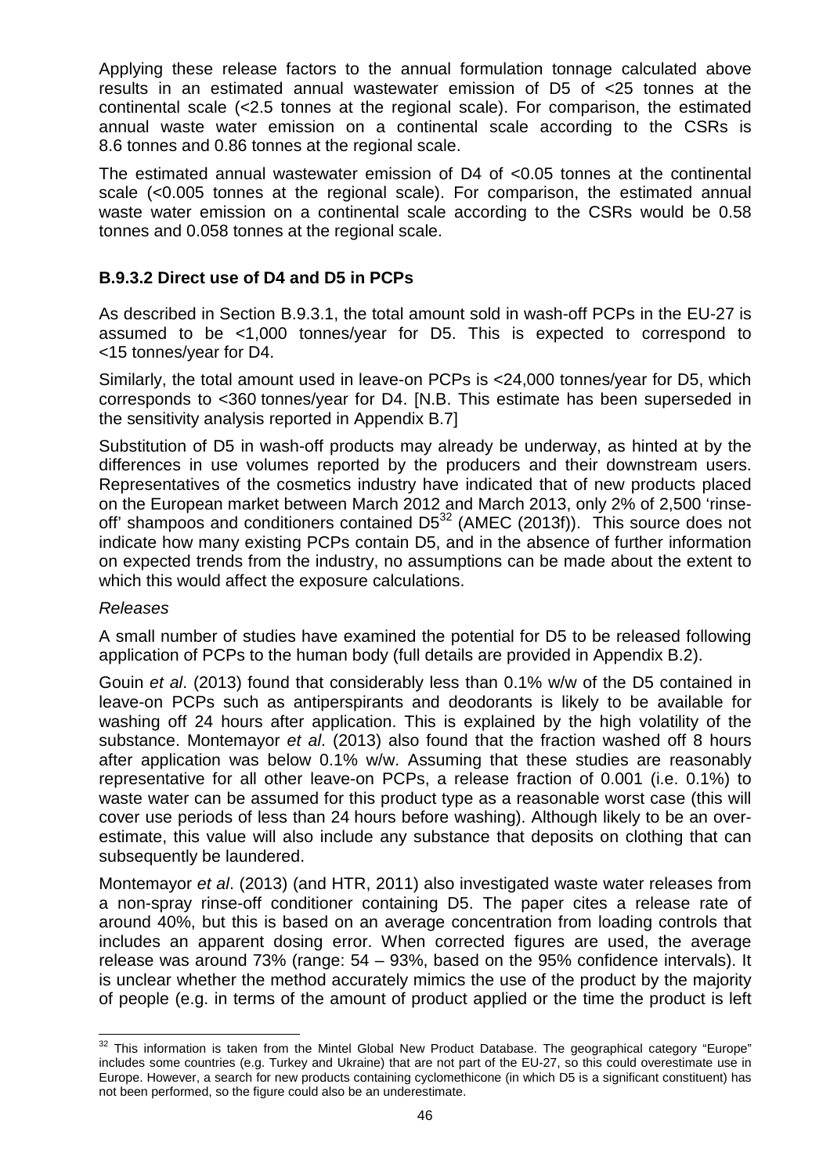Applying these release factors to the annual formulation tonnage calculated above results in an estimated annual wastewater emission of D5 of <25 tonnes at the continental scale (<2.5 tonnes at the regional scale). For comparison, the estimated annual waste water emission on a continental scale according to the CSRs is 8.6 tonnes and 0.86 tonnes at the regional scale.

The estimated annual wastewater emission of D4 of <0.05 tonnes at the continental scale (<0.005 tonnes at the regional scale). For comparison, the estimated annual waste water emission on a continental scale according to the CSRs would be 0.58 tonnes and 0.058 tonnes at the regional scale.

## **B.9.3.2 Direct use of D4 and D5 in PCPs**

As described in Section B.9.3.1, the total amount sold in wash-off PCPs in the EU-27 is assumed to be <1,000 tonnes/year for D5. This is expected to correspond to <15 tonnes/year for D4.

Similarly, the total amount used in leave-on PCPs is <24,000 tonnes/year for D5, which corresponds to <360 tonnes/year for D4. [N.B. This estimate has been superseded in the sensitivity analysis reported in Appendix B.7]

Substitution of D5 in wash-off products may already be underway, as hinted at by the differences in use volumes reported by the producers and their downstream users. Representatives of the cosmetics industry have indicated that of new products placed on the European market between March 2012 and March 2013, only 2% of 2,500 'rinseoff' shampoos and conditioners contained  $D5^{32}$  (AMEC (2013f)). This source does not indicate how many existing PCPs contain D5, and in the absence of further information on expected trends from the industry, no assumptions can be made about the extent to which this would affect the exposure calculations.

### Releases

A small number of studies have examined the potential for D5 to be released following application of PCPs to the human body (full details are provided in Appendix B.2).

Gouin et al. (2013) found that considerably less than 0.1% w/w of the D5 contained in leave-on PCPs such as antiperspirants and deodorants is likely to be available for washing off 24 hours after application. This is explained by the high volatility of the substance. Montemayor et al. (2013) also found that the fraction washed off 8 hours after application was below 0.1% w/w. Assuming that these studies are reasonably representative for all other leave-on PCPs, a release fraction of 0.001 (i.e. 0.1%) to waste water can be assumed for this product type as a reasonable worst case (this will cover use periods of less than 24 hours before washing). Although likely to be an overestimate, this value will also include any substance that deposits on clothing that can subsequently be laundered.

Montemayor et al. (2013) (and HTR, 2011) also investigated waste water releases from a non-spray rinse-off conditioner containing D5. The paper cites a release rate of around 40%, but this is based on an average concentration from loading controls that includes an apparent dosing error. When corrected figures are used, the average release was around 73% (range: 54 – 93%, based on the 95% confidence intervals). It is unclear whether the method accurately mimics the use of the product by the majority of people (e.g. in terms of the amount of product applied or the time the product is left

 $\overline{a}$  $32$  This information is taken from the Mintel Global New Product Database. The geographical category "Europe" includes some countries (e.g. Turkey and Ukraine) that are not part of the EU-27, so this could overestimate use in Europe. However, a search for new products containing cyclomethicone (in which D5 is a significant constituent) has not been performed, so the figure could also be an underestimate.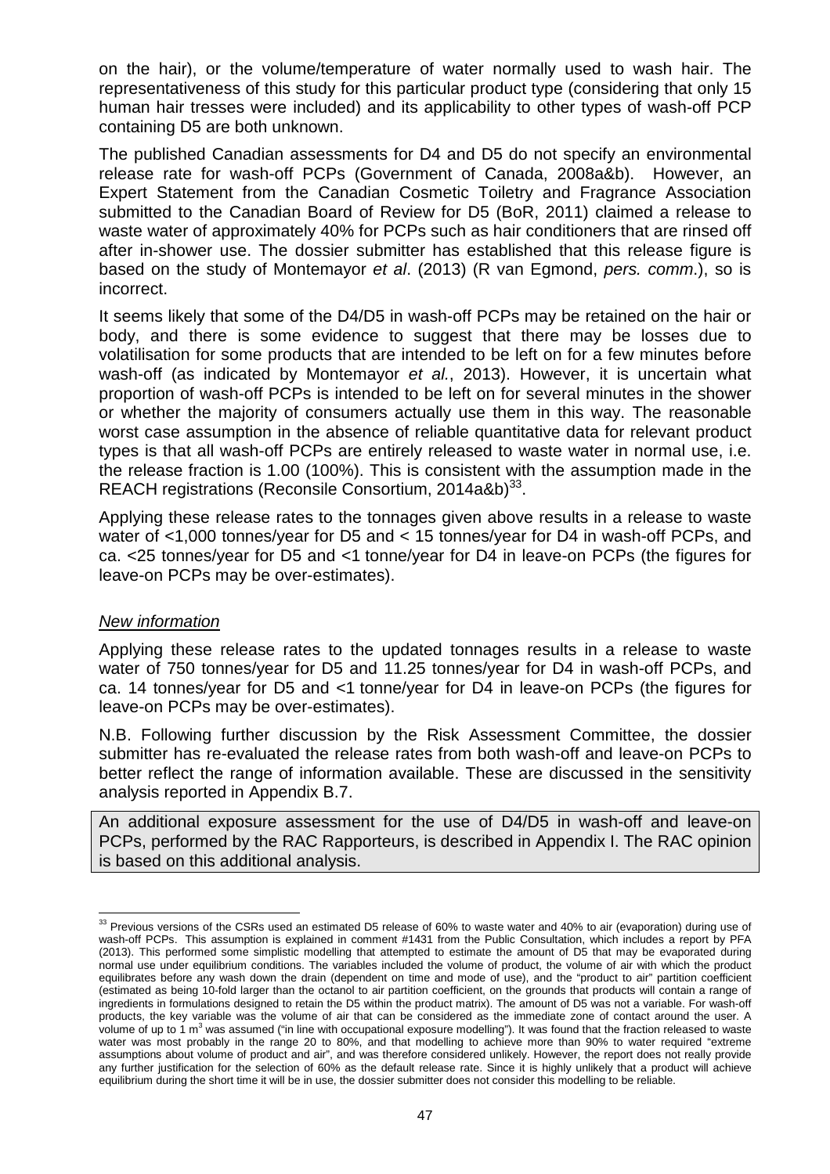on the hair), or the volume/temperature of water normally used to wash hair. The representativeness of this study for this particular product type (considering that only 15 human hair tresses were included) and its applicability to other types of wash-off PCP containing D5 are both unknown.

The published Canadian assessments for D4 and D5 do not specify an environmental release rate for wash-off PCPs (Government of Canada, 2008a&b). However, an Expert Statement from the Canadian Cosmetic Toiletry and Fragrance Association submitted to the Canadian Board of Review for D5 (BoR, 2011) claimed a release to waste water of approximately 40% for PCPs such as hair conditioners that are rinsed off after in-shower use. The dossier submitter has established that this release figure is based on the study of Montemayor et al. (2013) (R van Egmond, pers. comm.), so is incorrect.

It seems likely that some of the D4/D5 in wash-off PCPs may be retained on the hair or body, and there is some evidence to suggest that there may be losses due to volatilisation for some products that are intended to be left on for a few minutes before wash-off (as indicated by Montemayor et al., 2013). However, it is uncertain what proportion of wash-off PCPs is intended to be left on for several minutes in the shower or whether the majority of consumers actually use them in this way. The reasonable worst case assumption in the absence of reliable quantitative data for relevant product types is that all wash-off PCPs are entirely released to waste water in normal use, i.e. the release fraction is 1.00 (100%). This is consistent with the assumption made in the REACH registrations (Reconsile Consortium, 2014a&b)<sup>33</sup>.

Applying these release rates to the tonnages given above results in a release to waste water of <1,000 tonnes/year for D5 and < 15 tonnes/year for D4 in wash-off PCPs, and ca. <25 tonnes/year for D5 and <1 tonne/year for D4 in leave-on PCPs (the figures for leave-on PCPs may be over-estimates).

### New information

l

Applying these release rates to the updated tonnages results in a release to waste water of 750 tonnes/year for D5 and 11.25 tonnes/year for D4 in wash-off PCPs, and ca. 14 tonnes/year for D5 and <1 tonne/year for D4 in leave-on PCPs (the figures for leave-on PCPs may be over-estimates).

N.B. Following further discussion by the Risk Assessment Committee, the dossier submitter has re-evaluated the release rates from both wash-off and leave-on PCPs to better reflect the range of information available. These are discussed in the sensitivity analysis reported in Appendix B.7.

An additional exposure assessment for the use of D4/D5 in wash-off and leave-on PCPs, performed by the RAC Rapporteurs, is described in Appendix I. The RAC opinion is based on this additional analysis.

 $33$  Previous versions of the CSRs used an estimated D5 release of 60% to waste water and 40% to air (evaporation) during use of wash-off PCPs. This assumption is explained in comment #1431 from the Public Consultation, which includes a report by PFA (2013). This performed some simplistic modelling that attempted to estimate the amount of D5 that may be evaporated during normal use under equilibrium conditions. The variables included the volume of product, the volume of air with which the product equilibrates before any wash down the drain (dependent on time and mode of use), and the "product to air" partition coefficient (estimated as being 10-fold larger than the octanol to air partition coefficient, on the grounds that products will contain a range of ingredients in formulations designed to retain the D5 within the product matrix). The amount of D5 was not a variable. For wash-off products, the key variable was the volume of air that can be considered as the immediate zone of contact around the user. A volume of up to 1 m<sup>3</sup> was assumed ("in line with occupational exposure modelling"). It was found that the fraction released to waste water was most probably in the range 20 to 80%, and that modelling to achieve more than 90% to water required "extreme assumptions about volume of product and air", and was therefore considered unlikely. However, the report does not really provide any further justification for the selection of 60% as the default release rate. Since it is highly unlikely that a product will achieve equilibrium during the short time it will be in use, the dossier submitter does not consider this modelling to be reliable.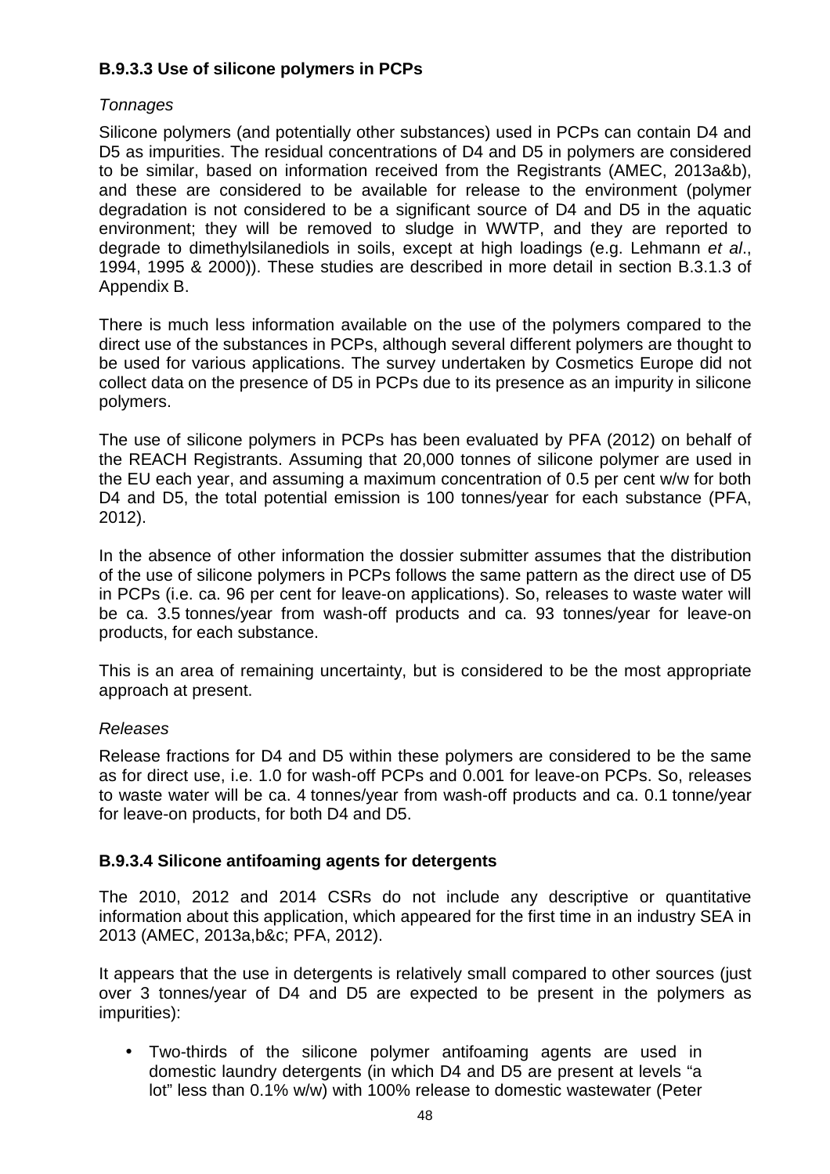## **B.9.3.3 Use of silicone polymers in PCPs**

## **Tonnages**

Silicone polymers (and potentially other substances) used in PCPs can contain D4 and D5 as impurities. The residual concentrations of D4 and D5 in polymers are considered to be similar, based on information received from the Registrants (AMEC, 2013a&b), and these are considered to be available for release to the environment (polymer degradation is not considered to be a significant source of D4 and D5 in the aquatic environment; they will be removed to sludge in WWTP, and they are reported to degrade to dimethylsilanediols in soils, except at high loadings (e.g. Lehmann et al., 1994, 1995 & 2000)). These studies are described in more detail in section B.3.1.3 of Appendix B.

There is much less information available on the use of the polymers compared to the direct use of the substances in PCPs, although several different polymers are thought to be used for various applications. The survey undertaken by Cosmetics Europe did not collect data on the presence of D5 in PCPs due to its presence as an impurity in silicone polymers.

The use of silicone polymers in PCPs has been evaluated by PFA (2012) on behalf of the REACH Registrants. Assuming that 20,000 tonnes of silicone polymer are used in the EU each year, and assuming a maximum concentration of 0.5 per cent w/w for both D4 and D5, the total potential emission is 100 tonnes/year for each substance (PFA, 2012).

In the absence of other information the dossier submitter assumes that the distribution of the use of silicone polymers in PCPs follows the same pattern as the direct use of D5 in PCPs (i.e. ca. 96 per cent for leave-on applications). So, releases to waste water will be ca. 3.5 tonnes/year from wash-off products and ca. 93 tonnes/year for leave-on products, for each substance.

This is an area of remaining uncertainty, but is considered to be the most appropriate approach at present.

## Releases

Release fractions for D4 and D5 within these polymers are considered to be the same as for direct use, i.e. 1.0 for wash-off PCPs and 0.001 for leave-on PCPs. So, releases to waste water will be ca. 4 tonnes/year from wash-off products and ca. 0.1 tonne/year for leave-on products, for both D4 and D5.

## **B.9.3.4 Silicone antifoaming agents for detergents**

The 2010, 2012 and 2014 CSRs do not include any descriptive or quantitative information about this application, which appeared for the first time in an industry SEA in 2013 (AMEC, 2013a,b&c; PFA, 2012).

It appears that the use in detergents is relatively small compared to other sources (just over 3 tonnes/year of D4 and D5 are expected to be present in the polymers as impurities):

• Two-thirds of the silicone polymer antifoaming agents are used in domestic laundry detergents (in which D4 and D5 are present at levels "a lot" less than 0.1% w/w) with 100% release to domestic wastewater (Peter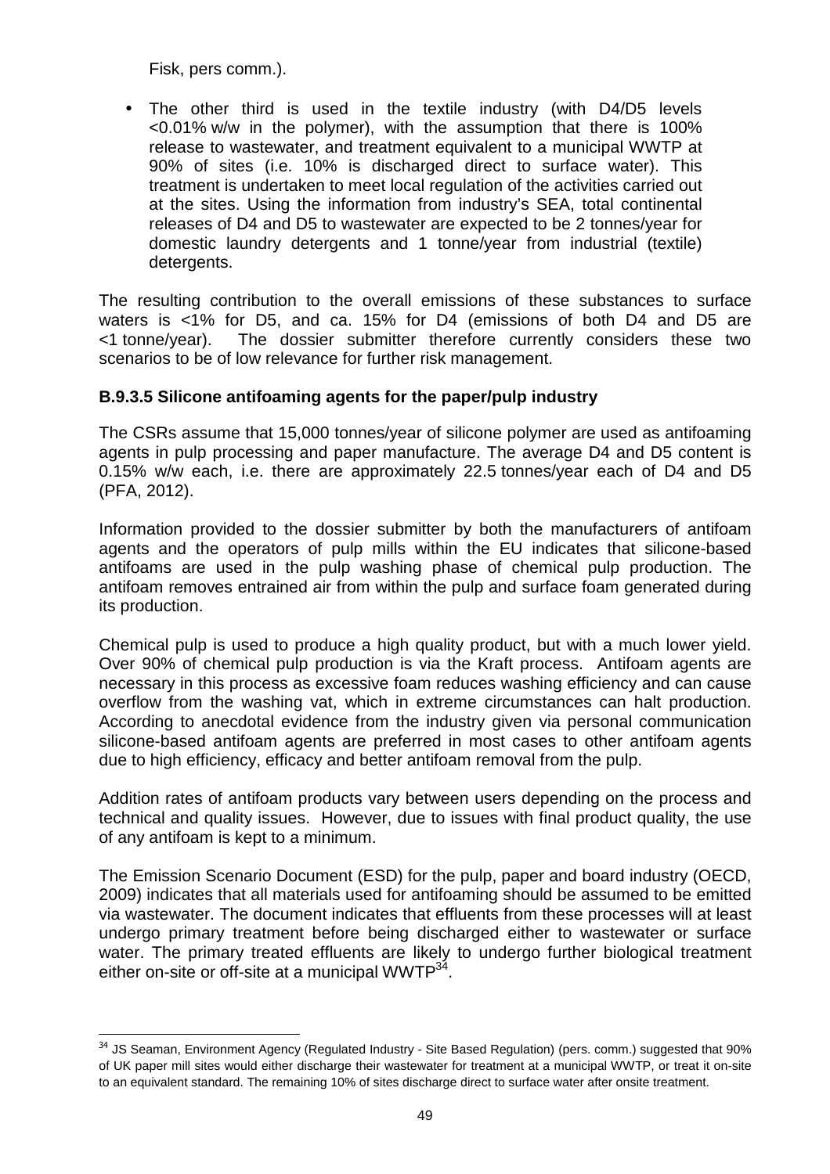Fisk, pers comm.).

-

• The other third is used in the textile industry (with D4/D5 levels <0.01% w/w in the polymer), with the assumption that there is 100% release to wastewater, and treatment equivalent to a municipal WWTP at 90% of sites (i.e. 10% is discharged direct to surface water). This treatment is undertaken to meet local regulation of the activities carried out at the sites. Using the information from industry's SEA, total continental releases of D4 and D5 to wastewater are expected to be 2 tonnes/year for domestic laundry detergents and 1 tonne/year from industrial (textile) detergents.

The resulting contribution to the overall emissions of these substances to surface waters is <1% for D5, and ca. 15% for D4 (emissions of both D4 and D5 are <1 tonne/year). The dossier submitter therefore currently considers these two scenarios to be of low relevance for further risk management.

## **B.9.3.5 Silicone antifoaming agents for the paper/pulp industry**

The CSRs assume that 15,000 tonnes/year of silicone polymer are used as antifoaming agents in pulp processing and paper manufacture. The average D4 and D5 content is 0.15% w/w each, i.e. there are approximately 22.5 tonnes/year each of D4 and D5 (PFA, 2012).

Information provided to the dossier submitter by both the manufacturers of antifoam agents and the operators of pulp mills within the EU indicates that silicone-based antifoams are used in the pulp washing phase of chemical pulp production. The antifoam removes entrained air from within the pulp and surface foam generated during its production.

Chemical pulp is used to produce a high quality product, but with a much lower yield. Over 90% of chemical pulp production is via the Kraft process. Antifoam agents are necessary in this process as excessive foam reduces washing efficiency and can cause overflow from the washing vat, which in extreme circumstances can halt production. According to anecdotal evidence from the industry given via personal communication silicone-based antifoam agents are preferred in most cases to other antifoam agents due to high efficiency, efficacy and better antifoam removal from the pulp.

Addition rates of antifoam products vary between users depending on the process and technical and quality issues. However, due to issues with final product quality, the use of any antifoam is kept to a minimum.

The Emission Scenario Document (ESD) for the pulp, paper and board industry (OECD, 2009) indicates that all materials used for antifoaming should be assumed to be emitted via wastewater. The document indicates that effluents from these processes will at least undergo primary treatment before being discharged either to wastewater or surface water. The primary treated effluents are likely to undergo further biological treatment either on-site or off-site at a municipal WWTP<sup>34</sup>.

<sup>&</sup>lt;sup>34</sup> JS Seaman, Environment Agency (Regulated Industry - Site Based Regulation) (pers. comm.) suggested that 90% of UK paper mill sites would either discharge their wastewater for treatment at a municipal WWTP, or treat it on-site to an equivalent standard. The remaining 10% of sites discharge direct to surface water after onsite treatment.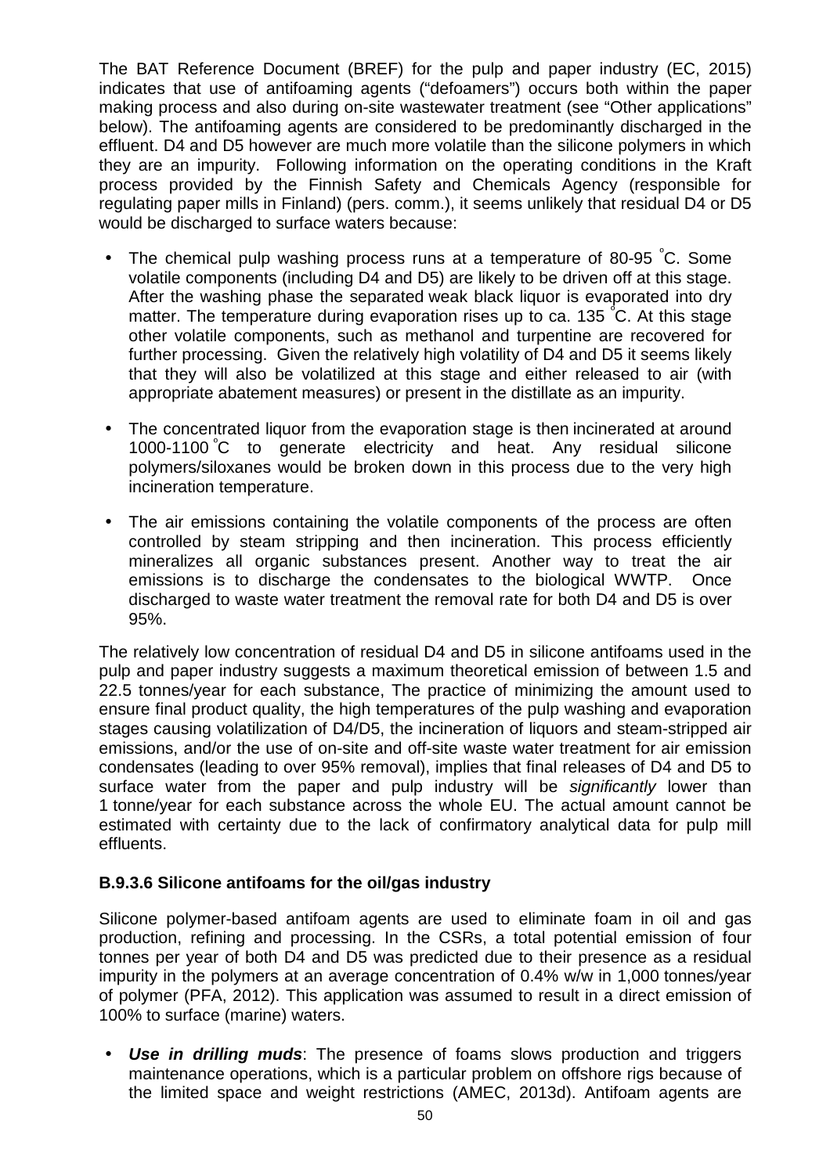The BAT Reference Document (BREF) for the pulp and paper industry (EC, 2015) indicates that use of antifoaming agents ("defoamers") occurs both within the paper making process and also during on-site wastewater treatment (see "Other applications" below). The antifoaming agents are considered to be predominantly discharged in the effluent. D4 and D5 however are much more volatile than the silicone polymers in which they are an impurity. Following information on the operating conditions in the Kraft process provided by the Finnish Safety and Chemicals Agency (responsible for regulating paper mills in Finland) (pers. comm.), it seems unlikely that residual D4 or D5 would be discharged to surface waters because:

- The chemical pulp washing process runs at a temperature of 80-95 °C. Some volatile components (including D4 and D5) are likely to be driven off at this stage. After the washing phase the separated weak black liquor is evaporated into dry matter. The temperature during evaporation rises up to ca. 135 °C. At this stage other volatile components, such as methanol and turpentine are recovered for further processing. Given the relatively high volatility of D4 and D5 it seems likely that they will also be volatilized at this stage and either released to air (with appropriate abatement measures) or present in the distillate as an impurity.
- The concentrated liquor from the evaporation stage is then incinerated at around 1000-1100 <sup>º</sup>C to generate electricity and heat. Any residual silicone polymers/siloxanes would be broken down in this process due to the very high incineration temperature.
- The air emissions containing the volatile components of the process are often controlled by steam stripping and then incineration. This process efficiently mineralizes all organic substances present. Another way to treat the air emissions is to discharge the condensates to the biological WWTP. Once discharged to waste water treatment the removal rate for both D4 and D5 is over 95%.

The relatively low concentration of residual D4 and D5 in silicone antifoams used in the pulp and paper industry suggests a maximum theoretical emission of between 1.5 and 22.5 tonnes/year for each substance, The practice of minimizing the amount used to ensure final product quality, the high temperatures of the pulp washing and evaporation stages causing volatilization of D4/D5, the incineration of liquors and steam-stripped air emissions, and/or the use of on-site and off-site waste water treatment for air emission condensates (leading to over 95% removal), implies that final releases of D4 and D5 to surface water from the paper and pulp industry will be significantly lower than 1 tonne/year for each substance across the whole EU. The actual amount cannot be estimated with certainty due to the lack of confirmatory analytical data for pulp mill effluents.

### **B.9.3.6 Silicone antifoams for the oil/gas industry**

Silicone polymer-based antifoam agents are used to eliminate foam in oil and gas production, refining and processing. In the CSRs, a total potential emission of four tonnes per year of both D4 and D5 was predicted due to their presence as a residual impurity in the polymers at an average concentration of 0.4% w/w in 1,000 tonnes/year of polymer (PFA, 2012). This application was assumed to result in a direct emission of 100% to surface (marine) waters.

• **Use in drilling muds**: The presence of foams slows production and triggers maintenance operations, which is a particular problem on offshore rigs because of the limited space and weight restrictions (AMEC, 2013d). Antifoam agents are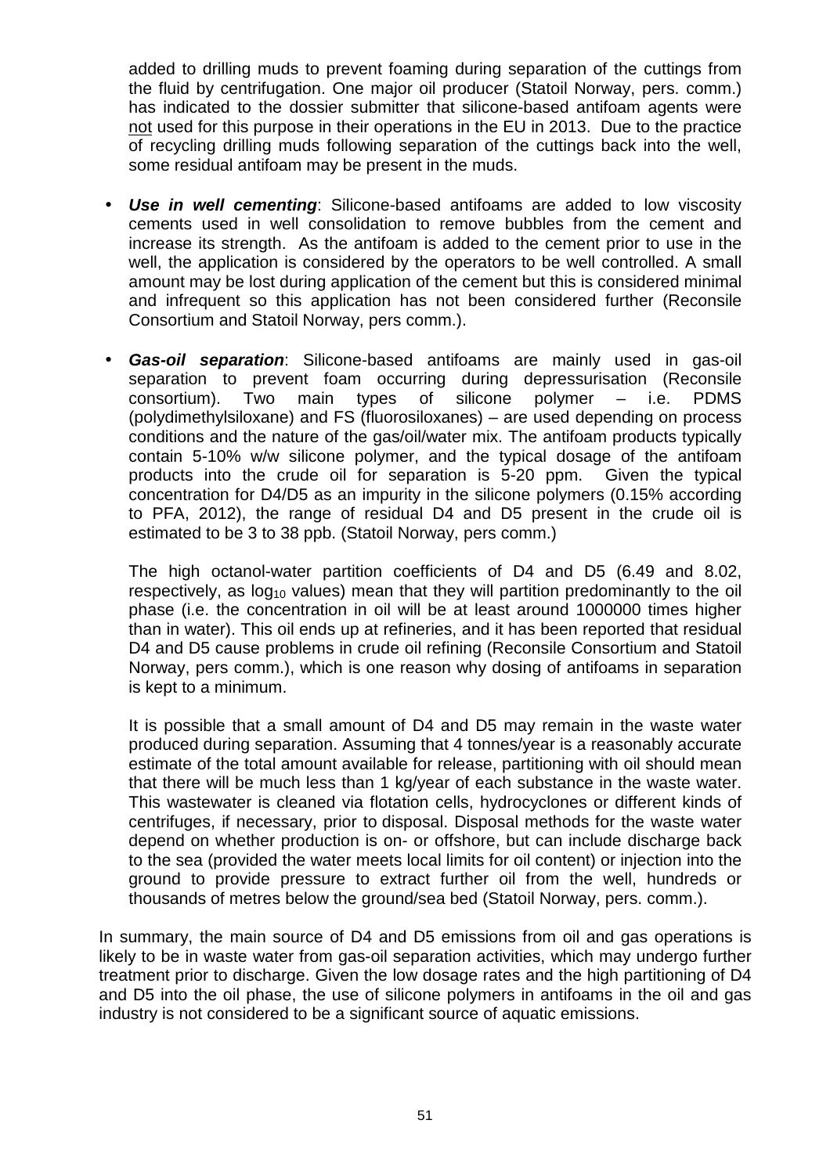added to drilling muds to prevent foaming during separation of the cuttings from the fluid by centrifugation. One major oil producer (Statoil Norway, pers. comm.) has indicated to the dossier submitter that silicone-based antifoam agents were not used for this purpose in their operations in the EU in 2013. Due to the practice of recycling drilling muds following separation of the cuttings back into the well, some residual antifoam may be present in the muds.

- **Use in well cementing**: Silicone-based antifoams are added to low viscosity cements used in well consolidation to remove bubbles from the cement and increase its strength. As the antifoam is added to the cement prior to use in the well, the application is considered by the operators to be well controlled. A small amount may be lost during application of the cement but this is considered minimal and infrequent so this application has not been considered further (Reconsile Consortium and Statoil Norway, pers comm.).
- **Gas-oil separation**: Silicone-based antifoams are mainly used in gas-oil separation to prevent foam occurring during depressurisation (Reconsile consortium). Two main types of silicone polymer – i.e. PDMS (polydimethylsiloxane) and FS (fluorosiloxanes) – are used depending on process conditions and the nature of the gas/oil/water mix. The antifoam products typically contain 5-10% w/w silicone polymer, and the typical dosage of the antifoam products into the crude oil for separation is 5-20 ppm. Given the typical concentration for D4/D5 as an impurity in the silicone polymers (0.15% according to PFA, 2012), the range of residual D4 and D5 present in the crude oil is estimated to be 3 to 38 ppb. (Statoil Norway, pers comm.)

The high octanol-water partition coefficients of D4 and D5 (6.49 and 8.02, respectively, as  $log_{10}$  values) mean that they will partition predominantly to the oil phase (i.e. the concentration in oil will be at least around 1000000 times higher than in water). This oil ends up at refineries, and it has been reported that residual D4 and D5 cause problems in crude oil refining (Reconsile Consortium and Statoil Norway, pers comm.), which is one reason why dosing of antifoams in separation is kept to a minimum.

It is possible that a small amount of D4 and D5 may remain in the waste water produced during separation. Assuming that 4 tonnes/year is a reasonably accurate estimate of the total amount available for release, partitioning with oil should mean that there will be much less than 1 kg/year of each substance in the waste water. This wastewater is cleaned via flotation cells, hydrocyclones or different kinds of centrifuges, if necessary, prior to disposal. Disposal methods for the waste water depend on whether production is on- or offshore, but can include discharge back to the sea (provided the water meets local limits for oil content) or injection into the ground to provide pressure to extract further oil from the well, hundreds or thousands of metres below the ground/sea bed (Statoil Norway, pers. comm.).

In summary, the main source of D4 and D5 emissions from oil and gas operations is likely to be in waste water from gas-oil separation activities, which may undergo further treatment prior to discharge. Given the low dosage rates and the high partitioning of D4 and D5 into the oil phase, the use of silicone polymers in antifoams in the oil and gas industry is not considered to be a significant source of aquatic emissions.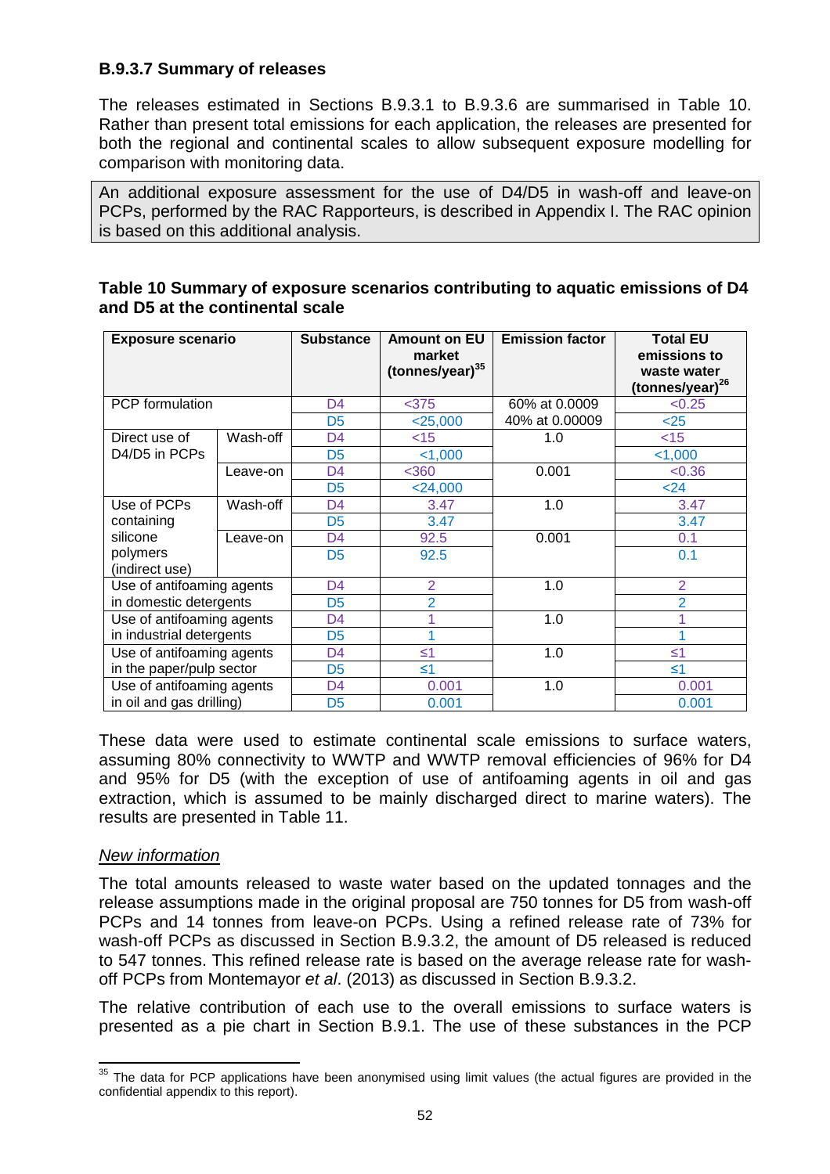## **B.9.3.7 Summary of releases**

The releases estimated in Sections B.9.3.1 to B.9.3.6 are summarised in Table 10. Rather than present total emissions for each application, the releases are presented for both the regional and continental scales to allow subsequent exposure modelling for comparison with monitoring data.

An additional exposure assessment for the use of D4/D5 in wash-off and leave-on PCPs, performed by the RAC Rapporteurs, is described in Appendix I. The RAC opinion is based on this additional analysis.

| <b>Exposure scenario</b>   |          | <b>Substance</b> | <b>Amount on EU</b><br>market<br>(tonnes/year) $35$ | <b>Emission factor</b> | <b>Total EU</b><br>emissions to<br>waste water<br>(tonnes/year) <sup>26</sup> |
|----------------------------|----------|------------------|-----------------------------------------------------|------------------------|-------------------------------------------------------------------------------|
| <b>PCP</b> formulation     |          | D <sub>4</sub>   | $375$                                               | 60% at 0.0009          | < 0.25                                                                        |
|                            |          | D <sub>5</sub>   | $<$ 25,000                                          | 40% at 0.00009         | $25$                                                                          |
| Direct use of              | Wash-off | D <sub>4</sub>   | $<$ 15                                              | 1.0                    | $<$ 15                                                                        |
| D4/D5 in PCPs              |          | D <sub>5</sub>   | $<$ 1,000                                           |                        | $<$ 1,000                                                                     |
|                            | Leave-on | D <sub>4</sub>   | $<$ 360                                             | 0.001                  | <0.36                                                                         |
|                            |          | D <sub>5</sub>   | $<$ 24,000                                          |                        | $24$                                                                          |
| Use of PCPs                | Wash-off | D <sub>4</sub>   | 3.47                                                | 1.0                    | 3.47                                                                          |
| containing                 |          | D <sub>5</sub>   | 3.47                                                |                        | 3.47                                                                          |
| silicone                   | Leave-on | D <sub>4</sub>   | 92.5                                                | 0.001                  | 0.1                                                                           |
| polymers<br>(indirect use) |          | D <sub>5</sub>   | 92.5                                                |                        | 0.1                                                                           |
|                            |          |                  |                                                     |                        |                                                                               |
| Use of antifoaming agents  |          | D <sub>4</sub>   | $\overline{2}$                                      | 1.0                    | $\overline{2}$                                                                |
| in domestic detergents     |          | D <sub>5</sub>   | $\overline{2}$                                      |                        | $\overline{2}$                                                                |
| Use of antifoaming agents  |          | D <sub>4</sub>   | 1                                                   | 1.0                    |                                                                               |
| in industrial detergents   |          | D <sub>5</sub>   |                                                     |                        |                                                                               |
| Use of antifoaming agents  |          | D <sub>4</sub>   | $\leq 1$                                            | 1.0                    | $\leq 1$                                                                      |
| in the paper/pulp sector   |          | D <sub>5</sub>   | $\leq 1$                                            |                        | $\leq 1$                                                                      |
| Use of antifoaming agents  |          | D <sub>4</sub>   | 0.001                                               | 1.0                    | 0.001                                                                         |
| in oil and gas drilling)   |          | D <sub>5</sub>   | 0.001                                               |                        | 0.001                                                                         |

## **Table 10 Summary of exposure scenarios contributing to aquatic emissions of D4 and D5 at the continental scale**

These data were used to estimate continental scale emissions to surface waters, assuming 80% connectivity to WWTP and WWTP removal efficiencies of 96% for D4 and 95% for D5 (with the exception of use of antifoaming agents in oil and gas extraction, which is assumed to be mainly discharged direct to marine waters). The results are presented in Table 11.

### New information

The total amounts released to waste water based on the updated tonnages and the release assumptions made in the original proposal are 750 tonnes for D5 from wash-off PCPs and 14 tonnes from leave-on PCPs. Using a refined release rate of 73% for wash-off PCPs as discussed in Section B.9.3.2, the amount of D5 released is reduced to 547 tonnes. This refined release rate is based on the average release rate for washoff PCPs from Montemayor et al. (2013) as discussed in Section B.9.3.2.

The relative contribution of each use to the overall emissions to surface waters is presented as a pie chart in Section B.9.1. The use of these substances in the PCP

 $\overline{a}$  $35$  The data for PCP applications have been anonymised using limit values (the actual figures are provided in the confidential appendix to this report).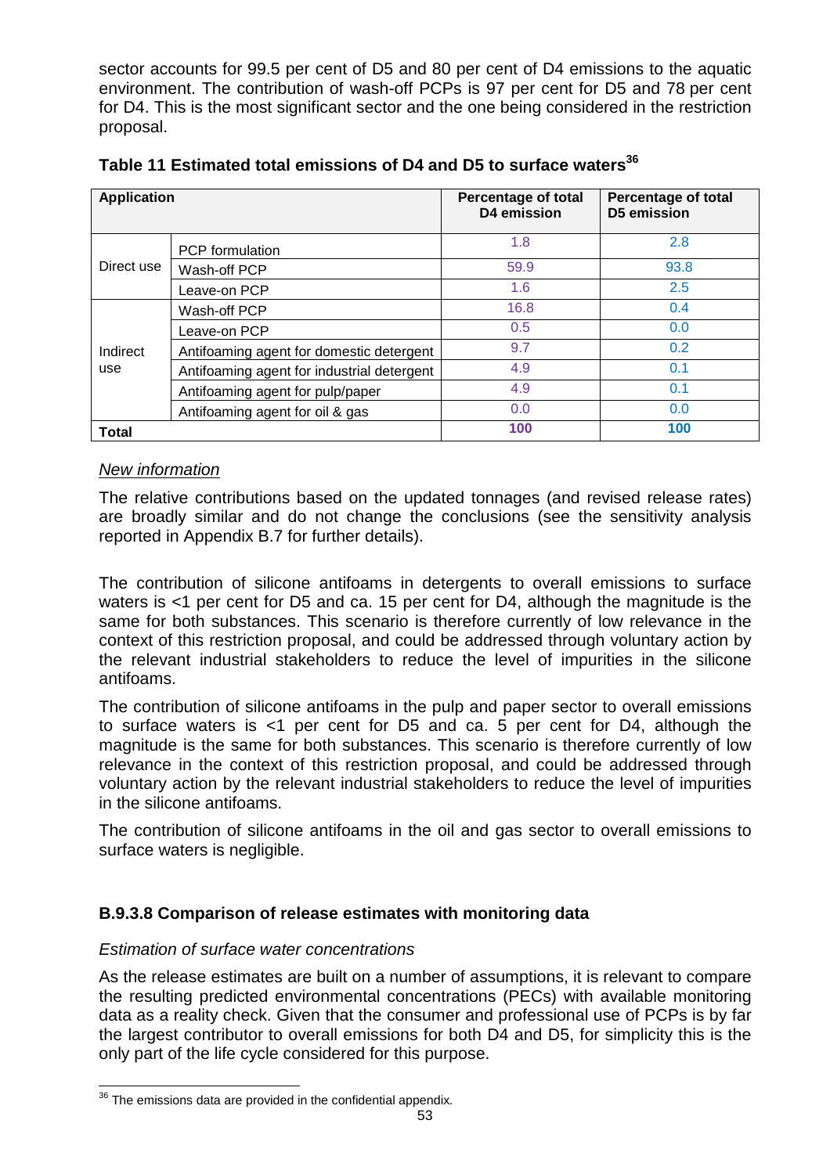sector accounts for 99.5 per cent of D5 and 80 per cent of D4 emissions to the aquatic environment. The contribution of wash-off PCPs is 97 per cent for D5 and 78 per cent for D4. This is the most significant sector and the one being considered in the restriction proposal.

| <b>Application</b> |                                            | <b>Percentage of total</b><br>D4 emission | <b>Percentage of total</b><br><b>D5 emission</b> |  |
|--------------------|--------------------------------------------|-------------------------------------------|--------------------------------------------------|--|
|                    | <b>PCP</b> formulation                     | 1.8                                       | 2.8                                              |  |
| Direct use         | Wash-off PCP                               | 59.9                                      | 93.8                                             |  |
|                    | Leave-on PCP                               | 1.6                                       | 2.5                                              |  |
|                    | Wash-off PCP                               | 16.8                                      | 0.4                                              |  |
|                    | Leave-on PCP                               | 0.5                                       | 0.0                                              |  |
| Indirect           | Antifoaming agent for domestic detergent   | 9.7                                       | 0.2                                              |  |
| use                | Antifoaming agent for industrial detergent | 4.9                                       | 0.1                                              |  |
|                    | Antifoaming agent for pulp/paper           | 4.9                                       | 0.1                                              |  |
|                    | Antifoaming agent for oil & gas            | 0.0                                       | 0.0                                              |  |
| <b>Total</b>       |                                            | 100                                       | 100                                              |  |

**Table 11 Estimated total emissions of D4 and D5 to surface waters<sup>36</sup>**

## New information

The relative contributions based on the updated tonnages (and revised release rates) are broadly similar and do not change the conclusions (see the sensitivity analysis reported in Appendix B.7 for further details).

The contribution of silicone antifoams in detergents to overall emissions to surface waters is <1 per cent for D5 and ca. 15 per cent for D4, although the magnitude is the same for both substances. This scenario is therefore currently of low relevance in the context of this restriction proposal, and could be addressed through voluntary action by the relevant industrial stakeholders to reduce the level of impurities in the silicone antifoams.

The contribution of silicone antifoams in the pulp and paper sector to overall emissions to surface waters is <1 per cent for D5 and ca. 5 per cent for D4, although the magnitude is the same for both substances. This scenario is therefore currently of low relevance in the context of this restriction proposal, and could be addressed through voluntary action by the relevant industrial stakeholders to reduce the level of impurities in the silicone antifoams.

The contribution of silicone antifoams in the oil and gas sector to overall emissions to surface waters is negligible.

## **B.9.3.8 Comparison of release estimates with monitoring data**

## Estimation of surface water concentrations

As the release estimates are built on a number of assumptions, it is relevant to compare the resulting predicted environmental concentrations (PECs) with available monitoring data as a reality check. Given that the consumer and professional use of PCPs is by far the largest contributor to overall emissions for both D4 and D5, for simplicity this is the only part of the life cycle considered for this purpose.

j  $36$  The emissions data are provided in the confidential appendix.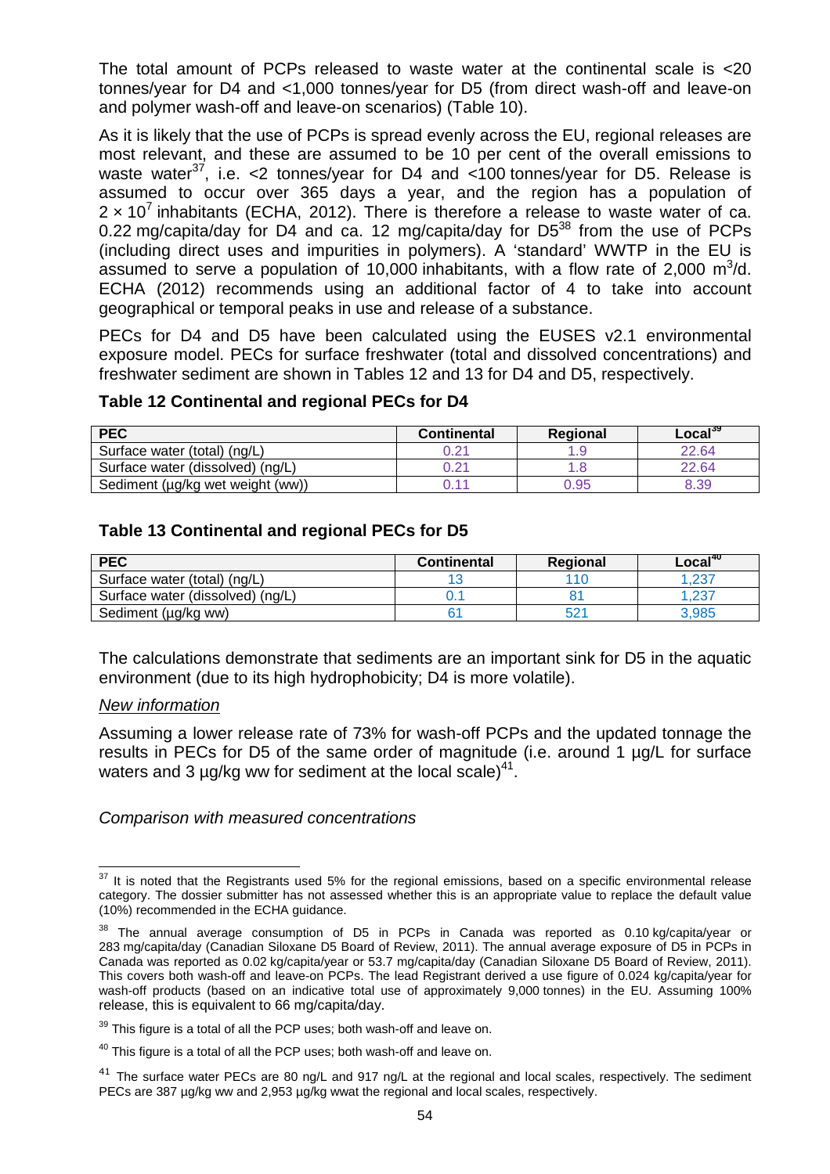The total amount of PCPs released to waste water at the continental scale is <20 tonnes/year for D4 and <1,000 tonnes/year for D5 (from direct wash-off and leave-on and polymer wash-off and leave-on scenarios) (Table 10).

As it is likely that the use of PCPs is spread evenly across the EU, regional releases are most relevant, and these are assumed to be 10 per cent of the overall emissions to waste water<sup>37</sup>, i.e. <2 tonnes/year for D4 and <100 tonnes/year for D5. Release is assumed to occur over 365 days a year, and the region has a population of  $2 \times 10^7$  inhabitants (ECHA, 2012). There is therefore a release to waste water of ca. 0.22 mg/capita/day for D4 and ca. 12 mg/capita/day for  $D5^{38}$  from the use of PCPs (including direct uses and impurities in polymers). A 'standard' WWTP in the EU is assumed to serve a population of 10,000 inhabitants, with a flow rate of 2,000  $m^3/d$ . ECHA (2012) recommends using an additional factor of 4 to take into account geographical or temporal peaks in use and release of a substance.

PECs for D4 and D5 have been calculated using the EUSES v2.1 environmental exposure model. PECs for surface freshwater (total and dissolved concentrations) and freshwater sediment are shown in Tables 12 and 13 for D4 and D5, respectively.

#### **Table 12 Continental and regional PECs for D4**

| <b>PEC</b>                       | <b>Continental</b> | <b>Regional</b> | Local <sup>39</sup> |
|----------------------------------|--------------------|-----------------|---------------------|
| Surface water (total) (ng/L)     | 0.21               |                 | 22.64               |
| Surface water (dissolved) (ng/L) | ).21               |                 | 22.64               |
| Sediment (µg/kg wet weight (ww)) | 0.11               | 0.95            | 8.39                |

### **Table 13 Continental and regional PECs for D5**

| <b>PEC</b>                       | <b>Continental</b> | Regional        | Local <sup>40</sup> |
|----------------------------------|--------------------|-----------------|---------------------|
| Surface water (total) (ng/L)     |                    |                 | .237                |
| Surface water (dissolved) (ng/L) |                    |                 | .237                |
| Sediment (µg/kg ww)              |                    | 52 <sup>4</sup> | 3.985               |

The calculations demonstrate that sediments are an important sink for D5 in the aquatic environment (due to its high hydrophobicity; D4 is more volatile).

#### New information

Assuming a lower release rate of 73% for wash-off PCPs and the updated tonnage the results in PECs for D5 of the same order of magnitude (i.e. around 1 µg/L for surface waters and 3  $\mu$ g/kg ww for sediment at the local scale)<sup>41</sup>.

Comparison with measured concentrations

j  $37$  It is noted that the Registrants used 5% for the regional emissions, based on a specific environmental release category. The dossier submitter has not assessed whether this is an appropriate value to replace the default value (10%) recommended in the ECHA guidance.

<sup>&</sup>lt;sup>38</sup> The annual average consumption of D5 in PCPs in Canada was reported as 0.10 kg/capita/year or 283 mg/capita/day (Canadian Siloxane D5 Board of Review, 2011). The annual average exposure of D5 in PCPs in Canada was reported as 0.02 kg/capita/year or 53.7 mg/capita/day (Canadian Siloxane D5 Board of Review, 2011). This covers both wash-off and leave-on PCPs. The lead Registrant derived a use figure of 0.024 kg/capita/year for wash-off products (based on an indicative total use of approximately 9,000 tonnes) in the EU. Assuming 100% release, this is equivalent to 66 mg/capita/day.

 $39$  This figure is a total of all the PCP uses; both wash-off and leave on.

 $40$  This figure is a total of all the PCP uses; both wash-off and leave on.

<sup>&</sup>lt;sup>41</sup> The surface water PECs are 80 ng/L and 917 ng/L at the regional and local scales, respectively. The sediment PECs are 387 µg/kg ww and 2,953 µg/kg wwat the regional and local scales, respectively.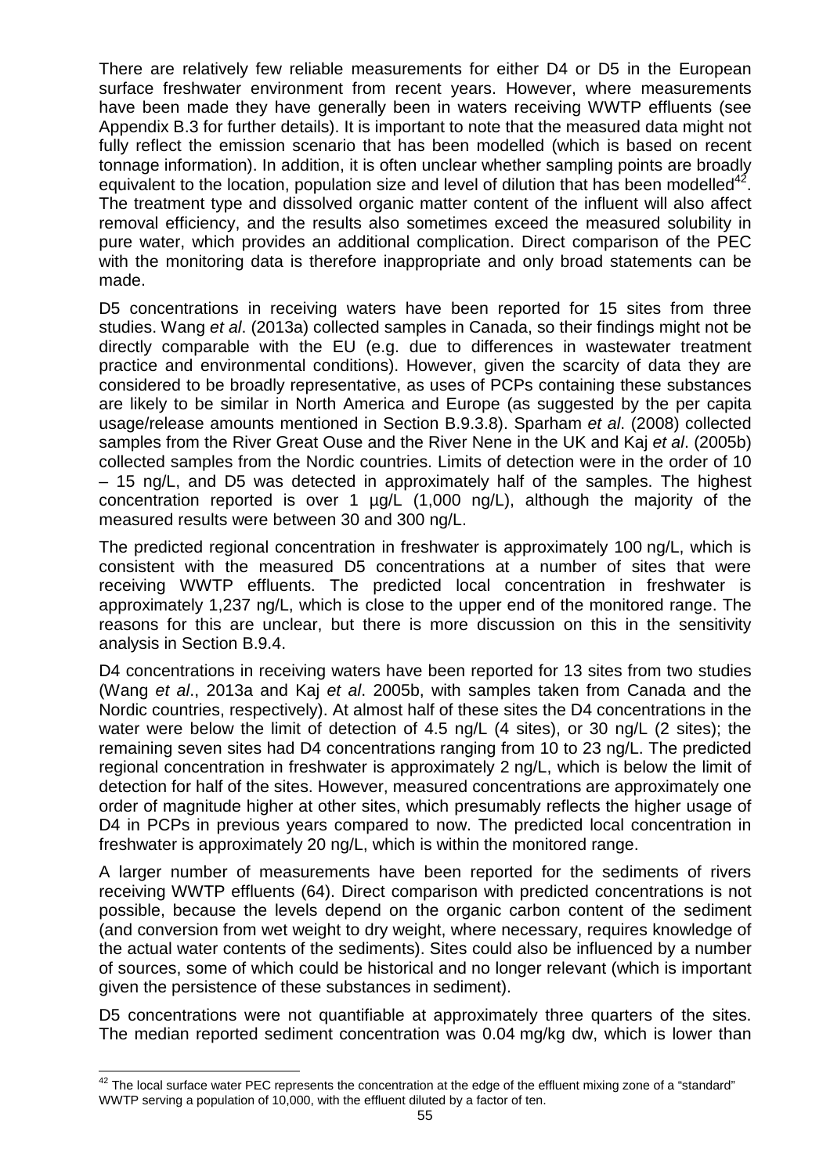There are relatively few reliable measurements for either D4 or D5 in the European surface freshwater environment from recent years. However, where measurements have been made they have generally been in waters receiving WWTP effluents (see Appendix B.3 for further details). It is important to note that the measured data might not fully reflect the emission scenario that has been modelled (which is based on recent tonnage information). In addition, it is often unclear whether sampling points are broadly equivalent to the location, population size and level of dilution that has been modelled<sup>42</sup>. The treatment type and dissolved organic matter content of the influent will also affect removal efficiency, and the results also sometimes exceed the measured solubility in pure water, which provides an additional complication. Direct comparison of the PEC with the monitoring data is therefore inappropriate and only broad statements can be made.

D5 concentrations in receiving waters have been reported for 15 sites from three studies. Wang et al. (2013a) collected samples in Canada, so their findings might not be directly comparable with the EU (e.g. due to differences in wastewater treatment practice and environmental conditions). However, given the scarcity of data they are considered to be broadly representative, as uses of PCPs containing these substances are likely to be similar in North America and Europe (as suggested by the per capita usage/release amounts mentioned in Section B.9.3.8). Sparham et al. (2008) collected samples from the River Great Ouse and the River Nene in the UK and Kaj et al. (2005b) collected samples from the Nordic countries. Limits of detection were in the order of 10 – 15 ng/L, and D5 was detected in approximately half of the samples. The highest concentration reported is over 1 µg/L (1,000 ng/L), although the majority of the measured results were between 30 and 300 ng/L.

The predicted regional concentration in freshwater is approximately 100 ng/L, which is consistent with the measured D5 concentrations at a number of sites that were receiving WWTP effluents. The predicted local concentration in freshwater is approximately 1,237 ng/L, which is close to the upper end of the monitored range. The reasons for this are unclear, but there is more discussion on this in the sensitivity analysis in Section B.9.4.

D4 concentrations in receiving waters have been reported for 13 sites from two studies (Wang et al., 2013a and Kaj et al. 2005b, with samples taken from Canada and the Nordic countries, respectively). At almost half of these sites the D4 concentrations in the water were below the limit of detection of 4.5 ng/L (4 sites), or 30 ng/L (2 sites); the remaining seven sites had D4 concentrations ranging from 10 to 23 ng/L. The predicted regional concentration in freshwater is approximately 2 ng/L, which is below the limit of detection for half of the sites. However, measured concentrations are approximately one order of magnitude higher at other sites, which presumably reflects the higher usage of D4 in PCPs in previous years compared to now. The predicted local concentration in freshwater is approximately 20 ng/L, which is within the monitored range.

A larger number of measurements have been reported for the sediments of rivers receiving WWTP effluents (64). Direct comparison with predicted concentrations is not possible, because the levels depend on the organic carbon content of the sediment (and conversion from wet weight to dry weight, where necessary, requires knowledge of the actual water contents of the sediments). Sites could also be influenced by a number of sources, some of which could be historical and no longer relevant (which is important given the persistence of these substances in sediment).

D5 concentrations were not quantifiable at approximately three quarters of the sites. The median reported sediment concentration was 0.04 mg/kg dw, which is lower than

 $\overline{\phantom{a}}$  $^{42}$  The local surface water PEC represents the concentration at the edge of the effluent mixing zone of a "standard" WWTP serving a population of 10,000, with the effluent diluted by a factor of ten.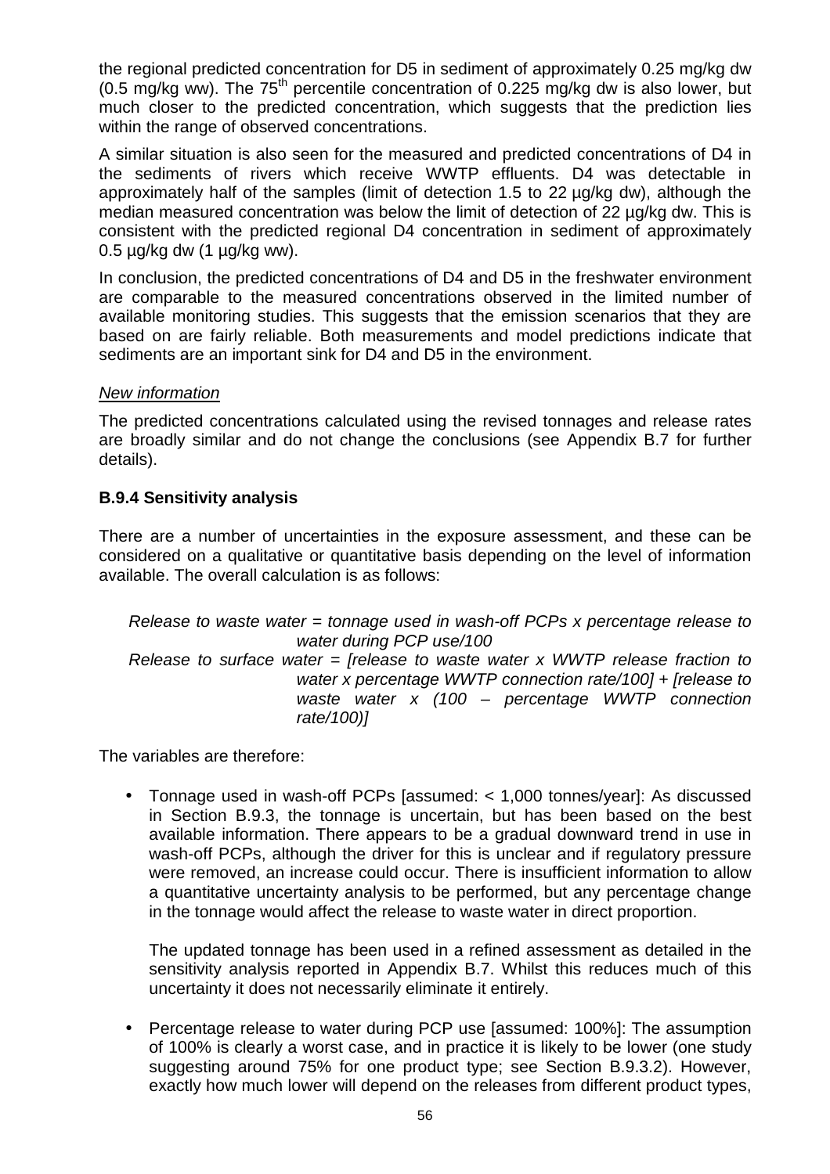the regional predicted concentration for D5 in sediment of approximately 0.25 mg/kg dw (0.5 mg/kg ww). The  $75<sup>th</sup>$  percentile concentration of 0.225 mg/kg dw is also lower, but much closer to the predicted concentration, which suggests that the prediction lies within the range of observed concentrations.

A similar situation is also seen for the measured and predicted concentrations of D4 in the sediments of rivers which receive WWTP effluents. D4 was detectable in approximately half of the samples (limit of detection 1.5 to 22 µg/kg dw), although the median measured concentration was below the limit of detection of 22 µg/kg dw. This is consistent with the predicted regional D4 concentration in sediment of approximately  $0.5 \mu$ g/kg dw (1  $\mu$ g/kg ww).

In conclusion, the predicted concentrations of D4 and D5 in the freshwater environment are comparable to the measured concentrations observed in the limited number of available monitoring studies. This suggests that the emission scenarios that they are based on are fairly reliable. Both measurements and model predictions indicate that sediments are an important sink for D4 and D5 in the environment.

### New information

The predicted concentrations calculated using the revised tonnages and release rates are broadly similar and do not change the conclusions (see Appendix B.7 for further details).

## **B.9.4 Sensitivity analysis**

There are a number of uncertainties in the exposure assessment, and these can be considered on a qualitative or quantitative basis depending on the level of information available. The overall calculation is as follows:

Release to waste water  $=$  tonnage used in wash-off PCPs x percentage release to water during PCP use/100 Release to surface water = [release to waste water x WWTP release fraction to water x percentage WWTP connection rate/1001 + Irelease to waste water  $x$  (100 – percentage WWTP connection rate/100)]

The variables are therefore:

• Tonnage used in wash-off PCPs [assumed: < 1,000 tonnes/year]: As discussed in Section B.9.3, the tonnage is uncertain, but has been based on the best available information. There appears to be a gradual downward trend in use in wash-off PCPs, although the driver for this is unclear and if regulatory pressure were removed, an increase could occur. There is insufficient information to allow a quantitative uncertainty analysis to be performed, but any percentage change in the tonnage would affect the release to waste water in direct proportion.

The updated tonnage has been used in a refined assessment as detailed in the sensitivity analysis reported in Appendix B.7. Whilst this reduces much of this uncertainty it does not necessarily eliminate it entirely.

• Percentage release to water during PCP use [assumed: 100%]: The assumption of 100% is clearly a worst case, and in practice it is likely to be lower (one study suggesting around 75% for one product type; see Section B.9.3.2). However, exactly how much lower will depend on the releases from different product types,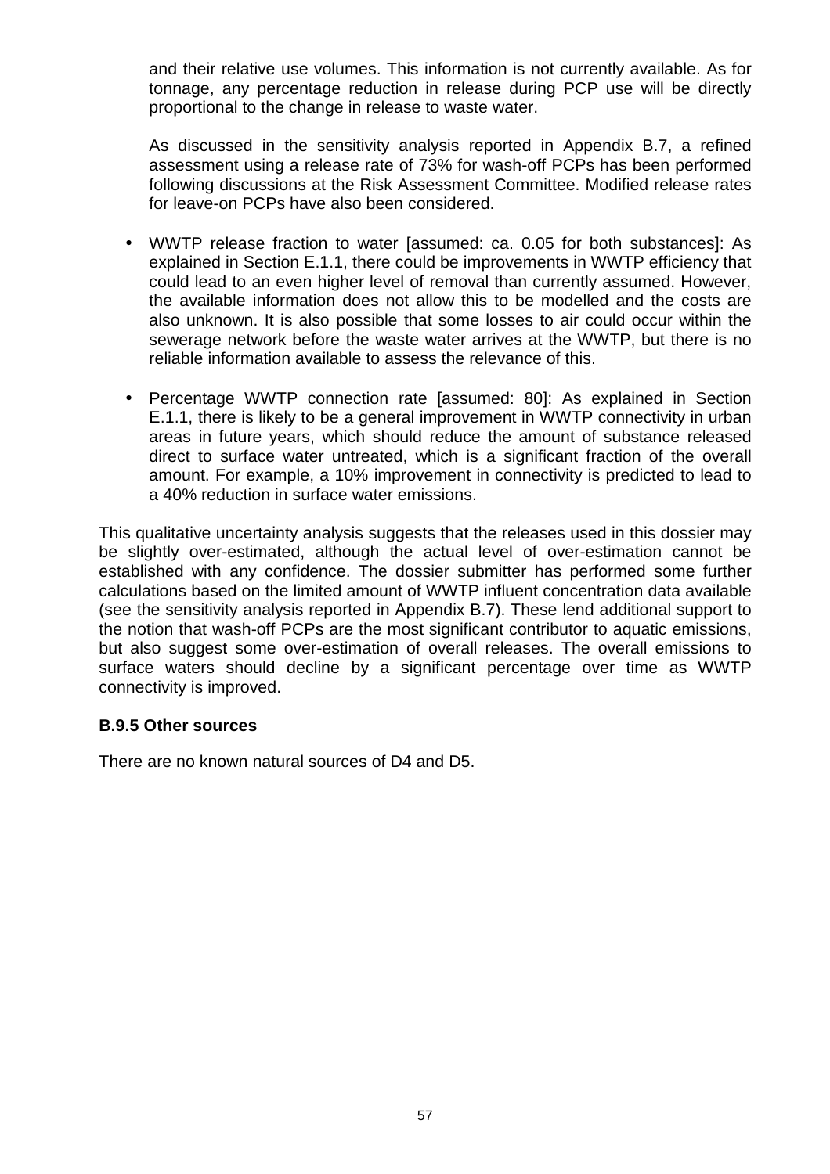and their relative use volumes. This information is not currently available. As for tonnage, any percentage reduction in release during PCP use will be directly proportional to the change in release to waste water.

As discussed in the sensitivity analysis reported in Appendix B.7, a refined assessment using a release rate of 73% for wash-off PCPs has been performed following discussions at the Risk Assessment Committee. Modified release rates for leave-on PCPs have also been considered.

- WWTP release fraction to water [assumed: ca. 0.05 for both substances]: As explained in Section E.1.1, there could be improvements in WWTP efficiency that could lead to an even higher level of removal than currently assumed. However, the available information does not allow this to be modelled and the costs are also unknown. It is also possible that some losses to air could occur within the sewerage network before the waste water arrives at the WWTP, but there is no reliable information available to assess the relevance of this.
- Percentage WWTP connection rate [assumed: 80]: As explained in Section E.1.1, there is likely to be a general improvement in WWTP connectivity in urban areas in future years, which should reduce the amount of substance released direct to surface water untreated, which is a significant fraction of the overall amount. For example, a 10% improvement in connectivity is predicted to lead to a 40% reduction in surface water emissions.

This qualitative uncertainty analysis suggests that the releases used in this dossier may be slightly over-estimated, although the actual level of over-estimation cannot be established with any confidence. The dossier submitter has performed some further calculations based on the limited amount of WWTP influent concentration data available (see the sensitivity analysis reported in Appendix B.7). These lend additional support to the notion that wash-off PCPs are the most significant contributor to aquatic emissions, but also suggest some over-estimation of overall releases. The overall emissions to surface waters should decline by a significant percentage over time as WWTP connectivity is improved.

#### **B.9.5 Other sources**

There are no known natural sources of D4 and D5.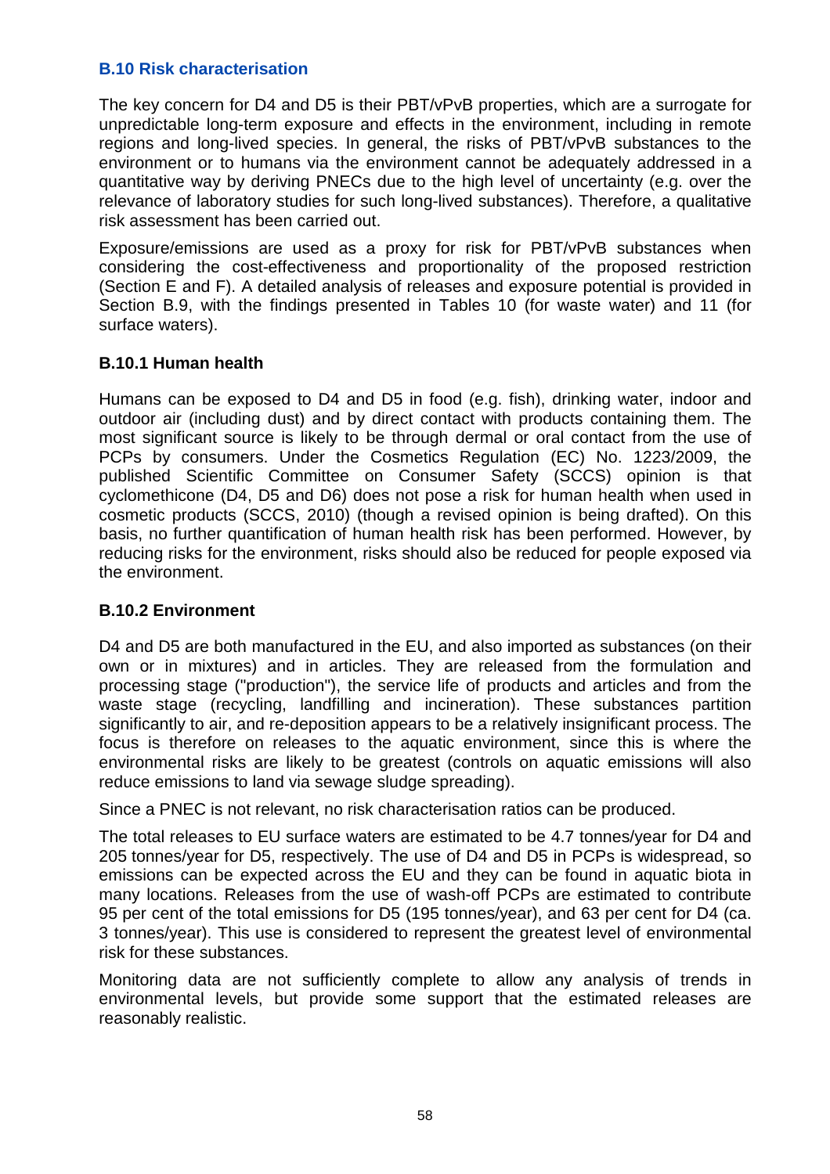### **B.10 Risk characterisation**

The key concern for D4 and D5 is their PBT/vPvB properties, which are a surrogate for unpredictable long-term exposure and effects in the environment, including in remote regions and long-lived species. In general, the risks of PBT/vPvB substances to the environment or to humans via the environment cannot be adequately addressed in a quantitative way by deriving PNECs due to the high level of uncertainty (e.g. over the relevance of laboratory studies for such long-lived substances). Therefore, a qualitative risk assessment has been carried out.

Exposure/emissions are used as a proxy for risk for PBT/vPvB substances when considering the cost-effectiveness and proportionality of the proposed restriction (Section E and F). A detailed analysis of releases and exposure potential is provided in Section B.9, with the findings presented in Tables 10 (for waste water) and 11 (for surface waters).

## **B.10.1 Human health**

Humans can be exposed to D4 and D5 in food (e.g. fish), drinking water, indoor and outdoor air (including dust) and by direct contact with products containing them. The most significant source is likely to be through dermal or oral contact from the use of PCPs by consumers. Under the Cosmetics Regulation (EC) No. 1223/2009, the published Scientific Committee on Consumer Safety (SCCS) opinion is that cyclomethicone (D4, D5 and D6) does not pose a risk for human health when used in cosmetic products (SCCS, 2010) (though a revised opinion is being drafted). On this basis, no further quantification of human health risk has been performed. However, by reducing risks for the environment, risks should also be reduced for people exposed via the environment.

### **B.10.2 Environment**

D4 and D5 are both manufactured in the EU, and also imported as substances (on their own or in mixtures) and in articles. They are released from the formulation and processing stage ("production"), the service life of products and articles and from the waste stage (recycling, landfilling and incineration). These substances partition significantly to air, and re-deposition appears to be a relatively insignificant process. The focus is therefore on releases to the aquatic environment, since this is where the environmental risks are likely to be greatest (controls on aquatic emissions will also reduce emissions to land via sewage sludge spreading).

Since a PNEC is not relevant, no risk characterisation ratios can be produced.

The total releases to EU surface waters are estimated to be 4.7 tonnes/year for D4 and 205 tonnes/year for D5, respectively. The use of D4 and D5 in PCPs is widespread, so emissions can be expected across the EU and they can be found in aquatic biota in many locations. Releases from the use of wash-off PCPs are estimated to contribute 95 per cent of the total emissions for D5 (195 tonnes/year), and 63 per cent for D4 (ca. 3 tonnes/year). This use is considered to represent the greatest level of environmental risk for these substances.

Monitoring data are not sufficiently complete to allow any analysis of trends in environmental levels, but provide some support that the estimated releases are reasonably realistic.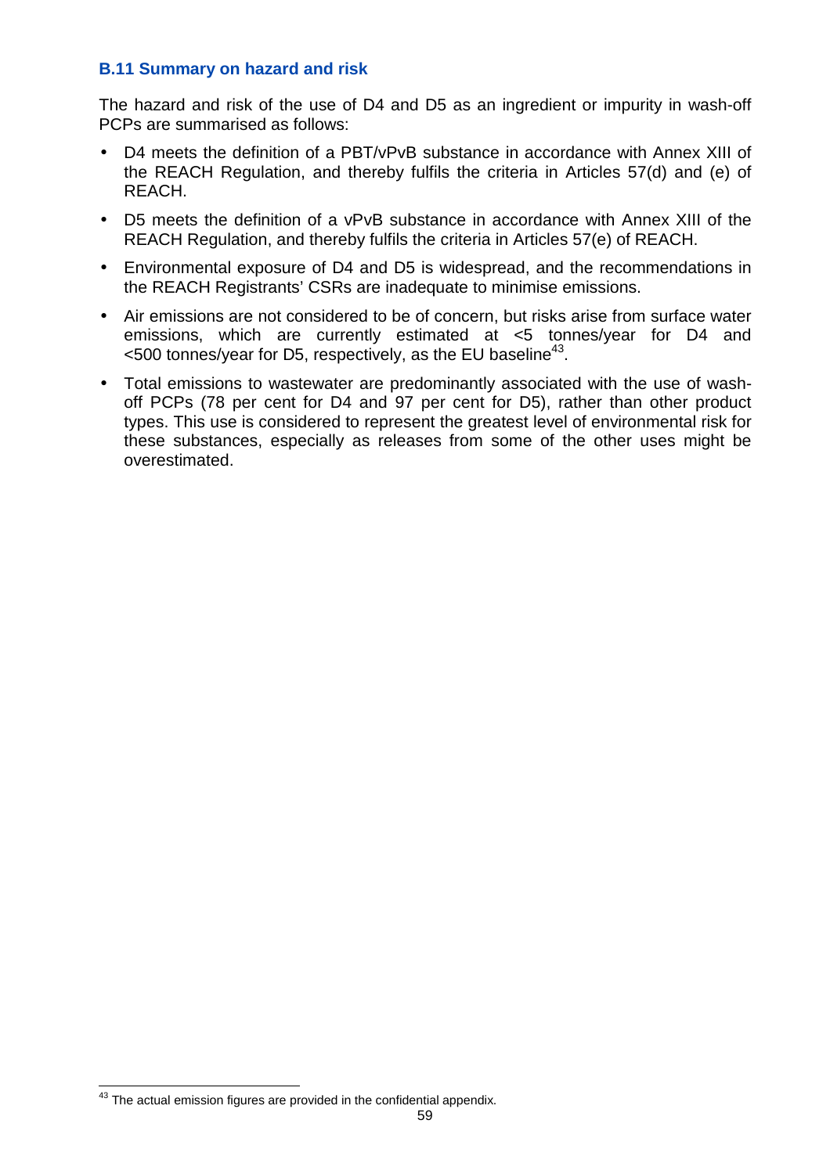### **B.11 Summary on hazard and risk**

The hazard and risk of the use of D4 and D5 as an ingredient or impurity in wash-off PCPs are summarised as follows:

- D4 meets the definition of a PBT/vPvB substance in accordance with Annex XIII of the REACH Regulation, and thereby fulfils the criteria in Articles 57(d) and (e) of REACH.
- D5 meets the definition of a vPvB substance in accordance with Annex XIII of the REACH Regulation, and thereby fulfils the criteria in Articles 57(e) of REACH.
- Environmental exposure of D4 and D5 is widespread, and the recommendations in the REACH Registrants' CSRs are inadequate to minimise emissions.
- Air emissions are not considered to be of concern, but risks arise from surface water emissions, which are currently estimated at <5 tonnes/year for D4 and  $<$ 500 tonnes/year for D5, respectively, as the EU baseline<sup>43</sup>.
- Total emissions to wastewater are predominantly associated with the use of washoff PCPs (78 per cent for D4 and 97 per cent for D5), rather than other product types. This use is considered to represent the greatest level of environmental risk for these substances, especially as releases from some of the other uses might be overestimated.

j  $43$  The actual emission figures are provided in the confidential appendix.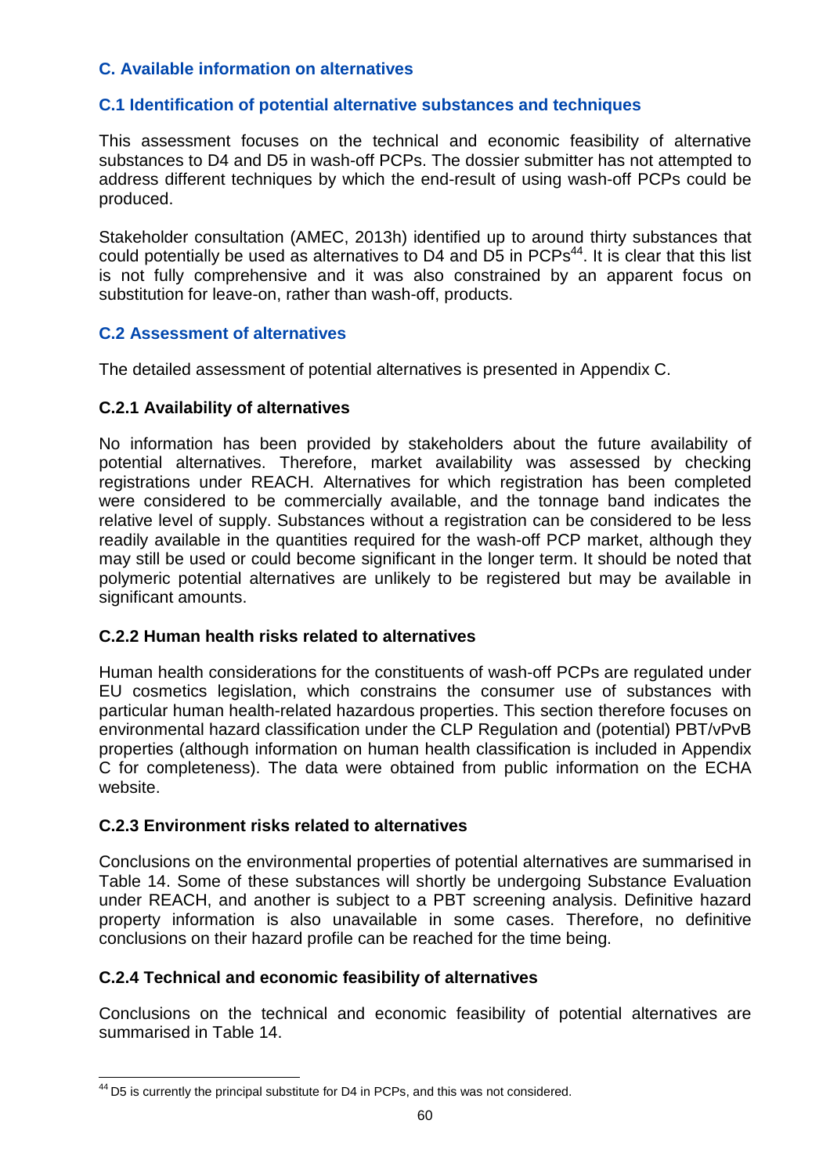## **C. Available information on alternatives**

## **C.1 Identification of potential alternative substances and techniques**

This assessment focuses on the technical and economic feasibility of alternative substances to D4 and D5 in wash-off PCPs. The dossier submitter has not attempted to address different techniques by which the end-result of using wash-off PCPs could be produced.

Stakeholder consultation (AMEC, 2013h) identified up to around thirty substances that could potentially be used as alternatives to D4 and D5 in  $PCPs<sup>44</sup>$ . It is clear that this list is not fully comprehensive and it was also constrained by an apparent focus on substitution for leave-on, rather than wash-off, products.

## **C.2 Assessment of alternatives**

The detailed assessment of potential alternatives is presented in Appendix C.

## **C.2.1 Availability of alternatives**

No information has been provided by stakeholders about the future availability of potential alternatives. Therefore, market availability was assessed by checking registrations under REACH. Alternatives for which registration has been completed were considered to be commercially available, and the tonnage band indicates the relative level of supply. Substances without a registration can be considered to be less readily available in the quantities required for the wash-off PCP market, although they may still be used or could become significant in the longer term. It should be noted that polymeric potential alternatives are unlikely to be registered but may be available in significant amounts.

## **C.2.2 Human health risks related to alternatives**

Human health considerations for the constituents of wash-off PCPs are regulated under EU cosmetics legislation, which constrains the consumer use of substances with particular human health-related hazardous properties. This section therefore focuses on environmental hazard classification under the CLP Regulation and (potential) PBT/vPvB properties (although information on human health classification is included in Appendix C for completeness). The data were obtained from public information on the ECHA website.

## **C.2.3 Environment risks related to alternatives**

Conclusions on the environmental properties of potential alternatives are summarised in Table 14. Some of these substances will shortly be undergoing Substance Evaluation under REACH, and another is subject to a PBT screening analysis. Definitive hazard property information is also unavailable in some cases. Therefore, no definitive conclusions on their hazard profile can be reached for the time being.

## **C.2.4 Technical and economic feasibility of alternatives**

Conclusions on the technical and economic feasibility of potential alternatives are summarised in Table 14.

j  $44$  D5 is currently the principal substitute for D4 in PCPs, and this was not considered.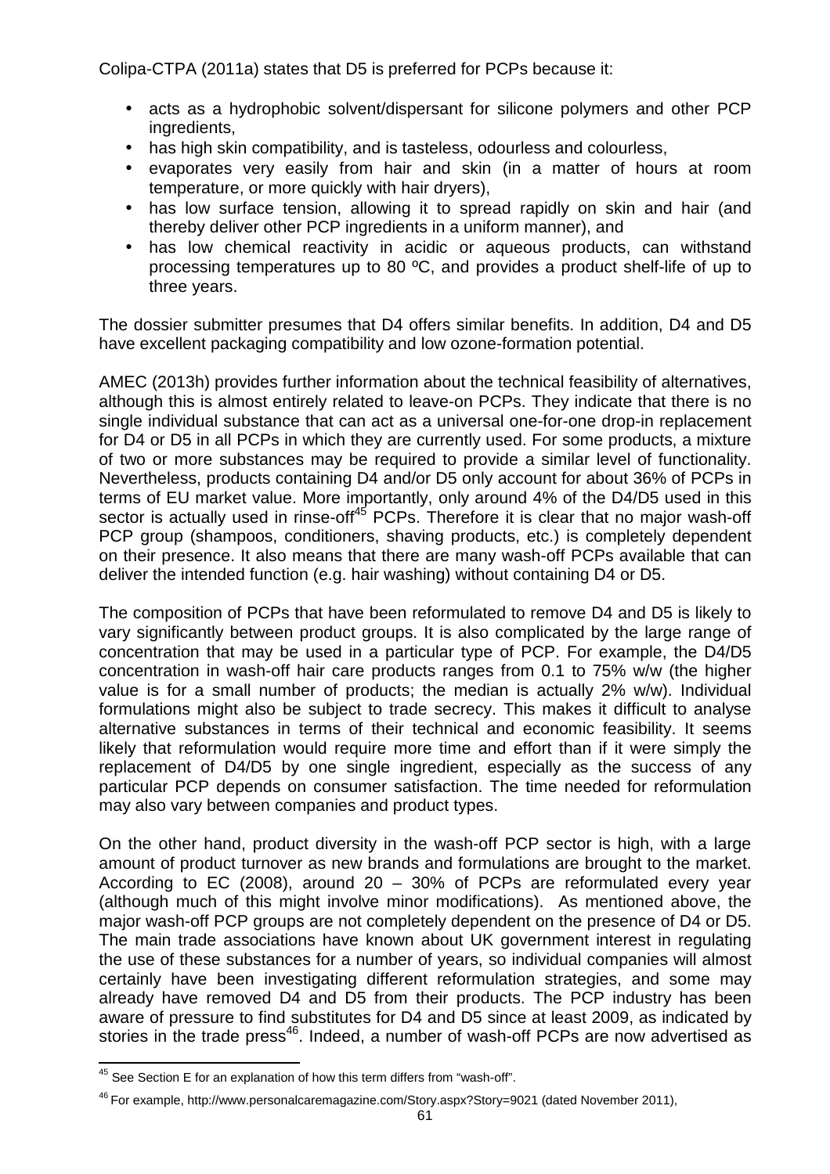Colipa-CTPA (2011a) states that D5 is preferred for PCPs because it:

- acts as a hydrophobic solvent/dispersant for silicone polymers and other PCP ingredients,
- has high skin compatibility, and is tasteless, odourless and colourless,
- evaporates very easily from hair and skin (in a matter of hours at room temperature, or more quickly with hair dryers),
- has low surface tension, allowing it to spread rapidly on skin and hair (and thereby deliver other PCP ingredients in a uniform manner), and
- has low chemical reactivity in acidic or aqueous products, can withstand processing temperatures up to 80 ºC, and provides a product shelf-life of up to three years.

The dossier submitter presumes that D4 offers similar benefits. In addition, D4 and D5 have excellent packaging compatibility and low ozone-formation potential.

AMEC (2013h) provides further information about the technical feasibility of alternatives, although this is almost entirely related to leave-on PCPs. They indicate that there is no single individual substance that can act as a universal one-for-one drop-in replacement for D4 or D5 in all PCPs in which they are currently used. For some products, a mixture of two or more substances may be required to provide a similar level of functionality. Nevertheless, products containing D4 and/or D5 only account for about 36% of PCPs in terms of EU market value. More importantly, only around 4% of the D4/D5 used in this sector is actually used in rinse-off<sup>45</sup> PCPs. Therefore it is clear that no major wash-off PCP group (shampoos, conditioners, shaving products, etc.) is completely dependent on their presence. It also means that there are many wash-off PCPs available that can deliver the intended function (e.g. hair washing) without containing D4 or D5.

The composition of PCPs that have been reformulated to remove D4 and D5 is likely to vary significantly between product groups. It is also complicated by the large range of concentration that may be used in a particular type of PCP. For example, the D4/D5 concentration in wash-off hair care products ranges from 0.1 to 75% w/w (the higher value is for a small number of products; the median is actually 2% w/w). Individual formulations might also be subject to trade secrecy. This makes it difficult to analyse alternative substances in terms of their technical and economic feasibility. It seems likely that reformulation would require more time and effort than if it were simply the replacement of D4/D5 by one single ingredient, especially as the success of any particular PCP depends on consumer satisfaction. The time needed for reformulation may also vary between companies and product types.

On the other hand, product diversity in the wash-off PCP sector is high, with a large amount of product turnover as new brands and formulations are brought to the market. According to EC (2008), around 20 – 30% of PCPs are reformulated every year (although much of this might involve minor modifications). As mentioned above, the major wash-off PCP groups are not completely dependent on the presence of D4 or D5. The main trade associations have known about UK government interest in regulating the use of these substances for a number of years, so individual companies will almost certainly have been investigating different reformulation strategies, and some may already have removed D4 and D5 from their products. The PCP industry has been aware of pressure to find substitutes for D4 and D5 since at least 2009, as indicated by stories in the trade press<sup>46</sup>. Indeed, a number of wash-off PCPs are now advertised as

 $\overline{\phantom{a}}$  $^{45}$  See Section E for an explanation of how this term differs from "wash-off".

<sup>&</sup>lt;sup>46</sup> For example, http://www.personalcaremagazine.com/Story.aspx?Story=9021 (dated November 2011),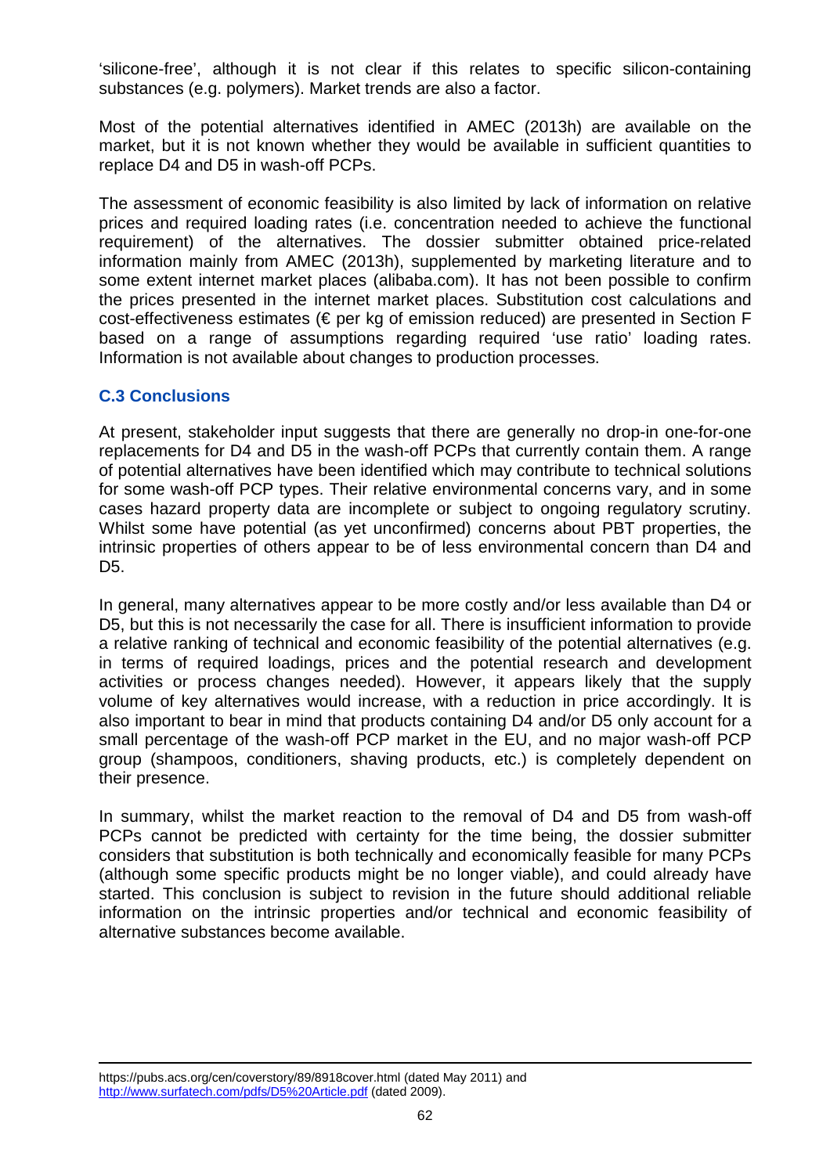'silicone-free', although it is not clear if this relates to specific silicon-containing substances (e.g. polymers). Market trends are also a factor.

Most of the potential alternatives identified in AMEC (2013h) are available on the market, but it is not known whether they would be available in sufficient quantities to replace D4 and D5 in wash-off PCPs.

The assessment of economic feasibility is also limited by lack of information on relative prices and required loading rates (i.e. concentration needed to achieve the functional requirement) of the alternatives. The dossier submitter obtained price-related information mainly from AMEC (2013h), supplemented by marketing literature and to some extent internet market places (alibaba.com). It has not been possible to confirm the prices presented in the internet market places. Substitution cost calculations and cost-effectiveness estimates ( $\epsilon$  per kg of emission reduced) are presented in Section F based on a range of assumptions regarding required 'use ratio' loading rates. Information is not available about changes to production processes.

## **C.3 Conclusions**

At present, stakeholder input suggests that there are generally no drop-in one-for-one replacements for D4 and D5 in the wash-off PCPs that currently contain them. A range of potential alternatives have been identified which may contribute to technical solutions for some wash-off PCP types. Their relative environmental concerns vary, and in some cases hazard property data are incomplete or subject to ongoing regulatory scrutiny. Whilst some have potential (as yet unconfirmed) concerns about PBT properties, the intrinsic properties of others appear to be of less environmental concern than D4 and D5.

In general, many alternatives appear to be more costly and/or less available than D4 or D5, but this is not necessarily the case for all. There is insufficient information to provide a relative ranking of technical and economic feasibility of the potential alternatives (e.g. in terms of required loadings, prices and the potential research and development activities or process changes needed). However, it appears likely that the supply volume of key alternatives would increase, with a reduction in price accordingly. It is also important to bear in mind that products containing D4 and/or D5 only account for a small percentage of the wash-off PCP market in the EU, and no major wash-off PCP group (shampoos, conditioners, shaving products, etc.) is completely dependent on their presence.

In summary, whilst the market reaction to the removal of D4 and D5 from wash-off PCPs cannot be predicted with certainty for the time being, the dossier submitter considers that substitution is both technically and economically feasible for many PCPs (although some specific products might be no longer viable), and could already have started. This conclusion is subject to revision in the future should additional reliable information on the intrinsic properties and/or technical and economic feasibility of alternative substances become available.

i, https://pubs.acs.org/cen/coverstory/89/8918cover.html (dated May 2011) and http://www.surfatech.com/pdfs/D5%20Article.pdf (dated 2009).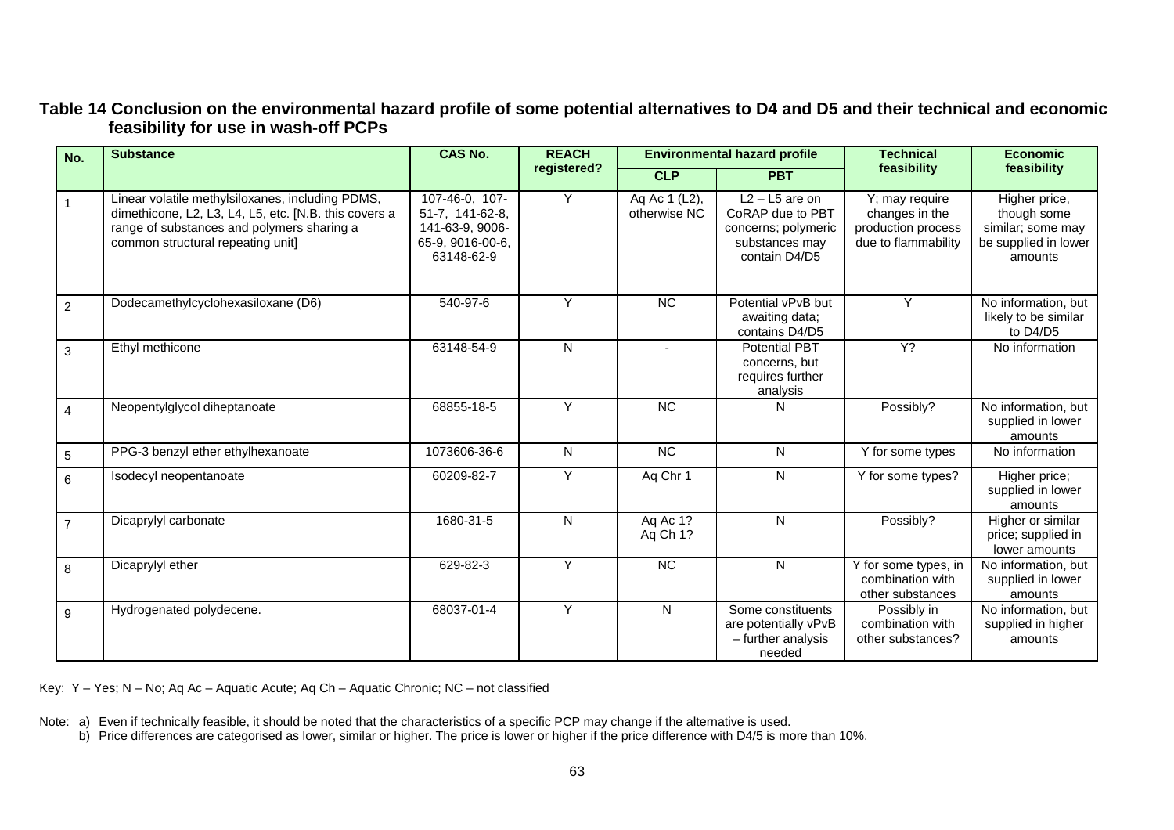## **Table 14 Conclusion on the environmental hazard profile of some potential alternatives to D4 and D5 and their technical and economic feasibility for use in wash-off PCPs**

| No.            | <b>Substance</b>                                                                                                                                                                             | <b>CAS No.</b>                                                                         | <b>REACH</b> | <b>Environmental hazard profile</b> |                                                                                                | <b>Technical</b>                                                              | <b>Economic</b>                                                                      |
|----------------|----------------------------------------------------------------------------------------------------------------------------------------------------------------------------------------------|----------------------------------------------------------------------------------------|--------------|-------------------------------------|------------------------------------------------------------------------------------------------|-------------------------------------------------------------------------------|--------------------------------------------------------------------------------------|
|                |                                                                                                                                                                                              |                                                                                        | registered?  | <b>CLP</b>                          | <b>PBT</b>                                                                                     | feasibility                                                                   | feasibility                                                                          |
|                | Linear volatile methylsiloxanes, including PDMS,<br>dimethicone, L2, L3, L4, L5, etc. [N.B. this covers a<br>range of substances and polymers sharing a<br>common structural repeating unit] | 107-46-0, 107-<br>51-7, 141-62-8,<br>141-63-9, 9006-<br>65-9, 9016-00-6,<br>63148-62-9 | Y            | Aq Ac 1 (L2),<br>otherwise NC       | $L2 - L5$ are on<br>CoRAP due to PBT<br>concerns; polymeric<br>substances may<br>contain D4/D5 | Y; may require<br>changes in the<br>production process<br>due to flammability | Higher price,<br>though some<br>similar; some may<br>be supplied in lower<br>amounts |
| $\mathfrak{p}$ | Dodecamethylcyclohexasiloxane (D6)                                                                                                                                                           | 540-97-6                                                                               | Y            | <b>NC</b>                           | Potential vPvB but<br>awaiting data;<br>contains D4/D5                                         | Y                                                                             | No information, but<br>likely to be similar<br>to D4/D5                              |
| 3              | Ethyl methicone                                                                                                                                                                              | 63148-54-9                                                                             | N            |                                     | Potential PBT<br>concerns, but<br>requires further<br>analysis                                 | $Y$ ?                                                                         | No information                                                                       |
| 4              | Neopentylglycol diheptanoate                                                                                                                                                                 | 68855-18-5                                                                             | Y            | $\overline{NC}$                     | N                                                                                              | Possibly?                                                                     | No information, but<br>supplied in lower<br>amounts                                  |
| 5              | PPG-3 benzyl ether ethylhexanoate                                                                                                                                                            | 1073606-36-6                                                                           | N            | <b>NC</b>                           | ${\sf N}$                                                                                      | Y for some types                                                              | No information                                                                       |
| 6              | Isodecyl neopentanoate                                                                                                                                                                       | 60209-82-7                                                                             | Y            | Aq Chr 1                            | $\mathsf{N}$                                                                                   | Y for some types?                                                             | Higher price;<br>supplied in lower<br>amounts                                        |
| $\overline{7}$ | Dicaprylyl carbonate                                                                                                                                                                         | 1680-31-5                                                                              | N            | Aq Ac 1?<br>Aq Ch 1?                | $\overline{N}$                                                                                 | Possibly?                                                                     | Higher or similar<br>price; supplied in<br>lower amounts                             |
| 8              | Dicaprylyl ether                                                                                                                                                                             | 629-82-3                                                                               | Y            | $\overline{NC}$                     | $\mathsf{N}$                                                                                   | Y for some types, in<br>combination with<br>other substances                  | No information, but<br>supplied in lower<br>amounts                                  |
| 9              | Hydrogenated polydecene.                                                                                                                                                                     | 68037-01-4                                                                             | Y            | $\mathsf{N}$                        | Some constituents<br>are potentially vPvB<br>- further analysis<br>needed                      | Possibly in<br>combination with<br>other substances?                          | No information, but<br>supplied in higher<br>amounts                                 |

Key: Y – Yes; N – No; Aq Ac – Aquatic Acute; Aq Ch – Aquatic Chronic; NC – not classified

Note: a) Even if technically feasible, it should be noted that the characteristics of a specific PCP may change if the alternative is used.<br>b) Price differences are categorised as lower, similar or higher. The price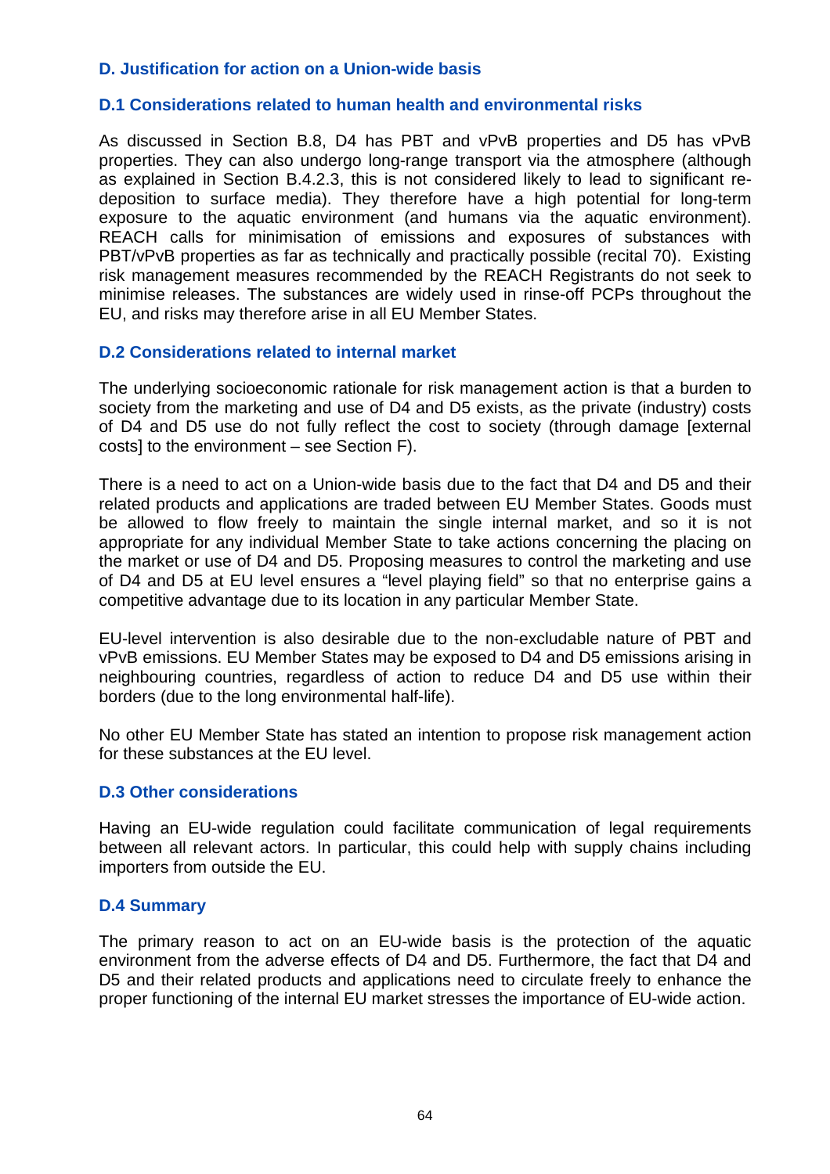### **D. Justification for action on a Union-wide basis**

#### **D.1 Considerations related to human health and environmental risks**

As discussed in Section B.8, D4 has PBT and vPvB properties and D5 has vPvB properties. They can also undergo long-range transport via the atmosphere (although as explained in Section B.4.2.3, this is not considered likely to lead to significant redeposition to surface media). They therefore have a high potential for long-term exposure to the aquatic environment (and humans via the aquatic environment). REACH calls for minimisation of emissions and exposures of substances with PBT/vPvB properties as far as technically and practically possible (recital 70). Existing risk management measures recommended by the REACH Registrants do not seek to minimise releases. The substances are widely used in rinse-off PCPs throughout the EU, and risks may therefore arise in all EU Member States.

#### **D.2 Considerations related to internal market**

The underlying socioeconomic rationale for risk management action is that a burden to society from the marketing and use of D4 and D5 exists, as the private (industry) costs of D4 and D5 use do not fully reflect the cost to society (through damage [external costs] to the environment – see Section F).

There is a need to act on a Union-wide basis due to the fact that D4 and D5 and their related products and applications are traded between EU Member States. Goods must be allowed to flow freely to maintain the single internal market, and so it is not appropriate for any individual Member State to take actions concerning the placing on the market or use of D4 and D5. Proposing measures to control the marketing and use of D4 and D5 at EU level ensures a "level playing field" so that no enterprise gains a competitive advantage due to its location in any particular Member State.

EU-level intervention is also desirable due to the non-excludable nature of PBT and vPvB emissions. EU Member States may be exposed to D4 and D5 emissions arising in neighbouring countries, regardless of action to reduce D4 and D5 use within their borders (due to the long environmental half-life).

No other EU Member State has stated an intention to propose risk management action for these substances at the EU level.

#### **D.3 Other considerations**

Having an EU-wide regulation could facilitate communication of legal requirements between all relevant actors. In particular, this could help with supply chains including importers from outside the EU.

#### **D.4 Summary**

The primary reason to act on an EU-wide basis is the protection of the aquatic environment from the adverse effects of D4 and D5. Furthermore, the fact that D4 and D5 and their related products and applications need to circulate freely to enhance the proper functioning of the internal EU market stresses the importance of EU-wide action.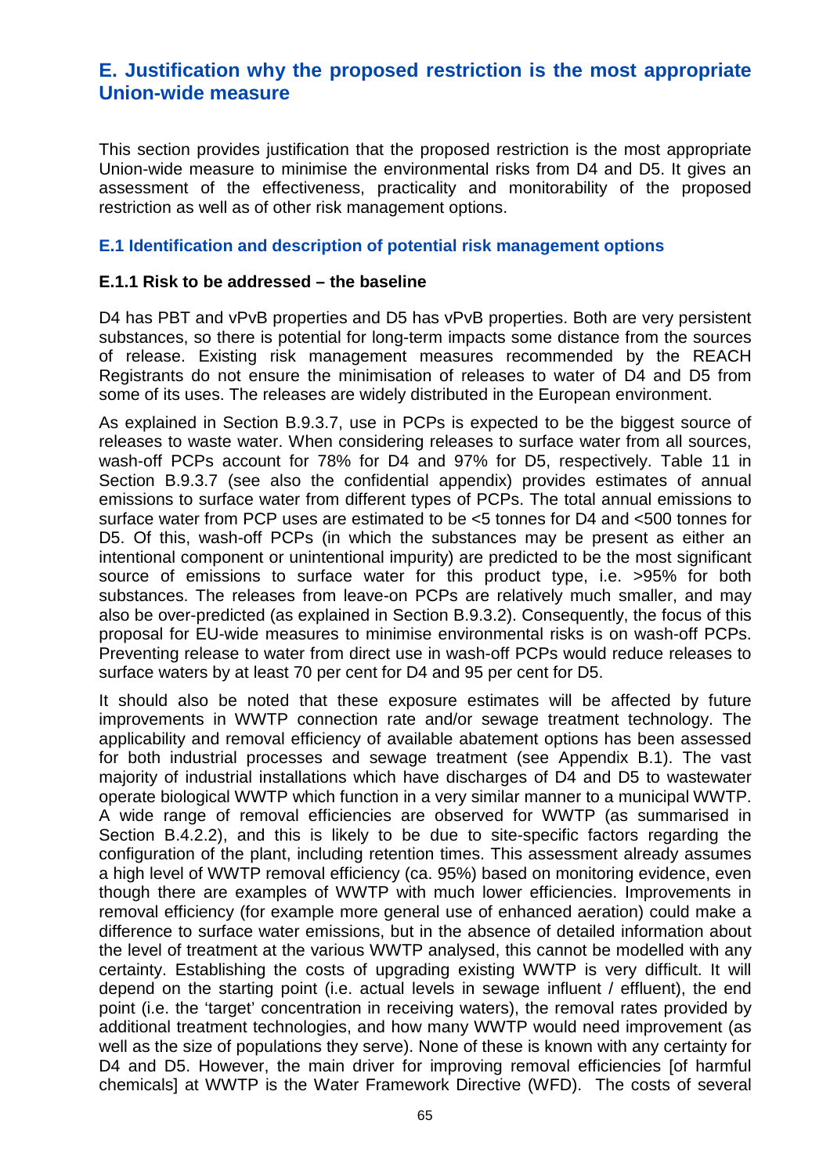# **E. Justification why the proposed restriction is the most appropriate Union-wide measure**

This section provides justification that the proposed restriction is the most appropriate Union-wide measure to minimise the environmental risks from D4 and D5. It gives an assessment of the effectiveness, practicality and monitorability of the proposed restriction as well as of other risk management options.

#### **E.1 Identification and description of potential risk management options**

#### **E.1.1 Risk to be addressed – the baseline**

D4 has PBT and vPvB properties and D5 has vPvB properties. Both are very persistent substances, so there is potential for long-term impacts some distance from the sources of release. Existing risk management measures recommended by the REACH Registrants do not ensure the minimisation of releases to water of D4 and D5 from some of its uses. The releases are widely distributed in the European environment.

As explained in Section B.9.3.7, use in PCPs is expected to be the biggest source of releases to waste water. When considering releases to surface water from all sources, wash-off PCPs account for 78% for D4 and 97% for D5, respectively. Table 11 in Section B.9.3.7 (see also the confidential appendix) provides estimates of annual emissions to surface water from different types of PCPs. The total annual emissions to surface water from PCP uses are estimated to be <5 tonnes for D4 and <500 tonnes for D5. Of this, wash-off PCPs (in which the substances may be present as either an intentional component or unintentional impurity) are predicted to be the most significant source of emissions to surface water for this product type, i.e. >95% for both substances. The releases from leave-on PCPs are relatively much smaller, and may also be over-predicted (as explained in Section B.9.3.2). Consequently, the focus of this proposal for EU-wide measures to minimise environmental risks is on wash-off PCPs. Preventing release to water from direct use in wash-off PCPs would reduce releases to surface waters by at least 70 per cent for D4 and 95 per cent for D5.

It should also be noted that these exposure estimates will be affected by future improvements in WWTP connection rate and/or sewage treatment technology. The applicability and removal efficiency of available abatement options has been assessed for both industrial processes and sewage treatment (see Appendix B.1). The vast majority of industrial installations which have discharges of D4 and D5 to wastewater operate biological WWTP which function in a very similar manner to a municipal WWTP. A wide range of removal efficiencies are observed for WWTP (as summarised in Section B.4.2.2), and this is likely to be due to site-specific factors regarding the configuration of the plant, including retention times. This assessment already assumes a high level of WWTP removal efficiency (ca. 95%) based on monitoring evidence, even though there are examples of WWTP with much lower efficiencies. Improvements in removal efficiency (for example more general use of enhanced aeration) could make a difference to surface water emissions, but in the absence of detailed information about the level of treatment at the various WWTP analysed, this cannot be modelled with any certainty. Establishing the costs of upgrading existing WWTP is very difficult. It will depend on the starting point (i.e. actual levels in sewage influent / effluent), the end point (i.e. the 'target' concentration in receiving waters), the removal rates provided by additional treatment technologies, and how many WWTP would need improvement (as well as the size of populations they serve). None of these is known with any certainty for D4 and D5. However, the main driver for improving removal efficiencies [of harmful chemicals] at WWTP is the Water Framework Directive (WFD). The costs of several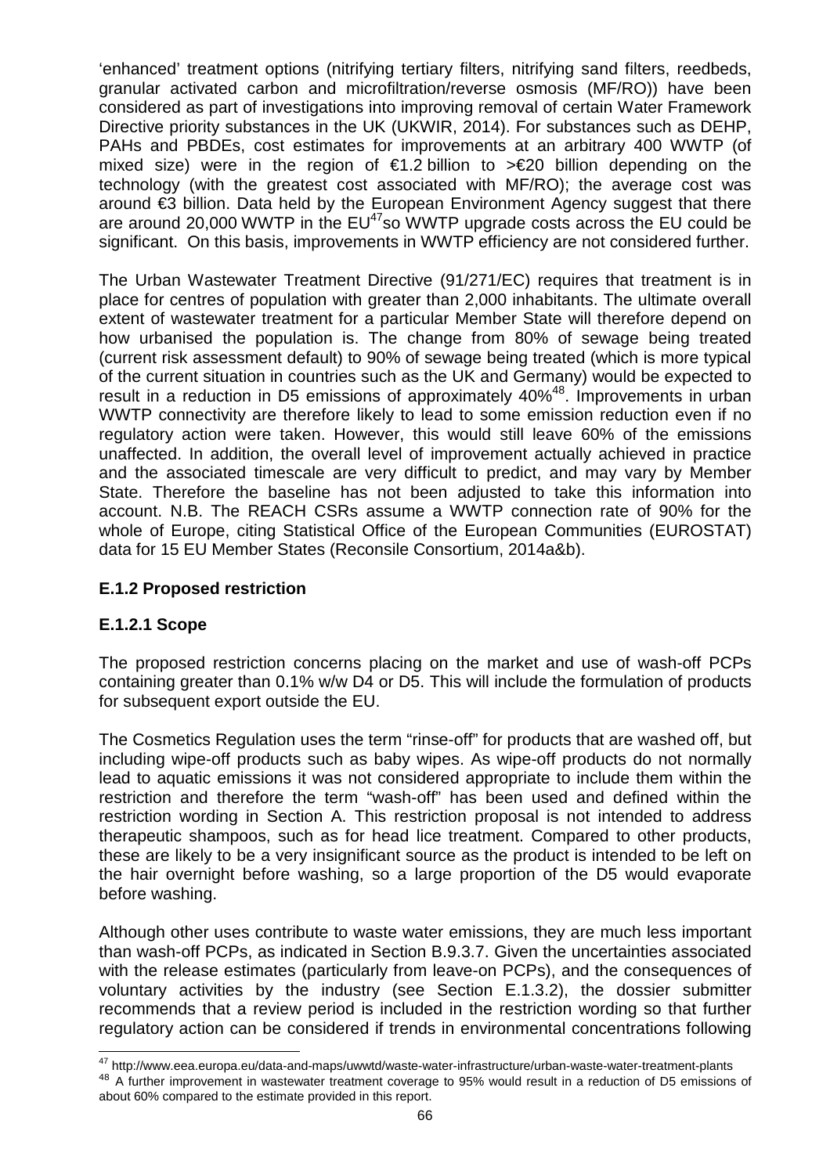'enhanced' treatment options (nitrifying tertiary filters, nitrifying sand filters, reedbeds, granular activated carbon and microfiltration/reverse osmosis (MF/RO)) have been considered as part of investigations into improving removal of certain Water Framework Directive priority substances in the UK (UKWIR, 2014). For substances such as DEHP, PAHs and PBDEs, cost estimates for improvements at an arbitrary 400 WWTP (of mixed size) were in the region of  $\epsilon$ 1.2 billion to  $\epsilon$ 20 billion depending on the technology (with the greatest cost associated with MF/RO); the average cost was around €3 billion. Data held by the European Environment Agency suggest that there are around 20,000 WWTP in the  $EU^{47}$ so WWTP upgrade costs across the EU could be significant. On this basis, improvements in WWTP efficiency are not considered further.

The Urban Wastewater Treatment Directive (91/271/EC) requires that treatment is in place for centres of population with greater than 2,000 inhabitants. The ultimate overall extent of wastewater treatment for a particular Member State will therefore depend on how urbanised the population is. The change from 80% of sewage being treated (current risk assessment default) to 90% of sewage being treated (which is more typical of the current situation in countries such as the UK and Germany) would be expected to result in a reduction in D5 emissions of approximately 40%<sup>48</sup>. Improvements in urban WWTP connectivity are therefore likely to lead to some emission reduction even if no regulatory action were taken. However, this would still leave 60% of the emissions unaffected. In addition, the overall level of improvement actually achieved in practice and the associated timescale are very difficult to predict, and may vary by Member State. Therefore the baseline has not been adjusted to take this information into account. N.B. The REACH CSRs assume a WWTP connection rate of 90% for the whole of Europe, citing Statistical Office of the European Communities (EUROSTAT) data for 15 EU Member States (Reconsile Consortium, 2014a&b).

## **E.1.2 Proposed restriction**

### **E.1.2.1 Scope**

The proposed restriction concerns placing on the market and use of wash-off PCPs containing greater than 0.1% w/w D4 or D5. This will include the formulation of products for subsequent export outside the EU.

The Cosmetics Regulation uses the term "rinse-off" for products that are washed off, but including wipe-off products such as baby wipes. As wipe-off products do not normally lead to aquatic emissions it was not considered appropriate to include them within the restriction and therefore the term "wash-off" has been used and defined within the restriction wording in Section A. This restriction proposal is not intended to address therapeutic shampoos, such as for head lice treatment. Compared to other products, these are likely to be a very insignificant source as the product is intended to be left on the hair overnight before washing, so a large proportion of the D5 would evaporate before washing.

Although other uses contribute to waste water emissions, they are much less important than wash-off PCPs, as indicated in Section B.9.3.7. Given the uncertainties associated with the release estimates (particularly from leave-on PCPs), and the consequences of voluntary activities by the industry (see Section E.1.3.2), the dossier submitter recommends that a review period is included in the restriction wording so that further regulatory action can be considered if trends in environmental concentrations following

 $\overline{\phantom{a}}$ <sup>47</sup>http://www.eea.europa.eu/data-and-maps/uwwtd/waste-water-infrastructure/urban-waste-water-treatment-plants <sup>48</sup> A further improvement in wastewater treatment coverage to 95% would result in a reduction of D5 emissions of about 60% compared to the estimate provided in this report.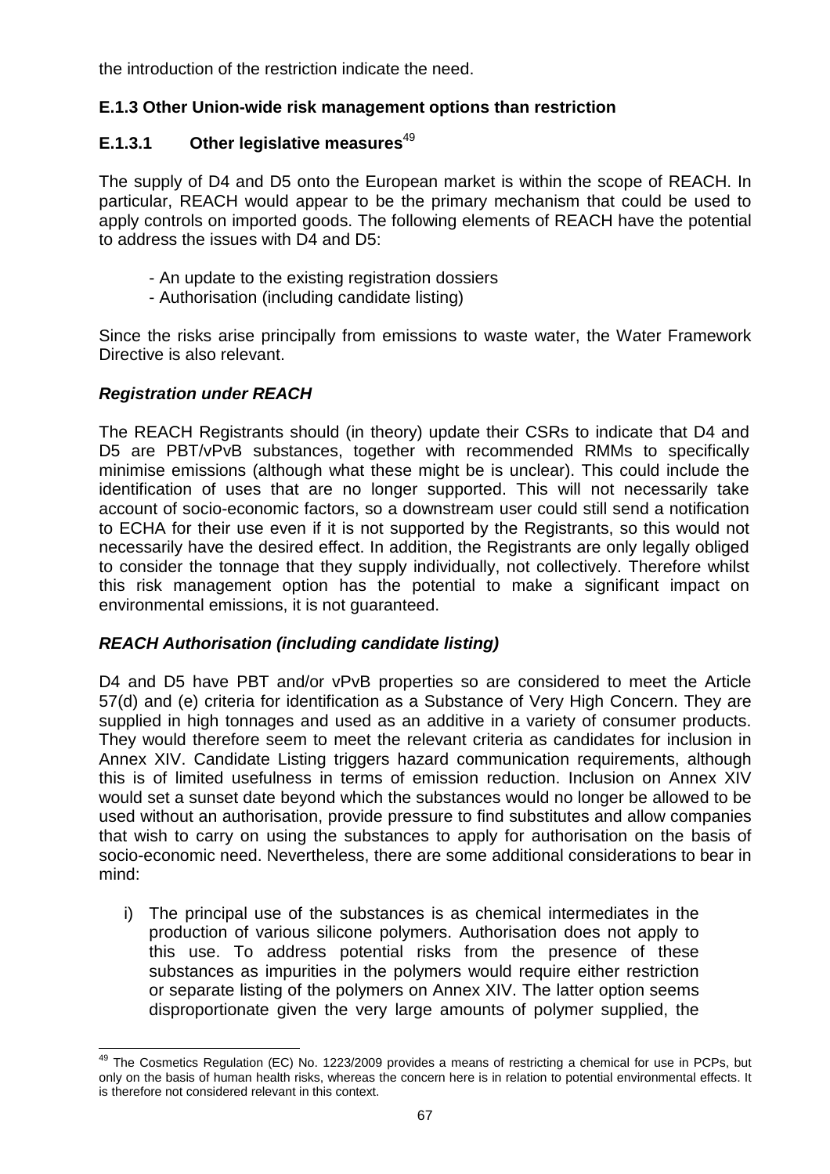the introduction of the restriction indicate the need.

## **E.1.3 Other Union-wide risk management options than restriction**

## **E.1.3.1** Other legislative measures<sup>49</sup>

The supply of D4 and D5 onto the European market is within the scope of REACH. In particular, REACH would appear to be the primary mechanism that could be used to apply controls on imported goods. The following elements of REACH have the potential to address the issues with D4 and D5:

- An update to the existing registration dossiers
- Authorisation (including candidate listing)

Since the risks arise principally from emissions to waste water, the Water Framework Directive is also relevant.

## **Registration under REACH**

The REACH Registrants should (in theory) update their CSRs to indicate that D4 and D5 are PBT/vPvB substances, together with recommended RMMs to specifically minimise emissions (although what these might be is unclear). This could include the identification of uses that are no longer supported. This will not necessarily take account of socio-economic factors, so a downstream user could still send a notification to ECHA for their use even if it is not supported by the Registrants, so this would not necessarily have the desired effect. In addition, the Registrants are only legally obliged to consider the tonnage that they supply individually, not collectively. Therefore whilst this risk management option has the potential to make a significant impact on environmental emissions, it is not guaranteed.

## **REACH Authorisation (including candidate listing)**

D4 and D5 have PBT and/or vPvB properties so are considered to meet the Article 57(d) and (e) criteria for identification as a Substance of Very High Concern. They are supplied in high tonnages and used as an additive in a variety of consumer products. They would therefore seem to meet the relevant criteria as candidates for inclusion in Annex XIV. Candidate Listing triggers hazard communication requirements, although this is of limited usefulness in terms of emission reduction. Inclusion on Annex XIV would set a sunset date beyond which the substances would no longer be allowed to be used without an authorisation, provide pressure to find substitutes and allow companies that wish to carry on using the substances to apply for authorisation on the basis of socio-economic need. Nevertheless, there are some additional considerations to bear in mind:

i) The principal use of the substances is as chemical intermediates in the production of various silicone polymers. Authorisation does not apply to this use. To address potential risks from the presence of these substances as impurities in the polymers would require either restriction or separate listing of the polymers on Annex XIV. The latter option seems disproportionate given the very large amounts of polymer supplied, the

j <sup>49</sup> The Cosmetics Regulation (EC) No. 1223/2009 provides a means of restricting a chemical for use in PCPs, but only on the basis of human health risks, whereas the concern here is in relation to potential environmental effects. It is therefore not considered relevant in this context.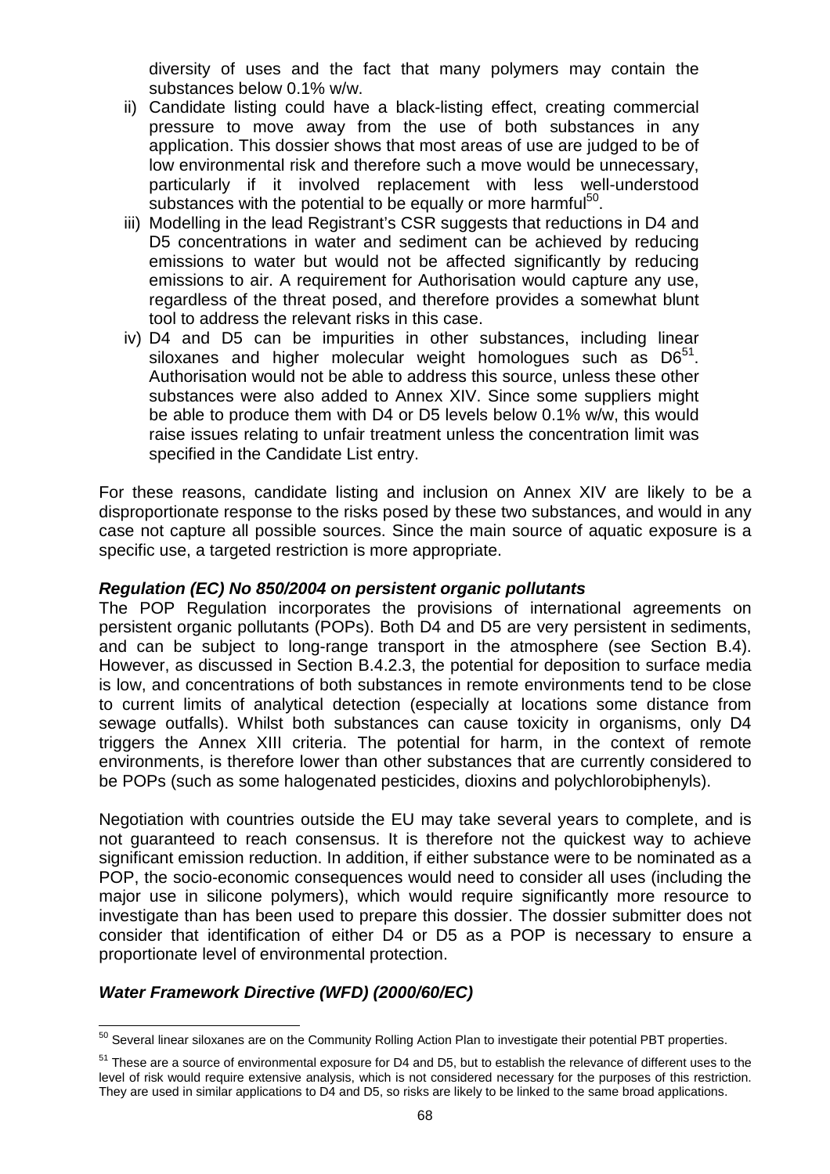diversity of uses and the fact that many polymers may contain the substances below 0.1% w/w.

- ii) Candidate listing could have a black-listing effect, creating commercial pressure to move away from the use of both substances in any application. This dossier shows that most areas of use are judged to be of low environmental risk and therefore such a move would be unnecessary, particularly if it involved replacement with less well-understood substances with the potential to be equally or more harmful<sup>50</sup>.
- iii) Modelling in the lead Registrant's CSR suggests that reductions in D4 and D5 concentrations in water and sediment can be achieved by reducing emissions to water but would not be affected significantly by reducing emissions to air. A requirement for Authorisation would capture any use, regardless of the threat posed, and therefore provides a somewhat blunt tool to address the relevant risks in this case.
- iv) D4 and D5 can be impurities in other substances, including linear siloxanes and higher molecular weight homologues such as  $D6^{51}$ . Authorisation would not be able to address this source, unless these other substances were also added to Annex XIV. Since some suppliers might be able to produce them with D4 or D5 levels below 0.1% w/w, this would raise issues relating to unfair treatment unless the concentration limit was specified in the Candidate List entry.

For these reasons, candidate listing and inclusion on Annex XIV are likely to be a disproportionate response to the risks posed by these two substances, and would in any case not capture all possible sources. Since the main source of aquatic exposure is a specific use, a targeted restriction is more appropriate.

#### **Regulation (EC) No 850/2004 on persistent organic pollutants**

The POP Regulation incorporates the provisions of international agreements on persistent organic pollutants (POPs). Both D4 and D5 are very persistent in sediments, and can be subject to long-range transport in the atmosphere (see Section B.4). However, as discussed in Section B.4.2.3, the potential for deposition to surface media is low, and concentrations of both substances in remote environments tend to be close to current limits of analytical detection (especially at locations some distance from sewage outfalls). Whilst both substances can cause toxicity in organisms, only D4 triggers the Annex XIII criteria. The potential for harm, in the context of remote environments, is therefore lower than other substances that are currently considered to be POPs (such as some halogenated pesticides, dioxins and polychlorobiphenyls).

Negotiation with countries outside the EU may take several years to complete, and is not guaranteed to reach consensus. It is therefore not the quickest way to achieve significant emission reduction. In addition, if either substance were to be nominated as a POP, the socio-economic consequences would need to consider all uses (including the major use in silicone polymers), which would require significantly more resource to investigate than has been used to prepare this dossier. The dossier submitter does not consider that identification of either D4 or D5 as a POP is necessary to ensure a proportionate level of environmental protection.

#### **Water Framework Directive (WFD) (2000/60/EC)**

 $\overline{a}$  $50$  Several linear siloxanes are on the Community Rolling Action Plan to investigate their potential PBT properties.

<sup>&</sup>lt;sup>51</sup> These are a source of environmental exposure for D4 and D5, but to establish the relevance of different uses to the level of risk would require extensive analysis, which is not considered necessary for the purposes of this restriction. They are used in similar applications to D4 and D5, so risks are likely to be linked to the same broad applications.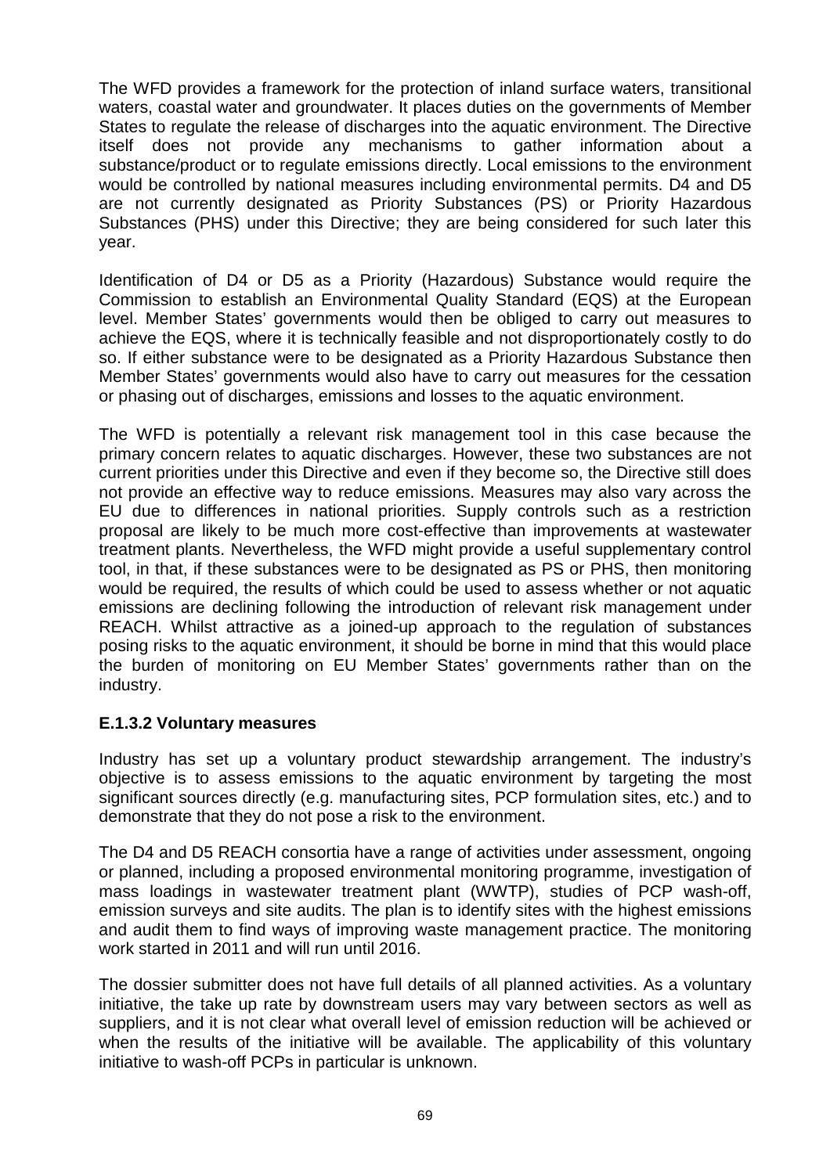The WFD provides a framework for the protection of inland surface waters, transitional waters, coastal water and groundwater. It places duties on the governments of Member States to regulate the release of discharges into the aquatic environment. The Directive itself does not provide any mechanisms to gather information about a substance/product or to regulate emissions directly. Local emissions to the environment would be controlled by national measures including environmental permits. D4 and D5 are not currently designated as Priority Substances (PS) or Priority Hazardous Substances (PHS) under this Directive; they are being considered for such later this year.

Identification of D4 or D5 as a Priority (Hazardous) Substance would require the Commission to establish an Environmental Quality Standard (EQS) at the European level. Member States' governments would then be obliged to carry out measures to achieve the EQS, where it is technically feasible and not disproportionately costly to do so. If either substance were to be designated as a Priority Hazardous Substance then Member States' governments would also have to carry out measures for the cessation or phasing out of discharges, emissions and losses to the aquatic environment.

The WFD is potentially a relevant risk management tool in this case because the primary concern relates to aquatic discharges. However, these two substances are not current priorities under this Directive and even if they become so, the Directive still does not provide an effective way to reduce emissions. Measures may also vary across the EU due to differences in national priorities. Supply controls such as a restriction proposal are likely to be much more cost-effective than improvements at wastewater treatment plants. Nevertheless, the WFD might provide a useful supplementary control tool, in that, if these substances were to be designated as PS or PHS, then monitoring would be required, the results of which could be used to assess whether or not aquatic emissions are declining following the introduction of relevant risk management under REACH. Whilst attractive as a joined-up approach to the regulation of substances posing risks to the aquatic environment, it should be borne in mind that this would place the burden of monitoring on EU Member States' governments rather than on the industry.

## **E.1.3.2 Voluntary measures**

Industry has set up a voluntary product stewardship arrangement. The industry's objective is to assess emissions to the aquatic environment by targeting the most significant sources directly (e.g. manufacturing sites, PCP formulation sites, etc.) and to demonstrate that they do not pose a risk to the environment.

The D4 and D5 REACH consortia have a range of activities under assessment, ongoing or planned, including a proposed environmental monitoring programme, investigation of mass loadings in wastewater treatment plant (WWTP), studies of PCP wash-off, emission surveys and site audits. The plan is to identify sites with the highest emissions and audit them to find ways of improving waste management practice. The monitoring work started in 2011 and will run until 2016.

The dossier submitter does not have full details of all planned activities. As a voluntary initiative, the take up rate by downstream users may vary between sectors as well as suppliers, and it is not clear what overall level of emission reduction will be achieved or when the results of the initiative will be available. The applicability of this voluntary initiative to wash-off PCPs in particular is unknown.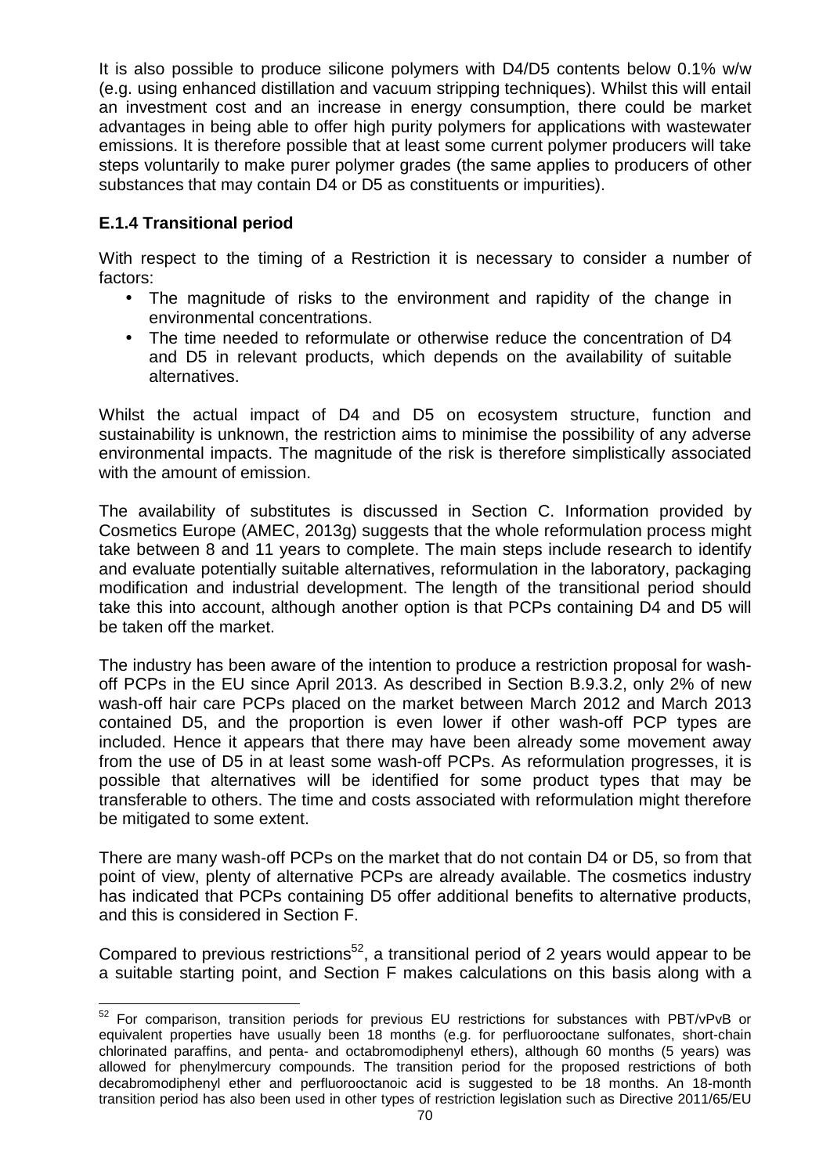It is also possible to produce silicone polymers with D4/D5 contents below 0.1% w/w (e.g. using enhanced distillation and vacuum stripping techniques). Whilst this will entail an investment cost and an increase in energy consumption, there could be market advantages in being able to offer high purity polymers for applications with wastewater emissions. It is therefore possible that at least some current polymer producers will take steps voluntarily to make purer polymer grades (the same applies to producers of other substances that may contain D4 or D5 as constituents or impurities).

# **E.1.4 Transitional period**

With respect to the timing of a Restriction it is necessary to consider a number of factors:

- The magnitude of risks to the environment and rapidity of the change in environmental concentrations.
- The time needed to reformulate or otherwise reduce the concentration of D4 and D5 in relevant products, which depends on the availability of suitable alternatives.

Whilst the actual impact of D4 and D5 on ecosystem structure, function and sustainability is unknown, the restriction aims to minimise the possibility of any adverse environmental impacts. The magnitude of the risk is therefore simplistically associated with the amount of emission.

The availability of substitutes is discussed in Section C. Information provided by Cosmetics Europe (AMEC, 2013g) suggests that the whole reformulation process might take between 8 and 11 years to complete. The main steps include research to identify and evaluate potentially suitable alternatives, reformulation in the laboratory, packaging modification and industrial development. The length of the transitional period should take this into account, although another option is that PCPs containing D4 and D5 will be taken off the market.

The industry has been aware of the intention to produce a restriction proposal for washoff PCPs in the EU since April 2013. As described in Section B.9.3.2, only 2% of new wash-off hair care PCPs placed on the market between March 2012 and March 2013 contained D5, and the proportion is even lower if other wash-off PCP types are included. Hence it appears that there may have been already some movement away from the use of D5 in at least some wash-off PCPs. As reformulation progresses, it is possible that alternatives will be identified for some product types that may be transferable to others. The time and costs associated with reformulation might therefore be mitigated to some extent.

There are many wash-off PCPs on the market that do not contain D4 or D5, so from that point of view, plenty of alternative PCPs are already available. The cosmetics industry has indicated that PCPs containing D5 offer additional benefits to alternative products, and this is considered in Section F.

Compared to previous restrictions<sup>52</sup>, a transitional period of 2 years would appear to be a suitable starting point, and Section F makes calculations on this basis along with a

l  $52$  For comparison, transition periods for previous EU restrictions for substances with PBT/vPvB or equivalent properties have usually been 18 months (e.g. for perfluorooctane sulfonates, short-chain chlorinated paraffins, and penta- and octabromodiphenyl ethers), although 60 months (5 years) was allowed for phenylmercury compounds. The transition period for the proposed restrictions of both decabromodiphenyl ether and perfluorooctanoic acid is suggested to be 18 months. An 18-month transition period has also been used in other types of restriction legislation such as Directive 2011/65/EU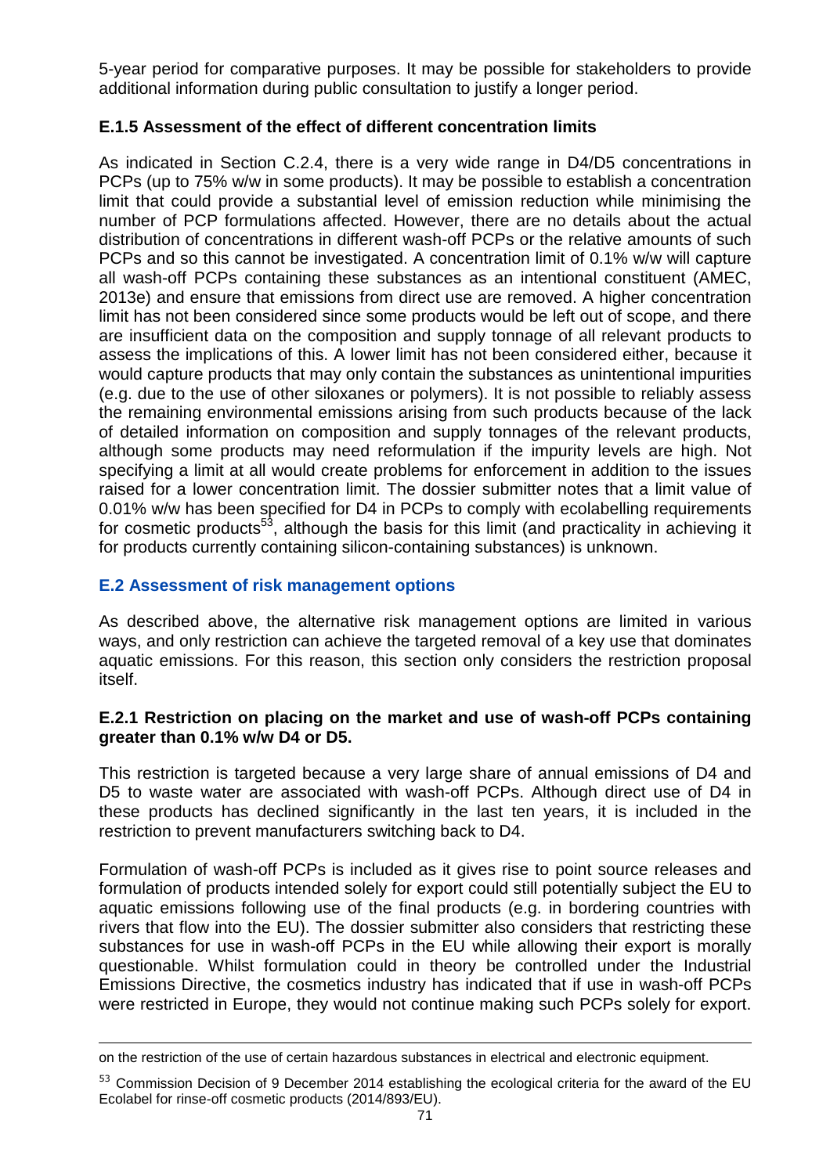5-year period for comparative purposes. It may be possible for stakeholders to provide additional information during public consultation to justify a longer period.

## **E.1.5 Assessment of the effect of different concentration limits**

As indicated in Section C.2.4, there is a very wide range in D4/D5 concentrations in PCPs (up to 75% w/w in some products). It may be possible to establish a concentration limit that could provide a substantial level of emission reduction while minimising the number of PCP formulations affected. However, there are no details about the actual distribution of concentrations in different wash-off PCPs or the relative amounts of such PCPs and so this cannot be investigated. A concentration limit of 0.1% w/w will capture all wash-off PCPs containing these substances as an intentional constituent (AMEC, 2013e) and ensure that emissions from direct use are removed. A higher concentration limit has not been considered since some products would be left out of scope, and there are insufficient data on the composition and supply tonnage of all relevant products to assess the implications of this. A lower limit has not been considered either, because it would capture products that may only contain the substances as unintentional impurities (e.g. due to the use of other siloxanes or polymers). It is not possible to reliably assess the remaining environmental emissions arising from such products because of the lack of detailed information on composition and supply tonnages of the relevant products, although some products may need reformulation if the impurity levels are high. Not specifying a limit at all would create problems for enforcement in addition to the issues raised for a lower concentration limit. The dossier submitter notes that a limit value of 0.01% w/w has been specified for D4 in PCPs to comply with ecolabelling requirements for cosmetic products<sup>53</sup>, although the basis for this limit (and practicality in achieving it for products currently containing silicon-containing substances) is unknown.

## **E.2 Assessment of risk management options**

As described above, the alternative risk management options are limited in various ways, and only restriction can achieve the targeted removal of a key use that dominates aquatic emissions. For this reason, this section only considers the restriction proposal itself.

#### **E.2.1 Restriction on placing on the market and use of wash-off PCPs containing greater than 0.1% w/w D4 or D5.**

This restriction is targeted because a very large share of annual emissions of D4 and D5 to waste water are associated with wash-off PCPs. Although direct use of D4 in these products has declined significantly in the last ten years, it is included in the restriction to prevent manufacturers switching back to D4.

Formulation of wash-off PCPs is included as it gives rise to point source releases and formulation of products intended solely for export could still potentially subject the EU to aquatic emissions following use of the final products (e.g. in bordering countries with rivers that flow into the EU). The dossier submitter also considers that restricting these substances for use in wash-off PCPs in the EU while allowing their export is morally questionable. Whilst formulation could in theory be controlled under the Industrial Emissions Directive, the cosmetics industry has indicated that if use in wash-off PCPs were restricted in Europe, they would not continue making such PCPs solely for export.

l on the restriction of the use of certain hazardous substances in electrical and electronic equipment.

<sup>53</sup> Commission Decision of 9 December 2014 establishing the ecological criteria for the award of the EU Ecolabel for rinse-off cosmetic products (2014/893/EU).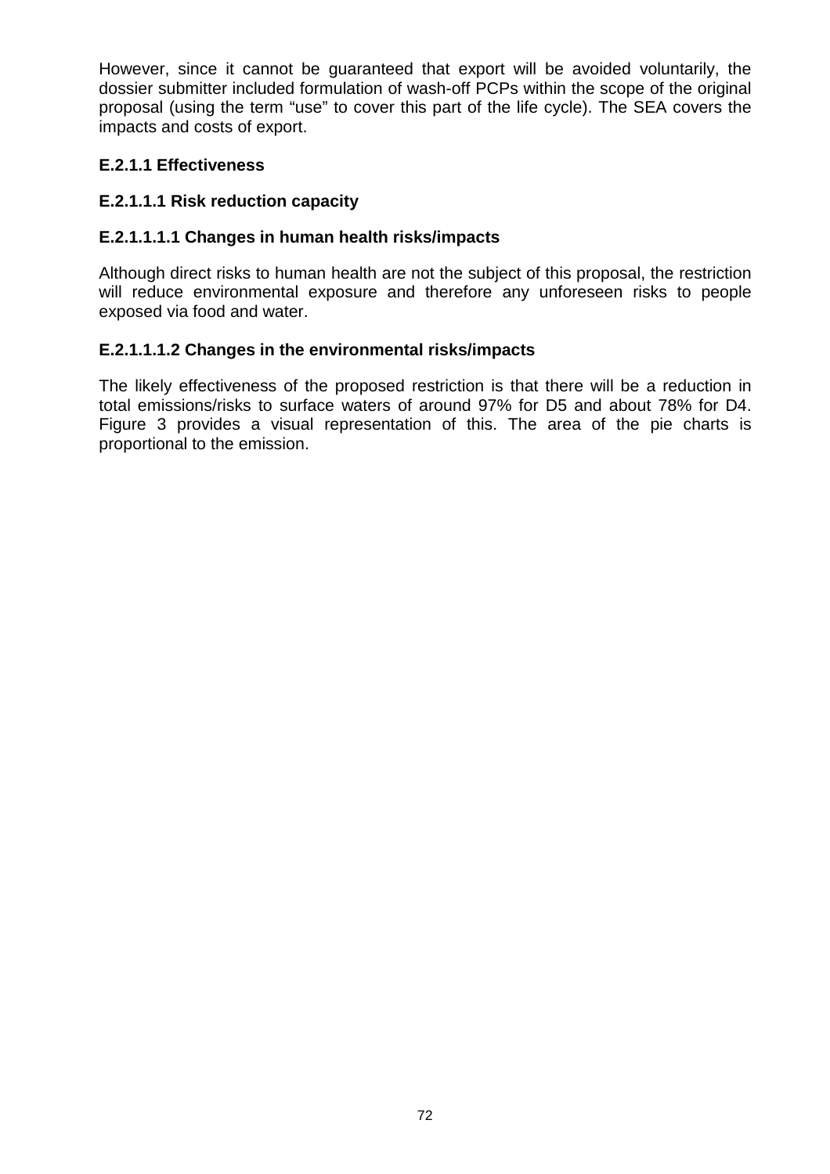However, since it cannot be guaranteed that export will be avoided voluntarily, the dossier submitter included formulation of wash-off PCPs within the scope of the original proposal (using the term "use" to cover this part of the life cycle). The SEA covers the impacts and costs of export.

## **E.2.1.1 Effectiveness**

# **E.2.1.1.1 Risk reduction capacity**

# **E.2.1.1.1.1 Changes in human health risks/impacts**

Although direct risks to human health are not the subject of this proposal, the restriction will reduce environmental exposure and therefore any unforeseen risks to people exposed via food and water.

## **E.2.1.1.1.2 Changes in the environmental risks/impacts**

The likely effectiveness of the proposed restriction is that there will be a reduction in total emissions/risks to surface waters of around 97% for D5 and about 78% for D4. Figure 3 provides a visual representation of this. The area of the pie charts is proportional to the emission.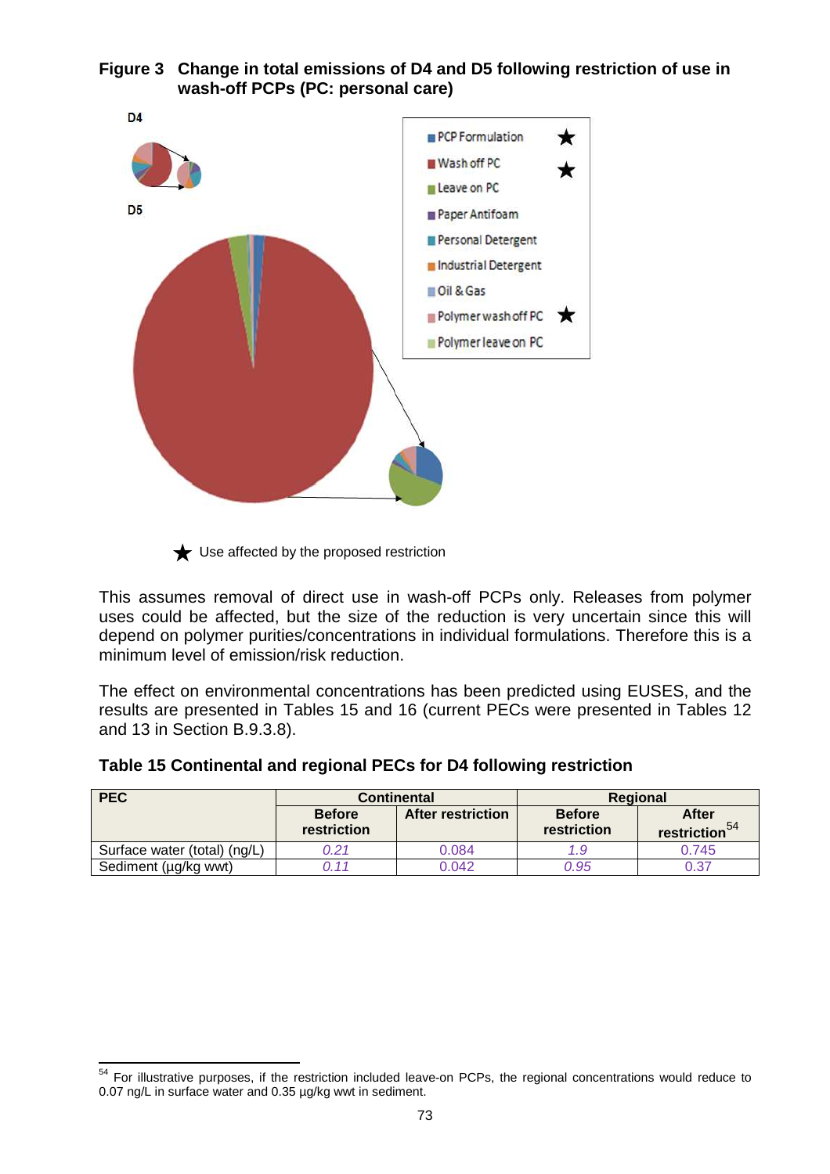



 $\bigstar$  Use affected by the proposed restriction

This assumes removal of direct use in wash-off PCPs only. Releases from polymer uses could be affected, but the size of the reduction is very uncertain since this will depend on polymer purities/concentrations in individual formulations. Therefore this is a minimum level of emission/risk reduction.

The effect on environmental concentrations has been predicted using EUSES, and the results are presented in Tables 15 and 16 (current PECs were presented in Tables 12 and 13 in Section B.9.3.8).

|  | Table 15 Continental and regional PECs for D4 following restriction |
|--|---------------------------------------------------------------------|
|--|---------------------------------------------------------------------|

| <b>PEC</b>                   | <b>Continental</b>           |                          | Regional                     |                                           |  |
|------------------------------|------------------------------|--------------------------|------------------------------|-------------------------------------------|--|
|                              | <b>Before</b><br>restriction | <b>After restriction</b> | <b>Before</b><br>restriction | <b>After</b><br>restriction <sup>54</sup> |  |
| Surface water (total) (ng/L) | 0.21                         | 0.084                    | 1.9                          | 0.745                                     |  |
| Sediment (µg/kg wwt)         | 111                          | 0.042                    | 0.95                         | 0.37                                      |  |

 $\overline{a}$ <sup>54</sup> For illustrative purposes, if the restriction included leave-on PCPs, the regional concentrations would reduce to 0.07 ng/L in surface water and 0.35 µg/kg wwt in sediment.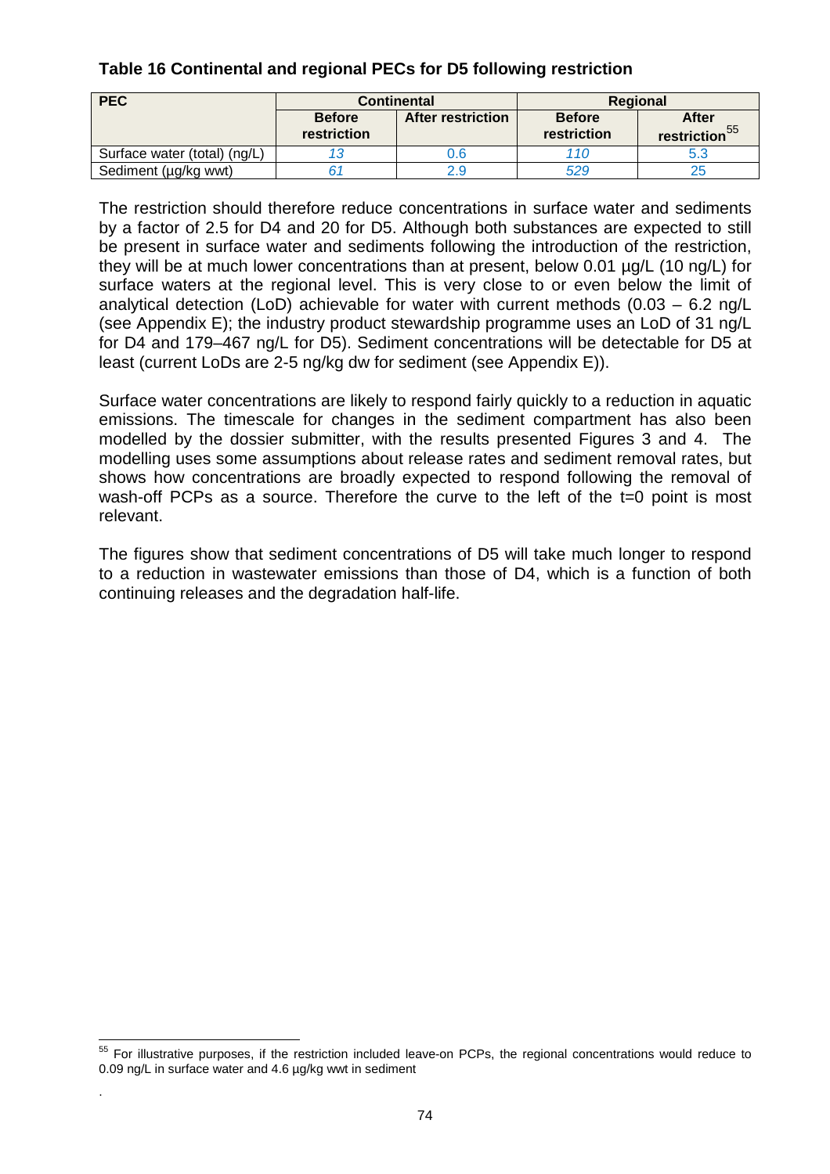## **Table 16 Continental and regional PECs for D5 following restriction**

| <b>PEC</b>                   | <b>Continental</b>           |                          | <b>Regional</b>              |                                    |  |
|------------------------------|------------------------------|--------------------------|------------------------------|------------------------------------|--|
|                              | <b>Before</b><br>restriction | <b>After restriction</b> | <b>Before</b><br>restriction | After<br>restriction <sup>55</sup> |  |
| Surface water (total) (ng/L) |                              | 0.6                      | 110                          | 5.3                                |  |
| Sediment (µg/kg wwt)         |                              |                          | 529                          | 25                                 |  |

The restriction should therefore reduce concentrations in surface water and sediments by a factor of 2.5 for D4 and 20 for D5. Although both substances are expected to still be present in surface water and sediments following the introduction of the restriction, they will be at much lower concentrations than at present, below 0.01 µg/L (10 ng/L) for surface waters at the regional level. This is very close to or even below the limit of analytical detection (LoD) achievable for water with current methods (0.03 – 6.2 ng/L (see Appendix E); the industry product stewardship programme uses an LoD of 31 ng/L for D4 and 179–467 ng/L for D5). Sediment concentrations will be detectable for D5 at least (current LoDs are 2-5 ng/kg dw for sediment (see Appendix E)).

Surface water concentrations are likely to respond fairly quickly to a reduction in aquatic emissions. The timescale for changes in the sediment compartment has also been modelled by the dossier submitter, with the results presented Figures 3 and 4. The modelling uses some assumptions about release rates and sediment removal rates, but shows how concentrations are broadly expected to respond following the removal of wash-off PCPs as a source. Therefore the curve to the left of the t=0 point is most relevant.

The figures show that sediment concentrations of D5 will take much longer to respond to a reduction in wastewater emissions than those of D4, which is a function of both continuing releases and the degradation half-life.

.

l <sup>55</sup> For illustrative purposes, if the restriction included leave-on PCPs, the regional concentrations would reduce to 0.09 ng/L in surface water and 4.6 µg/kg wwt in sediment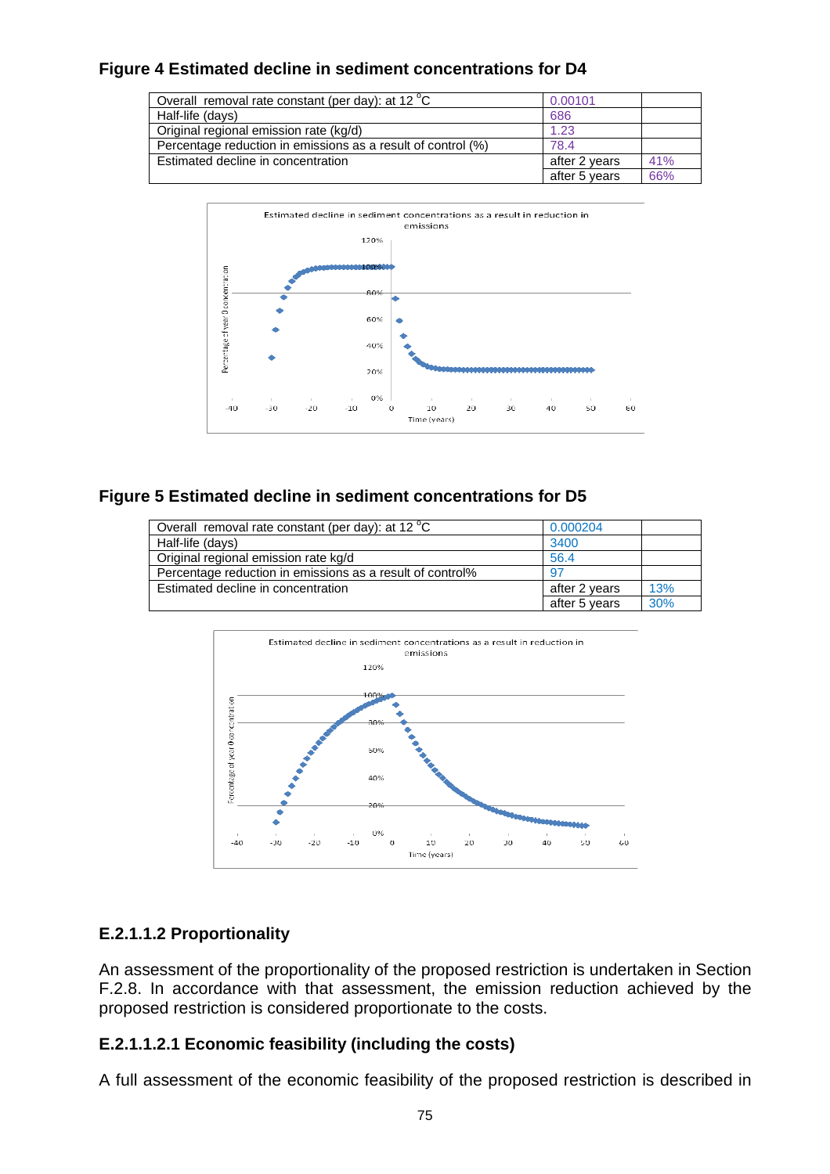## **Figure 4 Estimated decline in sediment concentrations for D4**

| Overall removal rate constant (per day): at 12 °C            | 0.00101       |     |
|--------------------------------------------------------------|---------------|-----|
| Half-life (days)                                             | 686           |     |
| Original regional emission rate (kg/d)                       | 1.23          |     |
| Percentage reduction in emissions as a result of control (%) | 78.4          |     |
| Estimated decline in concentration                           | after 2 years | 41% |
|                                                              | after 5 years | 66% |



## **Figure 5 Estimated decline in sediment concentrations for D5**

| Overall removal rate constant (per day): at 12 °C         | 0.000204      |     |
|-----------------------------------------------------------|---------------|-----|
| Half-life (days)                                          | 3400          |     |
| Original regional emission rate kg/d                      | 56.4          |     |
| Percentage reduction in emissions as a result of control% | 97            |     |
| Estimated decline in concentration                        | after 2 years | 13% |
|                                                           | after 5 years | 30% |



## **E.2.1.1.2 Proportionality**

An assessment of the proportionality of the proposed restriction is undertaken in Section F.2.8. In accordance with that assessment, the emission reduction achieved by the proposed restriction is considered proportionate to the costs.

## **E.2.1.1.2.1 Economic feasibility (including the costs)**

A full assessment of the economic feasibility of the proposed restriction is described in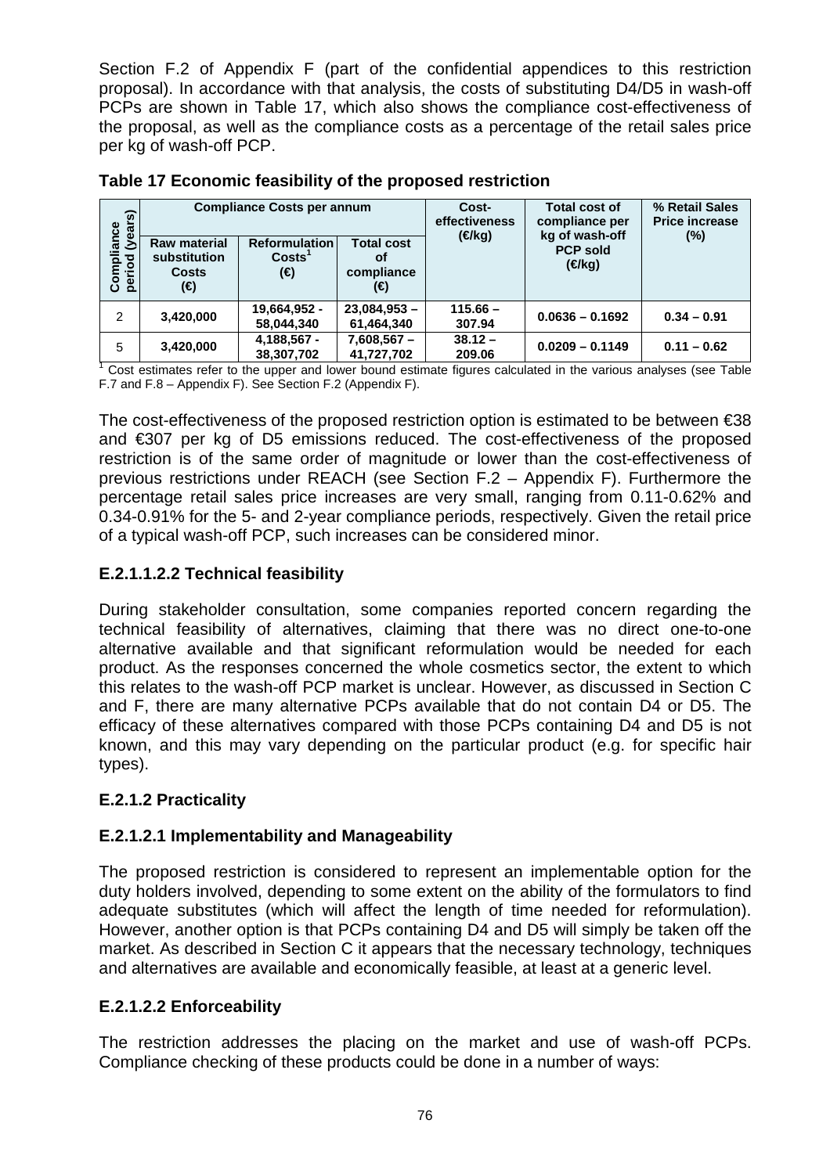Section F.2 of Appendix F (part of the confidential appendices to this restriction proposal). In accordance with that analysis, the costs of substituting D4/D5 in wash-off PCPs are shown in Table 17, which also shows the compliance cost-effectiveness of the proposal, as well as the compliance costs as a percentage of the retail sales price per kg of wash-off PCP.

| ි<br>Compliance<br>period (years<br>క్రి<br>$\overline{8}$ | <b>Raw material</b><br>substitution<br><b>Costs</b><br>(€) | <b>Compliance Costs per annum</b><br><b>Reformulation</b><br>CostS <sup>1</sup><br>(€) | <b>Total cost</b><br>оf<br>compliance<br>(€) | Cost-<br>effectiveness<br>$(\in$ /kg) | <b>Total cost of</b><br>compliance per<br>kg of wash-off<br><b>PCP sold</b><br>(€/kg) | % Retail Sales<br><b>Price increase</b><br>(%) |
|------------------------------------------------------------|------------------------------------------------------------|----------------------------------------------------------------------------------------|----------------------------------------------|---------------------------------------|---------------------------------------------------------------------------------------|------------------------------------------------|
| 2                                                          | 3,420,000                                                  | 19,664,952 -<br>58,044,340                                                             | $23,084,953 -$<br>61,464,340                 | $115.66 -$<br>307.94                  | $0.0636 - 0.1692$                                                                     | $0.34 - 0.91$                                  |
| 5                                                          | 3,420,000                                                  | 4,188,567 -<br>38,307,702                                                              | $7,608,567 -$<br>41,727,702                  | $38.12 -$<br>209.06                   | $0.0209 - 0.1149$                                                                     | $0.11 - 0.62$                                  |

**Table 17 Economic feasibility of the proposed restriction** 

<sup>1</sup> Cost estimates refer to the upper and lower bound estimate figures calculated in the various analyses (see Table F.7 and F.8 – Appendix F). See Section F.2 (Appendix F).

The cost-effectiveness of the proposed restriction option is estimated to be between €38 and €307 per kg of D5 emissions reduced. The cost-effectiveness of the proposed restriction is of the same order of magnitude or lower than the cost-effectiveness of previous restrictions under REACH (see Section F.2 – Appendix F). Furthermore the percentage retail sales price increases are very small, ranging from 0.11-0.62% and 0.34-0.91% for the 5- and 2-year compliance periods, respectively. Given the retail price of a typical wash-off PCP, such increases can be considered minor.

## **E.2.1.1.2.2 Technical feasibility**

During stakeholder consultation, some companies reported concern regarding the technical feasibility of alternatives, claiming that there was no direct one-to-one alternative available and that significant reformulation would be needed for each product. As the responses concerned the whole cosmetics sector, the extent to which this relates to the wash-off PCP market is unclear. However, as discussed in Section C and F, there are many alternative PCPs available that do not contain D4 or D5. The efficacy of these alternatives compared with those PCPs containing D4 and D5 is not known, and this may vary depending on the particular product (e.g. for specific hair types).

## **E.2.1.2 Practicality**

## **E.2.1.2.1 Implementability and Manageability**

The proposed restriction is considered to represent an implementable option for the duty holders involved, depending to some extent on the ability of the formulators to find adequate substitutes (which will affect the length of time needed for reformulation). However, another option is that PCPs containing D4 and D5 will simply be taken off the market. As described in Section C it appears that the necessary technology, techniques and alternatives are available and economically feasible, at least at a generic level.

## **E.2.1.2.2 Enforceability**

The restriction addresses the placing on the market and use of wash-off PCPs. Compliance checking of these products could be done in a number of ways: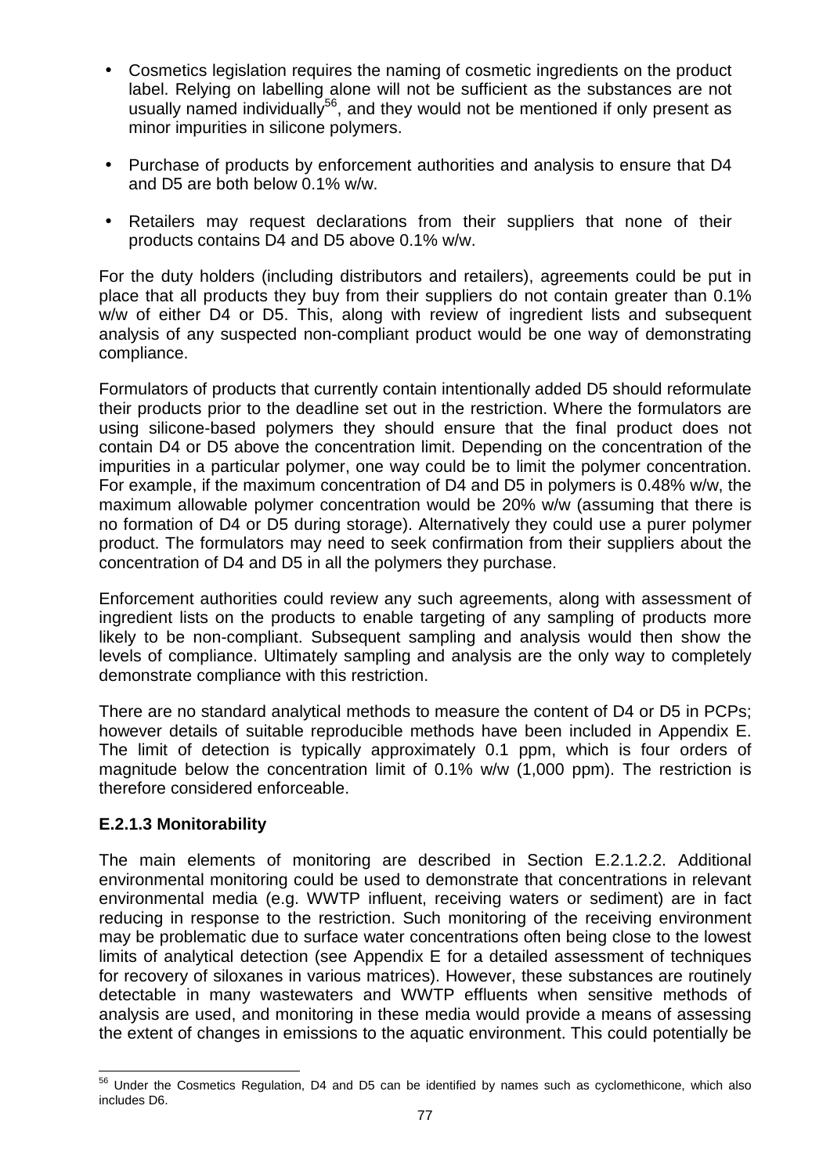- Cosmetics legislation requires the naming of cosmetic ingredients on the product label. Relying on labelling alone will not be sufficient as the substances are not usually named individually<sup>56</sup>, and they would not be mentioned if only present as minor impurities in silicone polymers.
- Purchase of products by enforcement authorities and analysis to ensure that D4 and D5 are both below 0.1% w/w.
- Retailers may request declarations from their suppliers that none of their products contains D4 and D5 above 0.1% w/w.

For the duty holders (including distributors and retailers), agreements could be put in place that all products they buy from their suppliers do not contain greater than 0.1% w/w of either D4 or D5. This, along with review of ingredient lists and subsequent analysis of any suspected non-compliant product would be one way of demonstrating compliance.

Formulators of products that currently contain intentionally added D5 should reformulate their products prior to the deadline set out in the restriction. Where the formulators are using silicone-based polymers they should ensure that the final product does not contain D4 or D5 above the concentration limit. Depending on the concentration of the impurities in a particular polymer, one way could be to limit the polymer concentration. For example, if the maximum concentration of D4 and D5 in polymers is 0.48% w/w, the maximum allowable polymer concentration would be 20% w/w (assuming that there is no formation of D4 or D5 during storage). Alternatively they could use a purer polymer product. The formulators may need to seek confirmation from their suppliers about the concentration of D4 and D5 in all the polymers they purchase.

Enforcement authorities could review any such agreements, along with assessment of ingredient lists on the products to enable targeting of any sampling of products more likely to be non-compliant. Subsequent sampling and analysis would then show the levels of compliance. Ultimately sampling and analysis are the only way to completely demonstrate compliance with this restriction.

There are no standard analytical methods to measure the content of D4 or D5 in PCPs; however details of suitable reproducible methods have been included in Appendix E. The limit of detection is typically approximately 0.1 ppm, which is four orders of magnitude below the concentration limit of 0.1% w/w (1,000 ppm). The restriction is therefore considered enforceable.

## **E.2.1.3 Monitorability**

The main elements of monitoring are described in Section E.2.1.2.2. Additional environmental monitoring could be used to demonstrate that concentrations in relevant environmental media (e.g. WWTP influent, receiving waters or sediment) are in fact reducing in response to the restriction. Such monitoring of the receiving environment may be problematic due to surface water concentrations often being close to the lowest limits of analytical detection (see Appendix E for a detailed assessment of techniques for recovery of siloxanes in various matrices). However, these substances are routinely detectable in many wastewaters and WWTP effluents when sensitive methods of analysis are used, and monitoring in these media would provide a means of assessing the extent of changes in emissions to the aquatic environment. This could potentially be

 $\overline{a}$ <sup>56</sup> Under the Cosmetics Regulation, D4 and D5 can be identified by names such as cyclomethicone, which also includes D6.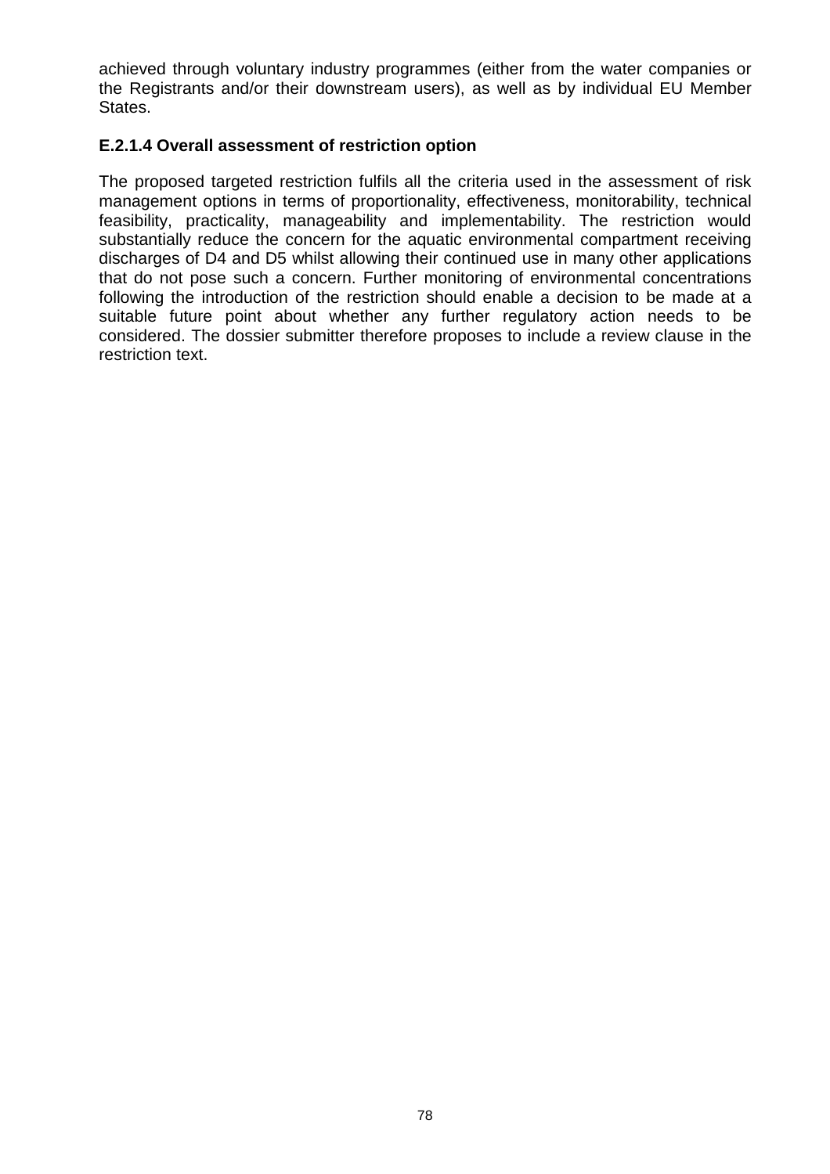achieved through voluntary industry programmes (either from the water companies or the Registrants and/or their downstream users), as well as by individual EU Member States.

#### **E.2.1.4 Overall assessment of restriction option**

The proposed targeted restriction fulfils all the criteria used in the assessment of risk management options in terms of proportionality, effectiveness, monitorability, technical feasibility, practicality, manageability and implementability. The restriction would substantially reduce the concern for the aquatic environmental compartment receiving discharges of D4 and D5 whilst allowing their continued use in many other applications that do not pose such a concern. Further monitoring of environmental concentrations following the introduction of the restriction should enable a decision to be made at a suitable future point about whether any further regulatory action needs to be considered. The dossier submitter therefore proposes to include a review clause in the restriction text.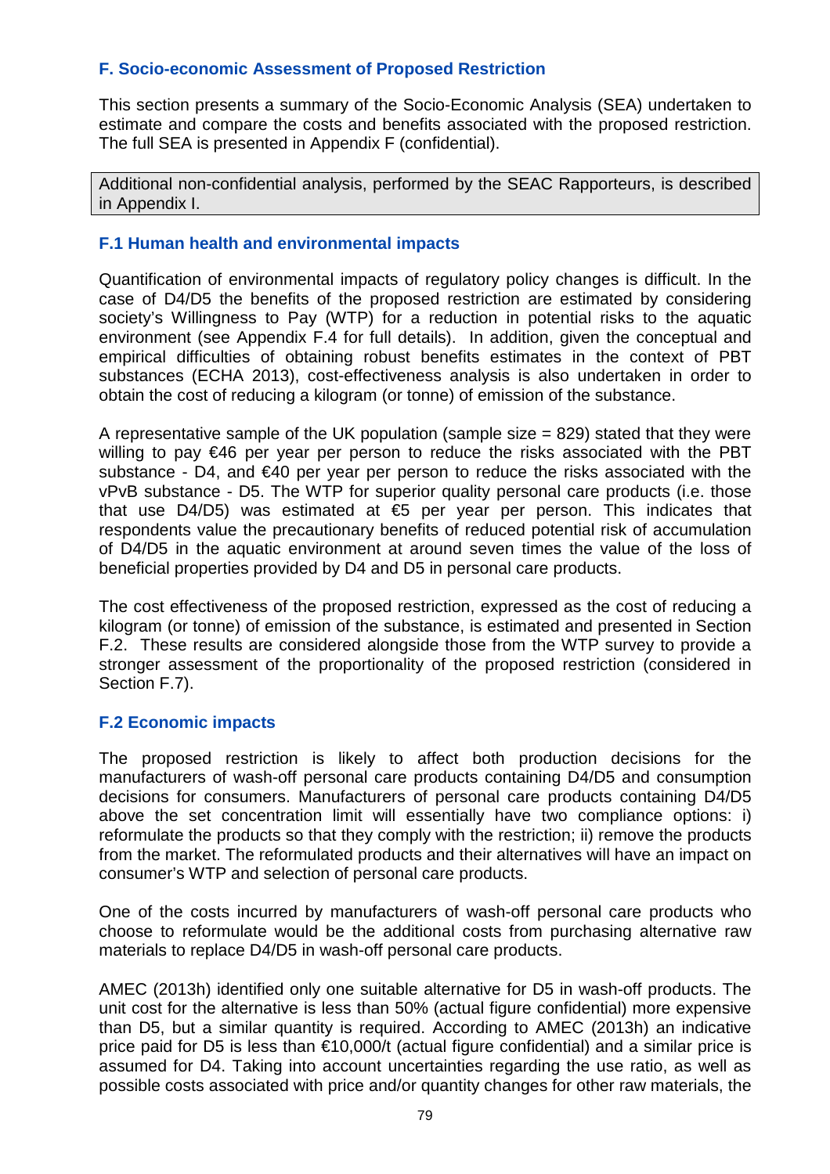## **F. Socio-economic Assessment of Proposed Restriction**

This section presents a summary of the Socio-Economic Analysis (SEA) undertaken to estimate and compare the costs and benefits associated with the proposed restriction. The full SEA is presented in Appendix F (confidential).

Additional non-confidential analysis, performed by the SEAC Rapporteurs, is described in Appendix I.

#### **F.1 Human health and environmental impacts**

Quantification of environmental impacts of regulatory policy changes is difficult. In the case of D4/D5 the benefits of the proposed restriction are estimated by considering society's Willingness to Pay (WTP) for a reduction in potential risks to the aquatic environment (see Appendix F.4 for full details). In addition, given the conceptual and empirical difficulties of obtaining robust benefits estimates in the context of PBT substances (ECHA 2013), cost-effectiveness analysis is also undertaken in order to obtain the cost of reducing a kilogram (or tonne) of emission of the substance.

A representative sample of the UK population (sample size  $= 829$ ) stated that they were willing to pay  $\in$ 46 per year per person to reduce the risks associated with the PBT substance - D4, and €40 per year per person to reduce the risks associated with the vPvB substance - D5. The WTP for superior quality personal care products (i.e. those that use D4/D5) was estimated at €5 per year per person. This indicates that respondents value the precautionary benefits of reduced potential risk of accumulation of D4/D5 in the aquatic environment at around seven times the value of the loss of beneficial properties provided by D4 and D5 in personal care products.

The cost effectiveness of the proposed restriction, expressed as the cost of reducing a kilogram (or tonne) of emission of the substance, is estimated and presented in Section F.2. These results are considered alongside those from the WTP survey to provide a stronger assessment of the proportionality of the proposed restriction (considered in Section F.7).

#### **F.2 Economic impacts**

The proposed restriction is likely to affect both production decisions for the manufacturers of wash-off personal care products containing D4/D5 and consumption decisions for consumers. Manufacturers of personal care products containing D4/D5 above the set concentration limit will essentially have two compliance options: i) reformulate the products so that they comply with the restriction; ii) remove the products from the market. The reformulated products and their alternatives will have an impact on consumer's WTP and selection of personal care products.

One of the costs incurred by manufacturers of wash-off personal care products who choose to reformulate would be the additional costs from purchasing alternative raw materials to replace D4/D5 in wash-off personal care products.

AMEC (2013h) identified only one suitable alternative for D5 in wash-off products. The unit cost for the alternative is less than 50% (actual figure confidential) more expensive than D5, but a similar quantity is required. According to AMEC (2013h) an indicative price paid for D5 is less than €10,000/t (actual figure confidential) and a similar price is assumed for D4. Taking into account uncertainties regarding the use ratio, as well as possible costs associated with price and/or quantity changes for other raw materials, the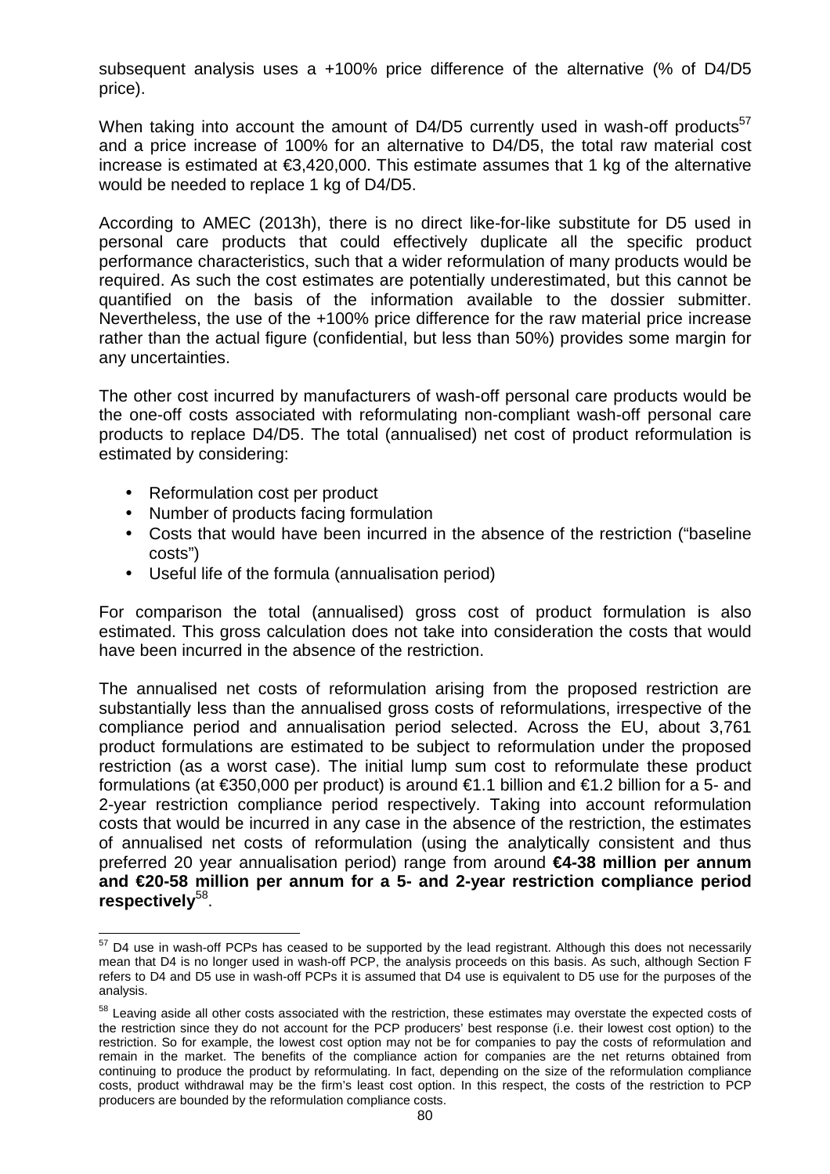subsequent analysis uses a +100% price difference of the alternative (% of D4/D5 price).

When taking into account the amount of D4/D5 currently used in wash-off products<sup>57</sup> and a price increase of 100% for an alternative to D4/D5, the total raw material cost increase is estimated at €3,420,000. This estimate assumes that 1 kg of the alternative would be needed to replace 1 kg of D4/D5.

According to AMEC (2013h), there is no direct like-for-like substitute for D5 used in personal care products that could effectively duplicate all the specific product performance characteristics, such that a wider reformulation of many products would be required. As such the cost estimates are potentially underestimated, but this cannot be quantified on the basis of the information available to the dossier submitter. Nevertheless, the use of the +100% price difference for the raw material price increase rather than the actual figure (confidential, but less than 50%) provides some margin for any uncertainties.

The other cost incurred by manufacturers of wash-off personal care products would be the one-off costs associated with reformulating non-compliant wash-off personal care products to replace D4/D5. The total (annualised) net cost of product reformulation is estimated by considering:

- Reformulation cost per product
- Number of products facing formulation
- Costs that would have been incurred in the absence of the restriction ("baseline costs")
- Useful life of the formula (annualisation period)

For comparison the total (annualised) gross cost of product formulation is also estimated. This gross calculation does not take into consideration the costs that would have been incurred in the absence of the restriction.

The annualised net costs of reformulation arising from the proposed restriction are substantially less than the annualised gross costs of reformulations, irrespective of the compliance period and annualisation period selected. Across the EU, about 3,761 product formulations are estimated to be subject to reformulation under the proposed restriction (as a worst case). The initial lump sum cost to reformulate these product formulations (at  $\epsilon$ 350,000 per product) is around  $\epsilon$ 1.1 billion and  $\epsilon$ 1.2 billion for a 5- and 2-year restriction compliance period respectively. Taking into account reformulation costs that would be incurred in any case in the absence of the restriction, the estimates of annualised net costs of reformulation (using the analytically consistent and thus preferred 20 year annualisation period) range from around **€4-38 million per annum and €20-58 million per annum for a 5- and 2-year restriction compliance period respectively**<sup>58</sup> .

l  $57$  D4 use in wash-off PCPs has ceased to be supported by the lead registrant. Although this does not necessarily mean that D4 is no longer used in wash-off PCP, the analysis proceeds on this basis. As such, although Section F refers to D4 and D5 use in wash-off PCPs it is assumed that D4 use is equivalent to D5 use for the purposes of the analysis.

<sup>&</sup>lt;sup>58</sup> Leaving aside all other costs associated with the restriction, these estimates may overstate the expected costs of the restriction since they do not account for the PCP producers' best response (i.e. their lowest cost option) to the restriction. So for example, the lowest cost option may not be for companies to pay the costs of reformulation and remain in the market. The benefits of the compliance action for companies are the net returns obtained from continuing to produce the product by reformulating. In fact, depending on the size of the reformulation compliance costs, product withdrawal may be the firm's least cost option. In this respect, the costs of the restriction to PCP producers are bounded by the reformulation compliance costs.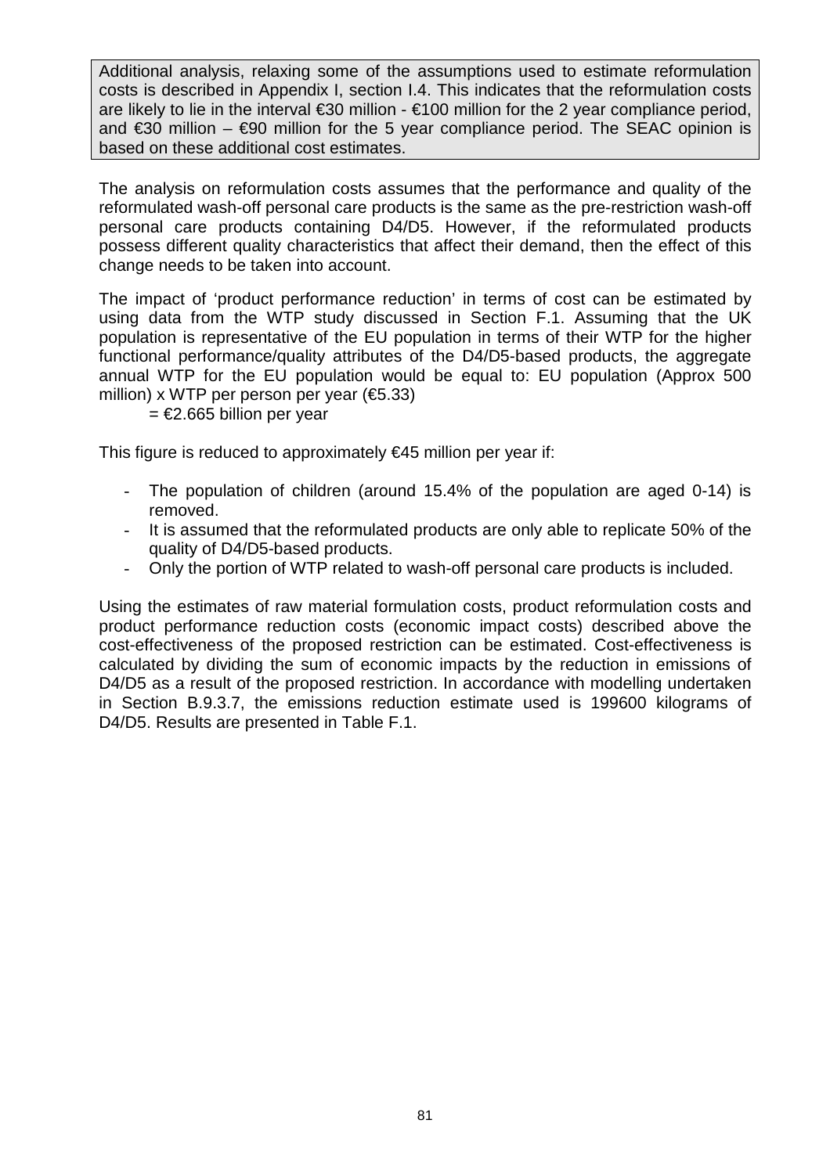Additional analysis, relaxing some of the assumptions used to estimate reformulation costs is described in Appendix I, section I.4. This indicates that the reformulation costs are likely to lie in the interval  $\epsilon$ 30 million -  $\epsilon$ 100 million for the 2 year compliance period, and  $\epsilon$ 30 million –  $\epsilon$ 90 million for the 5 year complance period. The SEAC opinion is based on these additional cost estimates.

The analysis on reformulation costs assumes that the performance and quality of the reformulated wash-off personal care products is the same as the pre-restriction wash-off personal care products containing D4/D5. However, if the reformulated products possess different quality characteristics that affect their demand, then the effect of this change needs to be taken into account.

The impact of 'product performance reduction' in terms of cost can be estimated by using data from the WTP study discussed in Section F.1. Assuming that the UK population is representative of the EU population in terms of their WTP for the higher functional performance/quality attributes of the D4/D5-based products, the aggregate annual WTP for the EU population would be equal to: EU population (Approx 500 million) x WTP per person per year  $(€5.33)$ 

= €2.665 billion per year

This figure is reduced to approximately  $\epsilon$ 45 million per year if:

- The population of children (around 15.4% of the population are aged 0-14) is removed.
- It is assumed that the reformulated products are only able to replicate 50% of the quality of D4/D5-based products.
- Only the portion of WTP related to wash-off personal care products is included.

Using the estimates of raw material formulation costs, product reformulation costs and product performance reduction costs (economic impact costs) described above the cost-effectiveness of the proposed restriction can be estimated. Cost-effectiveness is calculated by dividing the sum of economic impacts by the reduction in emissions of D4/D5 as a result of the proposed restriction. In accordance with modelling undertaken in Section B.9.3.7, the emissions reduction estimate used is 199600 kilograms of D4/D5. Results are presented in Table F.1.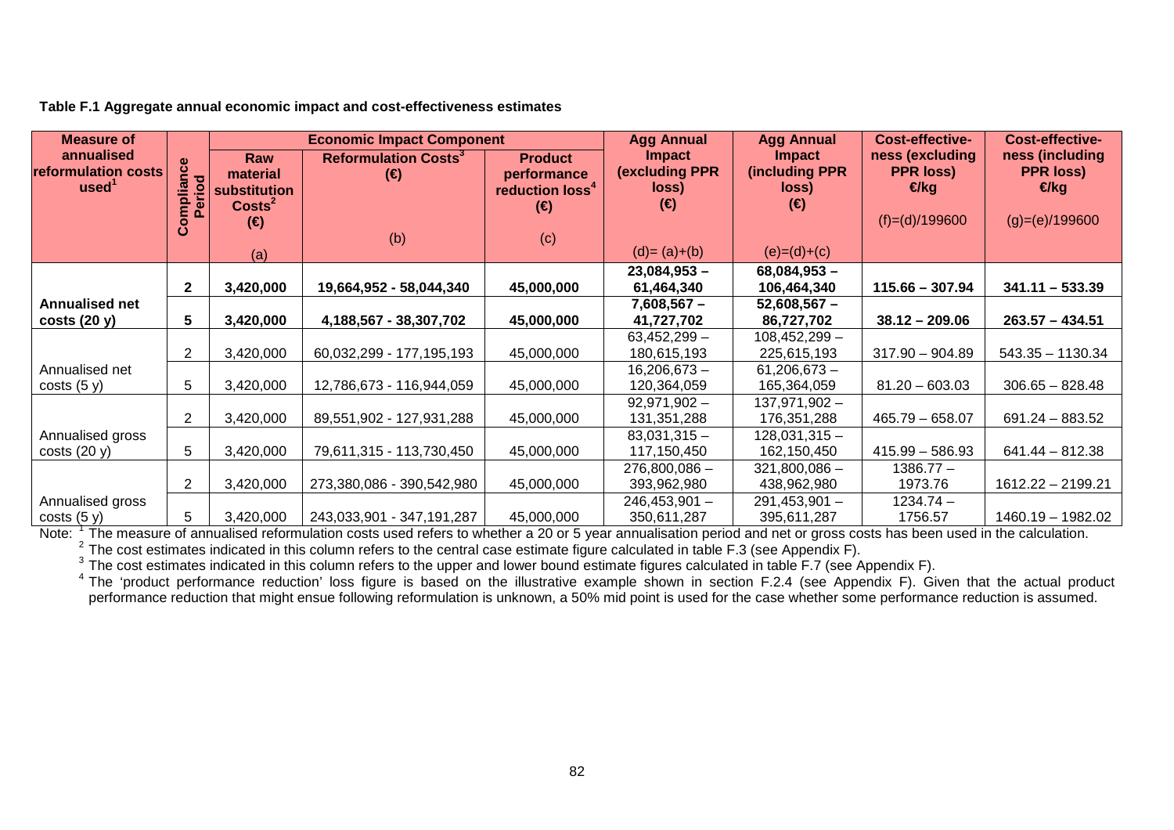| Measure of                                             |                           | <b>Economic Impact Component</b>        |                                                        | <b>Agg Annual</b>                                            | <b>Agg Annual</b>                               | Cost-effective-                          | <b>Cost-effective-</b>                      |                                             |
|--------------------------------------------------------|---------------------------|-----------------------------------------|--------------------------------------------------------|--------------------------------------------------------------|-------------------------------------------------|------------------------------------------|---------------------------------------------|---------------------------------------------|
| annualised<br>reformulation costs<br>used <sup>1</sup> | ဗီ<br>ಕ<br>piia<br>Perior | Raw<br>material<br>substitution         | <b>Reformulation Costs<sup>3</sup></b><br>$(\epsilon)$ | <b>Product</b><br>performance<br>reduction loss <sup>4</sup> | <b>Impact</b><br><b>(excluding PPR</b><br>loss) | <b>Impact</b><br>(including PPR<br>loss) | ness (excluding<br><b>PPR loss)</b><br>€/kg | ness (including<br><b>PPR loss)</b><br>€/kg |
|                                                        | ပိ                        | $\text{Costs}^2$<br>$(\epsilon)$<br>(a) | (b)                                                    | $(\epsilon)$<br>(c)                                          | $(\epsilon)$<br>$(d)=(a)+(b)$                   | $(\epsilon)$<br>$(e)=(d)+(c)$            | $(f)=(d)/199600$                            | $(g)=(e)/199600$                            |
|                                                        |                           |                                         |                                                        |                                                              | $23,084,953 -$                                  | $68,084,953 -$                           |                                             |                                             |
|                                                        | $\mathbf{2}$              | 3,420,000                               | 19,664,952 - 58,044,340                                | 45,000,000                                                   | 61,464,340                                      | 106,464,340                              | $115.66 - 307.94$                           | $341.11 - 533.39$                           |
| <b>Annualised net</b>                                  |                           |                                         |                                                        |                                                              | 7,608,567 –                                     | $52,608,567 -$                           |                                             |                                             |
| costs(20 y)                                            | 5                         | 3,420,000                               | 4,188,567 - 38,307,702                                 | 45,000,000                                                   | 41,727,702                                      | 86,727,702                               | $38.12 - 209.06$                            | $263.57 - 434.51$                           |
|                                                        |                           |                                         |                                                        |                                                              | $63,452,299-$                                   | $108,452,299 -$                          |                                             |                                             |
|                                                        | $\overline{2}$            | 3,420,000                               | 60,032,299 - 177,195,193                               | 45,000,000                                                   | 180,615,193                                     | 225,615,193                              | $317.90 - 904.89$                           | $543.35 - 1130.34$                          |
| Annualised net                                         |                           |                                         |                                                        |                                                              | $16,206,673 -$                                  | $61,206,673 -$                           |                                             |                                             |
| costs(5 y)                                             | 5                         | 3,420,000                               | 12,786,673 - 116,944,059                               | 45,000,000                                                   | 120,364,059                                     | 165,364,059                              | $81.20 - 603.03$                            | $306.65 - 828.48$                           |
|                                                        |                           |                                         |                                                        |                                                              | $92,971,902 -$                                  | 137,971,902 -                            |                                             |                                             |
|                                                        | $\overline{2}$            | 3,420,000                               | 89,551,902 - 127,931,288                               | 45,000,000                                                   | 131,351,288                                     | 176,351,288                              | $465.79 - 658.07$                           | $691.24 - 883.52$                           |
| Annualised gross                                       |                           |                                         |                                                        |                                                              | $83,031,315 -$                                  | $128,031,315 -$                          |                                             |                                             |
| costs(20 y)                                            | 5                         | 3,420,000                               | 79,611,315 - 113,730,450                               | 45,000,000                                                   | 117,150,450                                     | 162,150,450                              | $415.99 - 586.93$                           | $641.44 - 812.38$                           |
|                                                        |                           |                                         |                                                        |                                                              | $276,800,086 -$                                 | $321,800,086 -$                          | $1386.77 -$                                 |                                             |
|                                                        | 2                         | 3,420,000                               | 273,380,086 - 390,542,980                              | 45,000,000                                                   | 393,962,980                                     | 438,962,980                              | 1973.76                                     | 1612.22 - 2199.21                           |
| Annualised gross                                       |                           |                                         |                                                        |                                                              | $246,453,901 -$                                 | $291,453,901 -$                          | $1234.74 -$                                 |                                             |
| costs(5 y)                                             | 5                         | 3,420,000                               | 243,033,901 - 347,191,287                              | 45,000,000                                                   | 350,611,287                                     | 395,611,287                              | 1756.57                                     | 1460.19 - 1982.02                           |

**Table F.1 Aggregate annual economic impact and cost-effectiveness estimates** 

Note:  $\frac{1}{2}$  The measure of annualised reformulation costs used refers to whether a 20 or 5 year annualisation period and net or gross costs has been used in the calculation.<br><sup>2</sup> The cost estimates indicated in this co

performance reduction that might ensue following reformulation is unknown, a 50% mid point is used for the case whether some performance reduction is assumed.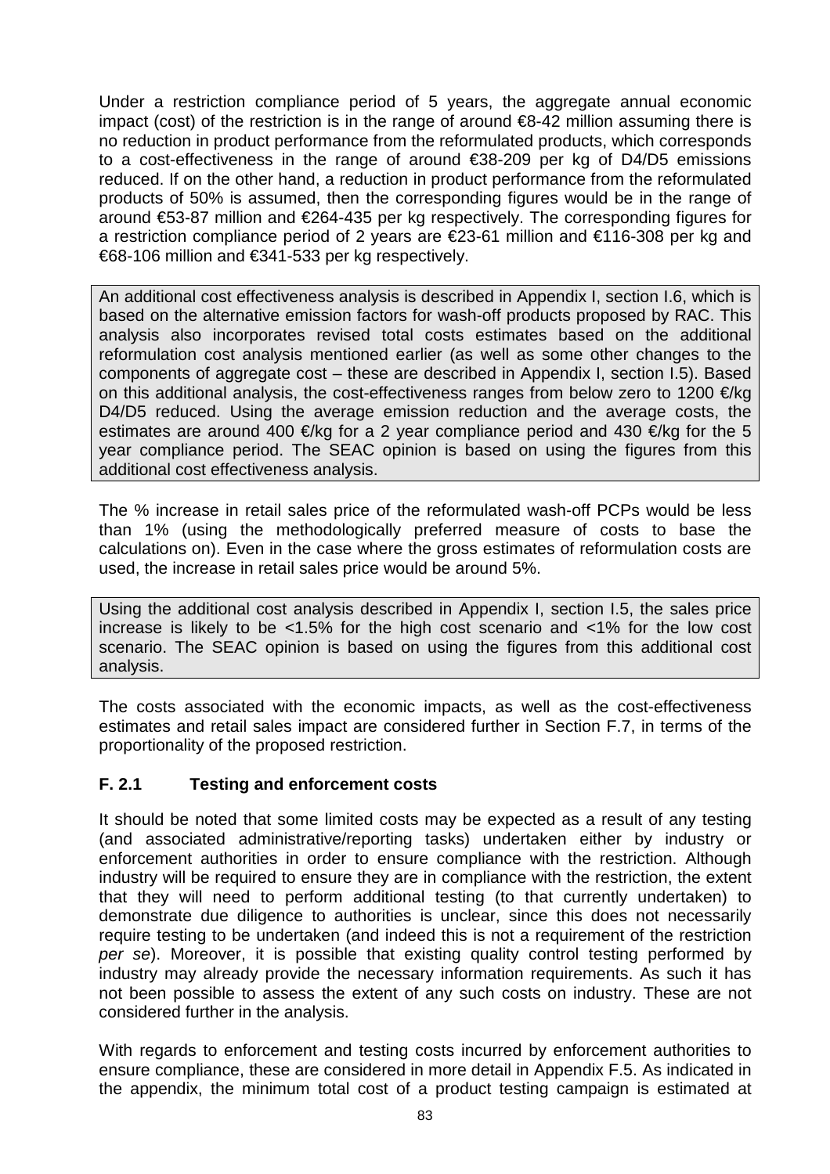Under a restriction compliance period of 5 years, the aggregate annual economic impact (cost) of the restriction is in the range of around  $\epsilon$ 8-42 million assuming there is no reduction in product performance from the reformulated products, which corresponds to a cost-effectiveness in the range of around €38-209 per kg of D4/D5 emissions reduced. If on the other hand, a reduction in product performance from the reformulated products of 50% is assumed, then the corresponding figures would be in the range of around €53-87 million and €264-435 per kg respectively. The corresponding figures for a restriction compliance period of 2 years are €23-61 million and €116-308 per kg and €68-106 million and €341-533 per kg respectively.

An additional cost effectiveness analysis is described in Appendix I, section I.6, which is based on the alternative emission factors for wash-off products proposed by RAC. This analysis also incorporates revised total costs estimates based on the additional reformulation cost analysis mentioned earlier (as well as some other changes to the components of aggregate cost – these are described in Appendix I, section I.5). Based on this additional analysis, the cost-effectiveness ranges from below zero to 1200  $\epsilon$ /kg D4/D5 reduced. Using the average emission reduction and the average costs, the estimates are around 400  $\epsilon$ /kg for a 2 year compliance period and 430  $\epsilon$ /kg for the 5 year compliance period. The SEAC opinion is based on using the figures from this additional cost effectiveness analysis.

The % increase in retail sales price of the reformulated wash-off PCPs would be less than 1% (using the methodologically preferred measure of costs to base the calculations on). Even in the case where the gross estimates of reformulation costs are used, the increase in retail sales price would be around 5%.

Using the additional cost analysis described in Appendix I, section I.5, the sales price increase is likely to be <1.5% for the high cost scenario and <1% for the low cost scenario. The SEAC opinion is based on using the figures from this additional cost analysis.

The costs associated with the economic impacts, as well as the cost-effectiveness estimates and retail sales impact are considered further in Section F.7, in terms of the proportionality of the proposed restriction.

## **F. 2.1 Testing and enforcement costs**

It should be noted that some limited costs may be expected as a result of any testing (and associated administrative/reporting tasks) undertaken either by industry or enforcement authorities in order to ensure compliance with the restriction. Although industry will be required to ensure they are in compliance with the restriction, the extent that they will need to perform additional testing (to that currently undertaken) to demonstrate due diligence to authorities is unclear, since this does not necessarily require testing to be undertaken (and indeed this is not a requirement of the restriction per se). Moreover, it is possible that existing quality control testing performed by industry may already provide the necessary information requirements. As such it has not been possible to assess the extent of any such costs on industry. These are not considered further in the analysis.

With regards to enforcement and testing costs incurred by enforcement authorities to ensure compliance, these are considered in more detail in Appendix F.5. As indicated in the appendix, the minimum total cost of a product testing campaign is estimated at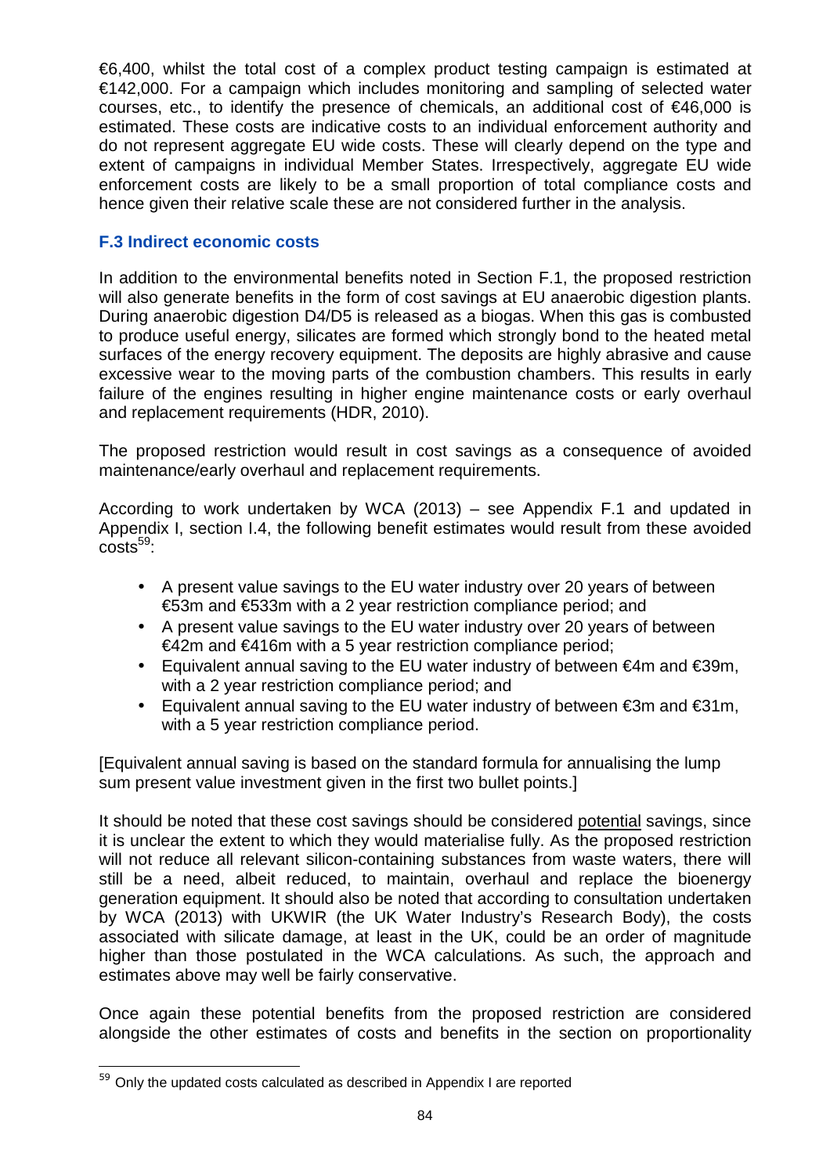€6,400, whilst the total cost of a complex product testing campaign is estimated at €142,000. For a campaign which includes monitoring and sampling of selected water courses, etc., to identify the presence of chemicals, an additional cost of €46,000 is estimated. These costs are indicative costs to an individual enforcement authority and do not represent aggregate EU wide costs. These will clearly depend on the type and extent of campaigns in individual Member States. Irrespectively, aggregate EU wide enforcement costs are likely to be a small proportion of total compliance costs and hence given their relative scale these are not considered further in the analysis.

## **F.3 Indirect economic costs**

In addition to the environmental benefits noted in Section F.1, the proposed restriction will also generate benefits in the form of cost savings at EU anaerobic digestion plants. During anaerobic digestion D4/D5 is released as a biogas. When this gas is combusted to produce useful energy, silicates are formed which strongly bond to the heated metal surfaces of the energy recovery equipment. The deposits are highly abrasive and cause excessive wear to the moving parts of the combustion chambers. This results in early failure of the engines resulting in higher engine maintenance costs or early overhaul and replacement requirements (HDR, 2010).

The proposed restriction would result in cost savings as a consequence of avoided maintenance/early overhaul and replacement requirements.

According to work undertaken by WCA (2013) – see Appendix F.1 and updated in Appendix I, section I.4, the following benefit estimates would result from these avoided  $costs<sup>59</sup>$ :

- A present value savings to the EU water industry over 20 years of between €53m and €533m with a 2 year restriction compliance period; and
- A present value savings to the EU water industry over 20 years of between  $€42m$  and  $€416m$  with a 5 year restriction compliance period;
- Equivalent annual saving to the EU water industry of between €4m and €39m, with a 2 year restriction compliance period; and
- Equivalent annual saving to the EU water industry of between €3m and €31m, with a 5 year restriction compliance period.

[Equivalent annual saving is based on the standard formula for annualising the lump sum present value investment given in the first two bullet points.]

It should be noted that these cost savings should be considered potential savings, since it is unclear the extent to which they would materialise fully. As the proposed restriction will not reduce all relevant silicon-containing substances from waste waters, there will still be a need, albeit reduced, to maintain, overhaul and replace the bioenergy generation equipment. It should also be noted that according to consultation undertaken by WCA (2013) with UKWIR (the UK Water Industry's Research Body), the costs associated with silicate damage, at least in the UK, could be an order of magnitude higher than those postulated in the WCA calculations. As such, the approach and estimates above may well be fairly conservative.

Once again these potential benefits from the proposed restriction are considered alongside the other estimates of costs and benefits in the section on proportionality

l <sup>59</sup> Only the updated costs calculated as described in Appendix I are reported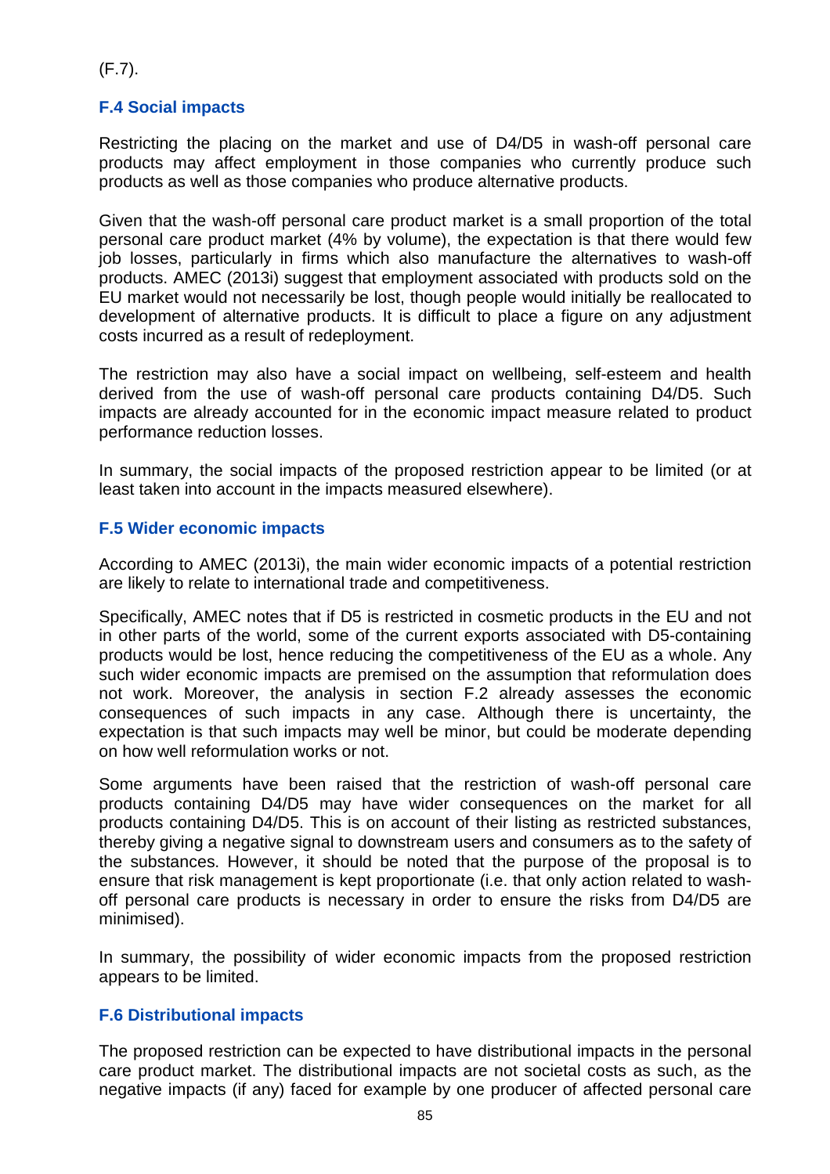(F.7).

# **F.4 Social impacts**

Restricting the placing on the market and use of D4/D5 in wash-off personal care products may affect employment in those companies who currently produce such products as well as those companies who produce alternative products.

Given that the wash-off personal care product market is a small proportion of the total personal care product market (4% by volume), the expectation is that there would few job losses, particularly in firms which also manufacture the alternatives to wash-off products. AMEC (2013i) suggest that employment associated with products sold on the EU market would not necessarily be lost, though people would initially be reallocated to development of alternative products. It is difficult to place a figure on any adjustment costs incurred as a result of redeployment.

The restriction may also have a social impact on wellbeing, self-esteem and health derived from the use of wash-off personal care products containing D4/D5. Such impacts are already accounted for in the economic impact measure related to product performance reduction losses.

In summary, the social impacts of the proposed restriction appear to be limited (or at least taken into account in the impacts measured elsewhere).

## **F.5 Wider economic impacts**

According to AMEC (2013i), the main wider economic impacts of a potential restriction are likely to relate to international trade and competitiveness.

Specifically, AMEC notes that if D5 is restricted in cosmetic products in the EU and not in other parts of the world, some of the current exports associated with D5-containing products would be lost, hence reducing the competitiveness of the EU as a whole. Any such wider economic impacts are premised on the assumption that reformulation does not work. Moreover, the analysis in section F.2 already assesses the economic consequences of such impacts in any case. Although there is uncertainty, the expectation is that such impacts may well be minor, but could be moderate depending on how well reformulation works or not.

Some arguments have been raised that the restriction of wash-off personal care products containing D4/D5 may have wider consequences on the market for all products containing D4/D5. This is on account of their listing as restricted substances, thereby giving a negative signal to downstream users and consumers as to the safety of the substances. However, it should be noted that the purpose of the proposal is to ensure that risk management is kept proportionate (i.e. that only action related to washoff personal care products is necessary in order to ensure the risks from D4/D5 are minimised).

In summary, the possibility of wider economic impacts from the proposed restriction appears to be limited.

#### **F.6 Distributional impacts**

The proposed restriction can be expected to have distributional impacts in the personal care product market. The distributional impacts are not societal costs as such, as the negative impacts (if any) faced for example by one producer of affected personal care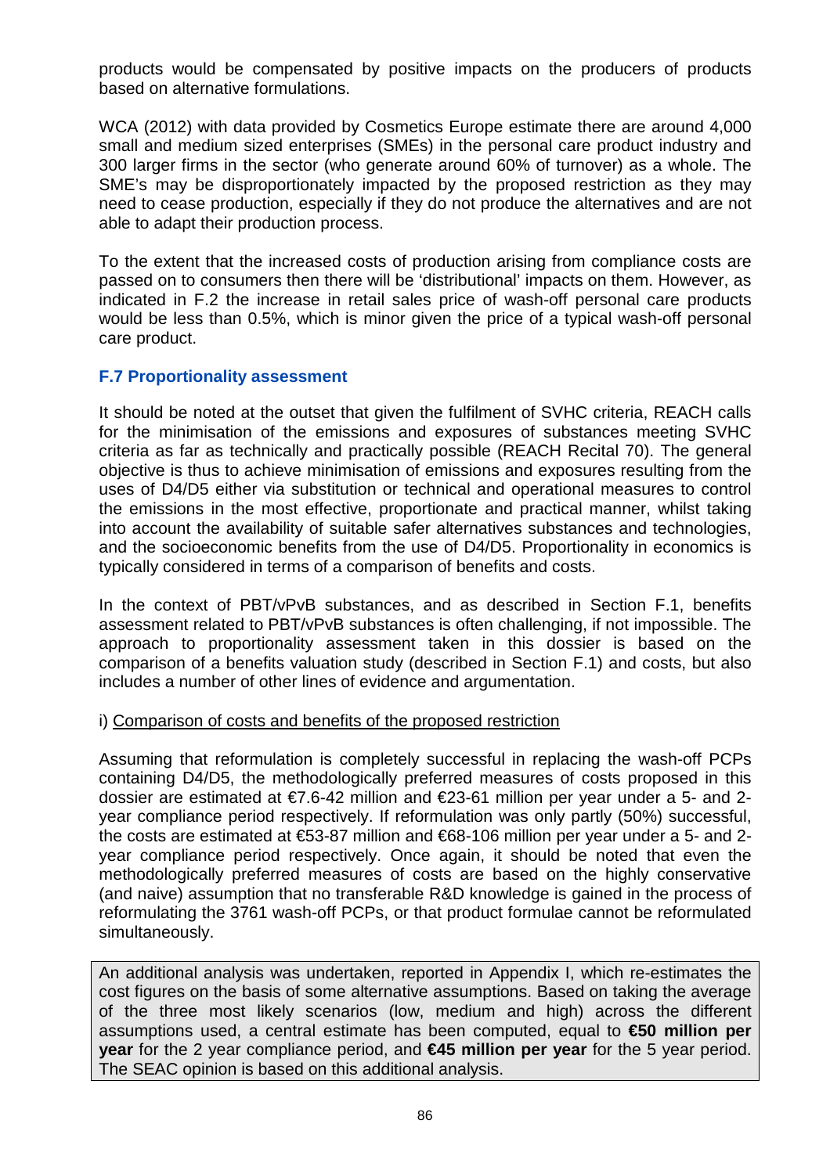products would be compensated by positive impacts on the producers of products based on alternative formulations.

WCA (2012) with data provided by Cosmetics Europe estimate there are around 4,000 small and medium sized enterprises (SMEs) in the personal care product industry and 300 larger firms in the sector (who generate around 60% of turnover) as a whole. The SME's may be disproportionately impacted by the proposed restriction as they may need to cease production, especially if they do not produce the alternatives and are not able to adapt their production process.

To the extent that the increased costs of production arising from compliance costs are passed on to consumers then there will be 'distributional' impacts on them. However, as indicated in F.2 the increase in retail sales price of wash-off personal care products would be less than 0.5%, which is minor given the price of a typical wash-off personal care product.

#### **F.7 Proportionality assessment**

It should be noted at the outset that given the fulfilment of SVHC criteria, REACH calls for the minimisation of the emissions and exposures of substances meeting SVHC criteria as far as technically and practically possible (REACH Recital 70). The general objective is thus to achieve minimisation of emissions and exposures resulting from the uses of D4/D5 either via substitution or technical and operational measures to control the emissions in the most effective, proportionate and practical manner, whilst taking into account the availability of suitable safer alternatives substances and technologies, and the socioeconomic benefits from the use of D4/D5. Proportionality in economics is typically considered in terms of a comparison of benefits and costs.

In the context of PBT/vPvB substances, and as described in Section F.1, benefits assessment related to PBT/vPvB substances is often challenging, if not impossible. The approach to proportionality assessment taken in this dossier is based on the comparison of a benefits valuation study (described in Section F.1) and costs, but also includes a number of other lines of evidence and argumentation.

#### i) Comparison of costs and benefits of the proposed restriction

Assuming that reformulation is completely successful in replacing the wash-off PCPs containing D4/D5, the methodologically preferred measures of costs proposed in this dossier are estimated at €7.6-42 million and €23-61 million per year under a 5- and 2 year compliance period respectively. If reformulation was only partly (50%) successful, the costs are estimated at €53-87 million and €68-106 million per year under a 5- and 2 year compliance period respectively. Once again, it should be noted that even the methodologically preferred measures of costs are based on the highly conservative (and naive) assumption that no transferable R&D knowledge is gained in the process of reformulating the 3761 wash-off PCPs, or that product formulae cannot be reformulated simultaneously.

An additional analysis was undertaken, reported in Appendix I, which re-estimates the cost figures on the basis of some alternative assumptions. Based on taking the average of the three most likely scenarios (low, medium and high) across the different assumptions used, a central estimate has been computed, equal to **€50 million per year** for the 2 year compliance period, and **€45 million per year** for the 5 year period. The SEAC opinion is based on this additional analysis.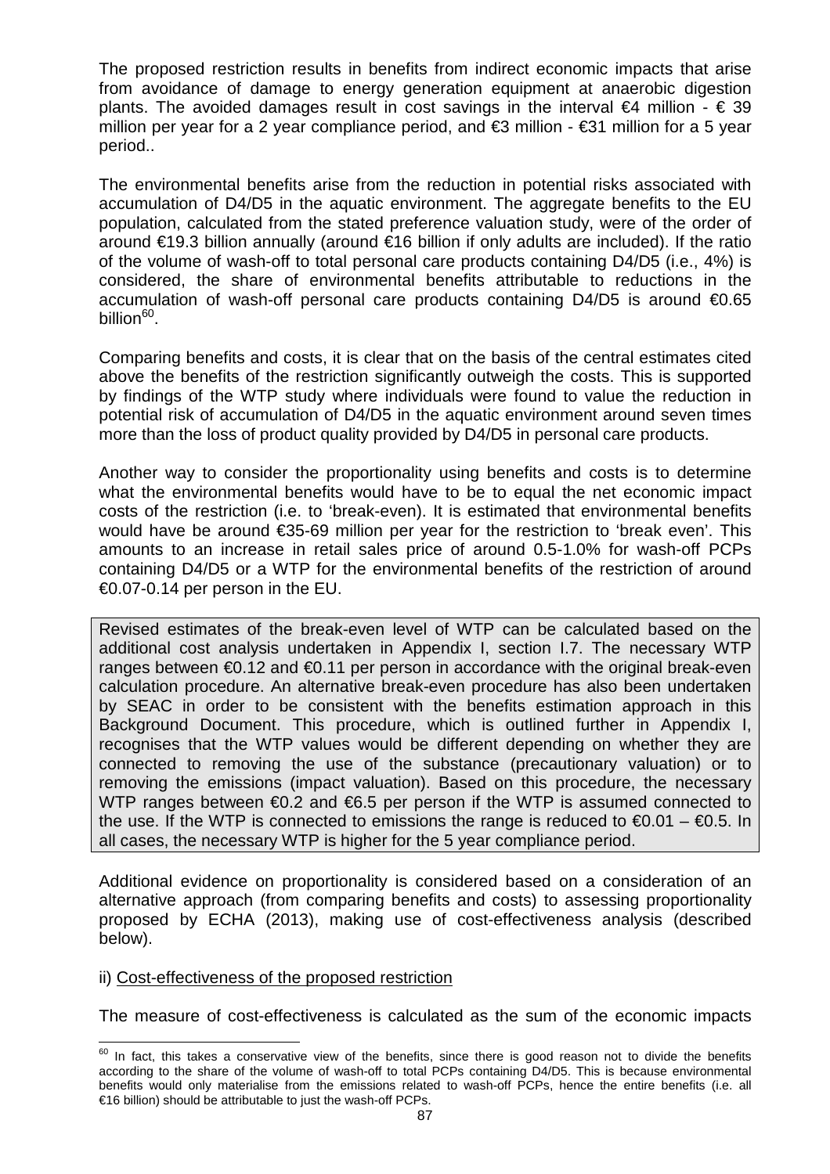The proposed restriction results in benefits from indirect economic impacts that arise from avoidance of damage to energy generation equipment at anaerobic digestion plants. The avoided damages result in cost savings in the interval  $\epsilon$ 4 million -  $\epsilon$  39 million per year for a 2 year compliance period, and €3 million - €31 million for a 5 year period..

The environmental benefits arise from the reduction in potential risks associated with accumulation of D4/D5 in the aquatic environment. The aggregate benefits to the EU population, calculated from the stated preference valuation study, were of the order of around €19.3 billion annually (around €16 billion f only adults are included). If the ratio of the volume of wash-off to total personal care products containing D4/D5 (i.e., 4%) is considered, the share of environmental benefits attributable to reductions in the accumulation of wash-off personal care products containing D4/D5 is around €0.65 billion<sup>60</sup>.

Comparing benefits and costs, it is clear that on the basis of the central estimates cited above the benefits of the restriction significantly outweigh the costs. This is supported by findings of the WTP study where individuals were found to value the reduction in potential risk of accumulation of D4/D5 in the aquatic environment around seven times more than the loss of product quality provided by D4/D5 in personal care products.

Another way to consider the proportionality using benefits and costs is to determine what the environmental benefits would have to be to equal the net economic impact costs of the restriction (i.e. to 'break-even). It is estimated that environmental benefits would have be around €35-69 million per year for the restriction to 'break even'. This amounts to an increase in retail sales price of around 0.5-1.0% for wash-off PCPs containing D4/D5 or a WTP for the environmental benefits of the restriction of around €0.07-0.14 per person in the EU.

Revised estimates of the break-even level of WTP can be calculated based on the additional cost analysis undertaken in Appendix I, section I.7. The necessary WTP ranges between  $\epsilon$ 0.12 and  $\epsilon$ 0.11 per person in accordance with the original break-even calculation procedure. An alternative break-even procedure has also been undertaken by SEAC in order to be consistent with the benefits estimation approach in this Background Document. This procedure, which is outlined further in Appendix I, recognises that the WTP values would be different depending on whether they are connected to removing the use of the substance (precautionary valuation) or to removing the emissions (impact valuation). Based on this procedure, the necessary WTP ranges between  $\epsilon$ 0.2 and  $\epsilon$ 6.5 per person if the WTP is assumed connected to the use. If the WTP is connected to emissions the range is reduced to  $\epsilon 0.01 - \epsilon 0.5$ . In all cases, the necessary WTP is higher for the 5 year compliance period.

Additional evidence on proportionality is considered based on a consideration of an alternative approach (from comparing benefits and costs) to assessing proportionality proposed by ECHA (2013), making use of cost-effectiveness analysis (described below).

#### ii) Cost-effectiveness of the proposed restriction

The measure of cost-effectiveness is calculated as the sum of the economic impacts

 $\overline{\phantom{a}}$  $60$  In fact, this takes a conservative view of the benefits, since there is good reason not to divide the benefits according to the share of the volume of wash-off to total PCPs containing D4/D5. This is because environmental benefits would only materialise from the emissions related to wash-off PCPs, hence the entire benefits (i.e. all €16 billion) should be attributable to just the wash-off PCPs.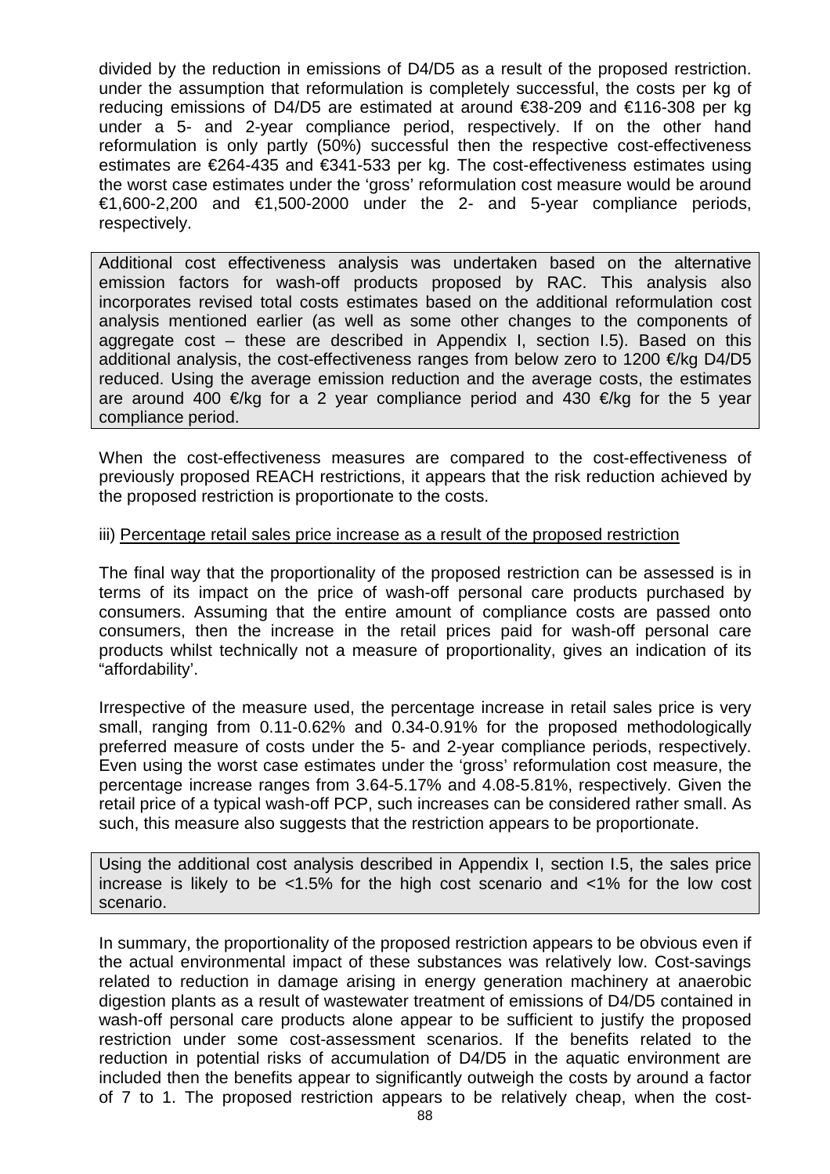divided by the reduction in emissions of D4/D5 as a result of the proposed restriction. under the assumption that reformulation is completely successful, the costs per kg of reducing emissions of D4/D5 are estimated at around €38-209 and €116-308 per kg under a 5- and 2-year compliance period, respectively. If on the other hand reformulation is only partly (50%) successful then the respective cost-effectiveness estimates are €264-435 and €341-533 per kg. The cost-effectiveness estimates using the worst case estimates under the 'gross' reformulation cost measure would be around €1,600-2,200 and €1,500-2000 under the 2- and 5-year compliance periods, respectively.

Additional cost effectiveness analysis was undertaken based on the alternative emission factors for wash-off products proposed by RAC. This analysis also incorporates revised total costs estimates based on the additional reformulation cost analysis mentioned earlier (as well as some other changes to the components of aggregate cost – these are described in Appendix I, section I.5). Based on this additional analysis, the cost-effectiveness ranges from below zero to 1200  $\epsilon$ /kg D4/D5 reduced. Using the average emission reduction and the average costs, the estimates are around 400 €/kg for a 2 year compliance period and 430 €/kg for the 5 year compliance period.

When the cost-effectiveness measures are compared to the cost-effectiveness of previously proposed REACH restrictions, it appears that the risk reduction achieved by the proposed restriction is proportionate to the costs.

#### iii) Percentage retail sales price increase as a result of the proposed restriction

The final way that the proportionality of the proposed restriction can be assessed is in terms of its impact on the price of wash-off personal care products purchased by consumers. Assuming that the entire amount of compliance costs are passed onto consumers, then the increase in the retail prices paid for wash-off personal care products whilst technically not a measure of proportionality, gives an indication of its "affordability'.

Irrespective of the measure used, the percentage increase in retail sales price is very small, ranging from 0.11-0.62% and 0.34-0.91% for the proposed methodologically preferred measure of costs under the 5- and 2-year compliance periods, respectively. Even using the worst case estimates under the 'gross' reformulation cost measure, the percentage increase ranges from 3.64-5.17% and 4.08-5.81%, respectively. Given the retail price of a typical wash-off PCP, such increases can be considered rather small. As such, this measure also suggests that the restriction appears to be proportionate.

Using the additional cost analysis described in Appendix I, section I.5, the sales price increase is likely to be  $\lt 1.5\%$  for the high cost scenario and  $\lt 1\%$  for the low cost scenario.

In summary, the proportionality of the proposed restriction appears to be obvious even if the actual environmental impact of these substances was relatively low. Cost-savings related to reduction in damage arising in energy generation machinery at anaerobic digestion plants as a result of wastewater treatment of emissions of D4/D5 contained in wash-off personal care products alone appear to be sufficient to justify the proposed restriction under some cost-assessment scenarios. If the benefits related to the reduction in potential risks of accumulation of D4/D5 in the aquatic environment are included then the benefits appear to significantly outweigh the costs by around a factor of 7 to 1. The proposed restriction appears to be relatively cheap, when the cost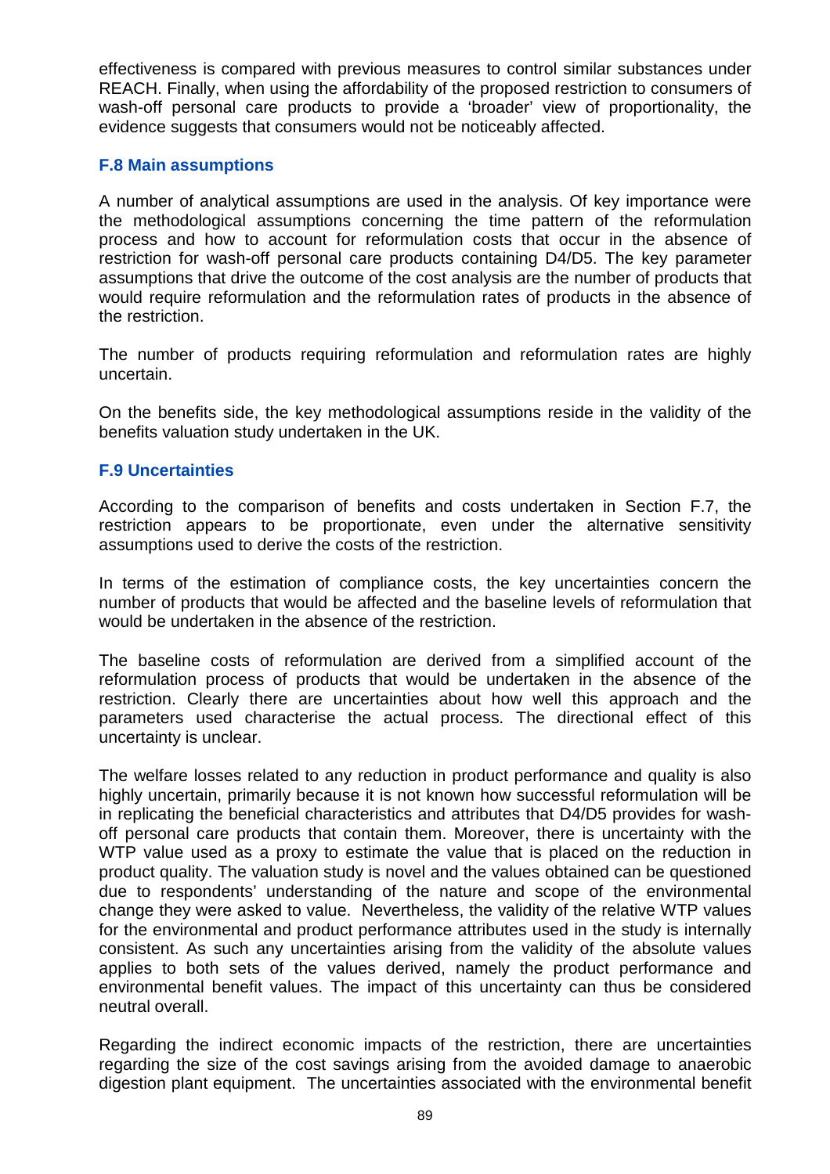effectiveness is compared with previous measures to control similar substances under REACH. Finally, when using the affordability of the proposed restriction to consumers of wash-off personal care products to provide a 'broader' view of proportionality, the evidence suggests that consumers would not be noticeably affected.

#### **F.8 Main assumptions**

A number of analytical assumptions are used in the analysis. Of key importance were the methodological assumptions concerning the time pattern of the reformulation process and how to account for reformulation costs that occur in the absence of restriction for wash-off personal care products containing D4/D5. The key parameter assumptions that drive the outcome of the cost analysis are the number of products that would require reformulation and the reformulation rates of products in the absence of the restriction.

The number of products requiring reformulation and reformulation rates are highly uncertain.

On the benefits side, the key methodological assumptions reside in the validity of the benefits valuation study undertaken in the UK.

#### **F.9 Uncertainties**

According to the comparison of benefits and costs undertaken in Section F.7, the restriction appears to be proportionate, even under the alternative sensitivity assumptions used to derive the costs of the restriction.

In terms of the estimation of compliance costs, the key uncertainties concern the number of products that would be affected and the baseline levels of reformulation that would be undertaken in the absence of the restriction.

The baseline costs of reformulation are derived from a simplified account of the reformulation process of products that would be undertaken in the absence of the restriction. Clearly there are uncertainties about how well this approach and the parameters used characterise the actual process. The directional effect of this uncertainty is unclear.

The welfare losses related to any reduction in product performance and quality is also highly uncertain, primarily because it is not known how successful reformulation will be in replicating the beneficial characteristics and attributes that D4/D5 provides for washoff personal care products that contain them. Moreover, there is uncertainty with the WTP value used as a proxy to estimate the value that is placed on the reduction in product quality. The valuation study is novel and the values obtained can be questioned due to respondents' understanding of the nature and scope of the environmental change they were asked to value. Nevertheless, the validity of the relative WTP values for the environmental and product performance attributes used in the study is internally consistent. As such any uncertainties arising from the validity of the absolute values applies to both sets of the values derived, namely the product performance and environmental benefit values. The impact of this uncertainty can thus be considered neutral overall.

Regarding the indirect economic impacts of the restriction, there are uncertainties regarding the size of the cost savings arising from the avoided damage to anaerobic digestion plant equipment. The uncertainties associated with the environmental benefit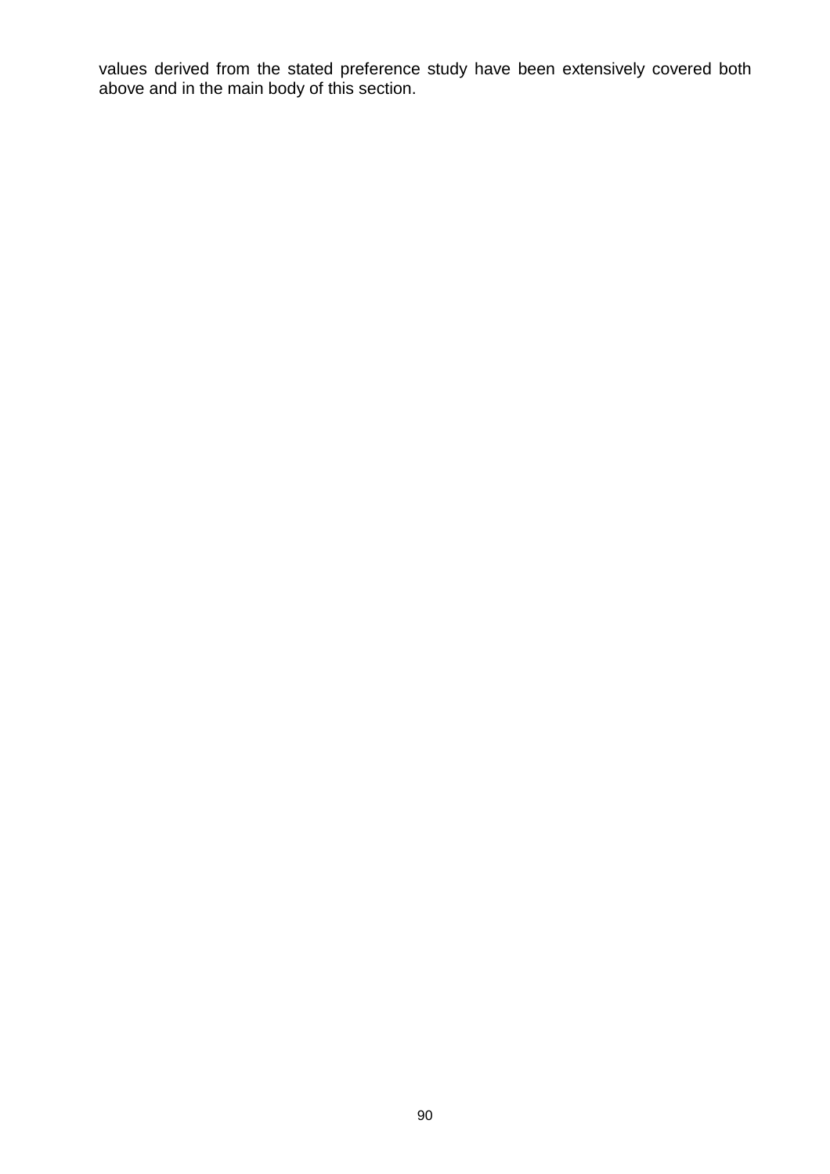values derived from the stated preference study have been extensively covered both above and in the main body of this section.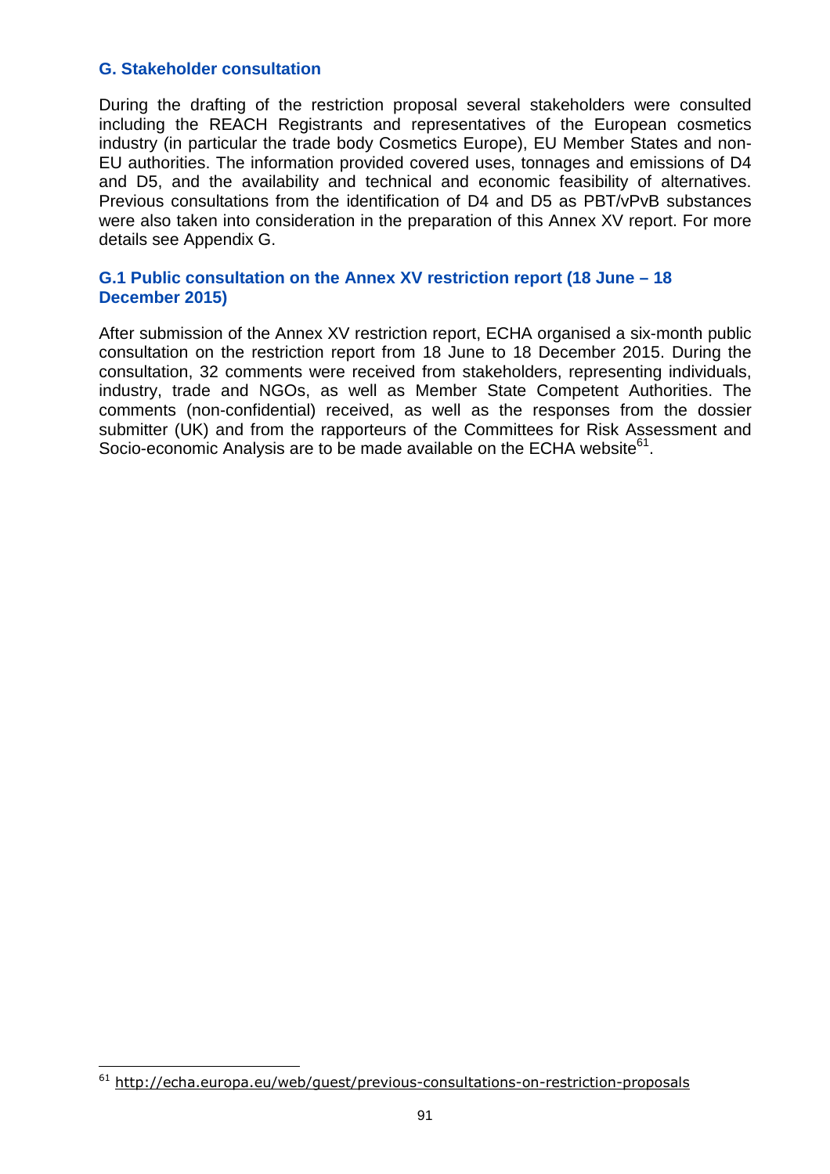#### **G. Stakeholder consultation**

During the drafting of the restriction proposal several stakeholders were consulted including the REACH Registrants and representatives of the European cosmetics industry (in particular the trade body Cosmetics Europe), EU Member States and non-EU authorities. The information provided covered uses, tonnages and emissions of D4 and D5, and the availability and technical and economic feasibility of alternatives. Previous consultations from the identification of D4 and D5 as PBT/vPvB substances were also taken into consideration in the preparation of this Annex XV report. For more details see Appendix G.

#### **G.1 Public consultation on the Annex XV restriction report (18 June – 18 December 2015)**

After submission of the Annex XV restriction report, ECHA organised a six-month public consultation on the restriction report from 18 June to 18 December 2015. During the consultation, 32 comments were received from stakeholders, representing individuals, industry, trade and NGOs, as well as Member State Competent Authorities. The comments (non-confidential) received, as well as the responses from the dossier submitter (UK) and from the rapporteurs of the Committees for Risk Assessment and Socio-economic Analysis are to be made available on the ECHA website<sup>61</sup>.

l

<sup>&</sup>lt;sup>61</sup> http://echa.europa.eu/web/guest/previous-consultations-on-restriction-proposals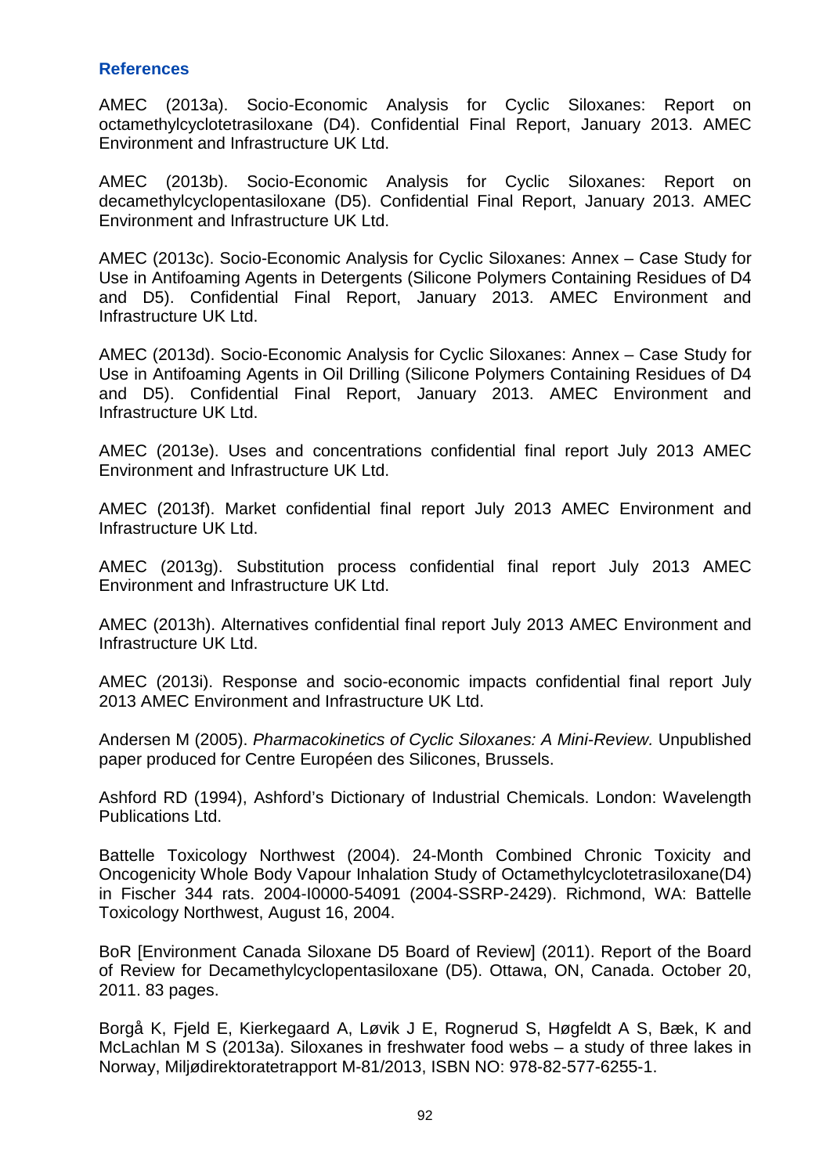#### **References**

AMEC (2013a). Socio-Economic Analysis for Cyclic Siloxanes: Report on octamethylcyclotetrasiloxane (D4). Confidential Final Report, January 2013. AMEC Environment and Infrastructure UK Ltd.

AMEC (2013b). Socio-Economic Analysis for Cyclic Siloxanes: Report on decamethylcyclopentasiloxane (D5). Confidential Final Report, January 2013. AMEC Environment and Infrastructure UK Ltd.

AMEC (2013c). Socio-Economic Analysis for Cyclic Siloxanes: Annex – Case Study for Use in Antifoaming Agents in Detergents (Silicone Polymers Containing Residues of D4 and D5). Confidential Final Report, January 2013. AMEC Environment and Infrastructure UK Ltd.

AMEC (2013d). Socio-Economic Analysis for Cyclic Siloxanes: Annex – Case Study for Use in Antifoaming Agents in Oil Drilling (Silicone Polymers Containing Residues of D4 and D5). Confidential Final Report, January 2013. AMEC Environment and Infrastructure UK Ltd.

AMEC (2013e). Uses and concentrations confidential final report July 2013 AMEC Environment and Infrastructure UK I td.

AMEC (2013f). Market confidential final report July 2013 AMEC Environment and Infrastructure UK Ltd.

AMEC (2013g). Substitution process confidential final report July 2013 AMEC Environment and Infrastructure UK Ltd.

AMEC (2013h). Alternatives confidential final report July 2013 AMEC Environment and Infrastructure UK Ltd.

AMEC (2013i). Response and socio-economic impacts confidential final report July 2013 AMEC Environment and Infrastructure UK Ltd.

Andersen M (2005). Pharmacokinetics of Cyclic Siloxanes: A Mini-Review. Unpublished paper produced for Centre Européen des Silicones, Brussels.

Ashford RD (1994), Ashford's Dictionary of Industrial Chemicals. London: Wavelength Publications Ltd.

Battelle Toxicology Northwest (2004). 24-Month Combined Chronic Toxicity and Oncogenicity Whole Body Vapour Inhalation Study of Octamethylcyclotetrasiloxane(D4) in Fischer 344 rats. 2004-I0000-54091 (2004-SSRP-2429). Richmond, WA: Battelle Toxicology Northwest, August 16, 2004.

BoR [Environment Canada Siloxane D5 Board of Review] (2011). Report of the Board of Review for Decamethylcyclopentasiloxane (D5). Ottawa, ON, Canada. October 20, 2011. 83 pages.

Borgå K, Fjeld E, Kierkegaard A, Løvik J E, Rognerud S, Høgfeldt A S, Bæk, K and McLachlan M S (2013a). Siloxanes in freshwater food webs – a study of three lakes in Norway, Miljødirektoratetrapport M-81/2013, ISBN NO: 978-82-577-6255-1.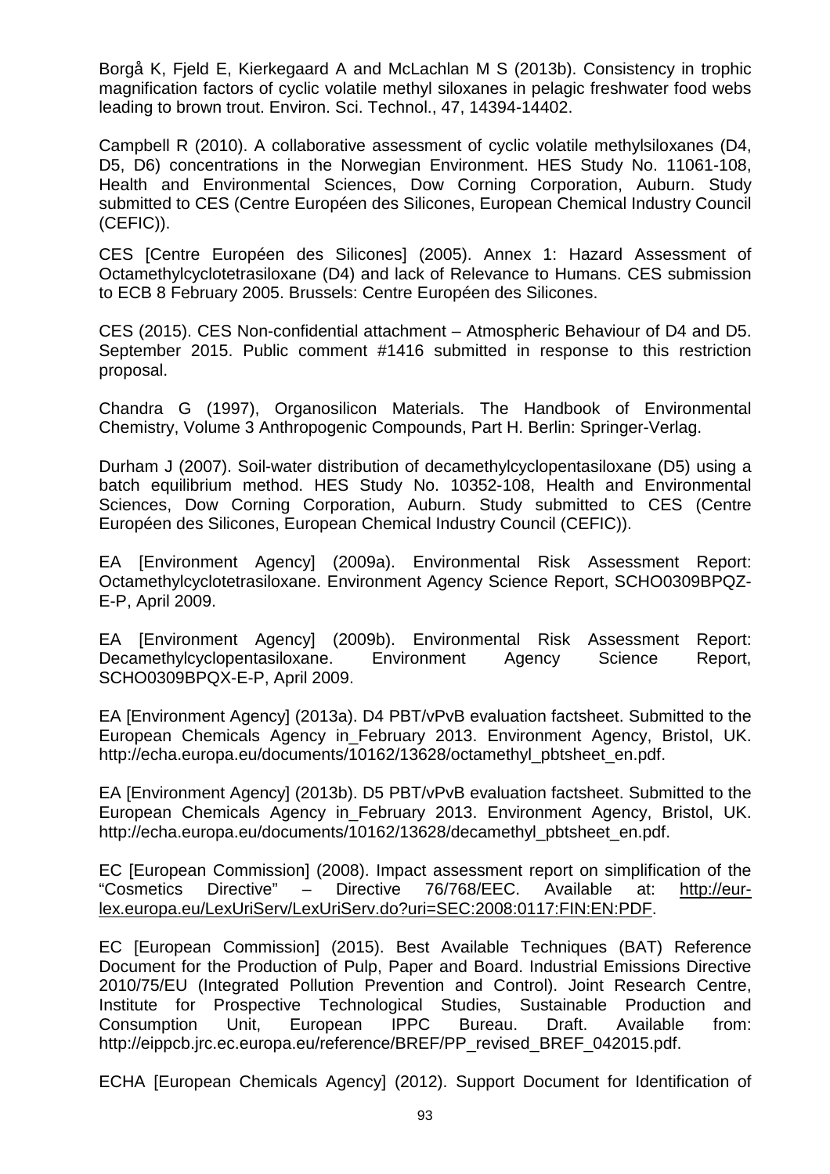Borgå K, Fjeld E, Kierkegaard A and McLachlan M S (2013b). Consistency in trophic magnification factors of cyclic volatile methyl siloxanes in pelagic freshwater food webs leading to brown trout. Environ. Sci. Technol., 47, 14394-14402.

Campbell R (2010). A collaborative assessment of cyclic volatile methylsiloxanes (D4, D5, D6) concentrations in the Norwegian Environment. HES Study No. 11061-108, Health and Environmental Sciences, Dow Corning Corporation, Auburn. Study submitted to CES (Centre Européen des Silicones, European Chemical Industry Council (CEFIC)).

CES [Centre Européen des Silicones] (2005). Annex 1: Hazard Assessment of Octamethylcyclotetrasiloxane (D4) and lack of Relevance to Humans. CES submission to ECB 8 February 2005. Brussels: Centre Européen des Silicones.

CES (2015). CES Non-confidential attachment – Atmospheric Behaviour of D4 and D5. September 2015. Public comment #1416 submitted in response to this restriction proposal.

Chandra G (1997), Organosilicon Materials. The Handbook of Environmental Chemistry, Volume 3 Anthropogenic Compounds, Part H. Berlin: Springer-Verlag.

Durham J (2007). Soil-water distribution of decamethylcyclopentasiloxane (D5) using a batch equilibrium method. HES Study No. 10352-108, Health and Environmental Sciences, Dow Corning Corporation, Auburn. Study submitted to CES (Centre Européen des Silicones, European Chemical Industry Council (CEFIC)).

EA [Environment Agency] (2009a). Environmental Risk Assessment Report: Octamethylcyclotetrasiloxane. Environment Agency Science Report, SCHO0309BPQZ-E-P, April 2009.

EA [Environment Agency] (2009b). Environmental Risk Assessment Report: Decamethylcyclopentasiloxane. Environment Agency Science Report, SCHO0309BPQX-E-P, April 2009.

EA [Environment Agency] (2013a). D4 PBT/vPvB evaluation factsheet. Submitted to the European Chemicals Agency in\_February 2013. Environment Agency, Bristol, UK. http://echa.europa.eu/documents/10162/13628/octamethyl\_pbtsheet\_en.pdf.

EA [Environment Agency] (2013b). D5 PBT/vPvB evaluation factsheet. Submitted to the European Chemicals Agency in February 2013. Environment Agency, Bristol, UK. http://echa.europa.eu/documents/10162/13628/decamethyl\_pbtsheet\_en.pdf.

EC [European Commission] (2008). Impact assessment report on simplification of the "Cosmetics Directive" – Directive 76/768/EEC. Available at: http://eurlex.europa.eu/LexUriServ/LexUriServ.do?uri=SEC:2008:0117:FIN:EN:PDF.

EC [European Commission] (2015). Best Available Techniques (BAT) Reference Document for the Production of Pulp, Paper and Board. Industrial Emissions Directive 2010/75/EU (Integrated Pollution Prevention and Control). Joint Research Centre, Institute for Prospective Technological Studies, Sustainable Production and Consumption Unit, European IPPC Bureau. Draft. Available from: http://eippcb.jrc.ec.europa.eu/reference/BREF/PP\_revised\_BREF\_042015.pdf.

ECHA [European Chemicals Agency] (2012). Support Document for Identification of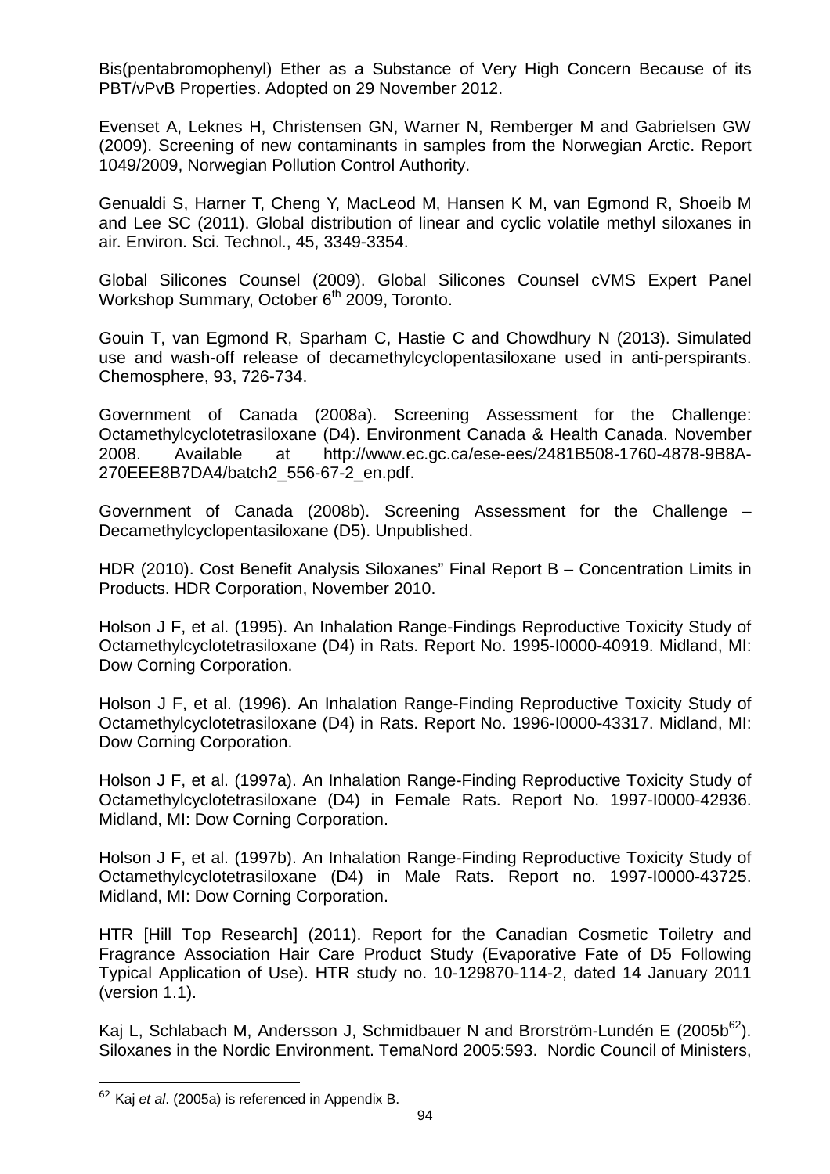Bis(pentabromophenyl) Ether as a Substance of Very High Concern Because of its PBT/vPvB Properties. Adopted on 29 November 2012.

Evenset A, Leknes H, Christensen GN, Warner N, Remberger M and Gabrielsen GW (2009). Screening of new contaminants in samples from the Norwegian Arctic. Report 1049/2009, Norwegian Pollution Control Authority.

Genualdi S, Harner T, Cheng Y, MacLeod M, Hansen K M, van Egmond R, Shoeib M and Lee SC (2011). Global distribution of linear and cyclic volatile methyl siloxanes in air. Environ. Sci. Technol., 45, 3349-3354.

Global Silicones Counsel (2009). Global Silicones Counsel cVMS Expert Panel Workshop Summary, October 6<sup>th</sup> 2009, Toronto.

Gouin T, van Egmond R, Sparham C, Hastie C and Chowdhury N (2013). Simulated use and wash-off release of decamethylcyclopentasiloxane used in anti-perspirants. Chemosphere, 93, 726-734.

Government of Canada (2008a). Screening Assessment for the Challenge: Octamethylcyclotetrasiloxane (D4). Environment Canada & Health Canada. November 2008. Available at http://www.ec.gc.ca/ese-ees/2481B508-1760-4878-9B8A-270EEE8B7DA4/batch2\_556-67-2\_en.pdf.

Government of Canada (2008b). Screening Assessment for the Challenge – Decamethylcyclopentasiloxane (D5). Unpublished.

HDR (2010). Cost Benefit Analysis Siloxanes" Final Report B – Concentration Limits in Products. HDR Corporation, November 2010.

Holson J F, et al. (1995). An Inhalation Range-Findings Reproductive Toxicity Study of Octamethylcyclotetrasiloxane (D4) in Rats. Report No. 1995-I0000-40919. Midland, MI: Dow Corning Corporation.

Holson J F, et al. (1996). An Inhalation Range-Finding Reproductive Toxicity Study of Octamethylcyclotetrasiloxane (D4) in Rats. Report No. 1996-I0000-43317. Midland, MI: Dow Corning Corporation.

Holson J F, et al. (1997a). An Inhalation Range-Finding Reproductive Toxicity Study of Octamethylcyclotetrasiloxane (D4) in Female Rats. Report No. 1997-I0000-42936. Midland, MI: Dow Corning Corporation.

Holson J F, et al. (1997b). An Inhalation Range-Finding Reproductive Toxicity Study of Octamethylcyclotetrasiloxane (D4) in Male Rats. Report no. 1997-I0000-43725. Midland, MI: Dow Corning Corporation.

HTR [Hill Top Research] (2011). Report for the Canadian Cosmetic Toiletry and Fragrance Association Hair Care Product Study (Evaporative Fate of D5 Following Typical Application of Use). HTR study no. 10-129870-114-2, dated 14 January 2011 (version 1.1).

Kaj L, Schlabach M, Andersson J, Schmidbauer N and Brorström-Lundén E (2005b<sup>62</sup>). Siloxanes in the Nordic Environment. TemaNord 2005:593. Nordic Council of Ministers,

l  $62$  Kaj et al. (2005a) is referenced in Appendix B.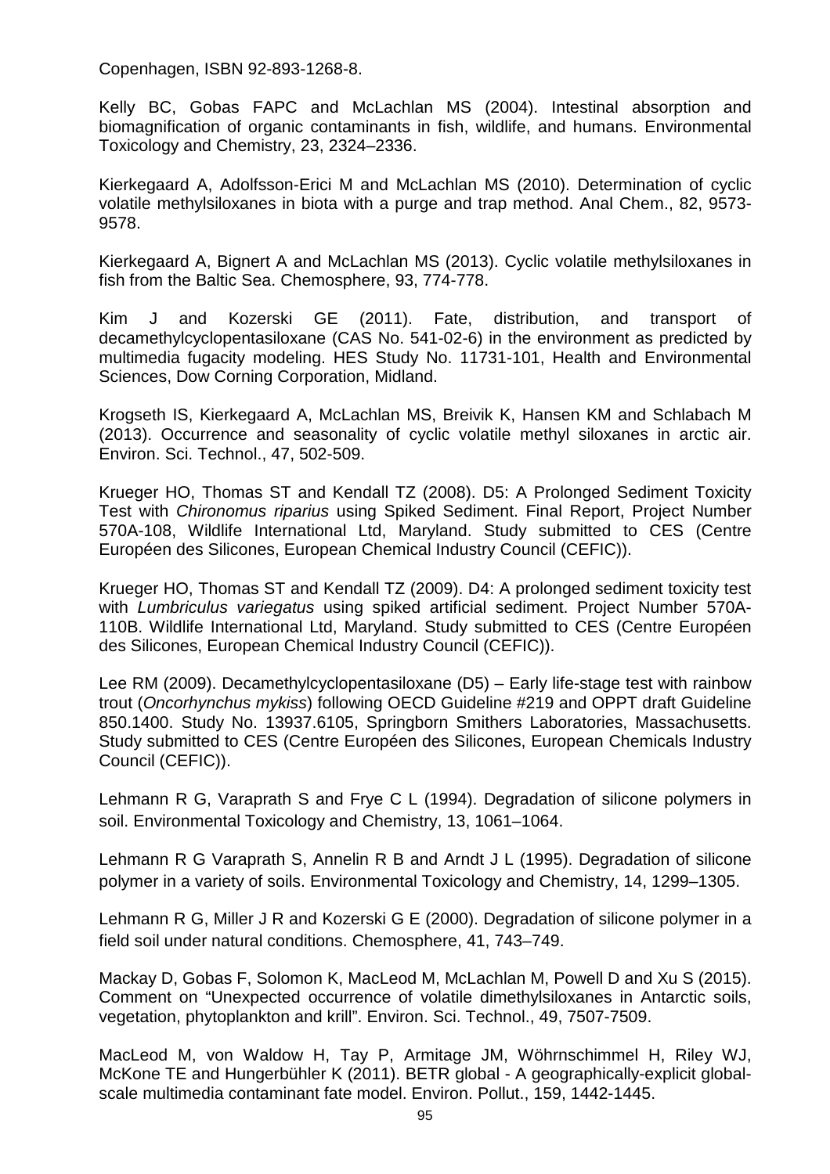Copenhagen, ISBN 92-893-1268-8.

Kelly BC, Gobas FAPC and McLachlan MS (2004). Intestinal absorption and biomagnification of organic contaminants in fish, wildlife, and humans. Environmental Toxicology and Chemistry, 23, 2324–2336.

Kierkegaard A, Adolfsson-Erici M and McLachlan MS (2010). Determination of cyclic volatile methylsiloxanes in biota with a purge and trap method. Anal Chem., 82, 9573- 9578.

Kierkegaard A, Bignert A and McLachlan MS (2013). Cyclic volatile methylsiloxanes in fish from the Baltic Sea. Chemosphere, 93, 774-778.

Kim J and Kozerski GE (2011). Fate, distribution, and transport of decamethylcyclopentasiloxane (CAS No. 541-02-6) in the environment as predicted by multimedia fugacity modeling. HES Study No. 11731-101, Health and Environmental Sciences, Dow Corning Corporation, Midland.

Krogseth IS, Kierkegaard A, McLachlan MS, Breivik K, Hansen KM and Schlabach M (2013). Occurrence and seasonality of cyclic volatile methyl siloxanes in arctic air. Environ. Sci. Technol., 47, 502-509.

Krueger HO, Thomas ST and Kendall TZ (2008). D5: A Prolonged Sediment Toxicity Test with Chironomus riparius using Spiked Sediment. Final Report, Project Number 570A-108, Wildlife International Ltd, Maryland. Study submitted to CES (Centre Européen des Silicones, European Chemical Industry Council (CEFIC)).

Krueger HO, Thomas ST and Kendall TZ (2009). D4: A prolonged sediment toxicity test with Lumbriculus variegatus using spiked artificial sediment. Project Number 570A-110B. Wildlife International Ltd, Maryland. Study submitted to CES (Centre Européen des Silicones, European Chemical Industry Council (CEFIC)).

Lee RM (2009). Decamethylcyclopentasiloxane (D5) – Early life-stage test with rainbow trout (Oncorhynchus mykiss) following OECD Guideline #219 and OPPT draft Guideline 850.1400. Study No. 13937.6105, Springborn Smithers Laboratories, Massachusetts. Study submitted to CES (Centre Européen des Silicones, European Chemicals Industry Council (CEFIC)).

Lehmann R G, Varaprath S and Frye C L (1994). Degradation of silicone polymers in soil. Environmental Toxicology and Chemistry, 13, 1061–1064.

Lehmann R G Varaprath S, Annelin R B and Arndt J L (1995). Degradation of silicone polymer in a variety of soils. Environmental Toxicology and Chemistry, 14, 1299–1305.

Lehmann R G, Miller J R and Kozerski G E (2000). Degradation of silicone polymer in a field soil under natural conditions. Chemosphere, 41, 743–749.

Mackay D, Gobas F, Solomon K, MacLeod M, McLachlan M, Powell D and Xu S (2015). Comment on "Unexpected occurrence of volatile dimethylsiloxanes in Antarctic soils, vegetation, phytoplankton and krill". Environ. Sci. Technol., 49, 7507-7509.

MacLeod M, von Waldow H, Tay P, Armitage JM, Wöhrnschimmel H, Riley WJ, McKone TE and Hungerbühler K (2011). BETR global - A geographically-explicit globalscale multimedia contaminant fate model. Environ. Pollut., 159, 1442-1445.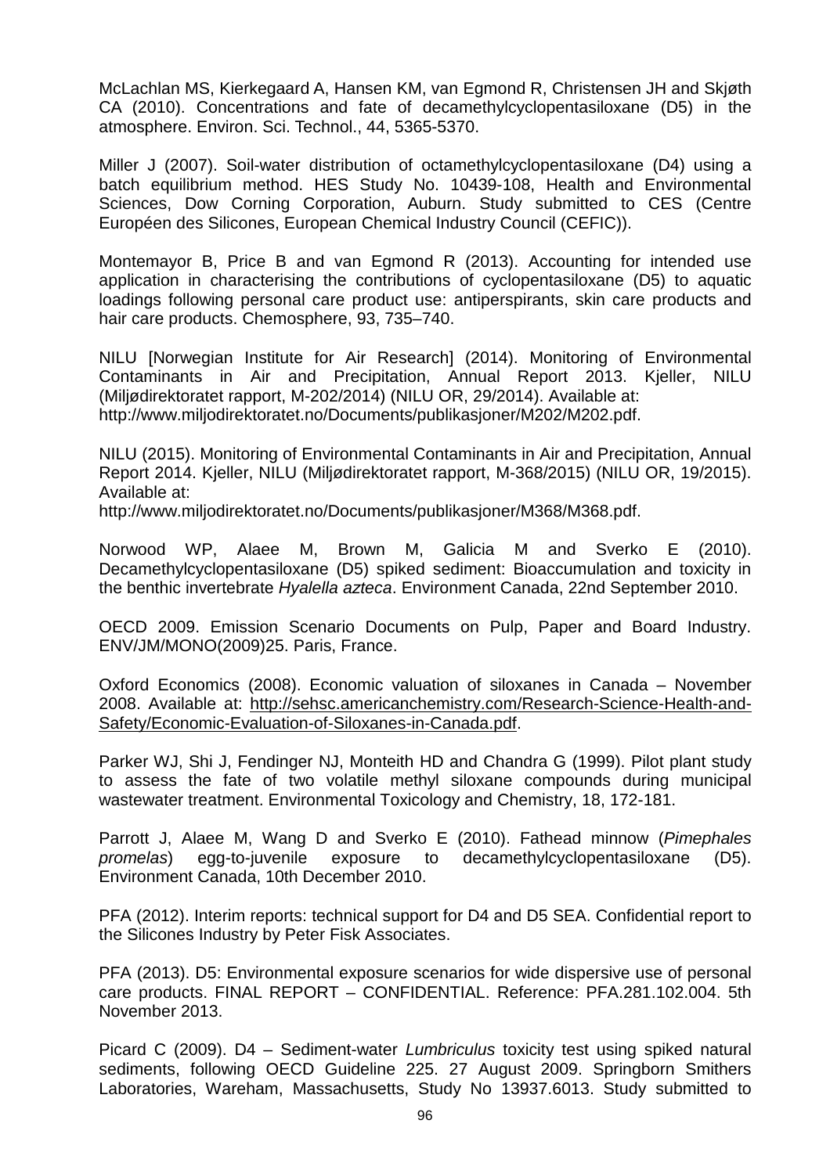McLachlan MS, Kierkegaard A, Hansen KM, van Egmond R, Christensen JH and Skjøth CA (2010). Concentrations and fate of decamethylcyclopentasiloxane (D5) in the atmosphere. Environ. Sci. Technol., 44, 5365-5370.

Miller J (2007). Soil-water distribution of octamethylcyclopentasiloxane (D4) using a batch equilibrium method. HES Study No. 10439-108, Health and Environmental Sciences, Dow Corning Corporation, Auburn. Study submitted to CES (Centre Européen des Silicones, European Chemical Industry Council (CEFIC)).

Montemayor B. Price B and van Egmond R (2013). Accounting for intended use application in characterising the contributions of cyclopentasiloxane (D5) to aquatic loadings following personal care product use: antiperspirants, skin care products and hair care products. Chemosphere, 93, 735–740.

NILU [Norwegian Institute for Air Research] (2014). Monitoring of Environmental Contaminants in Air and Precipitation, Annual Report 2013. Kjeller, NILU (Miljødirektoratet rapport, M-202/2014) (NILU OR, 29/2014). Available at: http://www.miljodirektoratet.no/Documents/publikasjoner/M202/M202.pdf.

NILU (2015). Monitoring of Environmental Contaminants in Air and Precipitation, Annual Report 2014. Kjeller, NILU (Miljødirektoratet rapport, M-368/2015) (NILU OR, 19/2015). Available at:

http://www.miljodirektoratet.no/Documents/publikasjoner/M368/M368.pdf.

Norwood WP, Alaee M, Brown M, Galicia M and Sverko E (2010). Decamethylcyclopentasiloxane (D5) spiked sediment: Bioaccumulation and toxicity in the benthic invertebrate Hyalella azteca. Environment Canada, 22nd September 2010.

OECD 2009. Emission Scenario Documents on Pulp, Paper and Board Industry. ENV/JM/MONO(2009)25. Paris, France.

Oxford Economics (2008). Economic valuation of siloxanes in Canada – November 2008. Available at: http://sehsc.americanchemistry.com/Research-Science-Health-and-Safety/Economic-Evaluation-of-Siloxanes-in-Canada.pdf.

Parker WJ, Shi J, Fendinger NJ, Monteith HD and Chandra G (1999). Pilot plant study to assess the fate of two volatile methyl siloxane compounds during municipal wastewater treatment. Environmental Toxicology and Chemistry, 18, 172-181.

Parrott J, Alaee M, Wang D and Sverko E (2010). Fathead minnow (Pimephales promelas) egg-to-juvenile exposure to decamethylcyclopentasiloxane (D5). Environment Canada, 10th December 2010.

PFA (2012). Interim reports: technical support for D4 and D5 SEA. Confidential report to the Silicones Industry by Peter Fisk Associates.

PFA (2013). D5: Environmental exposure scenarios for wide dispersive use of personal care products. FINAL REPORT – CONFIDENTIAL. Reference: PFA.281.102.004. 5th November 2013.

Picard C (2009). D4 – Sediment-water Lumbriculus toxicity test using spiked natural sediments, following OECD Guideline 225. 27 August 2009. Springborn Smithers Laboratories, Wareham, Massachusetts, Study No 13937.6013. Study submitted to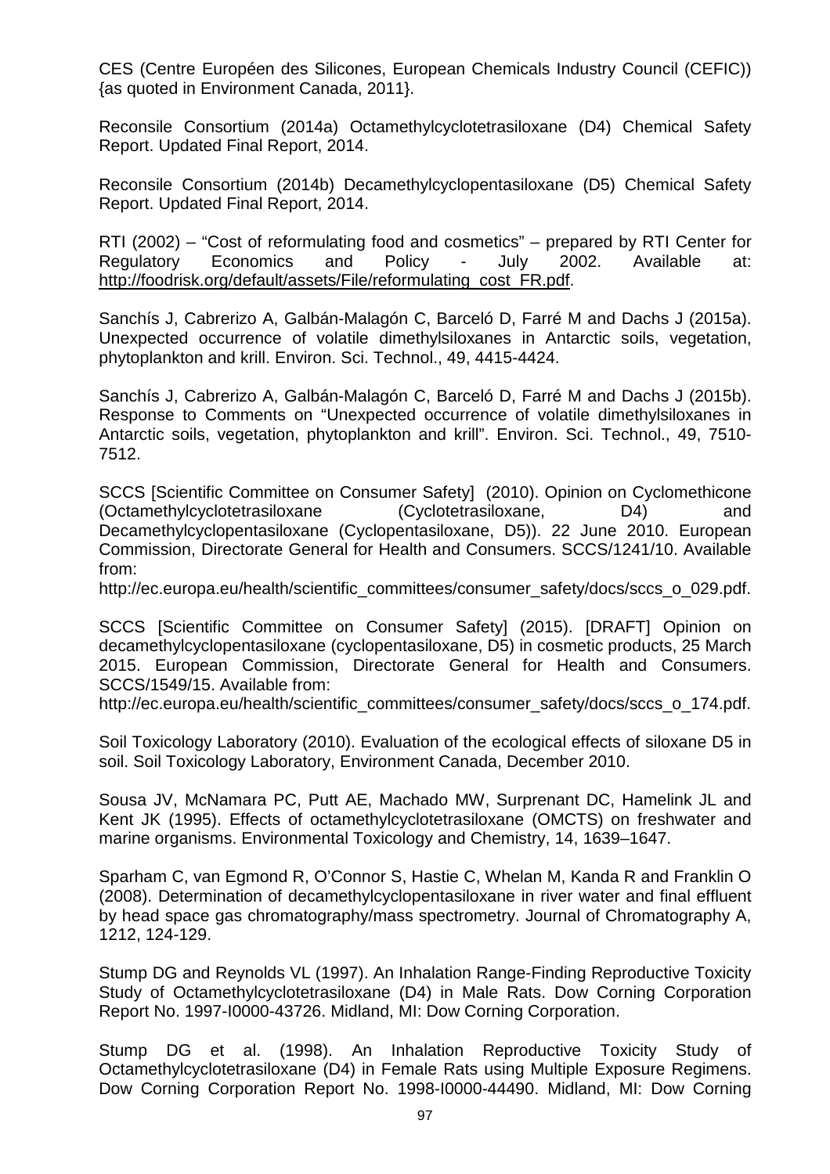CES (Centre Européen des Silicones, European Chemicals Industry Council (CEFIC)) {as quoted in Environment Canada, 2011}.

Reconsile Consortium (2014a) Octamethylcyclotetrasiloxane (D4) Chemical Safety Report. Updated Final Report, 2014.

Reconsile Consortium (2014b) Decamethylcyclopentasiloxane (D5) Chemical Safety Report. Updated Final Report, 2014.

RTI (2002) – "Cost of reformulating food and cosmetics" – prepared by RTI Center for Regulatory Economics and Policy - July 2002. Available at: http://foodrisk.org/default/assets/File/reformulating\_cost\_FR.pdf.

Sanchís J, Cabrerizo A, Galbán-Malagón C, Barceló D, Farré M and Dachs J (2015a). Unexpected occurrence of volatile dimethylsiloxanes in Antarctic soils, vegetation, phytoplankton and krill. Environ. Sci. Technol., 49, 4415-4424.

Sanchís J, Cabrerizo A, Galbán-Malagón C, Barceló D, Farré M and Dachs J (2015b). Response to Comments on "Unexpected occurrence of volatile dimethylsiloxanes in Antarctic soils, vegetation, phytoplankton and krill". Environ. Sci. Technol., 49, 7510- 7512.

SCCS [Scientific Committee on Consumer Safety] (2010). Opinion on Cyclomethicone (Octamethylcyclotetrasiloxane (Cyclotetrasiloxane, D4) and Decamethylcyclopentasiloxane (Cyclopentasiloxane, D5)). 22 June 2010. European Commission, Directorate General for Health and Consumers. SCCS/1241/10. Available from:

http://ec.europa.eu/health/scientific\_committees/consumer\_safety/docs/sccs\_o\_029.pdf.

SCCS [Scientific Committee on Consumer Safety] (2015). [DRAFT] Opinion on decamethylcyclopentasiloxane (cyclopentasiloxane, D5) in cosmetic products, 25 March 2015. European Commission, Directorate General for Health and Consumers. SCCS/1549/15. Available from:

http://ec.europa.eu/health/scientific\_committees/consumer\_safety/docs/sccs\_o\_174.pdf.

Soil Toxicology Laboratory (2010). Evaluation of the ecological effects of siloxane D5 in soil. Soil Toxicology Laboratory, Environment Canada, December 2010.

Sousa JV, McNamara PC, Putt AE, Machado MW, Surprenant DC, Hamelink JL and Kent JK (1995). Effects of octamethylcyclotetrasiloxane (OMCTS) on freshwater and marine organisms. Environmental Toxicology and Chemistry, 14, 1639–1647.

Sparham C, van Egmond R, O'Connor S, Hastie C, Whelan M, Kanda R and Franklin O (2008). Determination of decamethylcyclopentasiloxane in river water and final effluent by head space gas chromatography/mass spectrometry. Journal of Chromatography A, 1212, 124-129.

Stump DG and Reynolds VL (1997). An Inhalation Range-Finding Reproductive Toxicity Study of Octamethylcyclotetrasiloxane (D4) in Male Rats. Dow Corning Corporation Report No. 1997-I0000-43726. Midland, MI: Dow Corning Corporation.

Stump DG et al. (1998). An Inhalation Reproductive Toxicity Study of Octamethylcyclotetrasiloxane (D4) in Female Rats using Multiple Exposure Regimens. Dow Corning Corporation Report No. 1998-I0000-44490. Midland, MI: Dow Corning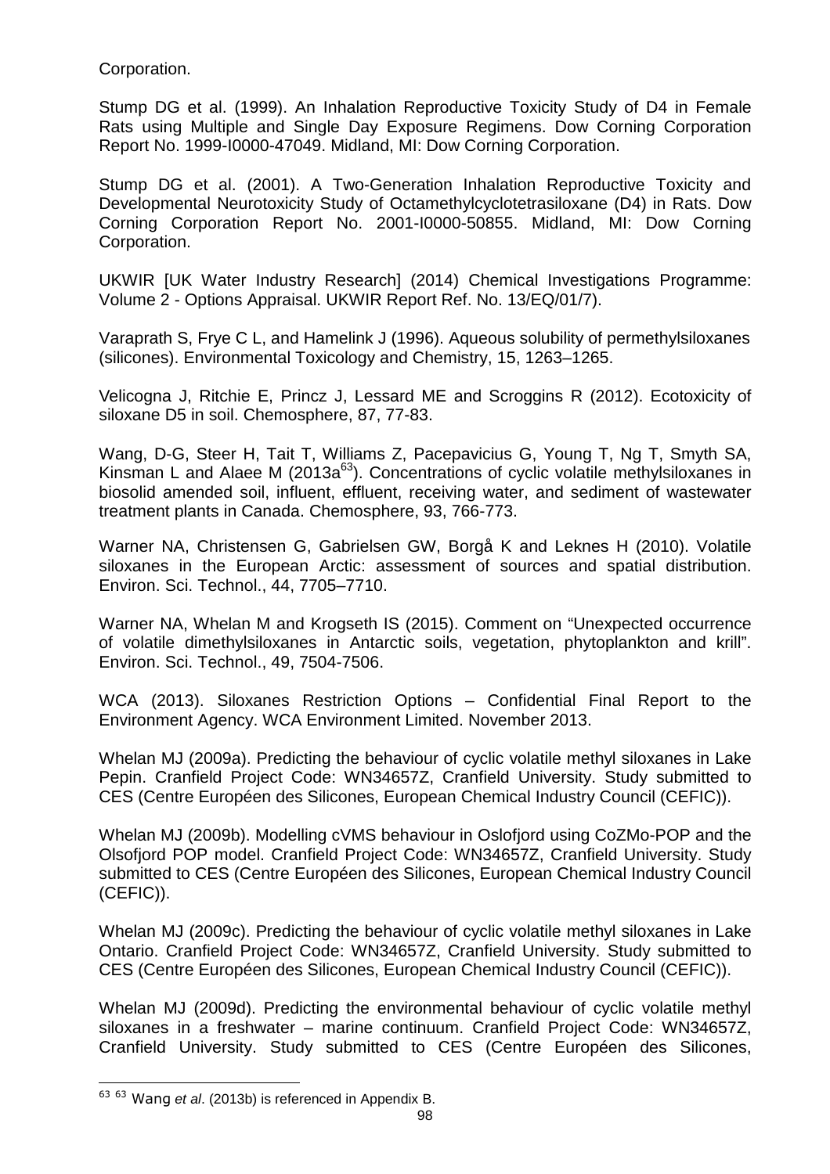Corporation.

Stump DG et al. (1999). An Inhalation Reproductive Toxicity Study of D4 in Female Rats using Multiple and Single Day Exposure Regimens. Dow Corning Corporation Report No. 1999-I0000-47049. Midland, MI: Dow Corning Corporation.

Stump DG et al. (2001). A Two-Generation Inhalation Reproductive Toxicity and Developmental Neurotoxicity Study of Octamethylcyclotetrasiloxane (D4) in Rats. Dow Corning Corporation Report No. 2001-I0000-50855. Midland, MI: Dow Corning Corporation.

UKWIR [UK Water Industry Research] (2014) Chemical Investigations Programme: Volume 2 - Options Appraisal. UKWIR Report Ref. No. 13/EQ/01/7).

Varaprath S, Frye C L, and Hamelink J (1996). Aqueous solubility of permethylsiloxanes (silicones). Environmental Toxicology and Chemistry, 15, 1263–1265.

Velicogna J, Ritchie E, Princz J, Lessard ME and Scroggins R (2012). Ecotoxicity of siloxane D5 in soil. Chemosphere, 87, 77-83.

Wang, D-G, Steer H, Tait T, Williams Z, Pacepavicius G, Young T, Ng T, Smyth SA, Kinsman L and Alaee M (2013 $a^{63}$ ). Concentrations of cyclic volatile methylsiloxanes in biosolid amended soil, influent, effluent, receiving water, and sediment of wastewater treatment plants in Canada. Chemosphere, 93, 766-773.

Warner NA, Christensen G, Gabrielsen GW, Borgå K and Leknes H (2010). Volatile siloxanes in the European Arctic: assessment of sources and spatial distribution. Environ. Sci. Technol., 44, 7705–7710.

Warner NA, Whelan M and Krogseth IS (2015). Comment on "Unexpected occurrence of volatile dimethylsiloxanes in Antarctic soils, vegetation, phytoplankton and krill". Environ. Sci. Technol., 49, 7504-7506.

WCA (2013). Siloxanes Restriction Options – Confidential Final Report to the Environment Agency. WCA Environment Limited. November 2013.

Whelan MJ (2009a). Predicting the behaviour of cyclic volatile methyl siloxanes in Lake Pepin. Cranfield Project Code: WN34657Z, Cranfield University. Study submitted to CES (Centre Européen des Silicones, European Chemical Industry Council (CEFIC)).

Whelan MJ (2009b). Modelling cVMS behaviour in Oslofjord using CoZMo-POP and the Olsofjord POP model. Cranfield Project Code: WN34657Z, Cranfield University. Study submitted to CES (Centre Européen des Silicones, European Chemical Industry Council (CEFIC)).

Whelan MJ (2009c). Predicting the behaviour of cyclic volatile methyl siloxanes in Lake Ontario. Cranfield Project Code: WN34657Z, Cranfield University. Study submitted to CES (Centre Européen des Silicones, European Chemical Industry Council (CEFIC)).

Whelan MJ (2009d). Predicting the environmental behaviour of cyclic volatile methyl siloxanes in a freshwater – marine continuum. Cranfield Project Code: WN34657Z, Cranfield University. Study submitted to CES (Centre Européen des Silicones,

l  $63$   $63$  Wang et al. (2013b) is referenced in Appendix B.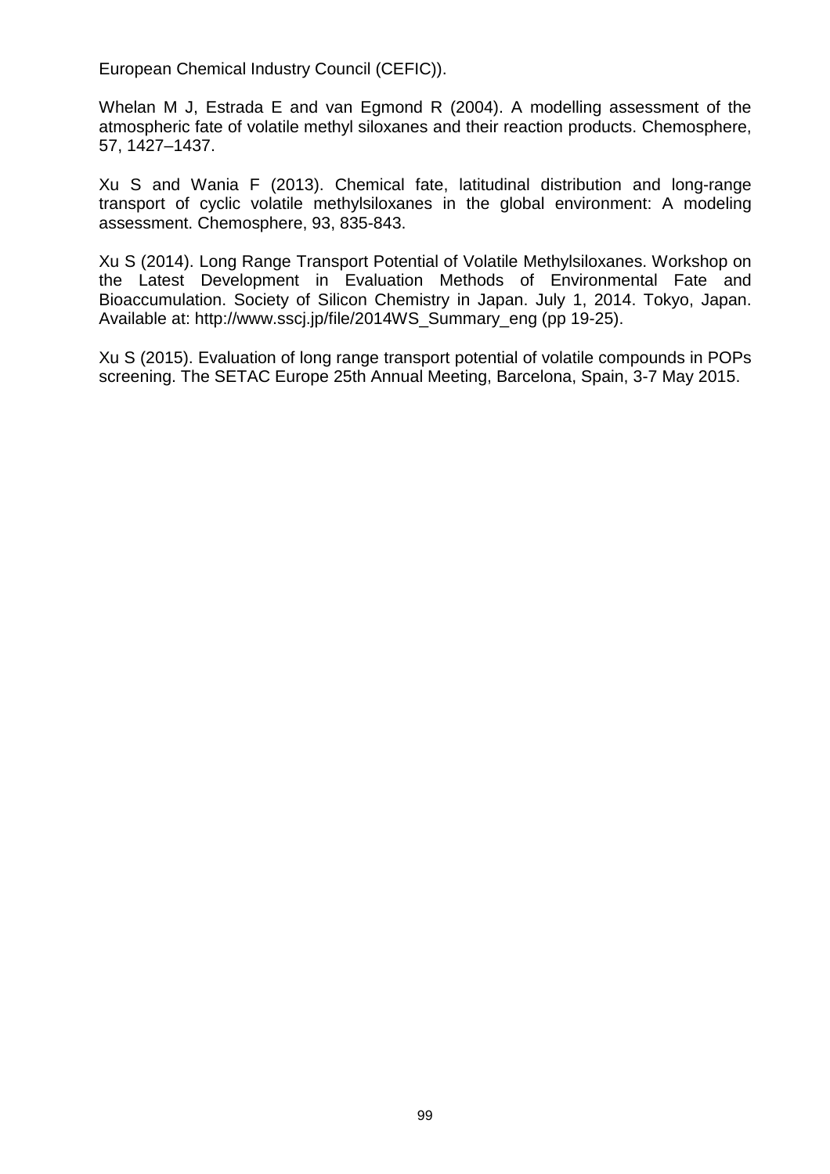European Chemical Industry Council (CEFIC)).

Whelan M J, Estrada E and van Egmond R (2004). A modelling assessment of the atmospheric fate of volatile methyl siloxanes and their reaction products. Chemosphere, 57, 1427–1437.

Xu S and Wania F (2013). Chemical fate, latitudinal distribution and long-range transport of cyclic volatile methylsiloxanes in the global environment: A modeling assessment. Chemosphere, 93, 835-843.

Xu S (2014). Long Range Transport Potential of Volatile Methylsiloxanes. Workshop on the Latest Development in Evaluation Methods of Environmental Fate and Bioaccumulation. Society of Silicon Chemistry in Japan. July 1, 2014. Tokyo, Japan. Available at: http://www.sscj.jp/file/2014WS\_Summary\_eng (pp 19-25).

Xu S (2015). Evaluation of long range transport potential of volatile compounds in POPs screening. The SETAC Europe 25th Annual Meeting, Barcelona, Spain, 3-7 May 2015.